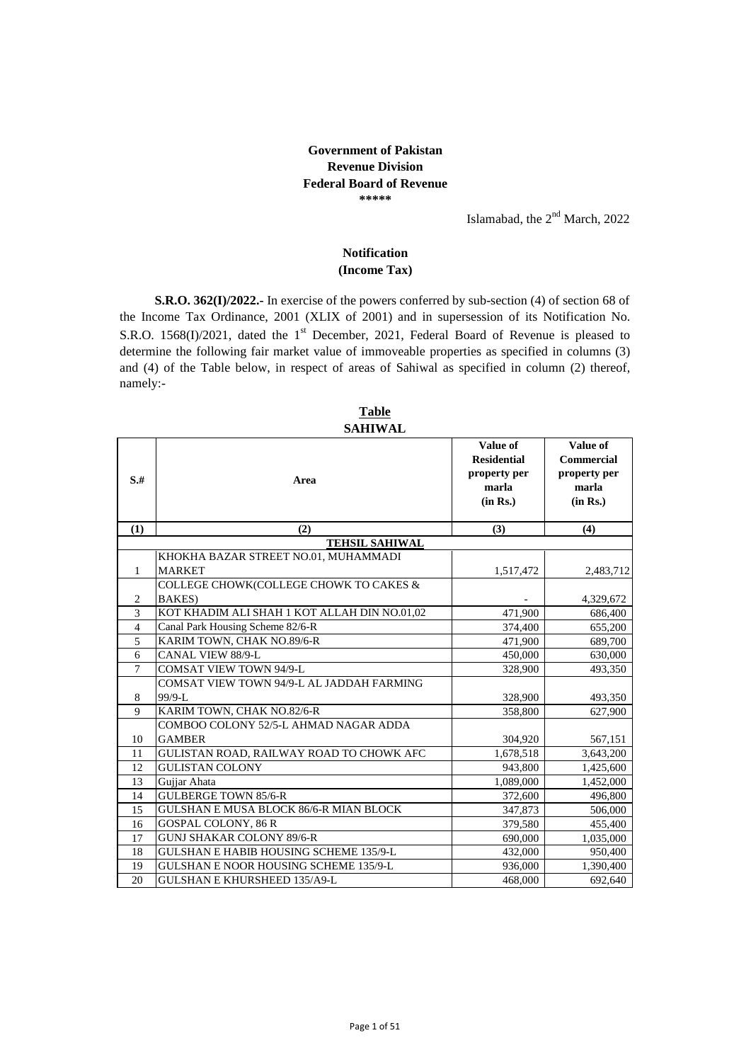## **Government of Pakistan Revenue Division Federal Board of Revenue \*\*\*\*\***

Islamabad, the  $2<sup>nd</sup>$  March, 2022

## **Notification (Income Tax)**

 **S.R.O. 362(I)/2022.-** In exercise of the powers conferred by sub-section (4) of section 68 of the Income Tax Ordinance, 2001 (XLIX of 2001) and in supersession of its Notification No. S.R.O. 1568(I)/2021, dated the  $1<sup>st</sup>$  December, 2021, Federal Board of Revenue is pleased to determine the following fair market value of immoveable properties as specified in columns (3) and (4) of the Table below, in respect of areas of Sahiwal as specified in column (2) thereof, namely:-

|                | ƏAHI VYAL                                     |                                                                     |                                                                    |
|----------------|-----------------------------------------------|---------------------------------------------------------------------|--------------------------------------------------------------------|
| $S+$           | Area                                          | Value of<br><b>Residential</b><br>property per<br>marla<br>(in Rs.) | Value of<br><b>Commercial</b><br>property per<br>marla<br>(in Rs.) |
| (1)            | (2)                                           | (3)                                                                 | (4)                                                                |
|                | <b>TEHSIL SAHIWAL</b>                         |                                                                     |                                                                    |
|                | KHOKHA BAZAR STREET NO.01, MUHAMMADI          |                                                                     |                                                                    |
| 1              | <b>MARKET</b>                                 | 1,517,472                                                           | 2,483,712                                                          |
|                | COLLEGE CHOWK(COLLEGE CHOWK TO CAKES &        |                                                                     |                                                                    |
| $\overline{2}$ | BAKES)                                        |                                                                     | 4,329,672                                                          |
| 3              | KOT KHADIM ALI SHAH 1 KOT ALLAH DIN NO.01,02  | 471.900                                                             | 686,400                                                            |
| $\overline{4}$ | Canal Park Housing Scheme 82/6-R              | 374,400                                                             | 655,200                                                            |
| 5              | KARIM TOWN, CHAK NO.89/6-R                    | 471,900                                                             | 689,700                                                            |
| 6              | CANAL VIEW 88/9-L                             | 450,000                                                             | 630,000                                                            |
| $\overline{7}$ | <b>COMSAT VIEW TOWN 94/9-L</b>                | 328,900                                                             | 493,350                                                            |
|                | COMSAT VIEW TOWN 94/9-L AL JADDAH FARMING     |                                                                     |                                                                    |
| 8              | 99/9-L                                        | 328,900                                                             | 493,350                                                            |
| 9              | KARIM TOWN, CHAK NO.82/6-R                    | 358,800                                                             | 627,900                                                            |
|                | COMBOO COLONY 52/5-L AHMAD NAGAR ADDA         |                                                                     |                                                                    |
| 10             | <b>GAMBER</b>                                 | 304,920                                                             | 567,151                                                            |
| 11             | GULISTAN ROAD, RAILWAY ROAD TO CHOWK AFC      | 1,678,518                                                           | 3,643,200                                                          |
| 12             | <b>GULISTAN COLONY</b>                        | 943,800                                                             | 1,425,600                                                          |
| 13             | Gujjar Ahata                                  | 1,089,000                                                           | 1,452,000                                                          |
| 14             | <b>GULBERGE TOWN 85/6-R</b>                   | 372,600                                                             | 496,800                                                            |
| 15             | GULSHAN E MUSA BLOCK 86/6-R MIAN BLOCK        | 347,873                                                             | 506,000                                                            |
| 16             | <b>GOSPAL COLONY, 86 R</b>                    | 379,580                                                             | 455,400                                                            |
| 17             | <b>GUNJ SHAKAR COLONY 89/6-R</b>              | 690,000                                                             | 1,035,000                                                          |
| 18             | <b>GULSHAN E HABIB HOUSING SCHEME 135/9-L</b> | 432,000                                                             | 950,400                                                            |
| 19             | GULSHAN E NOOR HOUSING SCHEME 135/9-L         | 936,000                                                             | 1,390,400                                                          |
| 20             | <b>GULSHAN E KHURSHEED 135/A9-L</b>           | 468,000                                                             | 692.640                                                            |

**SAHIWA Table**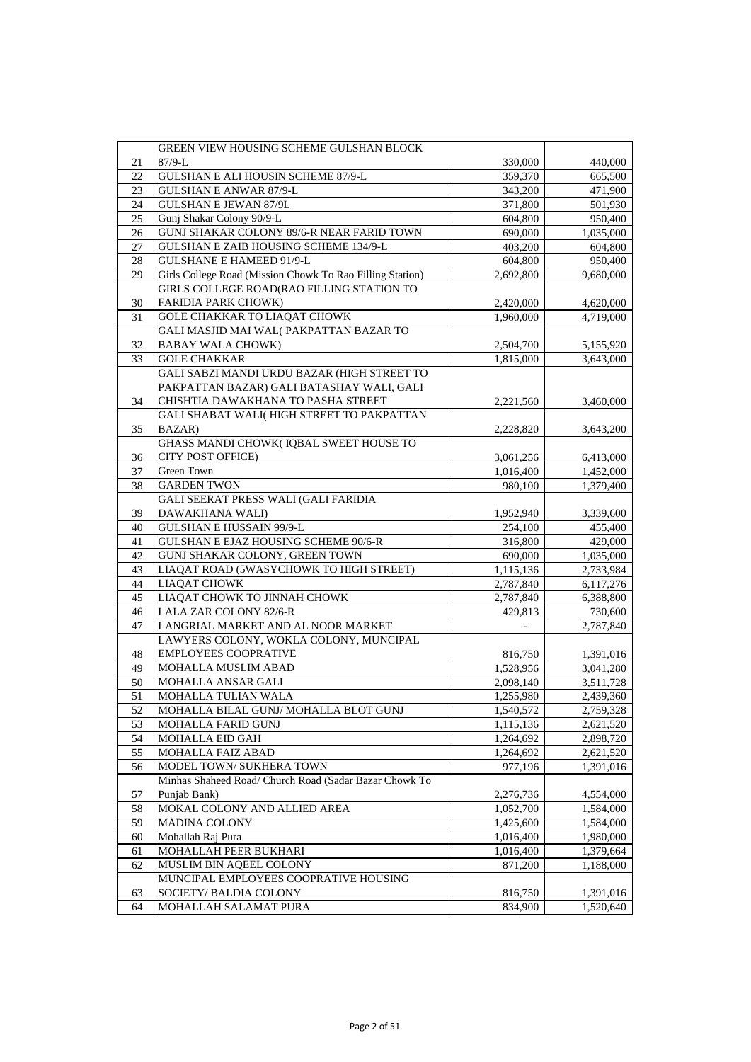|        | GREEN VIEW HOUSING SCHEME GULSHAN BLOCK                   |           |           |
|--------|-----------------------------------------------------------|-----------|-----------|
| 21     | $87/9-L$                                                  | 330,000   | 440,000   |
| 22     | GULSHAN E ALI HOUSIN SCHEME 87/9-L                        | 359,370   | 665,500   |
| 23     | <b>GULSHAN E ANWAR 87/9-L</b>                             | 343,200   | 471,900   |
| 24     | <b>GULSHAN E JEWAN 87/9L</b>                              | 371,800   | 501,930   |
| 25     | Gunj Shakar Colony 90/9-L                                 | 604,800   | 950,400   |
| $26\,$ | GUNJ SHAKAR COLONY 89/6-R NEAR FARID TOWN                 | 690,000   | 1,035,000 |
| 27     | GULSHAN E ZAIB HOUSING SCHEME 134/9-L                     | 403,200   | 604,800   |
| 28     | <b>GULSHANE E HAMEED 91/9-L</b>                           | 604,800   | 950,400   |
| 29     | Girls College Road (Mission Chowk To Rao Filling Station) | 2,692,800 | 9,680,000 |
|        | GIRLS COLLEGE ROAD(RAO FILLING STATION TO                 |           |           |
| 30     | <b>FARIDIA PARK CHOWK)</b>                                | 2,420,000 | 4,620,000 |
| 31     | <b>GOLE CHAKKAR TO LIAQAT CHOWK</b>                       | 1,960,000 | 4,719,000 |
|        | GALI MASJID MAI WAL(PAKPATTAN BAZAR TO                    |           |           |
| 32     | <b>BABAY WALA CHOWK)</b>                                  | 2,504,700 | 5,155,920 |
| 33     | <b>GOLE CHAKKAR</b>                                       | 1,815,000 | 3,643,000 |
|        | GALI SABZI MANDI URDU BAZAR (HIGH STREET TO               |           |           |
|        | PAKPATTAN BAZAR) GALI BATASHAY WALI, GALI                 |           |           |
| 34     | CHISHTIA DAWAKHANA TO PASHA STREET                        | 2,221,560 | 3,460,000 |
|        | GALI SHABAT WALI(HIGH STREET TO PAKPATTAN                 |           |           |
| 35     | BAZAR)                                                    | 2,228,820 | 3,643,200 |
|        | GHASS MANDI CHOWK(IQBAL SWEET HOUSE TO                    |           |           |
| 36     | CITY POST OFFICE)                                         | 3,061,256 | 6,413,000 |
| 37     | <b>Green Town</b>                                         | 1,016,400 | 1,452,000 |
| 38     | <b>GARDEN TWON</b>                                        | 980.100   | 1,379,400 |
|        | GALI SEERAT PRESS WALI (GALI FARIDIA                      |           |           |
| 39     | DAWAKHANA WALI)                                           | 1,952,940 | 3,339,600 |
| 40     | <b>GULSHAN E HUSSAIN 99/9-L</b>                           | 254,100   | 455,400   |
| 41     | GULSHAN E EJAZ HOUSING SCHEME 90/6-R                      | 316,800   | 429,000   |
| 42     | GUNJ SHAKAR COLONY, GREEN TOWN                            | 690,000   | 1,035,000 |
| 43     | LIAQAT ROAD (5WASYCHOWK TO HIGH STREET)                   | 1,115,136 | 2,733,984 |
| 44     | <b>LIAQAT CHOWK</b>                                       | 2,787,840 | 6,117,276 |
| 45     | LIAQAT CHOWK TO JINNAH CHOWK                              | 2,787,840 | 6,388,800 |
| 46     | <b>LALA ZAR COLONY 82/6-R</b>                             | 429,813   | 730,600   |
| 47     | LANGRIAL MARKET AND AL NOOR MARKET                        |           | 2,787,840 |
|        | LAWYERS COLONY, WOKLA COLONY, MUNCIPAL                    |           |           |
| 48     | <b>EMPLOYEES COOPRATIVE</b>                               | 816,750   | 1,391,016 |
| 49     | MOHALLA MUSLIM ABAD                                       | 1,528,956 | 3,041,280 |
| 50     | MOHALLA ANSAR GALI                                        | 2,098,140 | 3,511,728 |
| 51     | MOHALLA TULIAN WALA                                       | 1,255,980 | 2,439,360 |
| 52     | MOHALLA BILAL GUNJ/ MOHALLA BLOT GUNJ                     | 1,540,572 | 2,759,328 |
| 53     | <b>MOHALLA FARID GUNJ</b>                                 | 1,115,136 | 2,621,520 |
| 54     | <b>MOHALLA EID GAH</b>                                    | 1,264,692 | 2,898,720 |
| 55     | MOHALLA FAIZ ABAD                                         | 1,264,692 | 2,621,520 |
| 56     | MODEL TOWN/ SUKHERA TOWN                                  | 977,196   | 1,391,016 |
|        | Minhas Shaheed Road/ Church Road (Sadar Bazar Chowk To    |           |           |
| 57     | Punjab Bank)                                              | 2,276,736 | 4,554,000 |
| 58     | MOKAL COLONY AND ALLIED AREA                              | 1,052,700 | 1,584,000 |
| 59     | <b>MADINA COLONY</b>                                      | 1,425,600 | 1,584,000 |
| 60     | Mohallah Raj Pura                                         | 1,016,400 | 1,980,000 |
| 61     | MOHALLAH PEER BUKHARI                                     | 1,016,400 | 1,379,664 |
| 62     | MUSLIM BIN AQEEL COLONY                                   | 871,200   | 1,188,000 |
|        | MUNCIPAL EMPLOYEES COOPRATIVE HOUSING                     |           |           |
| 63     | SOCIETY/BALDIA COLONY                                     | 816,750   | 1,391,016 |
| 64     | MOHALLAH SALAMAT PURA                                     | 834,900   | 1,520,640 |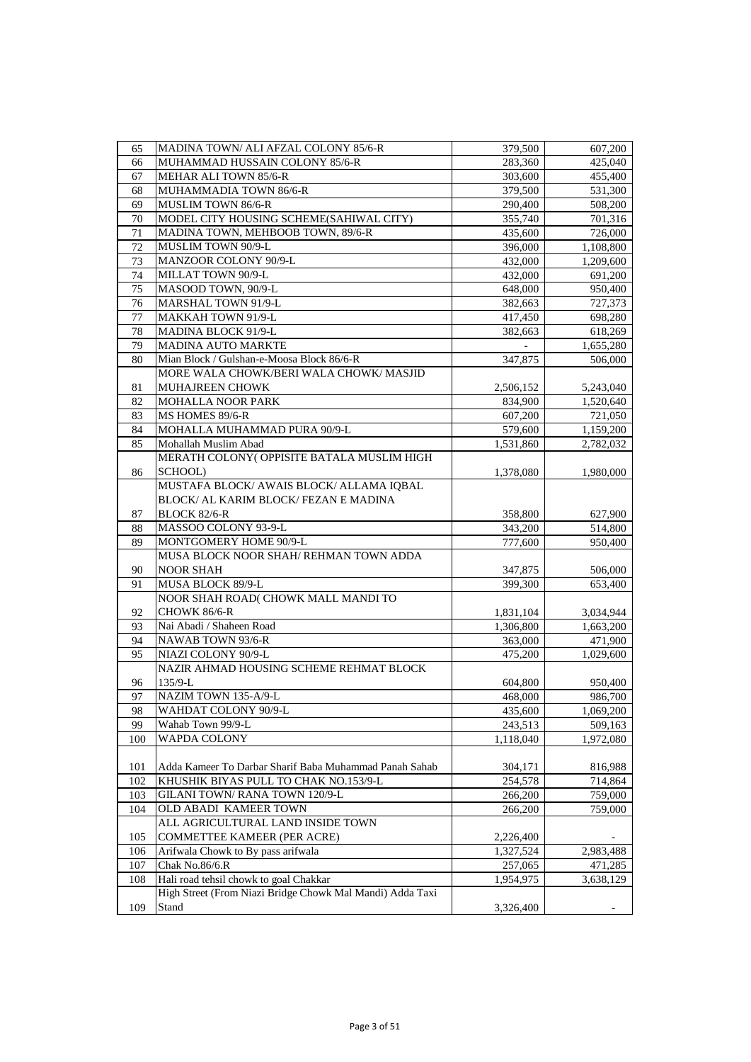| 65  | MADINA TOWN/ ALI AFZAL COLONY 85/6-R                      | 379,500   | 607,200   |
|-----|-----------------------------------------------------------|-----------|-----------|
| 66  | MUHAMMAD HUSSAIN COLONY 85/6-R                            | 283,360   | 425,040   |
| 67  | MEHAR ALI TOWN 85/6-R                                     | 303,600   | 455,400   |
| 68  | MUHAMMADIA TOWN 86/6-R                                    | 379,500   | 531,300   |
| 69  | MUSLIM TOWN 86/6-R                                        | 290,400   | 508,200   |
| 70  | MODEL CITY HOUSING SCHEME(SAHIWAL CITY)                   | 355,740   | 701,316   |
| 71  | MADINA TOWN, MEHBOOB TOWN, 89/6-R                         | 435,600   | 726,000   |
| 72  | MUSLIM TOWN 90/9-L                                        | 396,000   | 1,108,800 |
| 73  | MANZOOR COLONY 90/9-L                                     | 432,000   | 1,209,600 |
| 74  | MILLAT TOWN 90/9-L                                        | 432,000   | 691,200   |
| 75  | MASOOD TOWN, 90/9-L                                       | 648,000   | 950,400   |
| 76  | MARSHAL TOWN 91/9-L                                       | 382,663   | 727,373   |
| 77  | MAKKAH TOWN 91/9-L                                        | 417,450   | 698,280   |
| 78  | MADINA BLOCK 91/9-L                                       | 382,663   | 618,269   |
| 79  | MADINA AUTO MARKTE                                        |           | 1,655,280 |
| 80  | Mian Block / Gulshan-e-Moosa Block 86/6-R                 | 347,875   | 506,000   |
|     | MORE WALA CHOWK/BERI WALA CHOWK/ MASJID                   |           |           |
| 81  | MUHAJREEN CHOWK                                           | 2,506,152 | 5,243,040 |
| 82  | MOHALLA NOOR PARK                                         | 834,900   | 1,520,640 |
| 83  | MS HOMES 89/6-R                                           | 607,200   | 721,050   |
| 84  | MOHALLA MUHAMMAD PURA 90/9-L                              | 579,600   | 1,159,200 |
| 85  | Mohallah Muslim Abad                                      | 1,531,860 | 2,782,032 |
|     | MERATH COLONY(OPPISITE BATALA MUSLIM HIGH                 |           |           |
| 86  | SCHOOL)                                                   | 1,378,080 | 1,980,000 |
|     | MUSTAFA BLOCK/ AWAIS BLOCK/ ALLAMA IQBAL                  |           |           |
|     | BLOCK/ AL KARIM BLOCK/ FEZAN E MADINA                     |           |           |
| 87  | <b>BLOCK 82/6-R</b>                                       | 358,800   | 627,900   |
| 88  | MASSOO COLONY 93-9-L                                      | 343,200   | 514,800   |
| 89  | MONTGOMERY HOME 90/9-L                                    | 777,600   | 950,400   |
|     | MUSA BLOCK NOOR SHAH/ REHMAN TOWN ADDA                    |           |           |
| 90  | <b>NOOR SHAH</b>                                          | 347,875   | 506,000   |
| 91  | MUSA BLOCK 89/9-L                                         | 399,300   | 653,400   |
|     | NOOR SHAH ROAD( CHOWK MALL MANDI TO                       |           |           |
| 92  | CHOWK 86/6-R                                              | 1,831,104 | 3,034,944 |
| 93  | Nai Abadi / Shaheen Road                                  | 1,306,800 | 1,663,200 |
| 94  | NAWAB TOWN 93/6-R                                         | 363,000   | 471,900   |
| 95  | NIAZI COLONY 90/9-L                                       | 475,200   | 1,029,600 |
|     | NAZIR AHMAD HOUSING SCHEME REHMAT BLOCK                   |           |           |
| 96  | 135/9-L                                                   | 604,800   | 950,400   |
| 97  | NAZIM TOWN 135-A/9-L                                      | 468,000   | 986,700   |
| 98  | WAHDAT COLONY 90/9-L                                      | 435,600   | 1,069,200 |
| 99  | Wahab Town 99/9-L                                         | 243,513   | 509,163   |
| 100 | WAPDA COLONY                                              | 1,118,040 | 1,972,080 |
|     |                                                           |           |           |
| 101 | Adda Kameer To Darbar Sharif Baba Muhammad Panah Sahab    | 304,171   | 816,988   |
| 102 | KHUSHIK BIYAS PULL TO CHAK NO.153/9-L                     | 254,578   | 714,864   |
| 103 | GILANI TOWN/RANA TOWN 120/9-L                             | 266,200   | 759,000   |
| 104 | OLD ABADI KAMEER TOWN                                     | 266,200   | 759,000   |
|     | ALL AGRICULTURAL LAND INSIDE TOWN                         |           |           |
| 105 | <b>COMMETTEE KAMEER (PER ACRE)</b>                        | 2,226,400 |           |
| 106 | Arifwala Chowk to By pass arifwala                        | 1,327,524 | 2,983,488 |
| 107 | Chak No.86/6.R                                            | 257,065   | 471,285   |
| 108 | Hali road tehsil chowk to goal Chakkar                    | 1,954,975 | 3,638,129 |
|     | High Street (From Niazi Bridge Chowk Mal Mandi) Adda Taxi |           |           |
| 109 | Stand                                                     | 3,326,400 |           |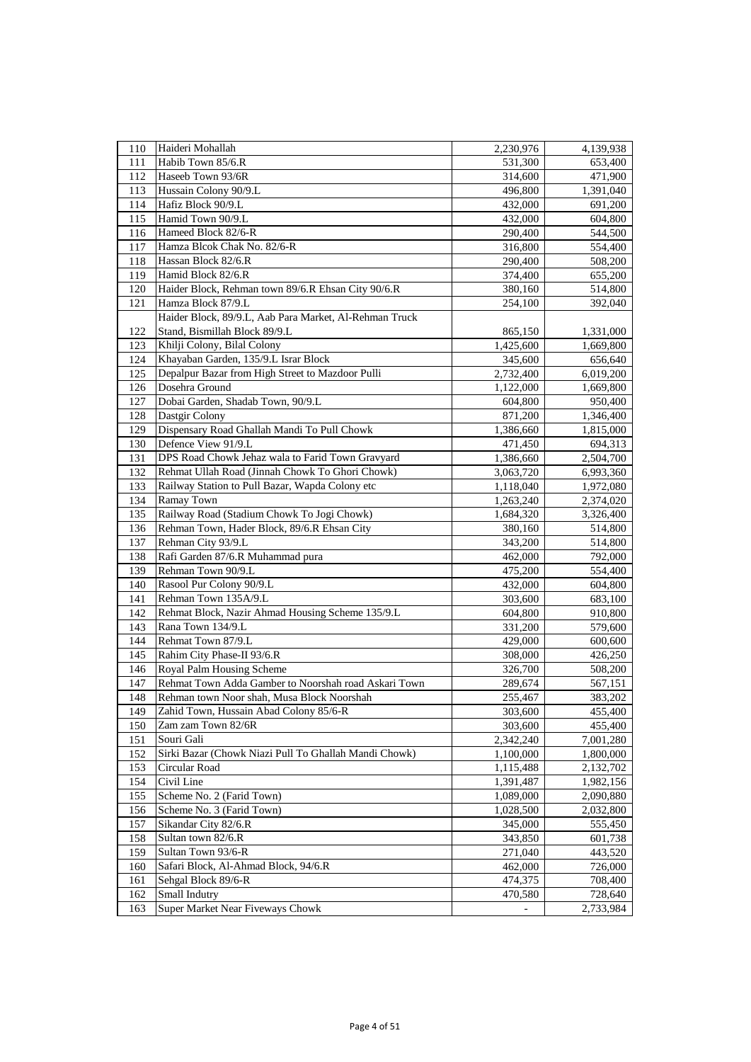| 110 | Haideri Mohallah                                       | 2,230,976 | 4,139,938 |
|-----|--------------------------------------------------------|-----------|-----------|
| 111 | Habib Town 85/6.R                                      | 531,300   | 653,400   |
| 112 | Haseeb Town 93/6R                                      | 314,600   | 471,900   |
| 113 | Hussain Colony 90/9.L                                  | 496,800   | 1,391,040 |
| 114 | Hafiz Block 90/9.L                                     | 432,000   | 691,200   |
| 115 | Hamid Town 90/9.L                                      | 432,000   | 604,800   |
| 116 | Hameed Block 82/6-R                                    | 290,400   | 544,500   |
| 117 | Hamza Blcok Chak No. 82/6-R                            | 316,800   | 554,400   |
| 118 | Hassan Block 82/6.R                                    | 290,400   | 508,200   |
| 119 | Hamid Block 82/6.R                                     | 374,400   | 655,200   |
| 120 | Haider Block, Rehman town 89/6.R Ehsan City 90/6.R     | 380,160   | 514,800   |
| 121 | Hamza Block 87/9.L                                     | 254,100   | 392,040   |
|     | Haider Block, 89/9.L, Aab Para Market, Al-Rehman Truck |           |           |
| 122 | Stand, Bismillah Block 89/9.L                          | 865,150   | 1,331,000 |
| 123 | Khilji Colony, Bilal Colony                            | 1,425,600 | 1,669,800 |
| 124 | Khayaban Garden, 135/9.L Israr Block                   | 345,600   | 656,640   |
| 125 | Depalpur Bazar from High Street to Mazdoor Pulli       | 2,732,400 | 6,019,200 |
| 126 | Dosehra Ground                                         | 1,122,000 | 1,669,800 |
| 127 | Dobai Garden, Shadab Town, 90/9.L                      | 604,800   | 950,400   |
| 128 | Dastgir Colony                                         | 871,200   | 1,346,400 |
| 129 | Dispensary Road Ghallah Mandi To Pull Chowk            |           |           |
|     | Defence View 91/9.L                                    | 1,386,660 | 1,815,000 |
| 130 | DPS Road Chowk Jehaz wala to Farid Town Gravyard       | 471,450   | 694,313   |
| 131 |                                                        | 1,386,660 | 2,504,700 |
| 132 | Rehmat Ullah Road (Jinnah Chowk To Ghori Chowk)        | 3,063,720 | 6,993,360 |
| 133 | Railway Station to Pull Bazar, Wapda Colony etc        | 1,118,040 | 1,972,080 |
| 134 | Ramay Town                                             | 1,263,240 | 2,374,020 |
| 135 | Railway Road (Stadium Chowk To Jogi Chowk)             | 1,684,320 | 3,326,400 |
| 136 | Rehman Town, Hader Block, 89/6.R Ehsan City            | 380,160   | 514,800   |
| 137 | Rehman City 93/9.L                                     | 343,200   | 514,800   |
| 138 | Rafi Garden 87/6.R Muhammad pura                       | 462,000   | 792,000   |
| 139 | Rehman Town 90/9.L                                     | 475,200   | 554,400   |
| 140 | Rasool Pur Colony 90/9.L                               | 432,000   | 604,800   |
| 141 | Rehman Town 135A/9.L                                   | 303,600   | 683,100   |
| 142 | Rehmat Block, Nazir Ahmad Housing Scheme 135/9.L       | 604,800   | 910,800   |
| 143 | Rana Town 134/9.L                                      | 331,200   | 579,600   |
| 144 | Rehmat Town 87/9.L                                     | 429,000   | 600,600   |
| 145 | Rahim City Phase-II 93/6.R                             | 308,000   | 426,250   |
| 146 | Royal Palm Housing Scheme                              | 326,700   | 508,200   |
| 147 | Rehmat Town Adda Gamber to Noorshah road Askari Town   | 289,674   | 567,151   |
| 148 | Rehman town Noor shah, Musa Block Noorshah             | 255,467   | 383,202   |
| 149 | Zahid Town, Hussain Abad Colony 85/6-R                 | 303,600   | 455,400   |
| 150 | Zam zam Town 82/6R                                     | 303,600   | 455,400   |
| 151 | Souri Gali                                             | 2,342,240 | 7,001,280 |
| 152 | Sirki Bazar (Chowk Niazi Pull To Ghallah Mandi Chowk)  | 1,100,000 | 1,800,000 |
| 153 | Circular Road                                          | 1,115,488 | 2,132,702 |
| 154 | Civil Line                                             | 1,391,487 | 1,982,156 |
| 155 | Scheme No. 2 (Farid Town)                              | 1,089,000 | 2,090,880 |
| 156 | Scheme No. 3 (Farid Town)                              | 1,028,500 | 2,032,800 |
| 157 | Sikandar City 82/6.R                                   | 345,000   | 555,450   |
| 158 | Sultan town 82/6.R                                     | 343,850   | 601,738   |
| 159 | Sultan Town 93/6-R                                     | 271,040   | 443,520   |
| 160 | Safari Block, Al-Ahmad Block, 94/6.R                   | 462,000   | 726,000   |
| 161 | Sehgal Block 89/6-R                                    | 474,375   | 708,400   |
| 162 | Small Indutry                                          | 470,580   | 728,640   |
| 163 | <b>Super Market Near Fiveways Chowk</b>                |           | 2,733,984 |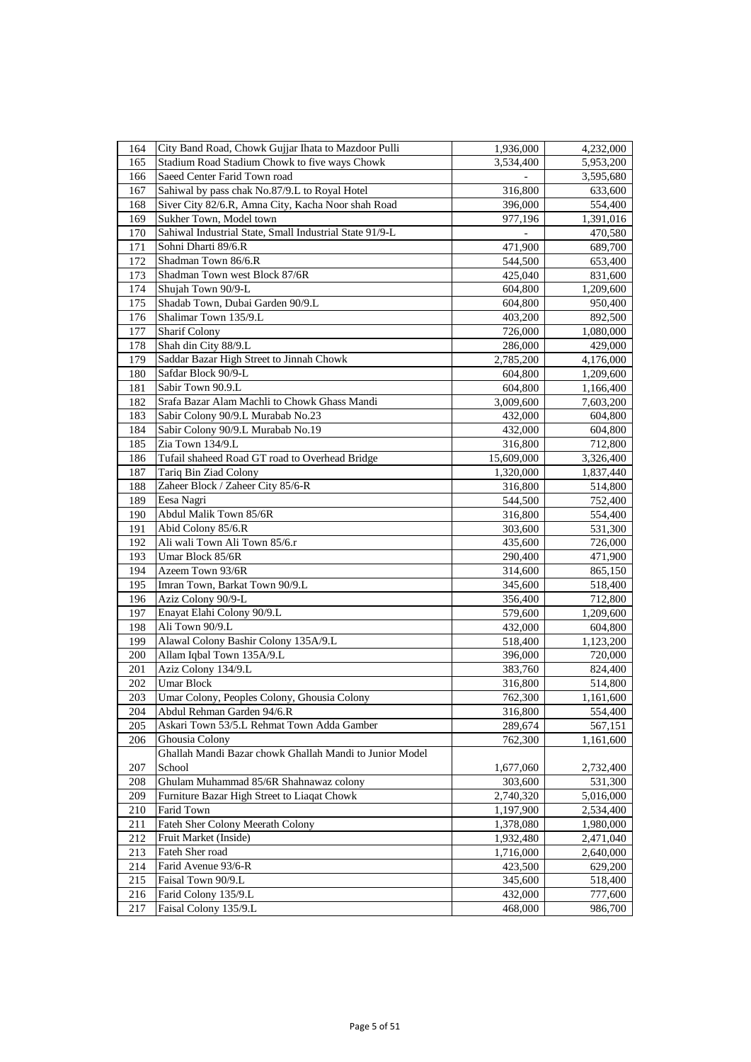| 164     | City Band Road, Chowk Gujjar Ihata to Mazdoor Pulli     | 1,936,000  | 4,232,000 |
|---------|---------------------------------------------------------|------------|-----------|
| 165     | Stadium Road Stadium Chowk to five ways Chowk           | 3,534,400  | 5,953,200 |
| 166     | Saeed Center Farid Town road                            |            | 3,595,680 |
| 167     | Sahiwal by pass chak No.87/9.L to Royal Hotel           | 316,800    | 633,600   |
| 168     | Siver City 82/6.R, Amna City, Kacha Noor shah Road      | 396,000    | 554,400   |
| 169     | Sukher Town, Model town                                 | 977,196    | 1,391,016 |
| 170     | Sahiwal Industrial State, Small Industrial State 91/9-L |            | 470,580   |
| 171     | Sohni Dharti 89/6.R                                     | 471,900    | 689,700   |
| 172     | Shadman Town 86/6.R                                     | 544,500    | 653,400   |
| 173     | Shadman Town west Block 87/6R                           | 425,040    | 831,600   |
| 174     | Shujah Town 90/9-L                                      | 604,800    | 1,209,600 |
| 175     | Shadab Town, Dubai Garden 90/9.L                        | 604,800    | 950,400   |
| 176     | Shalimar Town 135/9.L                                   | 403,200    | 892,500   |
| 177     | <b>Sharif Colony</b>                                    | 726,000    | 1,080,000 |
| 178     | Shah din City 88/9.L                                    | 286,000    | 429,000   |
| 179     | Saddar Bazar High Street to Jinnah Chowk                | 2,785,200  | 4,176,000 |
| 180     | Safdar Block 90/9-L                                     | 604,800    | 1,209,600 |
| 181     | Sabir Town 90.9.L                                       | 604,800    | 1,166,400 |
| 182     | Srafa Bazar Alam Machli to Chowk Ghass Mandi            | 3,009,600  | 7,603,200 |
| 183     | Sabir Colony 90/9.L Murabab No.23                       | 432,000    | 604,800   |
| 184     | Sabir Colony 90/9.L Murabab No.19                       | 432,000    | 604,800   |
| 185     | Zia Town 134/9.L                                        | 316,800    | 712,800   |
| 186     | Tufail shaheed Road GT road to Overhead Bridge          | 15,609,000 | 3,326,400 |
| 187     | Tariq Bin Ziad Colony                                   | 1,320,000  | 1,837,440 |
| 188     | Zaheer Block / Zaheer City 85/6-R                       | 316,800    | 514,800   |
| 189     | Eesa Nagri                                              | 544,500    | 752,400   |
| 190     | Abdul Malik Town 85/6R                                  | 316,800    | 554,400   |
| 191     | Abid Colony 85/6.R                                      | 303,600    | 531,300   |
| 192     | Ali wali Town Ali Town 85/6.r                           | 435,600    | 726,000   |
| 193     | Umar Block 85/6R                                        | 290,400    | 471,900   |
| 194     | Azeem Town 93/6R                                        | 314,600    | 865,150   |
| 195     | Imran Town, Barkat Town 90/9.L                          | 345,600    | 518,400   |
| 196     | Aziz Colony 90/9-L                                      | 356,400    | 712,800   |
| 197     | Enayat Elahi Colony 90/9.L                              | 579,600    | 1,209,600 |
| 198     | Ali Town 90/9.L                                         | 432,000    | 604,800   |
| 199     | Alawal Colony Bashir Colony 135A/9.L                    | 518,400    | 1,123,200 |
| 200     | Allam Iqbal Town 135A/9.L                               | 396,000    | 720,000   |
| 201     | Aziz Colony 134/9.L                                     | 383,760    | 824,400   |
| 202     | <b>Umar Block</b>                                       | 316,800    | 514,800   |
| 203     | Umar Colony, Peoples Colony, Ghousia Colony             | 762,300    | 1,161,600 |
| 204     | Abdul Rehman Garden 94/6.R                              | 316,800    | 554,400   |
| 205     | Askari Town 53/5.L Rehmat Town Adda Gamber              | 289.674    | 567,151   |
| 206     | Ghousia Colony                                          | 762,300    | 1,161,600 |
|         | Ghallah Mandi Bazar chowk Ghallah Mandi to Junior Model |            |           |
| 207     | School                                                  | 1,677,060  | 2,732,400 |
| 208     | Ghulam Muhammad 85/6R Shahnawaz colony                  | 303,600    | 531,300   |
| 209     | Furniture Bazar High Street to Liaqat Chowk             | 2,740,320  | 5,016,000 |
| $210\,$ | Farid Town                                              | 1,197,900  | 2,534,400 |
| 211     | Fateh Sher Colony Meerath Colony                        | 1,378,080  | 1,980,000 |
| 212     | Fruit Market (Inside)                                   | 1,932,480  | 2,471,040 |
| 213     | Fateh Sher road                                         | 1,716,000  | 2,640,000 |
| 214     | Farid Avenue 93/6-R                                     | 423,500    | 629,200   |
| 215     | Faisal Town 90/9.L                                      | 345,600    | 518,400   |
| 216     | Farid Colony 135/9.L                                    | 432,000    | 777,600   |
| 217     | Faisal Colony 135/9.L                                   | 468,000    | 986,700   |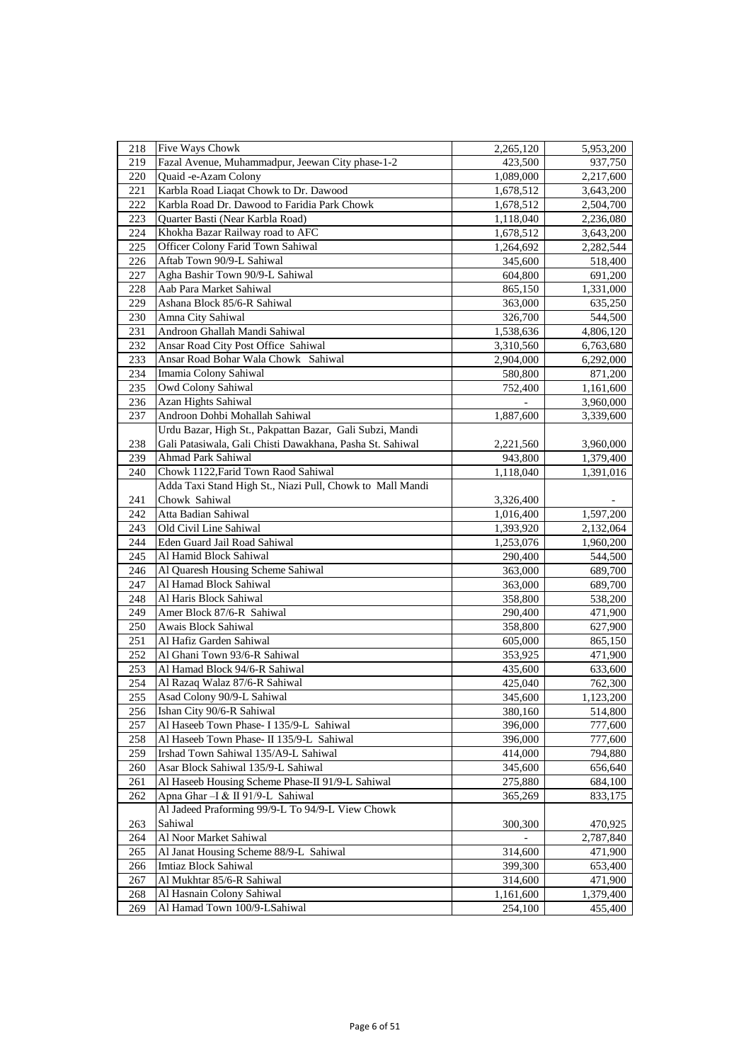| 218        | Five Ways Chowk                                           | 2,265,120 | 5,953,200 |
|------------|-----------------------------------------------------------|-----------|-----------|
| 219        | Fazal Avenue, Muhammadpur, Jeewan City phase-1-2          | 423,500   | 937,750   |
| 220        | Quaid -e-Azam Colony                                      | 1,089,000 | 2,217,600 |
| 221        | Karbla Road Liaqat Chowk to Dr. Dawood                    | 1,678,512 | 3,643,200 |
| 222        | Karbla Road Dr. Dawood to Faridia Park Chowk              | 1,678,512 | 2,504,700 |
| 223        | Quarter Basti (Near Karbla Road)                          | 1,118,040 | 2,236,080 |
| 224        | Khokha Bazar Railway road to AFC                          | 1,678,512 | 3,643,200 |
| 225        | Officer Colony Farid Town Sahiwal                         | 1,264,692 | 2,282,544 |
| 226        | Aftab Town 90/9-L Sahiwal                                 | 345,600   | 518,400   |
| 227        | Agha Bashir Town 90/9-L Sahiwal                           | 604,800   | 691,200   |
| 228        | Aab Para Market Sahiwal                                   | 865,150   | 1,331,000 |
| 229        | Ashana Block 85/6-R Sahiwal                               | 363,000   | 635,250   |
| 230        | Amna City Sahiwal                                         | 326,700   | 544,500   |
| 231        | Androon Ghallah Mandi Sahiwal                             | 1,538,636 | 4,806,120 |
| 232        | Ansar Road City Post Office Sahiwal                       | 3,310,560 |           |
|            | Ansar Road Bohar Wala Chowk Sahiwal                       |           | 6,763,680 |
| 233<br>234 | Imamia Colony Sahiwal                                     | 2,904,000 | 6,292,000 |
| 235        |                                                           | 580,800   | 871,200   |
|            | Owd Colony Sahiwal                                        | 752,400   | 1,161,600 |
| 236        | Azan Hights Sahiwal                                       |           | 3,960,000 |
| 237        | Androon Dohbi Mohallah Sahiwal                            | 1,887,600 | 3,339,600 |
|            | Urdu Bazar, High St., Pakpattan Bazar, Gali Subzi, Mandi  |           |           |
| 238        | Gali Patasiwala, Gali Chisti Dawakhana, Pasha St. Sahiwal | 2,221,560 | 3,960,000 |
| 239        | Ahmad Park Sahiwal                                        | 943,800   | 1,379,400 |
| 240        | Chowk 1122, Farid Town Raod Sahiwal                       | 1,118,040 | 1,391,016 |
|            | Adda Taxi Stand High St., Niazi Pull, Chowk to Mall Mandi |           |           |
| 241        | Chowk Sahiwal                                             | 3,326,400 |           |
| 242        | Atta Badian Sahiwal                                       | 1,016,400 | 1,597,200 |
| 243        | Old Civil Line Sahiwal                                    | 1,393,920 | 2,132,064 |
| 244        | Eden Guard Jail Road Sahiwal                              | 1,253,076 | 1,960,200 |
| 245        | Al Hamid Block Sahiwal                                    | 290,400   | 544,500   |
| 246        | Al Quaresh Housing Scheme Sahiwal                         | 363,000   | 689,700   |
| 247        | Al Hamad Block Sahiwal                                    | 363,000   | 689,700   |
| 248        | Al Haris Block Sahiwal                                    | 358,800   | 538,200   |
| 249        | Amer Block 87/6-R Sahiwal                                 | 290,400   | 471,900   |
| 250        | Awais Block Sahiwal                                       | 358,800   | 627,900   |
| 251        | Al Hafiz Garden Sahiwal                                   | 605,000   | 865,150   |
| 252        | Al Ghani Town 93/6-R Sahiwal                              | 353,925   | 471,900   |
| 253        | Al Hamad Block 94/6-R Sahiwal                             | 435,600   | 633,600   |
| 254        | Al Razaq Walaz 87/6-R Sahiwal                             | 425,040   | 762,300   |
| 255        | Asad Colony 90/9-L Sahiwal                                | 345,600   | 1,123,200 |
| 256        | Ishan City 90/6-R Sahiwal                                 | 380,160   | 514,800   |
| 257        | Al Haseeb Town Phase- I 135/9-L Sahiwal                   | 396,000   | 777,600   |
| 258        | Al Haseeb Town Phase- II 135/9-L Sahiwal                  | 396,000   | 777,600   |
| 259        | Irshad Town Sahiwal 135/A9-L Sahiwal                      | 414,000   | 794,880   |
| 260        | Asar Block Sahiwal 135/9-L Sahiwal                        | 345,600   | 656,640   |
| 261        | Al Haseeb Housing Scheme Phase-II 91/9-L Sahiwal          | 275,880   | 684,100   |
| 262        | Apna Ghar-I & II 91/9-L Sahiwal                           | 365,269   | 833,175   |
|            | Al Jadeed Praforming 99/9-L To 94/9-L View Chowk          |           |           |
| 263        | Sahiwal                                                   | 300,300   | 470,925   |
| 264        | Al Noor Market Sahiwal                                    |           | 2,787,840 |
| 265        | Al Janat Housing Scheme 88/9-L Sahiwal                    | 314,600   | 471,900   |
| 266        | Imtiaz Block Sahiwal                                      | 399,300   | 653,400   |
| 267        | Al Mukhtar 85/6-R Sahiwal                                 | 314,600   | 471,900   |
| 268        | Al Hasnain Colony Sahiwal                                 | 1,161,600 | 1,379,400 |
| 269        | Al Hamad Town 100/9-LSahiwal                              | 254,100   | 455,400   |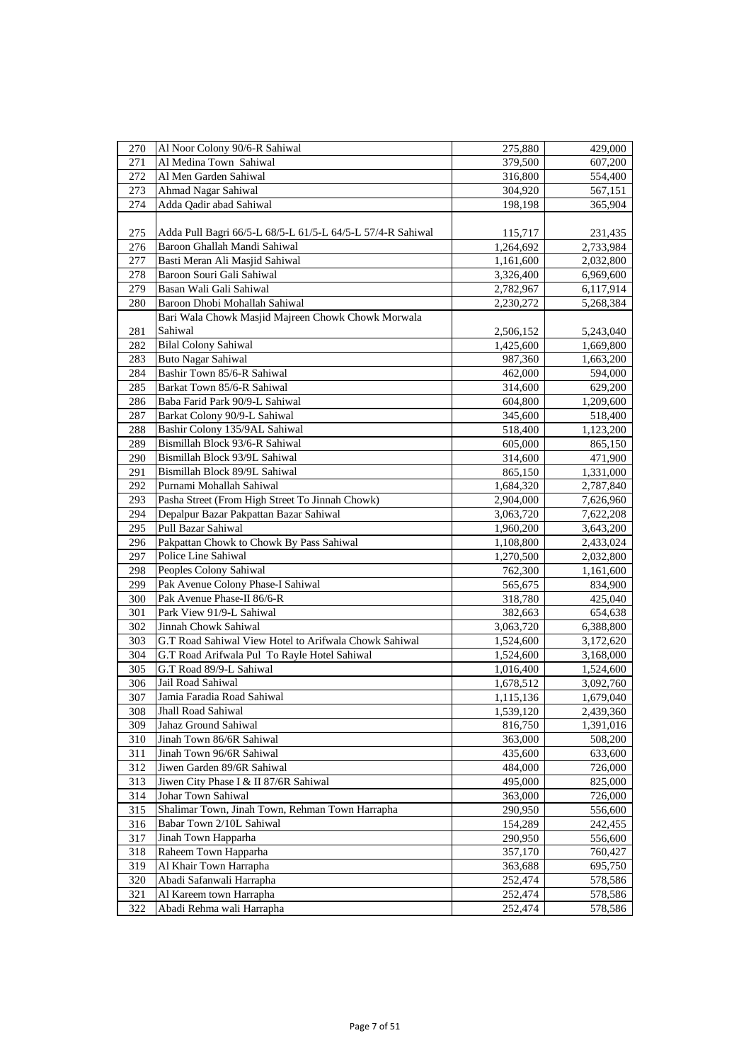| 270 | Al Noor Colony 90/6-R Sahiwal                              | 275,880   | 429,000   |
|-----|------------------------------------------------------------|-----------|-----------|
| 271 | Al Medina Town Sahiwal                                     | 379,500   | 607,200   |
| 272 | Al Men Garden Sahiwal                                      | 316,800   | 554,400   |
| 273 | Ahmad Nagar Sahiwal                                        | 304,920   | 567,151   |
| 274 | Adda Qadir abad Sahiwal                                    | 198,198   | 365,904   |
|     |                                                            |           |           |
| 275 | Adda Pull Bagri 66/5-L 68/5-L 61/5-L 64/5-L 57/4-R Sahiwal | 115,717   | 231,435   |
| 276 | Baroon Ghallah Mandi Sahiwal                               | 1,264,692 | 2,733,984 |
| 277 | Basti Meran Ali Masjid Sahiwal                             | 1,161,600 | 2,032,800 |
| 278 | Baroon Souri Gali Sahiwal                                  | 3,326,400 | 6,969,600 |
| 279 | Basan Wali Gali Sahiwal                                    | 2,782,967 | 6,117,914 |
| 280 | Baroon Dhobi Mohallah Sahiwal                              | 2,230,272 | 5,268,384 |
|     | Bari Wala Chowk Masjid Majreen Chowk Chowk Morwala         |           |           |
| 281 | Sahiwal                                                    | 2,506,152 | 5,243,040 |
| 282 | <b>Bilal Colony Sahiwal</b>                                | 1,425,600 | 1,669,800 |
| 283 | <b>Buto Nagar Sahiwal</b>                                  | 987,360   | 1,663,200 |
| 284 | Bashir Town 85/6-R Sahiwal                                 | 462,000   | 594,000   |
| 285 | Barkat Town 85/6-R Sahiwal                                 | 314,600   | 629,200   |
| 286 | Baba Farid Park 90/9-L Sahiwal                             | 604,800   | 1,209,600 |
| 287 | Barkat Colony 90/9-L Sahiwal                               | 345,600   | 518,400   |
|     | Bashir Colony 135/9AL Sahiwal                              |           |           |
| 288 |                                                            | 518,400   | 1,123,200 |
| 289 | Bismillah Block 93/6-R Sahiwal                             | 605,000   | 865,150   |
| 290 | Bismillah Block 93/9L Sahiwal                              | 314,600   | 471,900   |
| 291 | Bismillah Block 89/9L Sahiwal                              | 865,150   | 1,331,000 |
| 292 | Purnami Mohallah Sahiwal                                   | 1,684,320 | 2,787,840 |
| 293 | Pasha Street (From High Street To Jinnah Chowk)            | 2,904,000 | 7,626,960 |
| 294 | Depalpur Bazar Pakpattan Bazar Sahiwal                     | 3,063,720 | 7,622,208 |
| 295 | Pull Bazar Sahiwal                                         | 1,960,200 | 3,643,200 |
| 296 | Pakpattan Chowk to Chowk By Pass Sahiwal                   | 1,108,800 | 2,433,024 |
| 297 | Police Line Sahiwal                                        | 1,270,500 | 2,032,800 |
| 298 | Peoples Colony Sahiwal                                     | 762,300   | 1,161,600 |
| 299 | Pak Avenue Colony Phase-I Sahiwal                          | 565,675   | 834,900   |
| 300 | Pak Avenue Phase-II 86/6-R                                 | 318,780   | 425,040   |
| 301 | Park View 91/9-L Sahiwal                                   | 382,663   | 654,638   |
| 302 | Jinnah Chowk Sahiwal                                       | 3,063,720 | 6,388,800 |
| 303 | G.T Road Sahiwal View Hotel to Arifwala Chowk Sahiwal      | 1,524,600 | 3,172,620 |
| 304 | G.T Road Arifwala Pul To Rayle Hotel Sahiwal               | 1,524,600 | 3,168,000 |
| 305 | G.T Road 89/9-L Sahiwal                                    | 1,016,400 | 1,524,600 |
| 306 | Jail Road Sahiwal                                          | 1,678,512 | 3,092,760 |
| 307 | Jamia Faradia Road Sahiwal                                 | 1,115,136 | 1,679,040 |
| 308 | Jhall Road Sahiwal                                         | 1,539,120 | 2,439,360 |
| 309 | Jahaz Ground Sahiwal                                       | 816,750   | 1,391,016 |
| 310 | Jinah Town 86/6R Sahiwal                                   | 363,000   | 508,200   |
| 311 | Jinah Town 96/6R Sahiwal                                   | 435,600   | 633,600   |
| 312 | Jiwen Garden 89/6R Sahiwal                                 | 484,000   | 726,000   |
| 313 | Jiwen City Phase I & II 87/6R Sahiwal                      | 495,000   | 825,000   |
| 314 | Johar Town Sahiwal                                         | 363,000   | 726,000   |
| 315 | Shalimar Town, Jinah Town, Rehman Town Harrapha            | 290,950   | 556,600   |
| 316 | Babar Town 2/10L Sahiwal                                   | 154,289   | 242,455   |
| 317 | Jinah Town Happarha                                        | 290,950   | 556,600   |
| 318 | Raheem Town Happarha                                       | 357,170   | 760,427   |
| 319 | Al Khair Town Harrapha                                     | 363,688   | 695,750   |
| 320 | Abadi Safanwali Harrapha                                   | 252,474   | 578,586   |
| 321 | Al Kareem town Harrapha                                    | 252,474   | 578,586   |
| 322 | Abadi Rehma wali Harrapha                                  | 252,474   | 578,586   |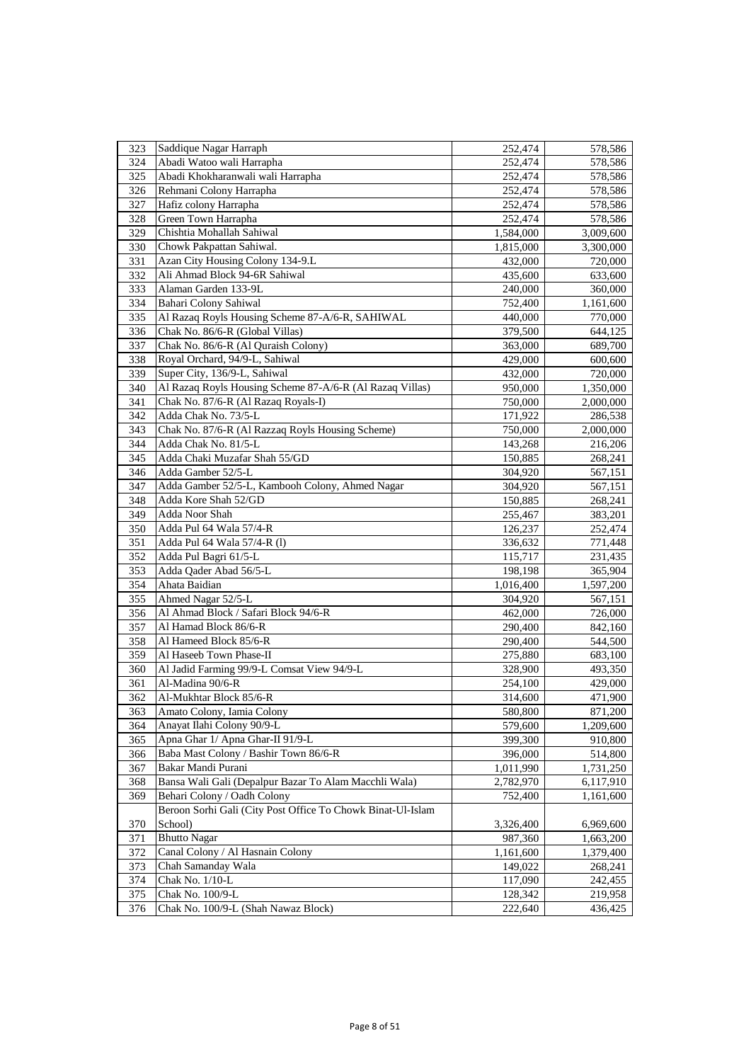| 323 | Saddique Nagar Harraph                                      | 252,474            | 578,586              |
|-----|-------------------------------------------------------------|--------------------|----------------------|
| 324 | Abadi Watoo wali Harrapha                                   | 252,474            | 578,586              |
| 325 | Abadi Khokharanwali wali Harrapha                           | 252,474            | 578,586              |
| 326 | Rehmani Colony Harrapha                                     | 252,474            | 578,586              |
| 327 | Hafiz colony Harrapha                                       | 252,474            | 578,586              |
| 328 | Green Town Harrapha                                         | 252,474            | 578,586              |
| 329 | Chishtia Mohallah Sahiwal                                   | 1,584,000          | 3,009,600            |
| 330 | Chowk Pakpattan Sahiwal.                                    | 1,815,000          | 3,300,000            |
| 331 | Azan City Housing Colony 134-9.L                            | 432,000            | 720,000              |
| 332 | Ali Ahmad Block 94-6R Sahiwal                               | 435,600            | 633,600              |
| 333 | Alaman Garden 133-9L                                        |                    |                      |
| 334 | <b>Bahari Colony Sahiwal</b>                                | 240,000<br>752,400 | 360,000<br>1,161,600 |
| 335 | Al Razaq Royls Housing Scheme 87-A/6-R, SAHIWAL             | 440,000            | 770,000              |
| 336 | Chak No. 86/6-R (Global Villas)                             | 379,500            | 644,125              |
|     | Chak No. 86/6-R (Al Quraish Colony)                         |                    |                      |
| 337 |                                                             | 363,000            | 689,700              |
| 338 | Royal Orchard, 94/9-L, Sahiwal                              | 429,000            | 600,600              |
| 339 | Super City, 136/9-L, Sahiwal                                | 432,000            | 720,000              |
| 340 | Al Razaq Royls Housing Scheme 87-A/6-R (Al Razaq Villas)    | 950,000            | 1,350,000            |
| 341 | Chak No. 87/6-R (Al Razaq Royals-I)                         | 750,000            | 2,000,000            |
| 342 | Adda Chak No. 73/5-L                                        | 171,922            | 286,538              |
| 343 | Chak No. 87/6-R (Al Razzaq Royls Housing Scheme)            | 750,000            | 2,000,000            |
| 344 | Adda Chak No. 81/5-L                                        | 143,268            | 216,206              |
| 345 | Adda Chaki Muzafar Shah 55/GD                               | 150,885            | 268,241              |
| 346 | Adda Gamber 52/5-L                                          | 304,920            | 567,151              |
| 347 | Adda Gamber 52/5-L, Kambooh Colony, Ahmed Nagar             | 304,920            | 567,151              |
| 348 | Adda Kore Shah 52/GD                                        | 150,885            | 268,241              |
| 349 | Adda Noor Shah                                              | 255,467            | 383,201              |
| 350 | Adda Pul 64 Wala 57/4-R                                     | 126,237            | 252,474              |
| 351 | Adda Pul 64 Wala 57/4-R (1)                                 | 336,632            | 771,448              |
| 352 | Adda Pul Bagri 61/5-L                                       | 115,717            | 231,435              |
| 353 | Adda Qader Abad 56/5-L                                      | 198,198            | 365,904              |
| 354 | Ahata Baidian                                               | 1,016,400          | 1,597,200            |
| 355 | Ahmed Nagar 52/5-L                                          | 304,920            | 567,151              |
| 356 | Al Ahmad Block / Safari Block 94/6-R                        | 462,000            | 726,000              |
| 357 | Al Hamad Block 86/6-R                                       | 290,400            | 842,160              |
| 358 | Al Hameed Block 85/6-R                                      | 290,400            | 544,500              |
| 359 | Al Haseeb Town Phase-II                                     | 275,880            | 683,100              |
| 360 | Al Jadid Farming 99/9-L Comsat View 94/9-L                  | 328,900            | 493,350              |
| 361 | Al-Madina 90/6-R                                            | 254,100            | 429,000              |
| 362 | Al-Mukhtar Block 85/6-R                                     | 314,600            | 471,900              |
| 363 | Amato Colony, Iamia Colony                                  | 580,800            | 871,200              |
| 364 | Anayat Ilahi Colony 90/9-L                                  | 579,600            | 1,209,600            |
| 365 | Apna Ghar 1/ Apna Ghar-II 91/9-L                            | 399,300            | 910,800              |
| 366 | Baba Mast Colony / Bashir Town 86/6-R                       | 396,000            | 514,800              |
| 367 | Bakar Mandi Purani                                          | 1,011,990          | 1,731,250            |
| 368 | Bansa Wali Gali (Depalpur Bazar To Alam Macchli Wala)       | 2,782,970          | 6,117,910            |
| 369 | Behari Colony / Oadh Colony                                 | 752,400            | 1,161,600            |
|     | Beroon Sorhi Gali (City Post Office To Chowk Binat-Ul-Islam |                    |                      |
| 370 | School)                                                     | 3,326,400          | 6,969,600            |
| 371 | <b>Bhutto Nagar</b>                                         | 987,360            | 1,663,200            |
| 372 | Canal Colony / Al Hasnain Colony                            | 1,161,600          | 1,379,400            |
| 373 | Chah Samanday Wala                                          | 149,022            | 268,241              |
| 374 | Chak No. 1/10-L                                             | 117,090            | 242,455              |
| 375 | Chak No. 100/9-L                                            | 128,342            | 219,958              |
| 376 | Chak No. 100/9-L (Shah Nawaz Block)                         | 222,640            | 436,425              |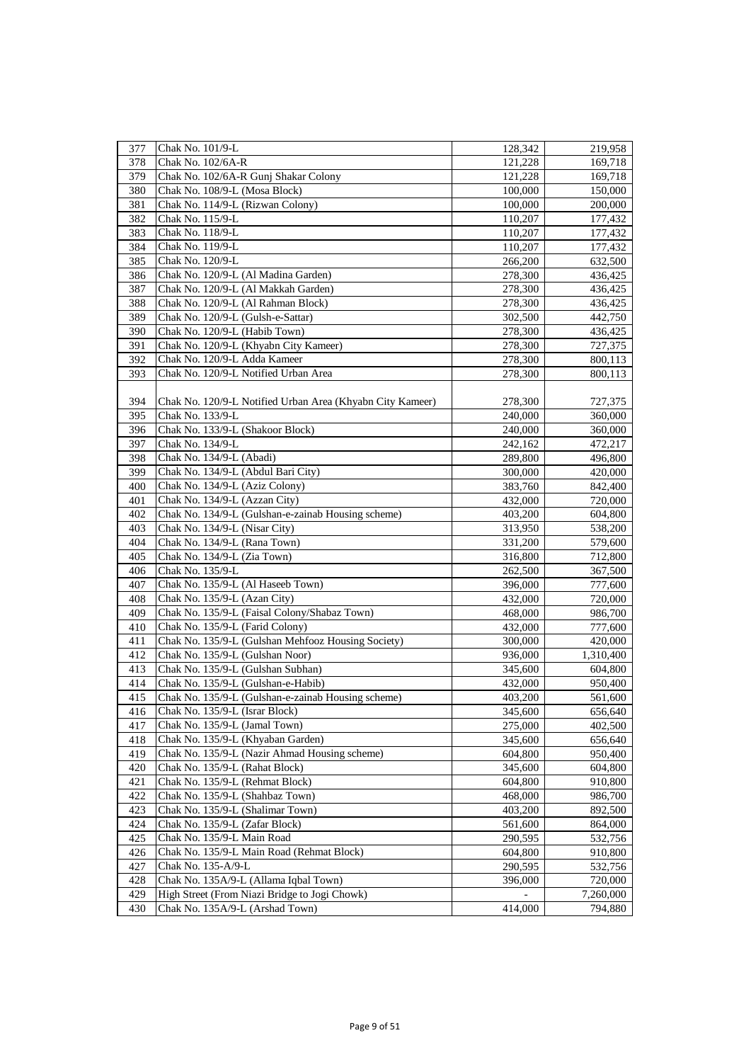| 377 | Chak No. 101/9-L                                          | 128,342 | 219,958   |
|-----|-----------------------------------------------------------|---------|-----------|
| 378 | Chak No. 102/6A-R                                         | 121,228 | 169,718   |
| 379 | Chak No. 102/6A-R Gunj Shakar Colony                      | 121,228 | 169,718   |
| 380 | Chak No. 108/9-L (Mosa Block)                             | 100,000 | 150,000   |
| 381 | Chak No. 114/9-L (Rizwan Colony)                          | 100,000 | 200,000   |
| 382 | Chak No. 115/9-L                                          | 110,207 | 177,432   |
| 383 | Chak No. 118/9-L                                          | 110,207 | 177,432   |
| 384 | Chak No. 119/9-L                                          | 110,207 | 177,432   |
| 385 | Chak No. 120/9-L                                          | 266,200 | 632,500   |
| 386 | Chak No. 120/9-L (Al Madina Garden)                       | 278,300 | 436,425   |
| 387 | Chak No. 120/9-L (Al Makkah Garden)                       | 278,300 | 436,425   |
| 388 | Chak No. 120/9-L (Al Rahman Block)                        | 278,300 | 436,425   |
| 389 | Chak No. 120/9-L (Gulsh-e-Sattar)                         | 302,500 | 442,750   |
| 390 | Chak No. 120/9-L (Habib Town)                             | 278,300 | 436,425   |
| 391 | Chak No. 120/9-L (Khyabn City Kameer)                     | 278,300 |           |
| 392 | Chak No. 120/9-L Adda Kameer                              |         | 727,375   |
| 393 | Chak No. 120/9-L Notified Urban Area                      | 278,300 | 800,113   |
|     |                                                           | 278,300 | 800,113   |
|     |                                                           |         |           |
| 394 | Chak No. 120/9-L Notified Urban Area (Khyabn City Kameer) | 278,300 | 727,375   |
| 395 | Chak No. 133/9-L                                          | 240,000 | 360,000   |
| 396 | Chak No. 133/9-L (Shakoor Block)                          | 240,000 | 360,000   |
| 397 | Chak No. 134/9-L                                          | 242,162 | 472,217   |
| 398 | Chak No. 134/9-L (Abadi)                                  | 289,800 | 496,800   |
| 399 | Chak No. 134/9-L (Abdul Bari City)                        | 300,000 | 420,000   |
| 400 | Chak No. 134/9-L (Aziz Colony)                            | 383,760 | 842,400   |
| 401 | Chak No. 134/9-L (Azzan City)                             | 432,000 | 720,000   |
| 402 | Chak No. 134/9-L (Gulshan-e-zainab Housing scheme)        | 403,200 | 604,800   |
| 403 | Chak No. 134/9-L (Nisar City)                             | 313,950 | 538,200   |
| 404 | Chak No. 134/9-L (Rana Town)                              | 331,200 | 579,600   |
| 405 | Chak No. 134/9-L (Zia Town)                               | 316,800 | 712,800   |
| 406 | Chak No. 135/9-L                                          | 262,500 | 367,500   |
| 407 | Chak No. 135/9-L (Al Haseeb Town)                         | 396,000 | 777,600   |
| 408 | Chak No. 135/9-L (Azan City)                              | 432,000 | 720,000   |
| 409 | Chak No. 135/9-L (Faisal Colony/Shabaz Town)              | 468,000 | 986,700   |
| 410 | Chak No. 135/9-L (Farid Colony)                           | 432,000 | 777,600   |
| 411 | Chak No. 135/9-L (Gulshan Mehfooz Housing Society)        | 300,000 | 420,000   |
| 412 | Chak No. 135/9-L (Gulshan Noor)                           | 936,000 | 1,310,400 |
| 413 | Chak No. 135/9-L (Gulshan Subhan)                         | 345,600 | 604,800   |
| 414 | Chak No. 135/9-L (Gulshan-e-Habib)                        | 432,000 | 950,400   |
| 415 | Chak No. 135/9-L (Gulshan-e-zainab Housing scheme)        | 403,200 | 561,600   |
| 416 | Chak No. 135/9-L (Israr Block)                            | 345,600 | 656,640   |
| 417 | Chak No. 135/9-L (Jamal Town)                             | 275,000 | 402,500   |
| 418 | Chak No. 135/9-L (Khyaban Garden)                         | 345,600 | 656,640   |
| 419 | Chak No. 135/9-L (Nazir Ahmad Housing scheme)             | 604,800 | 950,400   |
| 420 | Chak No. 135/9-L (Rahat Block)                            | 345,600 | 604,800   |
| 421 | Chak No. 135/9-L (Rehmat Block)                           | 604,800 | 910,800   |
| 422 | Chak No. 135/9-L (Shahbaz Town)                           | 468,000 | 986,700   |
| 423 | Chak No. 135/9-L (Shalimar Town)                          | 403,200 | 892,500   |
| 424 | Chak No. 135/9-L (Zafar Block)                            | 561,600 | 864,000   |
| 425 | Chak No. 135/9-L Main Road                                | 290,595 | 532,756   |
| 426 | Chak No. 135/9-L Main Road (Rehmat Block)                 | 604,800 | 910,800   |
| 427 | Chak No. 135-A/9-L                                        | 290,595 | 532,756   |
| 428 | Chak No. 135A/9-L (Allama Iqbal Town)                     | 396,000 | 720,000   |
| 429 | High Street (From Niazi Bridge to Jogi Chowk)             |         | 7,260,000 |
| 430 | Chak No. 135A/9-L (Arshad Town)                           | 414,000 | 794,880   |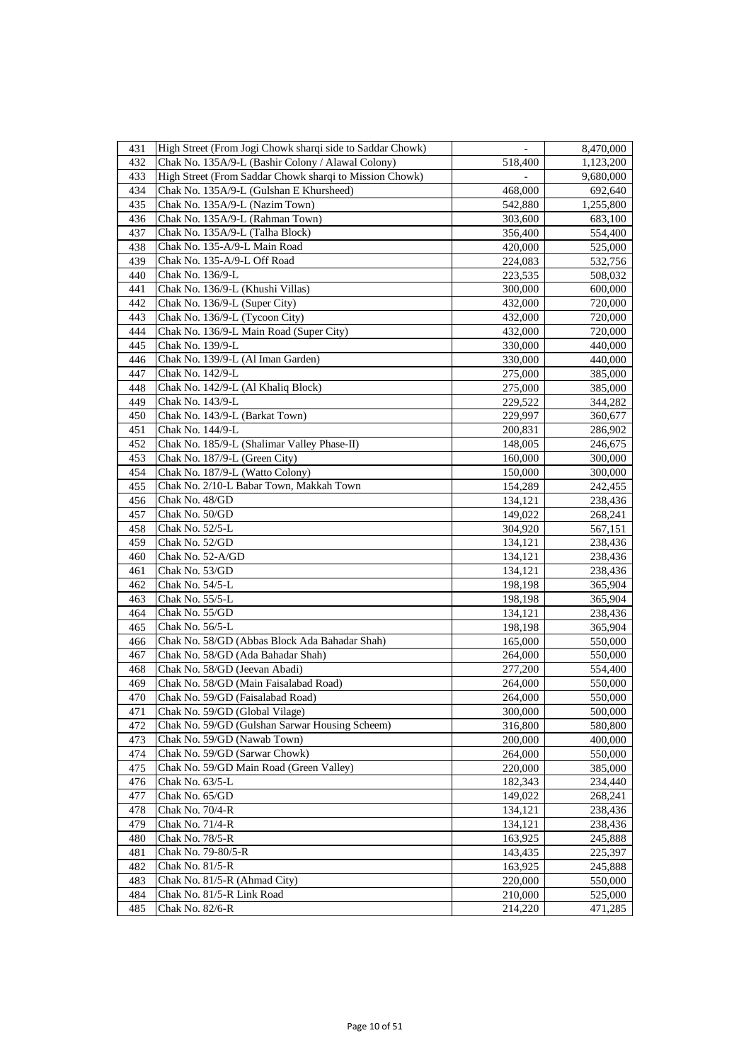| 431 | High Street (From Jogi Chowk sharqi side to Saddar Chowk) | $\overline{\phantom{a}}$ | 8,470,000          |
|-----|-----------------------------------------------------------|--------------------------|--------------------|
| 432 | Chak No. 135A/9-L (Bashir Colony / Alawal Colony)         | 518,400                  | 1,123,200          |
| 433 | High Street (From Saddar Chowk sharqi to Mission Chowk)   |                          | 9,680,000          |
| 434 | Chak No. 135A/9-L (Gulshan E Khursheed)                   | 468,000                  | 692,640            |
| 435 | Chak No. 135A/9-L (Nazim Town)                            | 542,880                  | 1,255,800          |
| 436 | Chak No. 135A/9-L (Rahman Town)                           | 303,600                  | 683,100            |
| 437 | Chak No. 135A/9-L (Talha Block)                           | 356,400                  | 554,400            |
| 438 | Chak No. 135-A/9-L Main Road                              | 420,000                  | 525,000            |
| 439 | Chak No. 135-A/9-L Off Road                               | 224,083                  | 532,756            |
| 440 | Chak No. 136/9-L                                          | 223,535                  | 508,032            |
| 441 | Chak No. 136/9-L (Khushi Villas)                          | 300,000                  | 600,000            |
| 442 | Chak No. 136/9-L (Super City)                             | 432,000                  | 720,000            |
| 443 | Chak No. 136/9-L (Tycoon City)                            | 432,000                  | 720,000            |
| 444 | Chak No. 136/9-L Main Road (Super City)                   | 432,000                  | 720,000            |
| 445 | Chak No. 139/9-L                                          | 330,000                  | 440,000            |
| 446 | Chak No. 139/9-L (Al Iman Garden)                         | 330,000                  | 440,000            |
| 447 | Chak No. 142/9-L                                          | 275,000                  |                    |
| 448 | Chak No. 142/9-L (Al Khaliq Block)                        | 275,000                  | 385,000<br>385,000 |
| 449 | Chak No. 143/9-L                                          | 229,522                  | 344,282            |
| 450 | Chak No. 143/9-L (Barkat Town)                            | 229,997                  |                    |
| 451 | Chak No. 144/9-L                                          |                          | 360,677            |
|     |                                                           | 200,831                  | 286,902            |
| 452 | Chak No. 185/9-L (Shalimar Valley Phase-II)               | 148,005                  | 246,675            |
| 453 | Chak No. 187/9-L (Green City)                             | 160,000                  | 300,000            |
| 454 | Chak No. 187/9-L (Watto Colony)                           | 150,000                  | 300,000            |
| 455 | Chak No. 2/10-L Babar Town, Makkah Town                   | 154,289                  | 242,455            |
| 456 | Chak No. 48/GD                                            | 134,121                  | 238,436            |
| 457 | Chak No. 50/GD                                            | 149,022                  | 268,241            |
| 458 | Chak No. 52/5-L                                           | 304,920                  | 567,151            |
| 459 | Chak No. 52/GD                                            | 134,121                  | 238,436            |
| 460 | Chak No. 52-A/GD                                          | 134,121                  | 238,436            |
| 461 | Chak No. 53/GD                                            | 134,121                  | 238,436            |
| 462 | Chak No. 54/5-L                                           | 198,198                  | 365,904            |
| 463 | Chak No. 55/5-L                                           | 198,198                  | 365,904            |
| 464 | Chak No. 55/GD                                            | 134,121                  | 238,436            |
| 465 | Chak No. 56/5-L                                           | 198,198                  | 365,904            |
| 466 | Chak No. 58/GD (Abbas Block Ada Bahadar Shah)             | 165,000                  | 550,000            |
| 467 | Chak No. 58/GD (Ada Bahadar Shah)                         | 264,000                  | 550,000            |
| 468 | Chak No. 58/GD (Jeevan Abadi)                             | 277,200                  | 554,400            |
| 469 | Chak No. 58/GD (Main Faisalabad Road)                     | 264,000                  | 550,000            |
| 470 | Chak No. 59/GD (Faisalabad Road)                          | 264,000                  | 550,000            |
| 471 | Chak No. 59/GD (Global Vilage)                            | 300,000                  | 500,000            |
| 472 | Chak No. 59/GD (Gulshan Sarwar Housing Scheem)            | 316,800                  | 580,800            |
| 473 | Chak No. 59/GD (Nawab Town)                               | 200,000                  | 400,000            |
| 474 | Chak No. 59/GD (Sarwar Chowk)                             | 264,000                  | 550,000            |
| 475 | Chak No. 59/GD Main Road (Green Valley)                   | 220,000                  | 385,000            |
| 476 | Chak No. 63/5-L                                           | 182,343                  | 234,440            |
| 477 | Chak No. 65/GD                                            | 149,022                  | 268,241            |
| 478 | Chak No. 70/4-R                                           | 134,121                  | 238,436            |
| 479 | Chak No. 71/4-R                                           | 134,121                  | 238,436            |
| 480 | Chak No. 78/5-R                                           | 163,925                  | 245,888            |
| 481 | Chak No. 79-80/5-R                                        | 143,435                  | 225,397            |
| 482 | Chak No. 81/5-R                                           | 163,925                  | 245,888            |
| 483 | Chak No. 81/5-R (Ahmad City)                              | 220,000                  | 550,000            |
| 484 | Chak No. 81/5-R Link Road                                 | 210,000                  | 525,000            |
| 485 | Chak No. 82/6-R                                           | 214,220                  | 471,285            |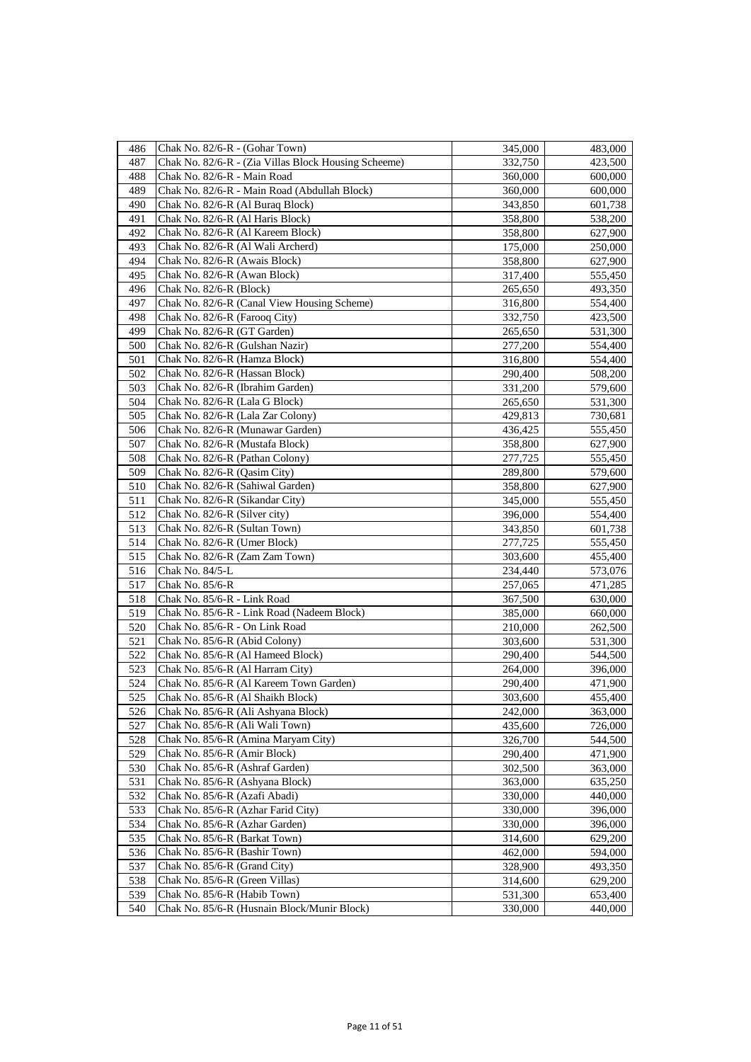| 486 | Chak No. 82/6-R - (Gohar Town)                       | 345,000 | 483,000 |
|-----|------------------------------------------------------|---------|---------|
| 487 | Chak No. 82/6-R - (Zia Villas Block Housing Scheeme) | 332,750 | 423,500 |
| 488 | Chak No. 82/6-R - Main Road                          | 360,000 | 600,000 |
| 489 | Chak No. 82/6-R - Main Road (Abdullah Block)         | 360,000 | 600,000 |
| 490 | Chak No. 82/6-R (Al Buraq Block)                     | 343,850 | 601,738 |
| 491 | Chak No. 82/6-R (Al Haris Block)                     | 358,800 | 538,200 |
| 492 | Chak No. 82/6-R (Al Kareem Block)                    | 358,800 | 627,900 |
| 493 | Chak No. 82/6-R (Al Wali Archerd)                    | 175,000 | 250,000 |
| 494 | Chak No. 82/6-R (Awais Block)                        | 358,800 | 627,900 |
| 495 | Chak No. 82/6-R (Awan Block)                         | 317,400 | 555,450 |
| 496 | Chak No. 82/6-R (Block)                              | 265,650 | 493,350 |
| 497 | Chak No. 82/6-R (Canal View Housing Scheme)          | 316,800 | 554,400 |
| 498 | Chak No. 82/6-R (Farooq City)                        | 332,750 | 423,500 |
| 499 | Chak No. 82/6-R (GT Garden)                          | 265,650 | 531,300 |
| 500 | Chak No. 82/6-R (Gulshan Nazir)                      | 277,200 | 554,400 |
| 501 | Chak No. 82/6-R (Hamza Block)                        | 316,800 | 554,400 |
| 502 | Chak No. 82/6-R (Hassan Block)                       | 290,400 | 508,200 |
| 503 | Chak No. 82/6-R (Ibrahim Garden)                     | 331,200 | 579,600 |
| 504 | Chak No. 82/6-R (Lala G Block)                       | 265,650 | 531,300 |
| 505 | Chak No. 82/6-R (Lala Zar Colony)                    | 429,813 | 730,681 |
| 506 | Chak No. 82/6-R (Munawar Garden)                     | 436,425 | 555,450 |
| 507 | Chak No. 82/6-R (Mustafa Block)                      | 358,800 | 627,900 |
| 508 | Chak No. 82/6-R (Pathan Colony)                      | 277,725 | 555,450 |
| 509 | Chak No. 82/6-R (Qasim City)                         | 289,800 | 579,600 |
| 510 | Chak No. 82/6-R (Sahiwal Garden)                     | 358,800 | 627,900 |
| 511 | Chak No. 82/6-R (Sikandar City)                      | 345,000 | 555,450 |
| 512 | Chak No. 82/6-R (Silver city)                        | 396,000 | 554,400 |
| 513 | Chak No. 82/6-R (Sultan Town)                        | 343,850 | 601,738 |
| 514 | Chak No. 82/6-R (Umer Block)                         | 277,725 | 555,450 |
| 515 | Chak No. 82/6-R (Zam Zam Town)                       | 303,600 | 455,400 |
| 516 | Chak No. 84/5-L                                      | 234,440 | 573,076 |
| 517 | Chak No. 85/6-R                                      | 257,065 | 471,285 |
| 518 | Chak No. 85/6-R - Link Road                          | 367,500 | 630,000 |
| 519 | Chak No. 85/6-R - Link Road (Nadeem Block)           | 385,000 | 660,000 |
| 520 | Chak No. 85/6-R - On Link Road                       | 210,000 | 262,500 |
| 521 | Chak No. 85/6-R (Abid Colony)                        | 303,600 | 531,300 |
| 522 | Chak No. 85/6-R (Al Hameed Block)                    | 290,400 | 544,500 |
| 523 | Chak No. 85/6-R (Al Harram City)                     | 264,000 | 396,000 |
| 524 | Chak No. 85/6-R (Al Kareem Town Garden)              | 290,400 | 471,900 |
| 525 | Chak No. 85/6-R (Al Shaikh Block)                    | 303,600 | 455,400 |
| 526 | Chak No. 85/6-R (Ali Ashyana Block)                  | 242,000 | 363,000 |
| 527 | Chak No. 85/6-R (Ali Wali Town)                      | 435,600 | 726,000 |
| 528 | Chak No. 85/6-R (Amina Maryam City)                  | 326,700 | 544,500 |
| 529 | Chak No. 85/6-R (Amir Block)                         | 290,400 | 471,900 |
| 530 | Chak No. 85/6-R (Ashraf Garden)                      | 302,500 | 363,000 |
| 531 | Chak No. 85/6-R (Ashyana Block)                      | 363,000 | 635,250 |
| 532 | Chak No. 85/6-R (Azafi Abadi)                        | 330,000 | 440,000 |
| 533 | Chak No. 85/6-R (Azhar Farid City)                   | 330,000 | 396,000 |
| 534 | Chak No. 85/6-R (Azhar Garden)                       | 330,000 | 396,000 |
| 535 | Chak No. 85/6-R (Barkat Town)                        | 314,600 | 629,200 |
| 536 | Chak No. 85/6-R (Bashir Town)                        | 462,000 | 594,000 |
| 537 | Chak No. 85/6-R (Grand City)                         | 328,900 | 493,350 |
| 538 | Chak No. 85/6-R (Green Villas)                       | 314,600 | 629,200 |
| 539 | Chak No. 85/6-R (Habib Town)                         | 531,300 | 653,400 |
| 540 | Chak No. 85/6-R (Husnain Block/Munir Block)          | 330,000 | 440,000 |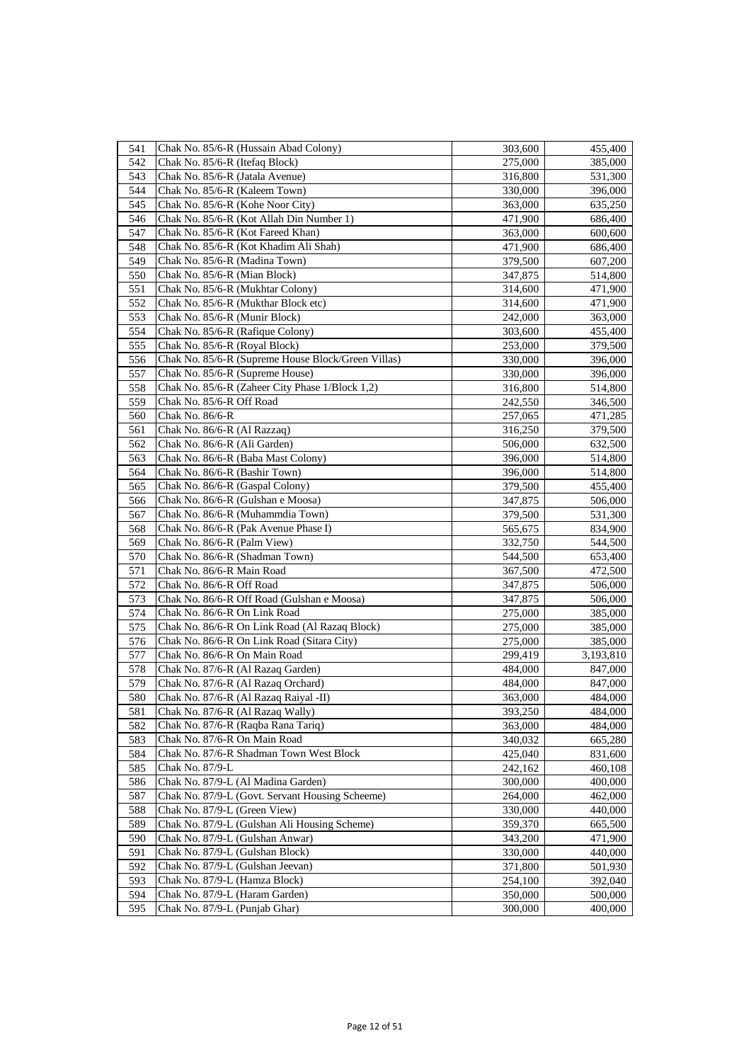| 541 | Chak No. 85/6-R (Hussain Abad Colony)              | 303,600 | 455,400   |
|-----|----------------------------------------------------|---------|-----------|
| 542 | Chak No. 85/6-R (Itefaq Block)                     | 275,000 | 385,000   |
| 543 | Chak No. 85/6-R (Jatala Avenue)                    | 316,800 | 531,300   |
| 544 | Chak No. 85/6-R (Kaleem Town)                      | 330,000 | 396,000   |
| 545 | Chak No. 85/6-R (Kohe Noor City)                   | 363,000 | 635,250   |
| 546 | Chak No. 85/6-R (Kot Allah Din Number 1)           | 471,900 | 686,400   |
| 547 | Chak No. 85/6-R (Kot Fareed Khan)                  | 363,000 | 600,600   |
| 548 | Chak No. 85/6-R (Kot Khadim Ali Shah)              | 471,900 | 686,400   |
| 549 | Chak No. 85/6-R (Madina Town)                      | 379,500 | 607,200   |
| 550 | Chak No. 85/6-R (Mian Block)                       | 347,875 | 514,800   |
| 551 | Chak No. 85/6-R (Mukhtar Colony)                   | 314,600 | 471,900   |
| 552 | Chak No. 85/6-R (Mukthar Block etc)                | 314,600 | 471,900   |
| 553 | Chak No. 85/6-R (Munir Block)                      | 242,000 | 363,000   |
| 554 | Chak No. 85/6-R (Rafique Colony)                   | 303,600 | 455,400   |
| 555 | Chak No. 85/6-R (Royal Block)                      | 253,000 | 379,500   |
| 556 | Chak No. 85/6-R (Supreme House Block/Green Villas) | 330,000 | 396,000   |
| 557 | Chak No. 85/6-R (Supreme House)                    | 330,000 | 396,000   |
| 558 | Chak No. 85/6-R (Zaheer City Phase 1/Block 1,2)    | 316,800 | 514,800   |
| 559 | Chak No. 85/6-R Off Road                           | 242,550 | 346,500   |
| 560 | Chak No. 86/6-R                                    | 257,065 | 471,285   |
| 561 | Chak No. 86/6-R (Al Razzaq)                        | 316,250 | 379,500   |
| 562 | Chak No. 86/6-R (Ali Garden)                       | 506,000 | 632,500   |
| 563 | Chak No. 86/6-R (Baba Mast Colony)                 | 396,000 | 514,800   |
| 564 | Chak No. 86/6-R (Bashir Town)                      | 396,000 | 514,800   |
| 565 | Chak No. 86/6-R (Gaspal Colony)                    | 379,500 | 455,400   |
| 566 | Chak No. 86/6-R (Gulshan e Moosa)                  | 347,875 | 506,000   |
| 567 | Chak No. 86/6-R (Muhammdia Town)                   | 379,500 | 531,300   |
| 568 | Chak No. 86/6-R (Pak Avenue Phase I)               | 565,675 | 834,900   |
| 569 | Chak No. 86/6-R (Palm View)                        | 332,750 | 544,500   |
| 570 | Chak No. 86/6-R (Shadman Town)                     | 544,500 | 653,400   |
| 571 | Chak No. 86/6-R Main Road                          | 367,500 | 472,500   |
| 572 | Chak No. 86/6-R Off Road                           | 347,875 | 506,000   |
| 573 | Chak No. 86/6-R Off Road (Gulshan e Moosa)         | 347,875 | 506,000   |
| 574 | Chak No. 86/6-R On Link Road                       | 275,000 | 385,000   |
| 575 | Chak No. 86/6-R On Link Road (Al Razaq Block)      | 275,000 | 385,000   |
| 576 | Chak No. 86/6-R On Link Road (Sitara City)         | 275,000 | 385,000   |
| 577 | Chak No. 86/6-R On Main Road                       | 299,419 | 3,193,810 |
| 578 | Chak No. 87/6-R (Al Razaq Garden)                  | 484,000 | 847,000   |
| 579 | Chak No. 87/6-R (Al Razaq Orchard)                 | 484,000 | 847,000   |
| 580 | Chak No. 87/6-R (Al Razaq Raiyal -II)              | 363,000 | 484,000   |
| 581 | Chak No. 87/6-R (Al Razaq Wally)                   | 393,250 | 484,000   |
| 582 | Chak No. 87/6-R (Raqba Rana Tariq)                 | 363,000 | 484,000   |
| 583 | Chak No. 87/6-R On Main Road                       | 340,032 | 665,280   |
| 584 | Chak No. 87/6-R Shadman Town West Block            | 425,040 | 831,600   |
| 585 | Chak No. 87/9-L                                    | 242,162 | 460,108   |
| 586 | Chak No. 87/9-L (Al Madina Garden)                 | 300,000 | 400,000   |
| 587 | Chak No. 87/9-L (Govt. Servant Housing Scheeme)    | 264,000 | 462,000   |
| 588 | Chak No. 87/9-L (Green View)                       | 330,000 | 440,000   |
| 589 | Chak No. 87/9-L (Gulshan Ali Housing Scheme)       | 359,370 | 665,500   |
| 590 | Chak No. 87/9-L (Gulshan Anwar)                    | 343,200 | 471,900   |
| 591 | Chak No. 87/9-L (Gulshan Block)                    | 330,000 | 440,000   |
| 592 | Chak No. 87/9-L (Gulshan Jeevan)                   | 371,800 | 501,930   |
| 593 | Chak No. 87/9-L (Hamza Block)                      | 254,100 | 392,040   |
| 594 | Chak No. 87/9-L (Haram Garden)                     | 350,000 | 500,000   |
| 595 | Chak No. 87/9-L (Punjab Ghar)                      | 300,000 | 400,000   |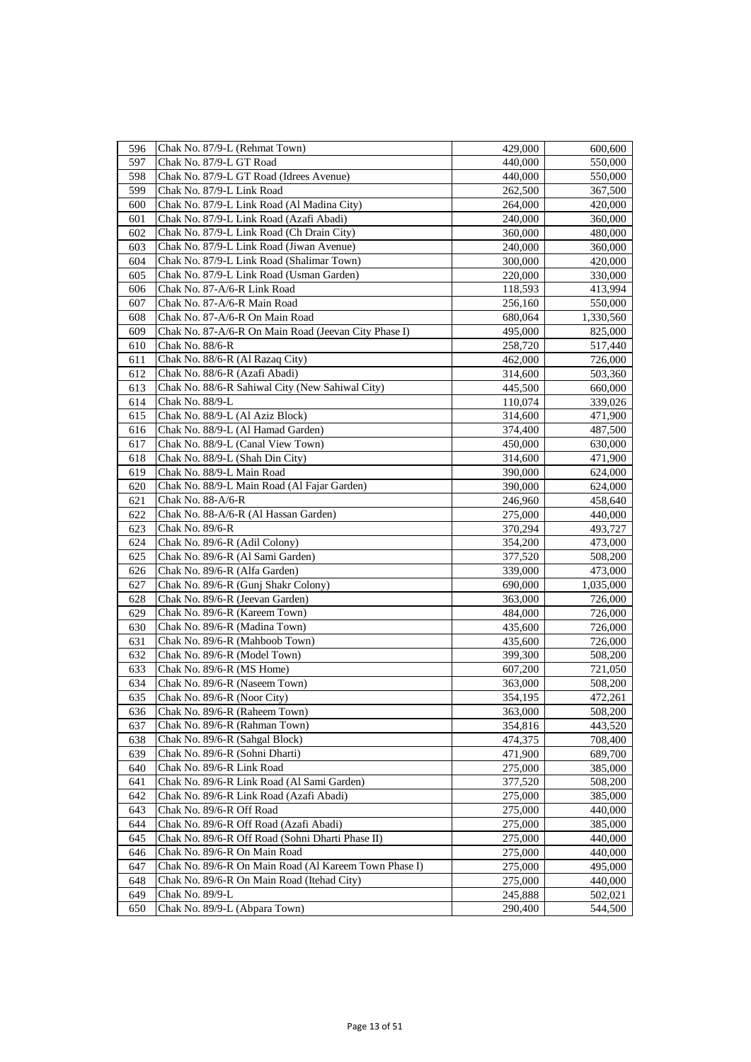| 596 | Chak No. 87/9-L (Rehmat Town)                         | 429,000 | 600,600   |
|-----|-------------------------------------------------------|---------|-----------|
| 597 | Chak No. 87/9-L GT Road                               | 440,000 | 550,000   |
| 598 | Chak No. 87/9-L GT Road (Idrees Avenue)               | 440,000 | 550,000   |
| 599 | Chak No. 87/9-L Link Road                             | 262,500 | 367,500   |
| 600 | Chak No. 87/9-L Link Road (Al Madina City)            | 264,000 | 420,000   |
| 601 | Chak No. 87/9-L Link Road (Azafi Abadi)               | 240,000 | 360,000   |
| 602 | Chak No. 87/9-L Link Road (Ch Drain City)             | 360,000 | 480,000   |
| 603 | Chak No. 87/9-L Link Road (Jiwan Avenue)              | 240,000 | 360,000   |
| 604 | Chak No. 87/9-L Link Road (Shalimar Town)             | 300,000 | 420,000   |
| 605 | Chak No. 87/9-L Link Road (Usman Garden)              | 220,000 | 330,000   |
| 606 | Chak No. 87-A/6-R Link Road                           | 118,593 | 413,994   |
| 607 | Chak No. 87-A/6-R Main Road                           | 256,160 | 550,000   |
| 608 | Chak No. 87-A/6-R On Main Road                        | 680,064 | 1,330,560 |
| 609 | Chak No. 87-A/6-R On Main Road (Jeevan City Phase I)  | 495,000 | 825,000   |
| 610 | Chak No. 88/6-R                                       | 258,720 | 517,440   |
| 611 | Chak No. 88/6-R (Al Razaq City)                       | 462,000 | 726,000   |
| 612 | Chak No. 88/6-R (Azafi Abadi)                         | 314,600 | 503,360   |
| 613 | Chak No. 88/6-R Sahiwal City (New Sahiwal City)       | 445,500 | 660,000   |
| 614 | Chak No. 88/9-L                                       | 110,074 | 339,026   |
| 615 | Chak No. 88/9-L (Al Aziz Block)                       | 314,600 | 471,900   |
| 616 | Chak No. 88/9-L (Al Hamad Garden)                     | 374,400 | 487,500   |
| 617 | Chak No. 88/9-L (Canal View Town)                     | 450,000 | 630,000   |
| 618 | Chak No. 88/9-L (Shah Din City)                       | 314,600 | 471,900   |
| 619 | Chak No. 88/9-L Main Road                             | 390,000 | 624,000   |
| 620 | Chak No. 88/9-L Main Road (Al Fajar Garden)           | 390,000 | 624,000   |
| 621 | Chak No. 88-A/6-R                                     | 246,960 | 458,640   |
| 622 | Chak No. 88-A/6-R (Al Hassan Garden)                  | 275,000 | 440,000   |
| 623 | Chak No. 89/6-R                                       | 370,294 | 493,727   |
| 624 | Chak No. 89/6-R (Adil Colony)                         | 354,200 | 473,000   |
| 625 | Chak No. 89/6-R (Al Sami Garden)                      | 377,520 | 508,200   |
| 626 | Chak No. 89/6-R (Alfa Garden)                         | 339,000 | 473,000   |
| 627 | Chak No. 89/6-R (Gunj Shakr Colony)                   | 690,000 | 1,035,000 |
| 628 | Chak No. 89/6-R (Jeevan Garden)                       | 363,000 | 726,000   |
| 629 | Chak No. 89/6-R (Kareem Town)                         | 484,000 | 726,000   |
| 630 | Chak No. 89/6-R (Madina Town)                         | 435,600 | 726,000   |
| 631 | Chak No. 89/6-R (Mahboob Town)                        | 435,600 | 726,000   |
| 632 | Chak No. 89/6-R (Model Town)                          | 399,300 | 508,200   |
| 633 | Chak No. 89/6-R (MS Home)                             | 607,200 | 721,050   |
| 634 | Chak No. 89/6-R (Naseem Town)                         | 363,000 | 508,200   |
| 635 | Chak No. 89/6-R (Noor City)                           | 354,195 | 472,261   |
| 636 | Chak No. 89/6-R (Raheem Town)                         | 363,000 | 508,200   |
| 637 | Chak No. 89/6-R (Rahman Town)                         | 354,816 | 443,520   |
| 638 | Chak No. 89/6-R (Sahgal Block)                        | 474,375 | 708,400   |
| 639 | Chak No. 89/6-R (Sohni Dharti)                        | 471,900 | 689,700   |
| 640 | Chak No. 89/6-R Link Road                             | 275,000 | 385,000   |
| 641 | Chak No. 89/6-R Link Road (Al Sami Garden)            | 377,520 | 508,200   |
| 642 | Chak No. 89/6-R Link Road (Azafi Abadi)               | 275,000 | 385,000   |
| 643 | Chak No. 89/6-R Off Road                              | 275,000 | 440,000   |
| 644 | Chak No. 89/6-R Off Road (Azafi Abadi)                | 275,000 | 385,000   |
| 645 | Chak No. 89/6-R Off Road (Sohni Dharti Phase II)      | 275,000 | 440,000   |
| 646 | Chak No. 89/6-R On Main Road                          | 275,000 | 440,000   |
| 647 | Chak No. 89/6-R On Main Road (Al Kareem Town Phase I) | 275,000 | 495,000   |
| 648 | Chak No. 89/6-R On Main Road (Itehad City)            | 275,000 | 440,000   |
| 649 | Chak No. 89/9-L                                       | 245,888 | 502,021   |
| 650 | Chak No. 89/9-L (Abpara Town)                         | 290,400 | 544,500   |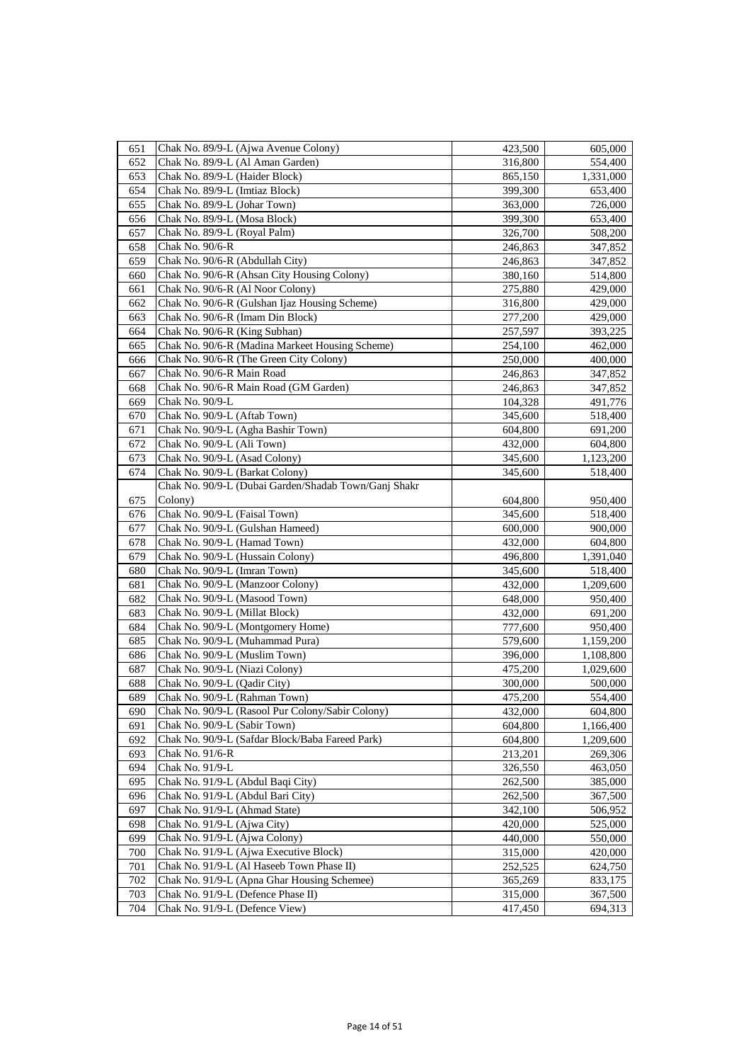| 651 | Chak No. 89/9-L (Ajwa Avenue Colony)                 | 423,500 | 605,000   |
|-----|------------------------------------------------------|---------|-----------|
| 652 | Chak No. 89/9-L (Al Aman Garden)                     | 316,800 | 554,400   |
| 653 | Chak No. 89/9-L (Haider Block)                       | 865,150 | 1,331,000 |
| 654 | Chak No. 89/9-L (Imtiaz Block)                       | 399,300 | 653,400   |
| 655 | Chak No. 89/9-L (Johar Town)                         | 363,000 | 726,000   |
| 656 | Chak No. 89/9-L (Mosa Block)                         | 399,300 | 653,400   |
| 657 | Chak No. 89/9-L (Royal Palm)                         | 326,700 | 508,200   |
| 658 | Chak No. 90/6-R                                      | 246,863 | 347,852   |
| 659 | Chak No. 90/6-R (Abdullah City)                      | 246,863 | 347,852   |
| 660 | Chak No. 90/6-R (Ahsan City Housing Colony)          | 380,160 | 514,800   |
| 661 | Chak No. 90/6-R (Al Noor Colony)                     | 275,880 | 429,000   |
| 662 | Chak No. 90/6-R (Gulshan Ijaz Housing Scheme)        | 316,800 | 429,000   |
| 663 | Chak No. 90/6-R (Imam Din Block)                     | 277,200 | 429,000   |
| 664 | Chak No. 90/6-R (King Subhan)                        | 257,597 | 393,225   |
| 665 | Chak No. 90/6-R (Madina Markeet Housing Scheme)      | 254,100 | 462,000   |
| 666 | Chak No. 90/6-R (The Green City Colony)              | 250,000 | 400,000   |
| 667 | Chak No. 90/6-R Main Road                            | 246,863 | 347,852   |
| 668 | Chak No. 90/6-R Main Road (GM Garden)                | 246,863 | 347,852   |
| 669 | Chak No. 90/9-L                                      | 104,328 | 491,776   |
| 670 | Chak No. 90/9-L (Aftab Town)                         | 345,600 | 518,400   |
| 671 | Chak No. 90/9-L (Agha Bashir Town)                   | 604,800 | 691,200   |
| 672 | Chak No. 90/9-L (Ali Town)                           | 432,000 | 604,800   |
| 673 | Chak No. 90/9-L (Asad Colony)                        | 345,600 | 1,123,200 |
| 674 | Chak No. 90/9-L (Barkat Colony)                      | 345,600 | 518,400   |
|     | Chak No. 90/9-L (Dubai Garden/Shadab Town/Ganj Shakr |         |           |
| 675 | Colony)                                              | 604,800 | 950,400   |
| 676 | Chak No. 90/9-L (Faisal Town)                        | 345,600 | 518,400   |
| 677 | Chak No. 90/9-L (Gulshan Hameed)                     | 600,000 | 900,000   |
| 678 | Chak No. 90/9-L (Hamad Town)                         | 432,000 | 604,800   |
| 679 | Chak No. 90/9-L (Hussain Colony)                     | 496,800 | 1,391,040 |
| 680 | Chak No. 90/9-L (Imran Town)                         | 345,600 | 518,400   |
| 681 | Chak No. 90/9-L (Manzoor Colony)                     | 432,000 | 1,209,600 |
| 682 | Chak No. 90/9-L (Masood Town)                        | 648,000 | 950,400   |
| 683 | Chak No. 90/9-L (Millat Block)                       | 432,000 | 691,200   |
| 684 | Chak No. 90/9-L (Montgomery Home)                    | 777,600 | 950,400   |
| 685 | Chak No. 90/9-L (Muhammad Pura)                      | 579,600 | 1,159,200 |
| 686 | Chak No. 90/9-L (Muslim Town)                        | 396,000 | 1,108,800 |
| 687 | Chak No. 90/9-L (Niazi Colony)                       | 475,200 | 1,029,600 |
| 688 | Chak No. 90/9-L (Qadir City)                         | 300,000 | 500,000   |
| 689 | Chak No. 90/9-L (Rahman Town)                        | 475,200 | 554,400   |
| 690 | Chak No. 90/9-L (Rasool Pur Colony/Sabir Colony)     | 432,000 | 604,800   |
| 691 | Chak No. 90/9-L (Sabir Town)                         | 604,800 | 1,166,400 |
| 692 | Chak No. 90/9-L (Safdar Block/Baba Fareed Park)      | 604,800 | 1,209,600 |
| 693 | Chak No. 91/6-R                                      | 213,201 | 269,306   |
| 694 | Chak No. 91/9-L                                      | 326,550 | 463,050   |
| 695 | Chak No. 91/9-L (Abdul Baqi City)                    | 262,500 | 385,000   |
| 696 | Chak No. 91/9-L (Abdul Bari City)                    | 262,500 | 367,500   |
| 697 | Chak No. 91/9-L (Ahmad State)                        | 342,100 | 506,952   |
| 698 | Chak No. 91/9-L (Ajwa City)                          | 420,000 | 525,000   |
| 699 | Chak No. 91/9-L (Ajwa Colony)                        | 440,000 | 550,000   |
| 700 | Chak No. 91/9-L (Ajwa Executive Block)               | 315,000 | 420,000   |
| 701 | Chak No. 91/9-L (Al Haseeb Town Phase II)            | 252,525 | 624,750   |
| 702 | Chak No. 91/9-L (Apna Ghar Housing Schemee)          | 365,269 | 833,175   |
| 703 | Chak No. 91/9-L (Defence Phase II)                   | 315,000 | 367,500   |
| 704 | Chak No. 91/9-L (Defence View)                       | 417,450 | 694,313   |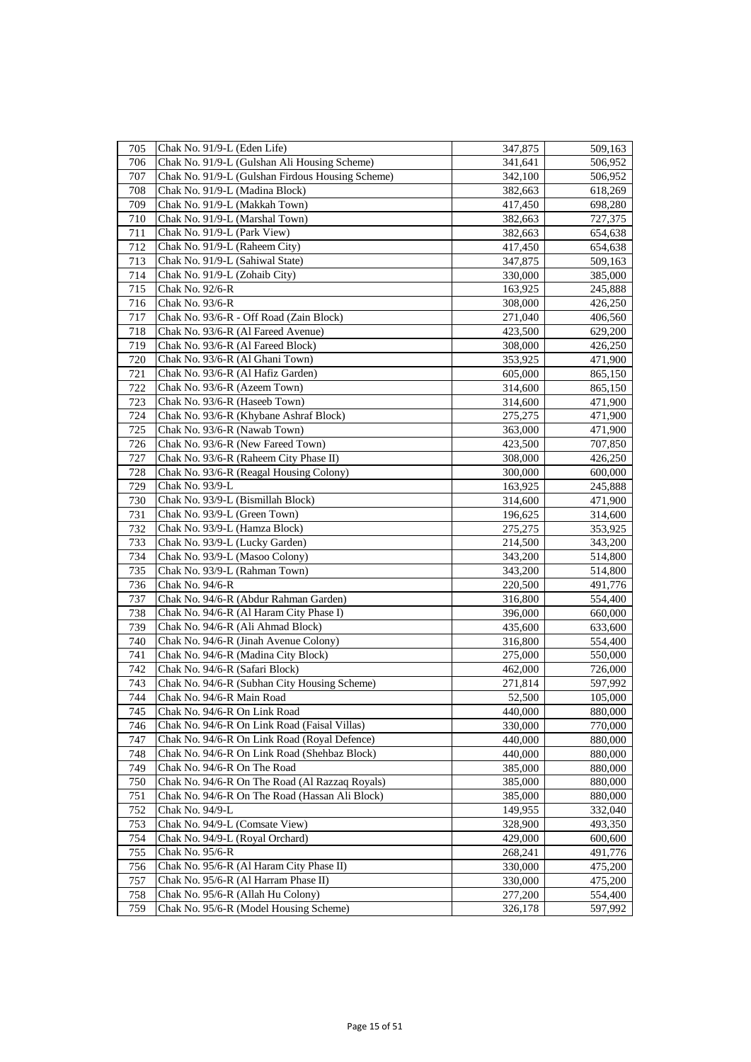| 705 | Chak No. 91/9-L (Eden Life)                      | 347,875 | 509,163 |
|-----|--------------------------------------------------|---------|---------|
| 706 | Chak No. 91/9-L (Gulshan Ali Housing Scheme)     | 341,641 | 506,952 |
| 707 | Chak No. 91/9-L (Gulshan Firdous Housing Scheme) | 342,100 | 506,952 |
| 708 | Chak No. 91/9-L (Madina Block)                   | 382,663 | 618,269 |
| 709 | Chak No. 91/9-L (Makkah Town)                    | 417,450 | 698,280 |
| 710 | Chak No. 91/9-L (Marshal Town)                   | 382,663 | 727,375 |
| 711 | Chak No. 91/9-L (Park View)                      | 382,663 | 654,638 |
| 712 | Chak No. 91/9-L (Raheem City)                    | 417,450 | 654,638 |
| 713 | Chak No. 91/9-L (Sahiwal State)                  | 347,875 | 509,163 |
| 714 | Chak No. 91/9-L (Zohaib City)                    | 330,000 | 385,000 |
| 715 | Chak No. 92/6-R                                  | 163,925 | 245,888 |
| 716 | Chak No. 93/6-R                                  | 308,000 | 426,250 |
| 717 | Chak No. 93/6-R - Off Road (Zain Block)          | 271,040 | 406,560 |
| 718 | Chak No. 93/6-R (Al Fareed Avenue)               | 423,500 | 629,200 |
| 719 | Chak No. 93/6-R (Al Fareed Block)                | 308,000 | 426,250 |
| 720 | Chak No. 93/6-R (Al Ghani Town)                  | 353,925 | 471,900 |
| 721 | Chak No. 93/6-R (Al Hafiz Garden)                | 605,000 | 865,150 |
| 722 | Chak No. 93/6-R (Azeem Town)                     | 314,600 | 865,150 |
| 723 | Chak No. 93/6-R (Haseeb Town)                    | 314,600 | 471,900 |
| 724 | Chak No. 93/6-R (Khybane Ashraf Block)           | 275,275 | 471,900 |
| 725 | Chak No. 93/6-R (Nawab Town)                     | 363,000 | 471,900 |
| 726 | Chak No. 93/6-R (New Fareed Town)                | 423,500 | 707,850 |
| 727 | Chak No. 93/6-R (Raheem City Phase II)           | 308,000 | 426,250 |
| 728 | Chak No. 93/6-R (Reagal Housing Colony)          | 300,000 | 600,000 |
| 729 | Chak No. 93/9-L                                  | 163,925 | 245,888 |
| 730 | Chak No. 93/9-L (Bismillah Block)                | 314,600 | 471,900 |
| 731 | Chak No. 93/9-L (Green Town)                     | 196,625 | 314,600 |
| 732 | Chak No. 93/9-L (Hamza Block)                    | 275,275 | 353,925 |
| 733 | Chak No. 93/9-L (Lucky Garden)                   | 214,500 | 343,200 |
| 734 | Chak No. 93/9-L (Masoo Colony)                   | 343,200 | 514,800 |
| 735 | Chak No. 93/9-L (Rahman Town)                    | 343,200 | 514,800 |
| 736 | Chak No. 94/6-R                                  | 220,500 | 491,776 |
| 737 | Chak No. 94/6-R (Abdur Rahman Garden)            | 316,800 | 554,400 |
| 738 | Chak No. 94/6-R (Al Haram City Phase I)          | 396,000 | 660,000 |
| 739 | Chak No. 94/6-R (Ali Ahmad Block)                | 435,600 | 633,600 |
| 740 | Chak No. 94/6-R (Jinah Avenue Colony)            | 316,800 | 554,400 |
| 741 | Chak No. 94/6-R (Madina City Block)              | 275,000 | 550,000 |
| 742 | Chak No. 94/6-R (Safari Block)                   | 462,000 | 726,000 |
| 743 | Chak No. 94/6-R (Subhan City Housing Scheme)     | 271,814 | 597,992 |
| 744 | Chak No. 94/6-R Main Road                        | 52,500  | 105,000 |
| 745 | Chak No. 94/6-R On Link Road                     | 440,000 | 880,000 |
| 746 | Chak No. 94/6-R On Link Road (Faisal Villas)     | 330,000 | 770,000 |
| 747 | Chak No. 94/6-R On Link Road (Royal Defence)     | 440,000 | 880,000 |
| 748 | Chak No. 94/6-R On Link Road (Shehbaz Block)     | 440,000 | 880,000 |
| 749 | Chak No. 94/6-R On The Road                      | 385,000 | 880,000 |
| 750 | Chak No. 94/6-R On The Road (Al Razzaq Royals)   | 385,000 | 880,000 |
| 751 | Chak No. 94/6-R On The Road (Hassan Ali Block)   | 385,000 | 880,000 |
| 752 | Chak No. 94/9-L                                  | 149,955 | 332,040 |
| 753 | Chak No. 94/9-L (Comsate View)                   | 328,900 | 493,350 |
| 754 | Chak No. 94/9-L (Royal Orchard)                  | 429,000 | 600,600 |
| 755 | Chak No. 95/6-R                                  | 268,241 | 491,776 |
| 756 | Chak No. 95/6-R (Al Haram City Phase II)         | 330,000 | 475,200 |
| 757 | Chak No. 95/6-R (Al Harram Phase II)             | 330,000 | 475,200 |
| 758 | Chak No. 95/6-R (Allah Hu Colony)                | 277,200 | 554,400 |
| 759 | Chak No. 95/6-R (Model Housing Scheme)           | 326,178 | 597,992 |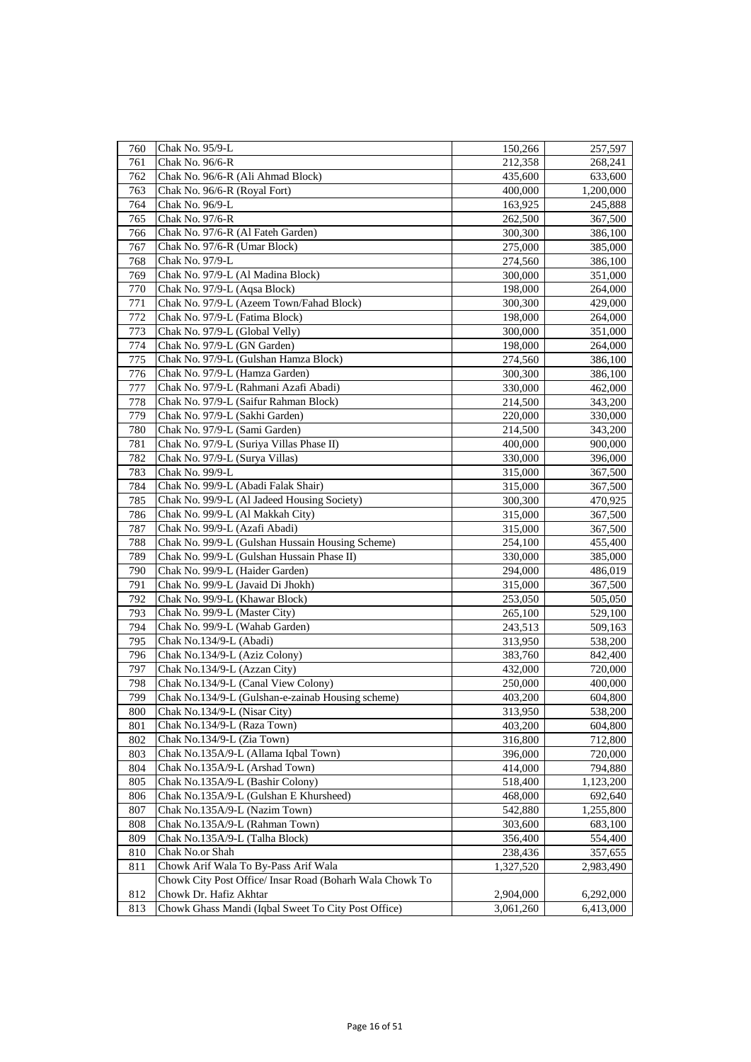| 760 | Chak No. 95/9-L                                          | 150,266   | 257,597   |
|-----|----------------------------------------------------------|-----------|-----------|
| 761 | Chak No. 96/6-R                                          | 212,358   | 268,241   |
| 762 | Chak No. 96/6-R (Ali Ahmad Block)                        | 435,600   | 633,600   |
| 763 | Chak No. 96/6-R (Royal Fort)                             | 400,000   | 1,200,000 |
| 764 | Chak No. 96/9-L                                          | 163,925   | 245,888   |
| 765 | Chak No. 97/6-R                                          | 262,500   | 367,500   |
| 766 | Chak No. 97/6-R (Al Fateh Garden)                        | 300,300   | 386,100   |
| 767 | Chak No. 97/6-R (Umar Block)                             | 275,000   | 385,000   |
| 768 | Chak No. 97/9-L                                          | 274,560   | 386,100   |
| 769 | Chak No. 97/9-L (Al Madina Block)                        | 300,000   | 351,000   |
| 770 | Chak No. 97/9-L (Aqsa Block)                             | 198,000   | 264,000   |
| 771 | Chak No. 97/9-L (Azeem Town/Fahad Block)                 | 300,300   | 429,000   |
| 772 | Chak No. 97/9-L (Fatima Block)                           | 198,000   | 264,000   |
| 773 | Chak No. 97/9-L (Global Velly)                           | 300,000   | 351,000   |
| 774 | Chak No. 97/9-L (GN Garden)                              | 198,000   | 264,000   |
| 775 | Chak No. 97/9-L (Gulshan Hamza Block)                    | 274,560   | 386,100   |
| 776 | Chak No. 97/9-L (Hamza Garden)                           | 300,300   | 386,100   |
| 777 | Chak No. 97/9-L (Rahmani Azafi Abadi)                    | 330,000   | 462,000   |
| 778 | Chak No. 97/9-L (Saifur Rahman Block)                    | 214,500   | 343,200   |
| 779 | Chak No. 97/9-L (Sakhi Garden)                           | 220,000   | 330,000   |
| 780 | Chak No. 97/9-L (Sami Garden)                            | 214,500   | 343,200   |
| 781 | Chak No. 97/9-L (Suriya Villas Phase II)                 | 400,000   | 900,000   |
| 782 | Chak No. 97/9-L (Surya Villas)                           | 330,000   | 396,000   |
| 783 | Chak No. 99/9-L                                          | 315,000   | 367,500   |
| 784 | Chak No. 99/9-L (Abadi Falak Shair)                      | 315,000   | 367,500   |
| 785 | Chak No. 99/9-L (Al Jadeed Housing Society)              | 300,300   | 470,925   |
| 786 | Chak No. 99/9-L (Al Makkah City)                         | 315,000   | 367,500   |
| 787 | Chak No. 99/9-L (Azafi Abadi)                            | 315,000   | 367,500   |
| 788 | Chak No. 99/9-L (Gulshan Hussain Housing Scheme)         | 254,100   | 455,400   |
| 789 | Chak No. 99/9-L (Gulshan Hussain Phase II)               | 330,000   | 385,000   |
| 790 | Chak No. 99/9-L (Haider Garden)                          | 294,000   | 486,019   |
| 791 | Chak No. 99/9-L (Javaid Di Jhokh)                        | 315,000   | 367,500   |
| 792 | Chak No. 99/9-L (Khawar Block)                           | 253,050   | 505,050   |
| 793 | Chak No. 99/9-L (Master City)                            | 265,100   | 529,100   |
| 794 | Chak No. 99/9-L (Wahab Garden)                           | 243,513   | 509,163   |
| 795 | Chak No.134/9-L (Abadi)                                  | 313,950   | 538,200   |
| 796 | Chak No.134/9-L (Aziz Colony)                            | 383,760   | 842,400   |
| 797 | Chak No.134/9-L (Azzan City)                             | 432,000   | 720,000   |
| 798 | Chak No.134/9-L (Canal View Colony)                      | 250,000   | 400,000   |
| 799 | Chak No.134/9-L (Gulshan-e-zainab Housing scheme)        | 403,200   | 604,800   |
| 800 | Chak No.134/9-L (Nisar City)                             | 313,950   | 538,200   |
| 801 | Chak No.134/9-L (Raza Town)                              | 403,200   | 604,800   |
| 802 | Chak No.134/9-L (Zia Town)                               | 316,800   | 712,800   |
| 803 | Chak No.135A/9-L (Allama Iqbal Town)                     | 396,000   | 720,000   |
| 804 | Chak No.135A/9-L (Arshad Town)                           | 414,000   | 794,880   |
| 805 | Chak No.135A/9-L (Bashir Colony)                         | 518,400   | 1,123,200 |
| 806 | Chak No.135A/9-L (Gulshan E Khursheed)                   | 468,000   | 692,640   |
| 807 | Chak No.135A/9-L (Nazim Town)                            | 542,880   | 1,255,800 |
| 808 | Chak No.135A/9-L (Rahman Town)                           | 303,600   | 683,100   |
| 809 | Chak No.135A/9-L (Talha Block)                           | 356,400   | 554,400   |
| 810 | Chak No.or Shah                                          | 238,436   | 357,655   |
| 811 | Chowk Arif Wala To By-Pass Arif Wala                     | 1,327,520 | 2,983,490 |
|     | Chowk City Post Office/ Insar Road (Boharh Wala Chowk To |           |           |
| 812 | Chowk Dr. Hafiz Akhtar                                   | 2,904,000 | 6,292,000 |
| 813 | Chowk Ghass Mandi (Iqbal Sweet To City Post Office)      | 3,061,260 | 6,413,000 |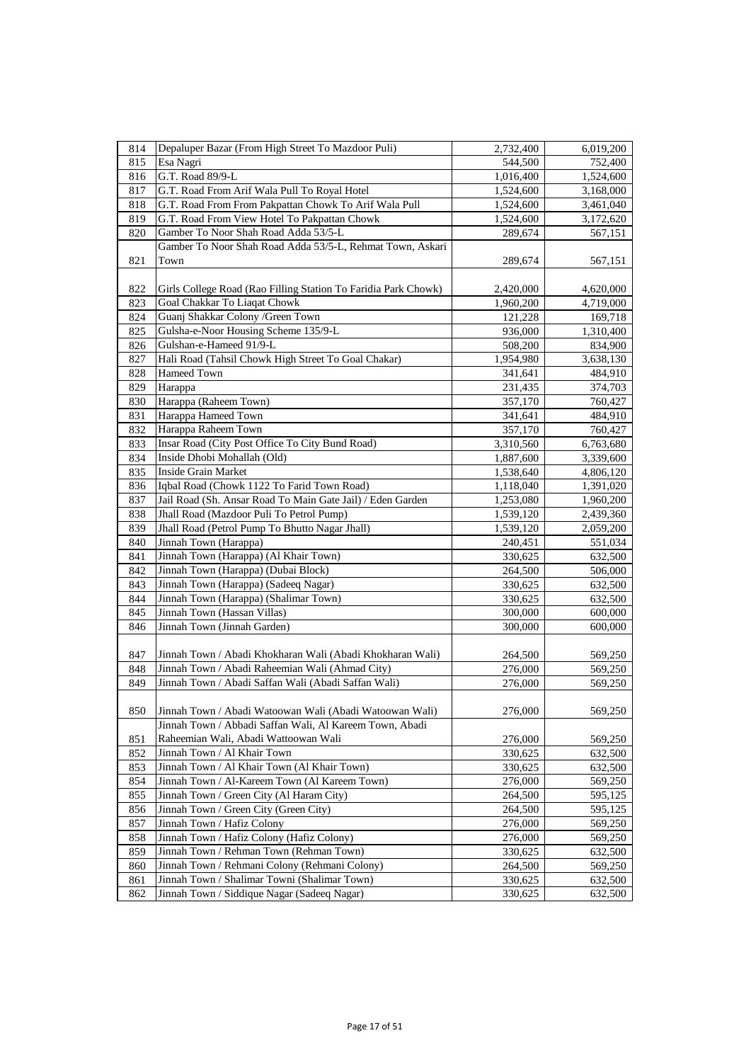| 814        | Depaluper Bazar (From High Street To Mazdoor Puli)                                        | 2,732,400          | 6,019,200          |
|------------|-------------------------------------------------------------------------------------------|--------------------|--------------------|
| 815        | Esa Nagri                                                                                 | 544,500            | 752,400            |
| 816        | G.T. Road 89/9-L                                                                          | 1,016,400          | 1,524,600          |
| 817        | G.T. Road From Arif Wala Pull To Royal Hotel                                              | 1,524,600          | 3,168,000          |
| 818        | G.T. Road From From Pakpattan Chowk To Arif Wala Pull                                     | 1,524,600          | 3,461,040          |
| 819        | G.T. Road From View Hotel To Pakpattan Chowk                                              | 1,524,600          | 3,172,620          |
| 820        | Gamber To Noor Shah Road Adda 53/5-L                                                      | 289,674            | 567,151            |
|            | Gamber To Noor Shah Road Adda 53/5-L, Rehmat Town, Askari                                 |                    |                    |
| 821        | Town                                                                                      | 289,674            | 567,151            |
|            |                                                                                           |                    |                    |
| 822        | Girls College Road (Rao Filling Station To Faridia Park Chowk)                            | 2,420,000          | 4,620,000          |
| 823        | Goal Chakkar To Liaqat Chowk                                                              | 1,960,200          | 4,719,000          |
| 824        | Guanj Shakkar Colony / Green Town                                                         | 121,228            | 169,718            |
| 825        | Gulsha-e-Noor Housing Scheme 135/9-L                                                      | 936,000            | 1,310,400          |
| 826        | Gulshan-e-Hameed 91/9-L                                                                   | 508,200            | 834,900            |
| 827        | Hali Road (Tahsil Chowk High Street To Goal Chakar)                                       | 1,954,980          | 3,638,130          |
| 828        | Hameed Town                                                                               | 341,641            | 484,910            |
| 829        | Harappa                                                                                   | 231,435            | 374,703            |
| 830        | Harappa (Raheem Town)                                                                     | 357,170            | 760,427            |
| 831        | Harappa Hameed Town                                                                       | 341,641            | 484,910            |
| 832        | Harappa Raheem Town                                                                       | 357,170            | 760,427            |
| 833        | Insar Road (City Post Office To City Bund Road)                                           | 3,310,560          | 6,763,680          |
| 834        | Inside Dhobi Mohallah (Old)                                                               | 1,887,600          | 3,339,600          |
| 835        | <b>Inside Grain Market</b>                                                                | 1,538,640          | 4,806,120          |
| 836        | Iqbal Road (Chowk 1122 To Farid Town Road)                                                | 1,118,040          | 1,391,020          |
| 837        | Jail Road (Sh. Ansar Road To Main Gate Jail) / Eden Garden                                | 1,253,080          | 1,960,200          |
| 838        | Jhall Road (Mazdoor Puli To Petrol Pump)                                                  | 1,539,120          | 2,439,360          |
| 839        | Jhall Road (Petrol Pump To Bhutto Nagar Jhall)                                            | 1,539,120          | 2,059,200          |
| 840        | Jinnah Town (Harappa)                                                                     | 240,451            | 551,034            |
| 841        | Jinnah Town (Harappa) (Al Khair Town)                                                     | 330,625            | 632,500            |
| 842        | Jinnah Town (Harappa) (Dubai Block)                                                       | 264,500            | 506,000            |
| 843        | Jinnah Town (Harappa) (Sadeeq Nagar)                                                      | 330,625            | 632,500            |
| 844        | Jinnah Town (Harappa) (Shalimar Town)                                                     | 330,625            | 632,500            |
| 845        | Jinnah Town (Hassan Villas)                                                               | 300,000            | 600,000            |
| 846        | Jinnah Town (Jinnah Garden)                                                               | 300,000            | 600,000            |
|            |                                                                                           |                    |                    |
| 847        | Jinnah Town / Abadi Khokharan Wali (Abadi Khokharan Wali)                                 | 264,500            | 569,250            |
| 848        | Jinnah Town / Abadi Raheemian Wali (Ahmad City)                                           | 276,000            | 569,250            |
| 849        | Jinnah Town / Abadi Saffan Wali (Abadi Saffan Wali)                                       | 276,000            | 569,250            |
|            |                                                                                           |                    |                    |
| 850        | Jinnah Town / Abadi Watoowan Wali (Abadi Watoowan Wali)                                   | 276,000            | 569,250            |
|            | Jinnah Town / Abbadi Saffan Wali, Al Kareem Town, Abadi                                   |                    |                    |
| 851        | Raheemian Wali, Abadi Wattoowan Wali                                                      | 276,000            | 569,250            |
| 852        | Jinnah Town / Al Khair Town                                                               | 330,625            | 632,500            |
| 853        | Jinnah Town / Al Khair Town (Al Khair Town)                                               | 330,625            | 632,500            |
| 854<br>855 | Jinnah Town / Al-Kareem Town (Al Kareem Town)<br>Jinnah Town / Green City (Al Haram City) | 276,000            | 569,250            |
|            | Jinnah Town / Green City (Green City)                                                     | 264,500            | 595,125            |
| 856<br>857 | Jinnah Town / Hafiz Colony                                                                | 264,500<br>276,000 | 595,125            |
| 858        | Jinnah Town / Hafiz Colony (Hafiz Colony)                                                 | 276,000            | 569,250<br>569,250 |
| 859        | Jinnah Town / Rehman Town (Rehman Town)                                                   | 330,625            | 632,500            |
| 860        | Jinnah Town / Rehmani Colony (Rehmani Colony)                                             | 264,500            | 569,250            |
| 861        | Jinnah Town / Shalimar Towni (Shalimar Town)                                              | 330,625            | 632,500            |
| 862        | Jinnah Town / Siddique Nagar (Sadeeq Nagar)                                               | 330,625            | 632,500            |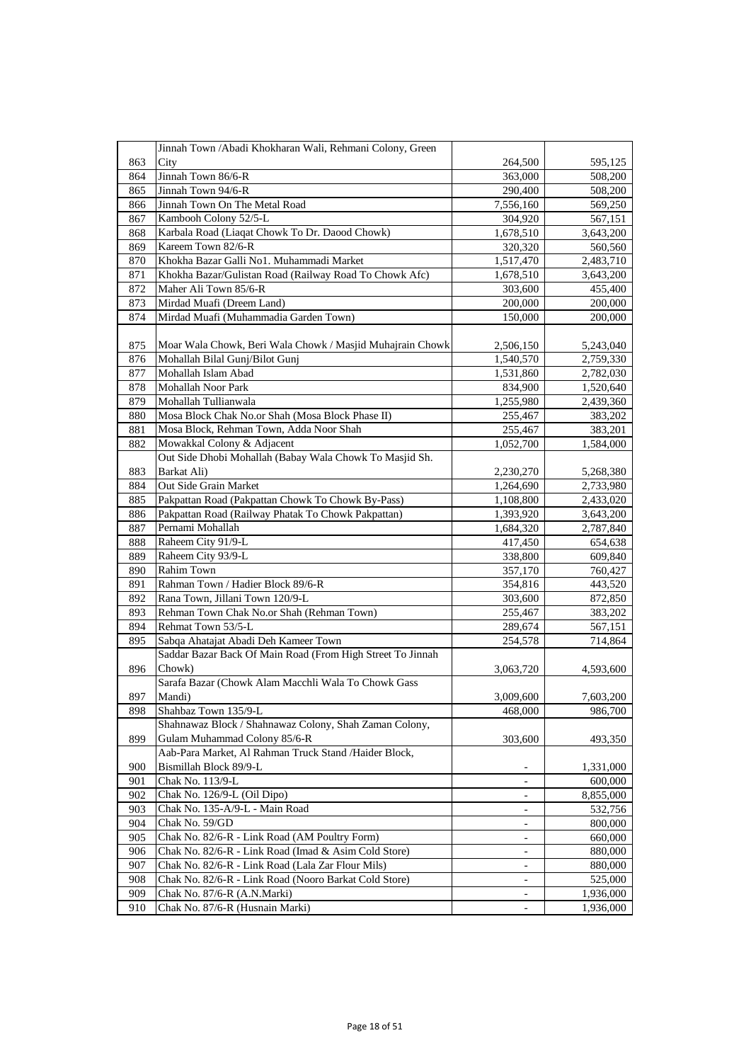|     | Jinnah Town / Abadi Khokharan Wali, Rehmani Colony, Green  |                          |           |
|-----|------------------------------------------------------------|--------------------------|-----------|
| 863 | City                                                       | 264,500                  | 595,125   |
| 864 | Jinnah Town 86/6-R                                         | 363,000                  | 508,200   |
| 865 | Jinnah Town 94/6-R                                         | 290,400                  | 508,200   |
| 866 | Jinnah Town On The Metal Road                              | 7,556,160                | 569,250   |
| 867 | Kambooh Colony 52/5-L                                      | 304,920                  | 567,151   |
| 868 | Karbala Road (Liaqat Chowk To Dr. Daood Chowk)             | 1,678,510                | 3,643,200 |
| 869 | Kareem Town 82/6-R                                         | 320,320                  | 560,560   |
| 870 | Khokha Bazar Galli No1. Muhammadi Market                   | 1,517,470                | 2,483,710 |
| 871 | Khokha Bazar/Gulistan Road (Railway Road To Chowk Afc)     | 1,678,510                | 3,643,200 |
| 872 | Maher Ali Town 85/6-R                                      | 303,600                  | 455,400   |
| 873 | Mirdad Muafi (Dreem Land)                                  | 200,000                  | 200,000   |
| 874 | Mirdad Muafi (Muhammadia Garden Town)                      | 150,000                  | 200,000   |
|     |                                                            |                          |           |
| 875 | Moar Wala Chowk, Beri Wala Chowk / Masjid Muhajrain Chowk  | 2,506,150                | 5,243,040 |
| 876 | Mohallah Bilal Gunj/Bilot Gunj                             | 1,540,570                | 2,759,330 |
| 877 | Mohallah Islam Abad                                        | 1,531,860                | 2,782,030 |
| 878 | Mohallah Noor Park                                         | 834,900                  | 1,520,640 |
| 879 | Mohallah Tullianwala                                       | 1,255,980                | 2,439,360 |
| 880 | Mosa Block Chak No.or Shah (Mosa Block Phase II)           | 255,467                  | 383,202   |
| 881 | Mosa Block, Rehman Town, Adda Noor Shah                    | 255,467                  | 383,201   |
| 882 | Mowakkal Colony & Adjacent                                 | 1,052,700                | 1,584,000 |
|     | Out Side Dhobi Mohallah (Babay Wala Chowk To Masjid Sh.    |                          |           |
| 883 | Barkat Ali)                                                | 2,230,270                | 5,268,380 |
| 884 | Out Side Grain Market                                      | 1,264,690                | 2,733,980 |
| 885 | Pakpattan Road (Pakpattan Chowk To Chowk By-Pass)          | 1,108,800                | 2,433,020 |
| 886 | Pakpattan Road (Railway Phatak To Chowk Pakpattan)         | 1,393,920                | 3,643,200 |
| 887 | Pernami Mohallah                                           | 1,684,320                | 2,787,840 |
| 888 | Raheem City 91/9-L                                         | 417,450                  | 654,638   |
| 889 | Raheem City 93/9-L                                         | 338,800                  | 609,840   |
| 890 | Rahim Town                                                 | 357,170                  | 760,427   |
| 891 | Rahman Town / Hadier Block 89/6-R                          | 354,816                  | 443,520   |
| 892 | Rana Town, Jillani Town 120/9-L                            | 303,600                  | 872,850   |
| 893 | Rehman Town Chak No.or Shah (Rehman Town)                  | 255,467                  | 383,202   |
| 894 | Rehmat Town 53/5-L                                         | 289,674                  | 567,151   |
| 895 | Sabqa Ahatajat Abadi Deh Kameer Town                       | 254,578                  | 714,864   |
|     | Saddar Bazar Back Of Main Road (From High Street To Jinnah |                          |           |
| 896 | Chowk)                                                     | 3,063,720                | 4,593,600 |
|     | Sarafa Bazar (Chowk Alam Macchli Wala To Chowk Gass        |                          |           |
| 897 | Mandi)                                                     | 3,009,600                | 7,603,200 |
| 898 | Shahbaz Town 135/9-L                                       | 468,000                  | 986,700   |
|     | Shahnawaz Block / Shahnawaz Colony, Shah Zaman Colony,     |                          |           |
| 899 | Gulam Muhammad Colony 85/6-R                               | 303,600                  | 493,350   |
|     | Aab-Para Market, Al Rahman Truck Stand /Haider Block,      |                          |           |
| 900 | Bismillah Block 89/9-L                                     |                          | 1,331,000 |
| 901 | Chak No. 113/9-L                                           | $\overline{\phantom{a}}$ | 600,000   |
| 902 | Chak No. 126/9-L (Oil Dipo)                                |                          | 8,855,000 |
| 903 | Chak No. 135-A/9-L - Main Road                             |                          | 532,756   |
| 904 | Chak No. 59/GD                                             | $\overline{\phantom{0}}$ | 800,000   |
| 905 | Chak No. 82/6-R - Link Road (AM Poultry Form)              | -                        | 660,000   |
| 906 | Chak No. 82/6-R - Link Road (Imad & Asim Cold Store)       | -                        | 880,000   |
| 907 | Chak No. 82/6-R - Link Road (Lala Zar Flour Mils)          |                          | 880,000   |
| 908 | Chak No. 82/6-R - Link Road (Nooro Barkat Cold Store)      | $\overline{\phantom{0}}$ | 525,000   |
| 909 | Chak No. 87/6-R (A.N.Marki)                                |                          | 1,936,000 |
| 910 | Chak No. 87/6-R (Husnain Marki)                            |                          | 1,936,000 |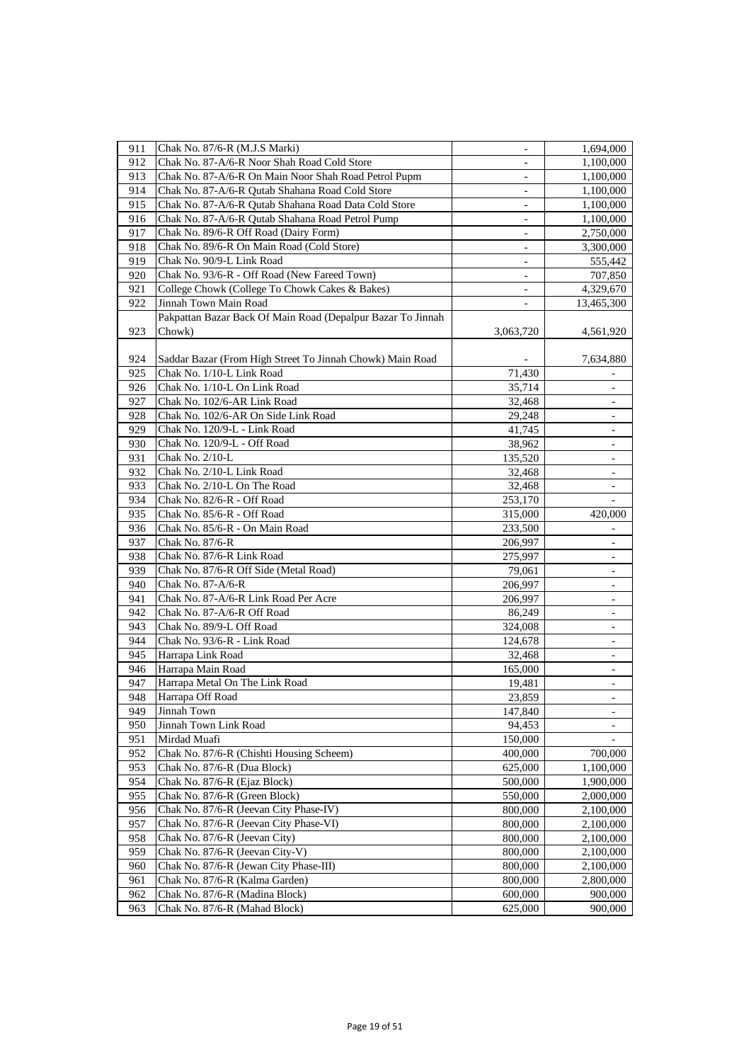| 911 | Chak No. 87/6-R (M.J.S Marki)                               | $\overline{\phantom{a}}$ | 1,694,000                |
|-----|-------------------------------------------------------------|--------------------------|--------------------------|
| 912 | Chak No. 87-A/6-R Noor Shah Road Cold Store                 |                          | 1,100,000                |
| 913 | Chak No. 87-A/6-R On Main Noor Shah Road Petrol Pupm        | $\overline{\phantom{a}}$ | 1,100,000                |
| 914 | Chak No. 87-A/6-R Qutab Shahana Road Cold Store             | ä,                       | 1,100,000                |
| 915 | Chak No. 87-A/6-R Qutab Shahana Road Data Cold Store        | $\overline{\phantom{a}}$ | 1,100,000                |
| 916 | Chak No. 87-A/6-R Qutab Shahana Road Petrol Pump            | $\overline{\phantom{a}}$ | 1,100,000                |
| 917 | Chak No. 89/6-R Off Road (Dairy Form)                       | $\overline{\phantom{a}}$ | 2,750,000                |
| 918 | Chak No. 89/6-R On Main Road (Cold Store)                   |                          | 3,300,000                |
| 919 | Chak No. 90/9-L Link Road                                   | $\overline{\phantom{0}}$ | 555,442                  |
| 920 | Chak No. 93/6-R - Off Road (New Fareed Town)                | $\overline{\phantom{a}}$ | 707,850                  |
| 921 | College Chowk (College To Chowk Cakes & Bakes)              |                          | 4,329,670                |
| 922 | Jinnah Town Main Road                                       |                          | 13,465,300               |
|     | Pakpattan Bazar Back Of Main Road (Depalpur Bazar To Jinnah |                          |                          |
| 923 | Chowk)                                                      | 3,063,720                | 4,561,920                |
|     |                                                             |                          |                          |
| 924 | Saddar Bazar (From High Street To Jinnah Chowk) Main Road   |                          | 7,634,880                |
| 925 | Chak No. 1/10-L Link Road                                   | 71,430                   |                          |
| 926 | Chak No. 1/10-L On Link Road                                | 35,714                   |                          |
| 927 | Chak No. 102/6-AR Link Road                                 | 32,468                   |                          |
| 928 | Chak No. 102/6-AR On Side Link Road                         | 29,248                   | $\overline{\phantom{a}}$ |
| 929 | Chak No. 120/9-L - Link Road                                | 41,745                   | $\overline{\phantom{a}}$ |
| 930 | Chak No. 120/9-L - Off Road                                 | 38,962                   |                          |
| 931 | Chak No. 2/10-L                                             | 135,520                  |                          |
| 932 | Chak No. 2/10-L Link Road                                   | 32,468                   |                          |
| 933 | Chak No. 2/10-L On The Road                                 | 32,468                   |                          |
| 934 | Chak No. 82/6-R - Off Road                                  | 253,170                  |                          |
| 935 | Chak No. 85/6-R - Off Road                                  | 315,000                  | 420,000                  |
| 936 | Chak No. 85/6-R - On Main Road                              | 233,500                  |                          |
| 937 | Chak No. 87/6-R                                             | 206,997                  |                          |
| 938 | Chak No. 87/6-R Link Road                                   | 275,997                  |                          |
| 939 | Chak No. 87/6-R Off Side (Metal Road)                       | 79,061                   | -                        |
| 940 | Chak No. 87-A/6-R                                           | 206,997                  |                          |
| 941 | Chak No. 87-A/6-R Link Road Per Acre                        | 206,997                  |                          |
| 942 | Chak No. 87-A/6-R Off Road                                  | 86,249                   | $\overline{\phantom{a}}$ |
| 943 | Chak No. 89/9-L Off Road                                    | 324,008                  | -                        |
| 944 | Chak No. 93/6-R - Link Road                                 | 124,678                  | -                        |
| 945 | Harrapa Link Road                                           | 32,468                   |                          |
| 946 | Harrapa Main Road                                           | 165,000                  | $\overline{\phantom{a}}$ |
| 947 | Harrapa Metal On The Link Road                              | 19,481                   |                          |
| 948 | Harrapa Off Road                                            | 23,859                   | $\blacksquare$           |
| 949 | Jinnah Town                                                 | 147,840                  |                          |
| 950 | Jinnah Town Link Road                                       | 94,453                   |                          |
| 951 | Mirdad Muafi                                                | 150,000                  |                          |
| 952 | Chak No. 87/6-R (Chishti Housing Scheem)                    | 400,000                  | 700,000                  |
| 953 | Chak No. 87/6-R (Dua Block)                                 | 625,000                  | 1,100,000                |
| 954 | Chak No. 87/6-R (Ejaz Block)                                | 500,000                  | 1,900,000                |
| 955 | Chak No. 87/6-R (Green Block)                               | 550,000                  | 2,000,000                |
| 956 | Chak No. 87/6-R (Jeevan City Phase-IV)                      | 800,000                  | 2,100,000                |
| 957 | Chak No. 87/6-R (Jeevan City Phase-VI)                      | 800,000                  | 2,100,000                |
| 958 | Chak No. 87/6-R (Jeevan City)                               | 800,000                  | 2,100,000                |
| 959 | Chak No. 87/6-R (Jeevan City-V)                             | 800,000                  | 2,100,000                |
| 960 | Chak No. 87/6-R (Jewan City Phase-III)                      | 800,000                  | 2,100,000                |
| 961 | Chak No. 87/6-R (Kalma Garden)                              | 800,000                  | 2,800,000                |
| 962 | Chak No. 87/6-R (Madina Block)                              | 600,000                  | 900,000                  |
| 963 | Chak No. 87/6-R (Mahad Block)                               | 625,000                  | 900,000                  |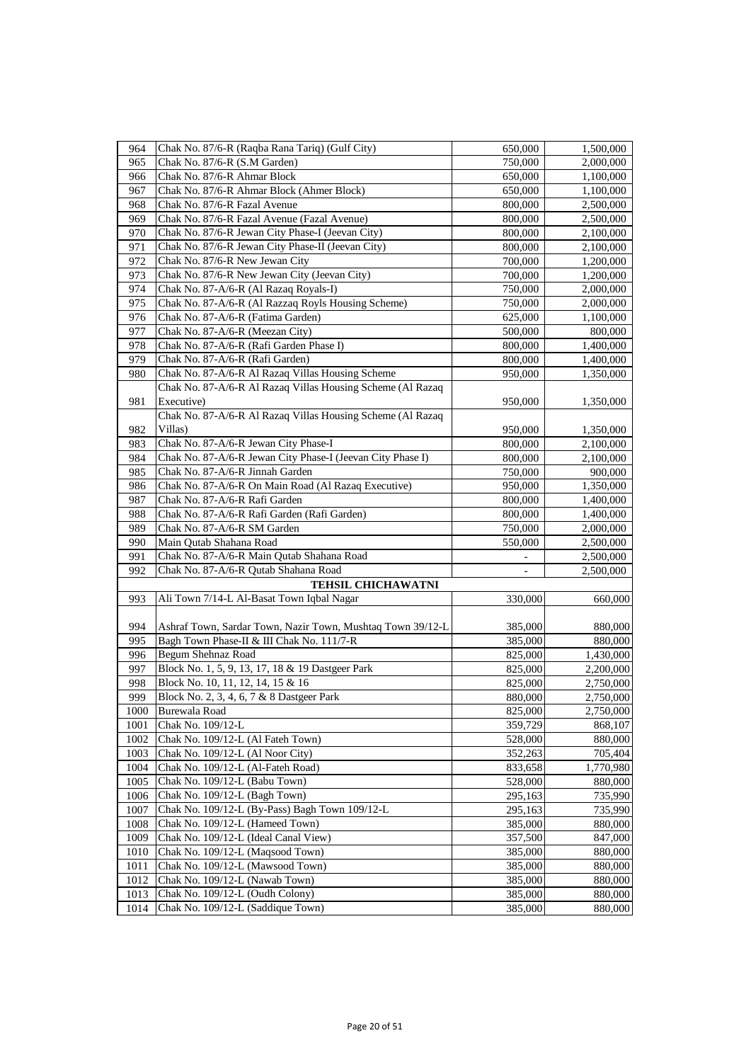| 964  | Chak No. 87/6-R (Raqba Rana Tariq) (Gulf City)             | 650,000 | 1,500,000 |
|------|------------------------------------------------------------|---------|-----------|
| 965  | Chak No. 87/6-R (S.M Garden)                               | 750,000 | 2,000,000 |
| 966  | Chak No. 87/6-R Ahmar Block                                | 650,000 | 1,100,000 |
| 967  | Chak No. 87/6-R Ahmar Block (Ahmer Block)                  | 650,000 | 1,100,000 |
| 968  | Chak No. 87/6-R Fazal Avenue                               | 800,000 | 2,500,000 |
| 969  | Chak No. 87/6-R Fazal Avenue (Fazal Avenue)                | 800,000 | 2,500,000 |
| 970  | Chak No. 87/6-R Jewan City Phase-I (Jeevan City)           | 800,000 | 2,100,000 |
| 971  | Chak No. 87/6-R Jewan City Phase-II (Jeevan City)          | 800,000 | 2,100,000 |
| 972  | Chak No. 87/6-R New Jewan City                             | 700,000 | 1,200,000 |
| 973  | Chak No. 87/6-R New Jewan City (Jeevan City)               | 700,000 | 1,200,000 |
| 974  | Chak No. 87-A/6-R (Al Razaq Royals-I)                      | 750,000 | 2,000,000 |
| 975  | Chak No. 87-A/6-R (Al Razzaq Royls Housing Scheme)         | 750,000 | 2,000,000 |
| 976  | Chak No. 87-A/6-R (Fatima Garden)                          | 625,000 | 1,100,000 |
| 977  | Chak No. 87-A/6-R (Meezan City)                            | 500,000 | 800,000   |
| 978  | Chak No. 87-A/6-R (Rafi Garden Phase I)                    | 800,000 | 1,400,000 |
| 979  | Chak No. 87-A/6-R (Rafi Garden)                            | 800,000 | 1,400,000 |
| 980  | Chak No. 87-A/6-R Al Razaq Villas Housing Scheme           | 950,000 | 1,350,000 |
|      | Chak No. 87-A/6-R Al Razaq Villas Housing Scheme (Al Razaq |         |           |
| 981  | Executive)                                                 | 950,000 | 1,350,000 |
|      | Chak No. 87-A/6-R Al Razaq Villas Housing Scheme (Al Razaq |         |           |
| 982  | Villas)                                                    | 950,000 | 1,350,000 |
| 983  | Chak No. 87-A/6-R Jewan City Phase-I                       | 800,000 | 2,100,000 |
| 984  | Chak No. 87-A/6-R Jewan City Phase-I (Jeevan City Phase I) | 800,000 | 2,100,000 |
| 985  | Chak No. 87-A/6-R Jinnah Garden                            | 750,000 | 900,000   |
| 986  | Chak No. 87-A/6-R On Main Road (Al Razaq Executive)        | 950,000 | 1,350,000 |
| 987  | Chak No. 87-A/6-R Rafi Garden                              | 800,000 | 1,400,000 |
| 988  | Chak No. 87-A/6-R Rafi Garden (Rafi Garden)                | 800,000 | 1,400,000 |
| 989  | Chak No. 87-A/6-R SM Garden                                | 750,000 | 2,000,000 |
| 990  | Main Qutab Shahana Road                                    | 550,000 | 2,500,000 |
| 991  | Chak No. 87-A/6-R Main Qutab Shahana Road                  |         | 2,500,000 |
| 992  | Chak No. 87-A/6-R Qutab Shahana Road                       |         | 2,500,000 |
|      | <b>TEHSIL CHICHAWATNI</b>                                  |         |           |
| 993  | Ali Town 7/14-L Al-Basat Town Iqbal Nagar                  | 330,000 | 660,000   |
|      |                                                            |         |           |
| 994  | Ashraf Town, Sardar Town, Nazir Town, Mushtaq Town 39/12-L | 385,000 | 880,000   |
| 995  | Bagh Town Phase-II & III Chak No. 111/7-R                  | 385,000 | 880,000   |
| 996  | Begum Shehnaz Road                                         | 825,000 | 1,430,000 |
| 997  | Block No. 1, 5, 9, 13, 17, 18 & 19 Dastgeer Park           | 825,000 | 2,200,000 |
| 998  | Block No. 10, 11, 12, 14, 15 & 16                          | 825,000 | 2,750,000 |
| 999  | Block No. 2, 3, 4, 6, 7 & 8 Dastgeer Park                  | 880,000 | 2,750,000 |
| 1000 | Burewala Road                                              | 825,000 | 2,750,000 |
| 1001 | Chak No. 109/12-L                                          | 359,729 | 868,107   |
| 1002 | Chak No. 109/12-L (Al Fateh Town)                          | 528,000 | 880,000   |
| 1003 | Chak No. 109/12-L (Al Noor City)                           | 352,263 | 705,404   |
| 1004 | Chak No. 109/12-L (Al-Fateh Road)                          | 833,658 | 1,770,980 |
| 1005 | Chak No. 109/12-L (Babu Town)                              | 528,000 | 880,000   |
| 1006 | Chak No. 109/12-L (Bagh Town)                              | 295,163 | 735,990   |
| 1007 | Chak No. 109/12-L (By-Pass) Bagh Town 109/12-L             | 295,163 | 735,990   |
| 1008 | Chak No. 109/12-L (Hameed Town)                            | 385,000 | 880,000   |
| 1009 | Chak No. 109/12-L (Ideal Canal View)                       | 357,500 | 847,000   |
| 1010 | Chak No. 109/12-L (Maqsood Town)                           | 385,000 | 880,000   |
| 1011 | Chak No. 109/12-L (Mawsood Town)                           | 385,000 | 880,000   |
| 1012 | Chak No. 109/12-L (Nawab Town)                             | 385,000 | 880,000   |
| 1013 | Chak No. 109/12-L (Oudh Colony)                            | 385,000 | 880,000   |
| 1014 | Chak No. 109/12-L (Saddique Town)                          | 385,000 | 880,000   |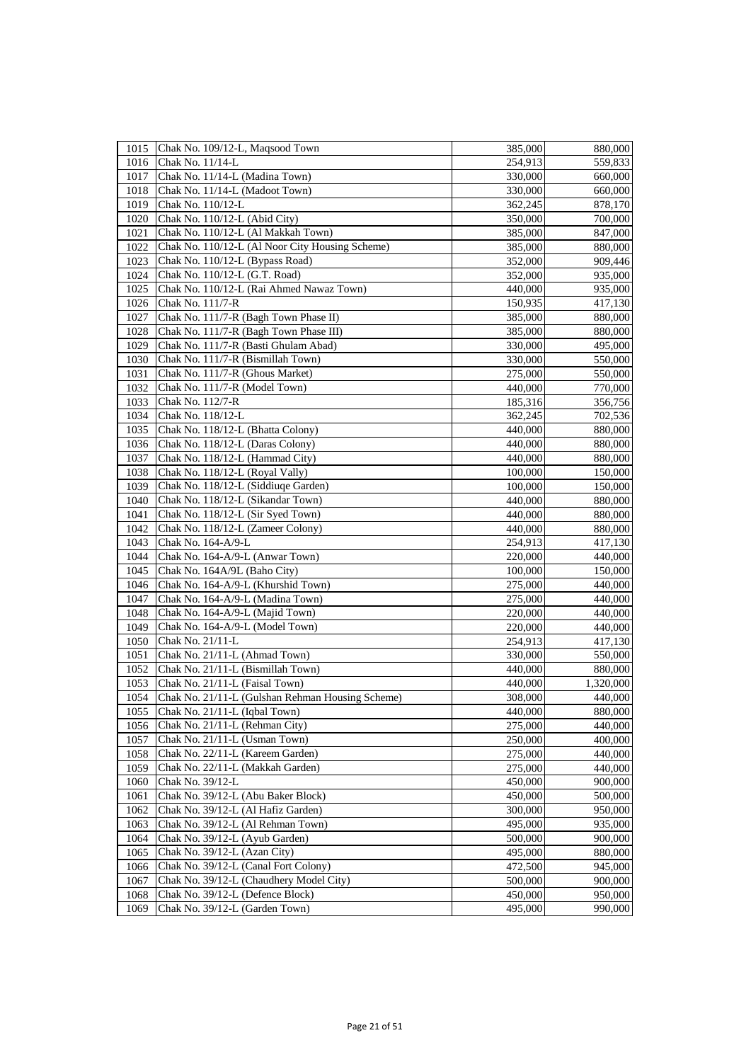| 1015 | Chak No. 109/12-L, Maqsood Town                  | 385,000 | 880,000   |
|------|--------------------------------------------------|---------|-----------|
| 1016 | Chak No. 11/14-L                                 | 254,913 | 559,833   |
| 1017 | Chak No. 11/14-L (Madina Town)                   | 330,000 | 660,000   |
| 1018 | Chak No. 11/14-L (Madoot Town)                   | 330,000 | 660,000   |
| 1019 | Chak No. 110/12-L                                | 362,245 | 878,170   |
| 1020 | Chak No. 110/12-L (Abid City)                    | 350,000 | 700,000   |
| 1021 | Chak No. 110/12-L (Al Makkah Town)               | 385,000 | 847,000   |
| 1022 | Chak No. 110/12-L (Al Noor City Housing Scheme)  | 385,000 | 880,000   |
| 1023 | Chak No. 110/12-L (Bypass Road)                  | 352,000 | 909,446   |
| 1024 | Chak No. 110/12-L (G.T. Road)                    | 352,000 | 935,000   |
| 1025 | Chak No. 110/12-L (Rai Ahmed Nawaz Town)         | 440,000 | 935,000   |
| 1026 | Chak No. 111/7-R                                 | 150,935 | 417,130   |
| 1027 | Chak No. 111/7-R (Bagh Town Phase II)            | 385,000 | 880,000   |
| 1028 | Chak No. 111/7-R (Bagh Town Phase III)           | 385,000 | 880,000   |
| 1029 | Chak No. 111/7-R (Basti Ghulam Abad)             | 330,000 | 495,000   |
| 1030 | Chak No. 111/7-R (Bismillah Town)                | 330,000 | 550,000   |
| 1031 | Chak No. 111/7-R (Ghous Market)                  | 275,000 | 550,000   |
| 1032 | Chak No. 111/7-R (Model Town)                    | 440,000 | 770,000   |
| 1033 | Chak No. 112/7-R                                 | 185,316 | 356,756   |
| 1034 | Chak No. 118/12-L                                | 362,245 | 702,536   |
| 1035 | Chak No. 118/12-L (Bhatta Colony)                | 440,000 | 880,000   |
| 1036 | Chak No. 118/12-L (Daras Colony)                 | 440,000 | 880,000   |
| 1037 | Chak No. 118/12-L (Hammad City)                  | 440,000 | 880,000   |
| 1038 | Chak No. 118/12-L (Royal Vally)                  | 100,000 | 150,000   |
| 1039 | Chak No. 118/12-L (Siddiuqe Garden)              | 100,000 | 150,000   |
| 1040 | Chak No. 118/12-L (Sikandar Town)                | 440,000 | 880,000   |
| 1041 | Chak No. 118/12-L (Sir Syed Town)                | 440,000 | 880,000   |
| 1042 | Chak No. 118/12-L (Zameer Colony)                | 440,000 | 880,000   |
| 1043 | Chak No. 164-A/9-L                               | 254,913 | 417,130   |
| 1044 | Chak No. 164-A/9-L (Anwar Town)                  | 220,000 | 440,000   |
| 1045 | Chak No. 164A/9L (Baho City)                     | 100,000 | 150,000   |
| 1046 | Chak No. 164-A/9-L (Khurshid Town)               | 275,000 | 440,000   |
| 1047 | Chak No. 164-A/9-L (Madina Town)                 | 275,000 | 440,000   |
| 1048 | Chak No. 164-A/9-L (Majid Town)                  | 220,000 | 440,000   |
| 1049 | Chak No. 164-A/9-L (Model Town)                  | 220,000 | 440,000   |
| 1050 | Chak No. 21/11-L                                 | 254,913 | 417,130   |
| 1051 | Chak No. 21/11-L (Ahmad Town)                    | 330,000 | 550,000   |
| 1052 | Chak No. 21/11-L (Bismillah Town)                | 440,000 | 880,000   |
| 1053 | Chak No. 21/11-L (Faisal Town)                   | 440,000 | 1,320,000 |
| 1054 | Chak No. 21/11-L (Gulshan Rehman Housing Scheme) | 308,000 | 440,000   |
| 1055 | Chak No. 21/11-L (Iqbal Town)                    | 440,000 | 880,000   |
| 1056 | Chak No. 21/11-L (Rehman City)                   | 275,000 | 440,000   |
| 1057 | Chak No. 21/11-L (Usman Town)                    | 250,000 | 400,000   |
| 1058 | Chak No. 22/11-L (Kareem Garden)                 | 275,000 | 440,000   |
| 1059 | Chak No. 22/11-L (Makkah Garden)                 | 275,000 | 440,000   |
| 1060 | Chak No. 39/12-L                                 | 450,000 | 900,000   |
| 1061 | Chak No. 39/12-L (Abu Baker Block)               | 450,000 | 500,000   |
| 1062 | Chak No. 39/12-L (Al Hafiz Garden)               | 300,000 | 950,000   |
| 1063 | Chak No. 39/12-L (Al Rehman Town)                | 495,000 | 935,000   |
| 1064 | Chak No. 39/12-L (Ayub Garden)                   | 500,000 | 900,000   |
| 1065 | Chak No. 39/12-L (Azan City)                     | 495,000 | 880,000   |
| 1066 | Chak No. 39/12-L (Canal Fort Colony)             | 472,500 | 945,000   |
| 1067 | Chak No. 39/12-L (Chaudhery Model City)          | 500,000 | 900,000   |
| 1068 | Chak No. 39/12-L (Defence Block)                 | 450,000 | 950,000   |
| 1069 | Chak No. 39/12-L (Garden Town)                   | 495,000 | 990,000   |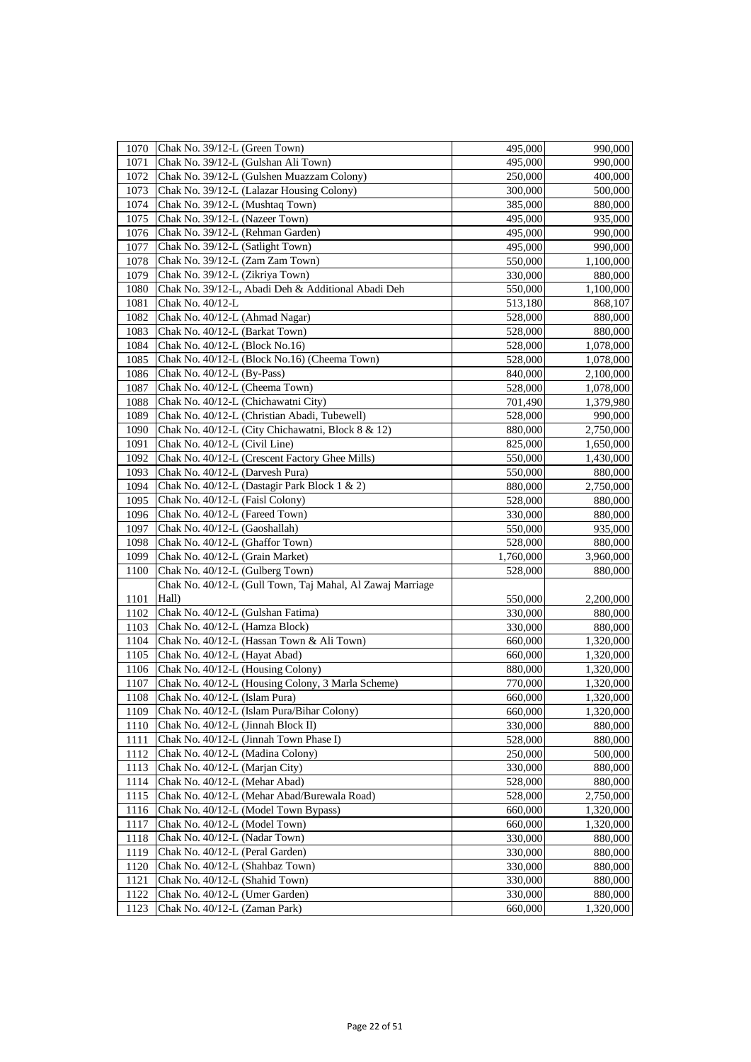| 1070 | Chak No. 39/12-L (Green Town)                             | 495,000   | 990,000   |
|------|-----------------------------------------------------------|-----------|-----------|
| 1071 | Chak No. 39/12-L (Gulshan Ali Town)                       | 495,000   | 990,000   |
| 1072 | Chak No. 39/12-L (Gulshen Muazzam Colony)                 | 250,000   | 400,000   |
| 1073 | Chak No. 39/12-L (Lalazar Housing Colony)                 | 300,000   | 500,000   |
| 1074 | Chak No. 39/12-L (Mushtaq Town)                           | 385,000   | 880,000   |
| 1075 | Chak No. 39/12-L (Nazeer Town)                            | 495,000   | 935,000   |
| 1076 | Chak No. 39/12-L (Rehman Garden)                          | 495,000   | 990,000   |
| 1077 | Chak No. 39/12-L (Satlight Town)                          | 495,000   | 990,000   |
| 1078 | Chak No. 39/12-L (Zam Zam Town)                           | 550,000   | 1,100,000 |
| 1079 | Chak No. 39/12-L (Zikriya Town)                           | 330,000   | 880,000   |
| 1080 | Chak No. 39/12-L, Abadi Deh & Additional Abadi Deh        | 550,000   | 1,100,000 |
| 1081 | Chak No. 40/12-L                                          | 513,180   | 868,107   |
| 1082 | Chak No. 40/12-L (Ahmad Nagar)                            | 528,000   | 880,000   |
| 1083 | Chak No. 40/12-L (Barkat Town)                            | 528,000   | 880,000   |
| 1084 | Chak No. 40/12-L (Block No.16)                            | 528,000   | 1,078,000 |
| 1085 | Chak No. 40/12-L (Block No.16) (Cheema Town)              | 528,000   | 1,078,000 |
| 1086 | Chak No. 40/12-L (By-Pass)                                | 840,000   | 2,100,000 |
| 1087 | Chak No. 40/12-L (Cheema Town)                            | 528,000   | 1,078,000 |
| 1088 | Chak No. 40/12-L (Chichawatni City)                       | 701,490   | 1,379,980 |
| 1089 | Chak No. 40/12-L (Christian Abadi, Tubewell)              | 528,000   | 990,000   |
| 1090 | Chak No. 40/12-L (City Chichawatni, Block 8 & 12)         | 880,000   | 2,750,000 |
| 1091 | Chak No. 40/12-L (Civil Line)                             | 825,000   | 1,650,000 |
| 1092 | Chak No. 40/12-L (Crescent Factory Ghee Mills)            | 550,000   | 1,430,000 |
| 1093 | Chak No. 40/12-L (Darvesh Pura)                           | 550,000   | 880,000   |
| 1094 | Chak No. 40/12-L (Dastagir Park Block 1 & 2)              | 880,000   | 2,750,000 |
| 1095 | Chak No. 40/12-L (Faisl Colony)                           | 528,000   | 880,000   |
| 1096 | Chak No. 40/12-L (Fareed Town)                            | 330,000   | 880,000   |
| 1097 | Chak No. 40/12-L (Gaoshallah)                             | 550,000   | 935,000   |
| 1098 | Chak No. 40/12-L (Ghaffor Town)                           | 528,000   | 880,000   |
| 1099 | Chak No. 40/12-L (Grain Market)                           | 1,760,000 | 3,960,000 |
| 1100 | Chak No. 40/12-L (Gulberg Town)                           | 528,000   | 880,000   |
|      | Chak No. 40/12-L (Gull Town, Taj Mahal, Al Zawaj Marriage |           |           |
| 1101 | Hall)                                                     | 550,000   | 2,200,000 |
| 1102 | Chak No. 40/12-L (Gulshan Fatima)                         | 330,000   | 880,000   |
| 1103 | Chak No. 40/12-L (Hamza Block)                            | 330,000   | 880,000   |
| 1104 | Chak No. 40/12-L (Hassan Town & Ali Town)                 | 660,000   | 1,320,000 |
| 1105 | Chak No. 40/12-L (Hayat Abad)                             | 660,000   | 1,320,000 |
| 1106 | Chak No. 40/12-L (Housing Colony)                         | 880,000   | 1,320,000 |
| 1107 | Chak No. 40/12-L (Housing Colony, 3 Marla Scheme)         | 770,000   | 1,320,000 |
| 1108 | Chak No. 40/12-L (Islam Pura)                             | 660,000   | 1,320,000 |
| 1109 | Chak No. 40/12-L (Islam Pura/Bihar Colony)                | 660,000   | 1,320,000 |
| 1110 | Chak No. 40/12-L (Jinnah Block II)                        | 330,000   | 880,000   |
| 1111 | Chak No. 40/12-L (Jinnah Town Phase I)                    | 528,000   | 880,000   |
| 1112 | Chak No. 40/12-L (Madina Colony)                          | 250,000   | 500,000   |
| 1113 | Chak No. 40/12-L (Marjan City)                            | 330,000   | 880,000   |
| 1114 | Chak No. 40/12-L (Mehar Abad)                             | 528,000   | 880,000   |
| 1115 | Chak No. 40/12-L (Mehar Abad/Burewala Road)               | 528,000   | 2,750,000 |
| 1116 | Chak No. 40/12-L (Model Town Bypass)                      | 660,000   | 1,320,000 |
| 1117 | Chak No. 40/12-L (Model Town)                             | 660,000   | 1,320,000 |
| 1118 | Chak No. 40/12-L (Nadar Town)                             | 330,000   | 880,000   |
| 1119 | Chak No. 40/12-L (Peral Garden)                           | 330,000   | 880,000   |
| 1120 | Chak No. 40/12-L (Shahbaz Town)                           | 330,000   | 880,000   |
| 1121 | Chak No. 40/12-L (Shahid Town)                            | 330,000   | 880,000   |
| 1122 | Chak No. 40/12-L (Umer Garden)                            | 330,000   | 880,000   |
| 1123 | Chak No. 40/12-L (Zaman Park)                             | 660,000   | 1,320,000 |
|      |                                                           |           |           |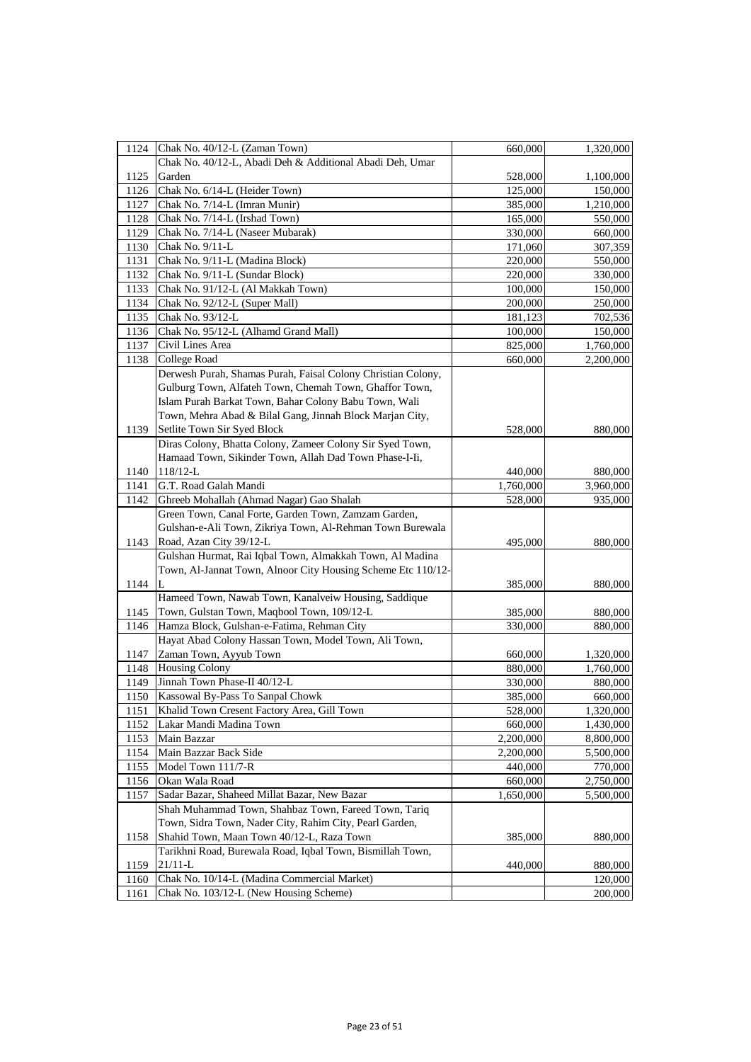| 1124 | Chak No. 40/12-L (Zaman Town)                                | 660,000   | 1,320,000              |
|------|--------------------------------------------------------------|-----------|------------------------|
|      | Chak No. 40/12-L, Abadi Deh & Additional Abadi Deh, Umar     |           |                        |
| 1125 | Garden                                                       | 528,000   | 1,100,000              |
| 1126 | Chak No. 6/14-L (Heider Town)                                | 125,000   | 150,000                |
| 1127 | Chak No. 7/14-L (Imran Munir)                                | 385,000   | 1,210,000              |
| 1128 | Chak No. 7/14-L (Irshad Town)                                | 165,000   | 550,000                |
| 1129 | Chak No. 7/14-L (Naseer Mubarak)                             | 330,000   | 660,000                |
| 1130 | Chak No. 9/11-L                                              | 171,060   | 307,359                |
| 1131 | Chak No. 9/11-L (Madina Block)                               | 220,000   | 550,000                |
| 1132 | Chak No. 9/11-L (Sundar Block)                               | 220,000   | 330,000                |
| 1133 | Chak No. 91/12-L (Al Makkah Town)                            | 100,000   | 150,000                |
| 1134 | Chak No. 92/12-L (Super Mall)                                | 200,000   | 250,000                |
| 1135 | Chak No. 93/12-L                                             | 181,123   | 702,536                |
| 1136 | Chak No. 95/12-L (Alhamd Grand Mall)                         | 100,000   | 150,000                |
| 1137 | Civil Lines Area                                             | 825,000   | 1,760,000              |
| 1138 | College Road                                                 | 660,000   | 2,200,000              |
|      | Derwesh Purah, Shamas Purah, Faisal Colony Christian Colony, |           |                        |
|      | Gulburg Town, Alfateh Town, Chemah Town, Ghaffor Town,       |           |                        |
|      | Islam Purah Barkat Town, Bahar Colony Babu Town, Wali        |           |                        |
|      | Town, Mehra Abad & Bilal Gang, Jinnah Block Marjan City,     |           |                        |
| 1139 | Setlite Town Sir Syed Block                                  | 528,000   | 880,000                |
|      | Diras Colony, Bhatta Colony, Zameer Colony Sir Syed Town,    |           |                        |
|      | Hamaad Town, Sikinder Town, Allah Dad Town Phase-I-Ii,       |           |                        |
| 1140 | $118/12-L$                                                   | 440,000   | 880,000                |
| 1141 | G.T. Road Galah Mandi                                        | 1,760,000 | 3,960,000              |
| 1142 | Ghreeb Mohallah (Ahmad Nagar) Gao Shalah                     | 528,000   | 935,000                |
|      | Green Town, Canal Forte, Garden Town, Zamzam Garden,         |           |                        |
|      | Gulshan-e-Ali Town, Zikriya Town, Al-Rehman Town Burewala    |           |                        |
| 1143 | Road, Azan City 39/12-L                                      | 495,000   | 880,000                |
|      | Gulshan Hurmat, Rai Iqbal Town, Almakkah Town, Al Madina     |           |                        |
|      | Town, Al-Jannat Town, Alnoor City Housing Scheme Etc 110/12- |           |                        |
| 1144 |                                                              | 385,000   | 880,000                |
|      | Hameed Town, Nawab Town, Kanalveiw Housing, Saddique         |           |                        |
| 1145 | Town, Gulstan Town, Maqbool Town, 109/12-L                   | 385,000   | 880,000                |
| 1146 | Hamza Block, Gulshan-e-Fatima, Rehman City                   | 330,000   | 880,000                |
|      | Hayat Abad Colony Hassan Town, Model Town, Ali Town,         |           |                        |
| 1147 | Zaman Town, Ayyub Town                                       | 660,000   | 1,320,000              |
| 1148 | <b>Housing Colony</b>                                        | 880,000   | 1,760,000              |
| 1149 | Jinnah Town Phase-II 40/12-L                                 | 330,000   | 880,000                |
| 1150 | Kassowal By-Pass To Sanpal Chowk                             | 385,000   |                        |
| 1151 | Khalid Town Cresent Factory Area, Gill Town                  | 528,000   | 660,000<br>1,320,000   |
| 1152 | Lakar Mandi Madina Town                                      |           |                        |
| 1153 | Main Bazzar                                                  | 660,000   | 1,430,000<br>8,800,000 |
|      |                                                              | 2,200,000 |                        |
| 1154 | Main Bazzar Back Side                                        | 2,200,000 | 5,500,000              |
| 1155 | Model Town 111/7-R                                           | 440,000   | 770,000                |
| 1156 | Okan Wala Road                                               | 660,000   | 2,750,000              |
| 1157 | Sadar Bazar, Shaheed Millat Bazar, New Bazar                 | 1,650,000 | 5,500,000              |
|      | Shah Muhammad Town, Shahbaz Town, Fareed Town, Tariq         |           |                        |
|      | Town, Sidra Town, Nader City, Rahim City, Pearl Garden,      |           |                        |
| 1158 | Shahid Town, Maan Town 40/12-L, Raza Town                    | 385,000   | 880,000                |
|      | Tarikhni Road, Burewala Road, Iqbal Town, Bismillah Town,    |           |                        |
| 1159 | $21/11-L$                                                    | 440,000   | 880,000                |
| 1160 | Chak No. 10/14-L (Madina Commercial Market)                  |           | 120,000                |
| 1161 | Chak No. 103/12-L (New Housing Scheme)                       |           | 200,000                |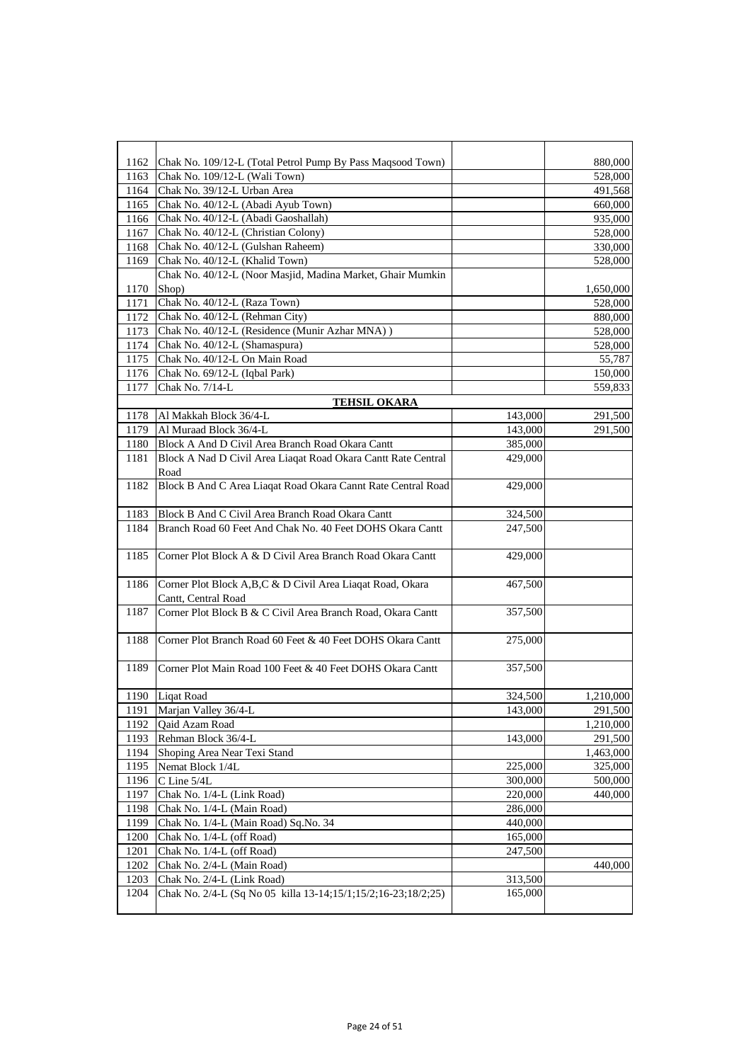| 1162         | Chak No. 109/12-L (Total Petrol Pump By Pass Maqsood Town)                                  |                    | 880,000   |
|--------------|---------------------------------------------------------------------------------------------|--------------------|-----------|
| 1163         | Chak No. 109/12-L (Wali Town)                                                               |                    | 528,000   |
| 1164         | Chak No. 39/12-L Urban Area                                                                 |                    | 491,568   |
| 1165         | Chak No. 40/12-L (Abadi Ayub Town)                                                          |                    | 660,000   |
| 1166         | Chak No. 40/12-L (Abadi Gaoshallah)                                                         |                    | 935,000   |
| 1167         | Chak No. 40/12-L (Christian Colony)                                                         |                    | 528,000   |
| 1168         | Chak No. 40/12-L (Gulshan Raheem)                                                           |                    | 330,000   |
| 1169         | Chak No. 40/12-L (Khalid Town)                                                              |                    | 528,000   |
|              | Chak No. 40/12-L (Noor Masjid, Madina Market, Ghair Mumkin                                  |                    |           |
| 1170         | Shop)                                                                                       |                    | 1,650,000 |
| 1171         | Chak No. 40/12-L (Raza Town)                                                                |                    | 528,000   |
| 1172         | Chak No. 40/12-L (Rehman City)                                                              |                    | 880,000   |
| 1173         | Chak No. 40/12-L (Residence (Munir Azhar MNA))                                              |                    | 528,000   |
| 1174         | Chak No. 40/12-L (Shamaspura)                                                               |                    | 528,000   |
| 1175         | Chak No. 40/12-L On Main Road                                                               |                    | 55,787    |
| 1176         | Chak No. 69/12-L (Iqbal Park)                                                               |                    | 150,000   |
| 1177         | Chak No. 7/14-L                                                                             |                    | 559,833   |
|              | <b>TEHSIL OKARA</b>                                                                         |                    |           |
| 1178         | Al Makkah Block 36/4-L                                                                      | 143,000            | 291,500   |
| 1179         | Al Muraad Block 36/4-L                                                                      | 143,000            | 291,500   |
| 1180         | Block A And D Civil Area Branch Road Okara Cantt                                            | 385,000            |           |
| 1181         | Block A Nad D Civil Area Liaqat Road Okara Cantt Rate Central                               | 429,000            |           |
|              | Road                                                                                        |                    |           |
| 1182         | Block B And C Area Liaqat Road Okara Cannt Rate Central Road                                | 429,000            |           |
|              |                                                                                             |                    |           |
| 1183         | Block B And C Civil Area Branch Road Okara Cantt                                            | 324,500            |           |
| 1184         | Branch Road 60 Feet And Chak No. 40 Feet DOHS Okara Cantt                                   | 247,500            |           |
|              |                                                                                             |                    |           |
| 1185         | Corner Plot Block A & D Civil Area Branch Road Okara Cantt                                  | 429,000            |           |
|              |                                                                                             |                    |           |
| 1186         | Corner Plot Block A,B,C & D Civil Area Liaqat Road, Okara                                   | 467,500            |           |
|              | Cantt, Central Road                                                                         |                    |           |
| 1187         | Corner Plot Block B & C Civil Area Branch Road, Okara Cantt                                 | 357,500            |           |
|              |                                                                                             |                    |           |
| 1188         | Corner Plot Branch Road 60 Feet & 40 Feet DOHS Okara Cantt                                  | 275,000            |           |
|              |                                                                                             |                    |           |
| 1189         | Corner Plot Main Road 100 Feet & 40 Feet DOHS Okara Cantt                                   | 357,500            |           |
|              |                                                                                             |                    |           |
|              | 1190 Liqat Road                                                                             | 324,500            | 1,210,000 |
| 1191         | Marjan Valley 36/4-L                                                                        | 143,000            | 291,500   |
| 1192         | Qaid Azam Road                                                                              |                    | 1,210,000 |
| 1193         | Rehman Block 36/4-L                                                                         | 143,000            | 291,500   |
| 1194         | Shoping Area Near Texi Stand                                                                |                    | 1,463,000 |
| 1195         | Nemat Block 1/4L                                                                            | 225,000            | 325,000   |
| 1196         | C Line 5/4L                                                                                 | 300,000            | 500,000   |
| 1197         | Chak No. 1/4-L (Link Road)                                                                  | 220,000            | 440,000   |
| 1198         | Chak No. 1/4-L (Main Road)                                                                  | 286,000            |           |
| 1199         | Chak No. 1/4-L (Main Road) Sq.No. 34                                                        | 440,000<br>165,000 |           |
| 1200         | Chak No. 1/4-L (off Road)                                                                   |                    |           |
| 1201         | Chak No. 1/4-L (off Road)                                                                   | 247,500            |           |
| 1202<br>1203 | Chak No. 2/4-L (Main Road)                                                                  | 313,500            | 440,000   |
| 1204         | Chak No. 2/4-L (Link Road)<br>Chak No. 2/4-L (Sq No 05 killa 13-14;15/1;15/2;16-23;18/2;25) | 165,000            |           |
|              |                                                                                             |                    |           |
|              |                                                                                             |                    |           |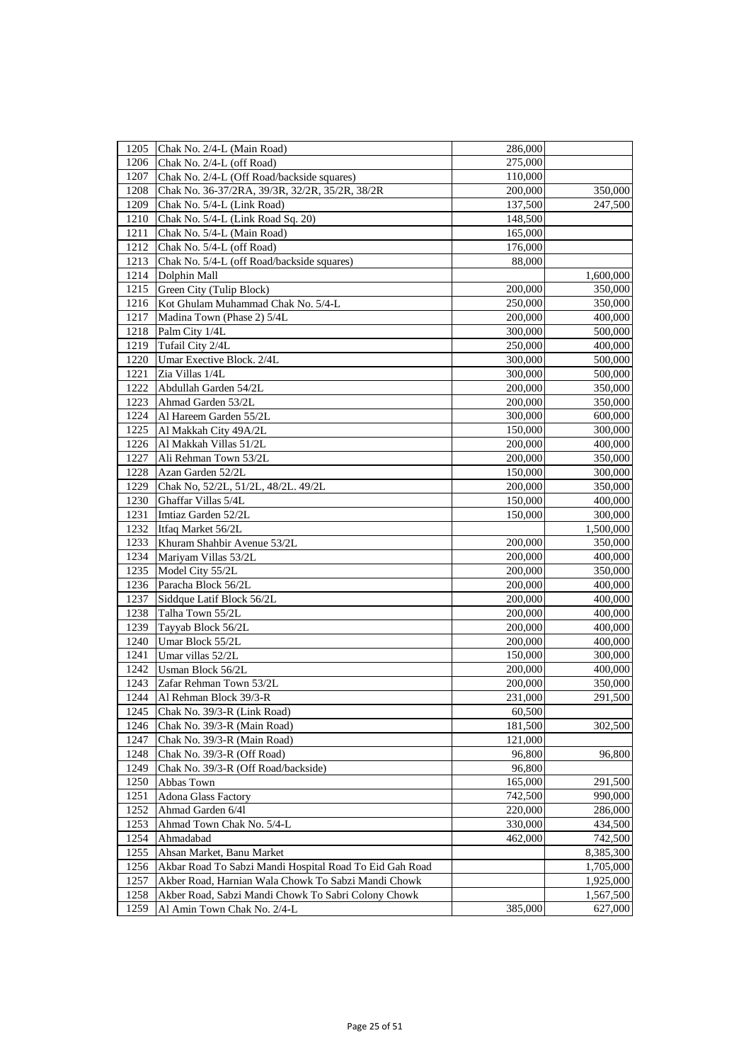| 1205 | Chak No. 2/4-L (Main Road)                              | 286,000 |           |
|------|---------------------------------------------------------|---------|-----------|
| 1206 | Chak No. 2/4-L (off Road)                               | 275,000 |           |
| 1207 | Chak No. 2/4-L (Off Road/backside squares)              | 110,000 |           |
| 1208 | Chak No. 36-37/2RA, 39/3R, 32/2R, 35/2R, 38/2R          | 200,000 | 350,000   |
| 1209 | Chak No. 5/4-L (Link Road)                              | 137,500 | 247,500   |
| 1210 | Chak No. 5/4-L (Link Road Sq. 20)                       | 148,500 |           |
| 1211 | Chak No. 5/4-L (Main Road)                              | 165,000 |           |
| 1212 | Chak No. 5/4-L (off Road)                               | 176,000 |           |
| 1213 | Chak No. 5/4-L (off Road/backside squares)              | 88,000  |           |
| 1214 | Dolphin Mall                                            |         | 1,600,000 |
| 1215 | Green City (Tulip Block)                                | 200,000 | 350,000   |
| 1216 | Kot Ghulam Muhammad Chak No. 5/4-L                      | 250,000 | 350,000   |
| 1217 | Madina Town (Phase 2) 5/4L                              | 200,000 | 400,000   |
| 1218 | Palm City 1/4L                                          | 300,000 | 500,000   |
| 1219 | Tufail City 2/4L                                        | 250,000 | 400,000   |
| 1220 | Umar Exective Block. 2/4L                               | 300,000 | 500,000   |
| 1221 | Zia Villas 1/4L                                         | 300,000 | 500,000   |
| 1222 | Abdullah Garden 54/2L                                   | 200,000 | 350,000   |
| 1223 | Ahmad Garden 53/2L                                      | 200,000 | 350,000   |
| 1224 | Al Hareem Garden 55/2L                                  | 300,000 | 600,000   |
| 1225 | Al Makkah City 49A/2L                                   | 150,000 | 300,000   |
| 1226 | Al Makkah Villas 51/2L                                  | 200,000 | 400,000   |
| 1227 | Ali Rehman Town 53/2L                                   | 200,000 | 350,000   |
| 1228 | Azan Garden 52/2L                                       | 150,000 | 300,000   |
| 1229 | Chak No, 52/2L, 51/2L, 48/2L. 49/2L                     | 200,000 | 350,000   |
| 1230 | Ghaffar Villas 5/4L                                     | 150,000 | 400,000   |
| 1231 | Imtiaz Garden 52/2L                                     | 150,000 | 300,000   |
| 1232 | Itfaq Market 56/2L                                      |         | 1,500,000 |
| 1233 | Khuram Shahbir Avenue 53/2L                             | 200,000 | 350,000   |
| 1234 | Mariyam Villas 53/2L                                    | 200,000 | 400,000   |
| 1235 | Model City 55/2L                                        | 200,000 | 350,000   |
| 1236 | Paracha Block 56/2L                                     | 200,000 | 400,000   |
| 1237 | Siddque Latif Block 56/2L                               | 200,000 | 400,000   |
| 1238 | Talha Town 55/2L                                        | 200,000 | 400,000   |
| 1239 | Tayyab Block 56/2L                                      | 200,000 | 400,000   |
| 1240 | Umar Block 55/2L                                        | 200,000 | 400,000   |
| 1241 | Umar villas 52/2L                                       | 150,000 | 300,000   |
| 1242 | Usman Block 56/2L                                       | 200,000 | 400,000   |
| 1243 | Zafar Rehman Town 53/2L                                 | 200,000 | 350,000   |
| 1244 | Al Rehman Block 39/3-R                                  | 231,000 | 291,500   |
| 1245 | Chak No. 39/3-R (Link Road)                             | 60,500  |           |
| 1246 | Chak No. 39/3-R (Main Road)                             | 181,500 | 302,500   |
| 1247 | Chak No. 39/3-R (Main Road)                             | 121,000 |           |
| 1248 | Chak No. 39/3-R (Off Road)                              | 96,800  | 96,800    |
| 1249 | Chak No. 39/3-R (Off Road/backside)                     | 96,800  |           |
| 1250 | Abbas Town                                              | 165,000 | 291,500   |
| 1251 | Adona Glass Factory                                     | 742,500 | 990,000   |
| 1252 | Ahmad Garden 6/41                                       | 220,000 | 286,000   |
| 1253 | Ahmad Town Chak No. 5/4-L                               | 330,000 | 434,500   |
| 1254 | Ahmadabad                                               | 462,000 | 742,500   |
| 1255 | Ahsan Market, Banu Market                               |         | 8,385,300 |
| 1256 | Akbar Road To Sabzi Mandi Hospital Road To Eid Gah Road |         | 1,705,000 |
| 1257 | Akber Road, Harnian Wala Chowk To Sabzi Mandi Chowk     |         | 1,925,000 |
| 1258 | Akber Road, Sabzi Mandi Chowk To Sabri Colony Chowk     |         | 1,567,500 |
| 1259 | Al Amin Town Chak No. 2/4-L                             | 385,000 | 627,000   |
|      |                                                         |         |           |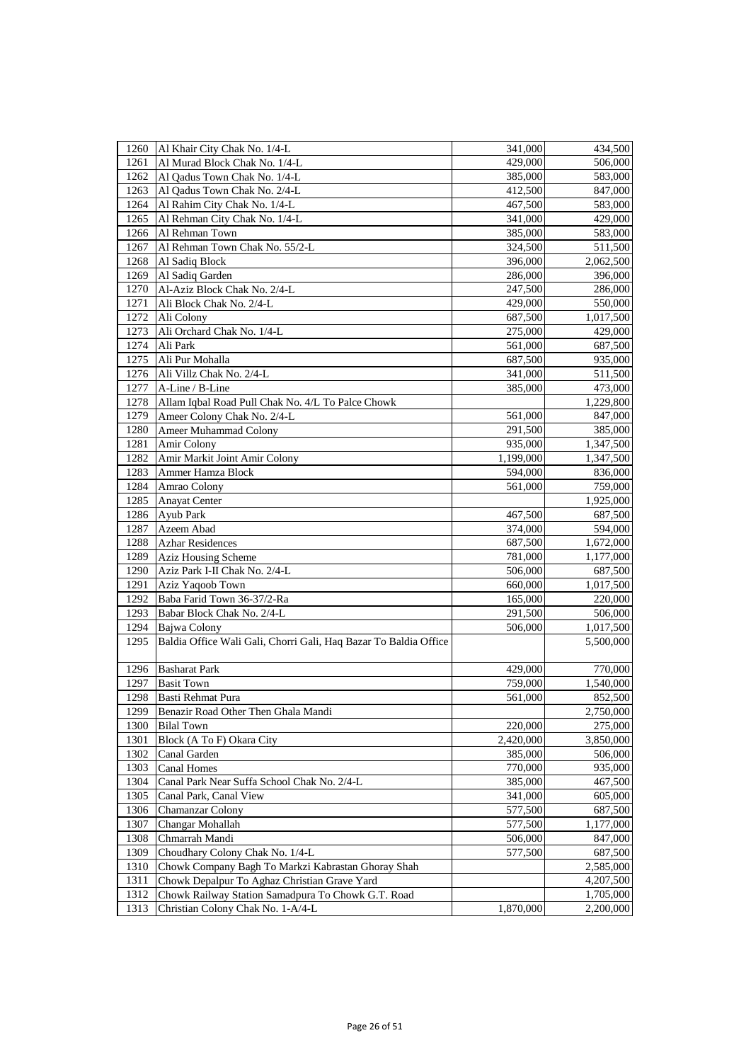| 1260 | Al Khair City Chak No. 1/4-L                                     | 341,000   | 434,500   |
|------|------------------------------------------------------------------|-----------|-----------|
| 1261 | Al Murad Block Chak No. 1/4-L                                    | 429,000   | 506,000   |
| 1262 | Al Qadus Town Chak No. 1/4-L                                     | 385,000   | 583,000   |
| 1263 | Al Qadus Town Chak No. 2/4-L                                     | 412,500   | 847,000   |
| 1264 | Al Rahim City Chak No. 1/4-L                                     | 467,500   | 583,000   |
| 1265 | Al Rehman City Chak No. 1/4-L                                    | 341,000   | 429,000   |
| 1266 | Al Rehman Town                                                   | 385,000   | 583,000   |
| 1267 | Al Rehman Town Chak No. 55/2-L                                   | 324,500   | 511,500   |
| 1268 | Al Sadiq Block                                                   | 396,000   | 2,062,500 |
| 1269 | Al Sadiq Garden                                                  | 286,000   | 396,000   |
| 1270 | Al-Aziz Block Chak No. 2/4-L                                     | 247,500   | 286,000   |
| 1271 | Ali Block Chak No. 2/4-L                                         | 429,000   | 550,000   |
| 1272 | Ali Colony                                                       | 687,500   | 1,017,500 |
| 1273 | Ali Orchard Chak No. 1/4-L                                       | 275,000   | 429,000   |
| 1274 | Ali Park                                                         | 561,000   | 687,500   |
| 1275 | Ali Pur Mohalla                                                  | 687,500   | 935,000   |
| 1276 | Ali Villz Chak No. 2/4-L                                         | 341,000   | 511,500   |
| 1277 | A-Line / B-Line                                                  | 385,000   | 473,000   |
| 1278 | Allam Iqbal Road Pull Chak No. 4/L To Palce Chowk                |           | 1,229,800 |
| 1279 | Ameer Colony Chak No. 2/4-L                                      | 561,000   | 847,000   |
| 1280 | Ameer Muhammad Colony                                            | 291,500   | 385,000   |
| 1281 | Amir Colony                                                      | 935,000   | 1,347,500 |
| 1282 | Amir Markit Joint Amir Colony                                    | 1,199,000 | 1,347,500 |
| 1283 | Ammer Hamza Block                                                | 594,000   | 836,000   |
| 1284 | Amrao Colony                                                     | 561,000   | 759,000   |
| 1285 | <b>Anayat Center</b>                                             |           | 1,925,000 |
| 1286 | Ayub Park                                                        | 467,500   | 687,500   |
| 1287 | Azeem Abad                                                       | 374,000   | 594,000   |
| 1288 | <b>Azhar Residences</b>                                          | 687,500   | 1,672,000 |
| 1289 | Aziz Housing Scheme                                              | 781,000   | 1,177,000 |
| 1290 | Aziz Park I-II Chak No. 2/4-L                                    | 506,000   | 687,500   |
| 1291 | Aziz Yaqoob Town                                                 | 660,000   | 1,017,500 |
| 1292 | Baba Farid Town 36-37/2-Ra                                       | 165,000   | 220,000   |
| 1293 | Babar Block Chak No. 2/4-L                                       | 291,500   | 506,000   |
| 1294 | Bajwa Colony                                                     | 506,000   | 1,017,500 |
| 1295 | Baldia Office Wali Gali, Chorri Gali, Haq Bazar To Baldia Office |           | 5,500,000 |
| 1296 | <b>Basharat Park</b>                                             | 429,000   | 770,000   |
| 1297 | <b>Basit Town</b>                                                | 759,000   | 1,540,000 |
| 1298 | Basti Rehmat Pura                                                | 561,000   | 852,500   |
| 1299 | Benazir Road Other Then Ghala Mandi                              |           | 2,750,000 |
| 1300 | <b>Bilal Town</b>                                                | 220,000   | 275,000   |
| 1301 | Block (A To F) Okara City                                        | 2,420,000 | 3,850,000 |
| 1302 | Canal Garden                                                     | 385,000   | 506,000   |
| 1303 | <b>Canal Homes</b>                                               | 770,000   | 935,000   |
| 1304 | Canal Park Near Suffa School Chak No. 2/4-L                      | 385,000   | 467,500   |
| 1305 | Canal Park, Canal View                                           | 341,000   | 605,000   |
| 1306 | Chamanzar Colony                                                 | 577,500   | 687,500   |
| 1307 | Changar Mohallah                                                 | 577,500   | 1,177,000 |
| 1308 | Chmarrah Mandi                                                   | 506,000   | 847,000   |
| 1309 | Choudhary Colony Chak No. 1/4-L                                  | 577,500   | 687,500   |
| 1310 | Chowk Company Bagh To Markzi Kabrastan Ghoray Shah               |           | 2,585,000 |
| 1311 | Chowk Depalpur To Aghaz Christian Grave Yard                     |           | 4,207,500 |
| 1312 | Chowk Railway Station Samadpura To Chowk G.T. Road               |           | 1,705,000 |
| 1313 | Christian Colony Chak No. 1-A/4-L                                | 1,870,000 | 2,200,000 |
|      |                                                                  |           |           |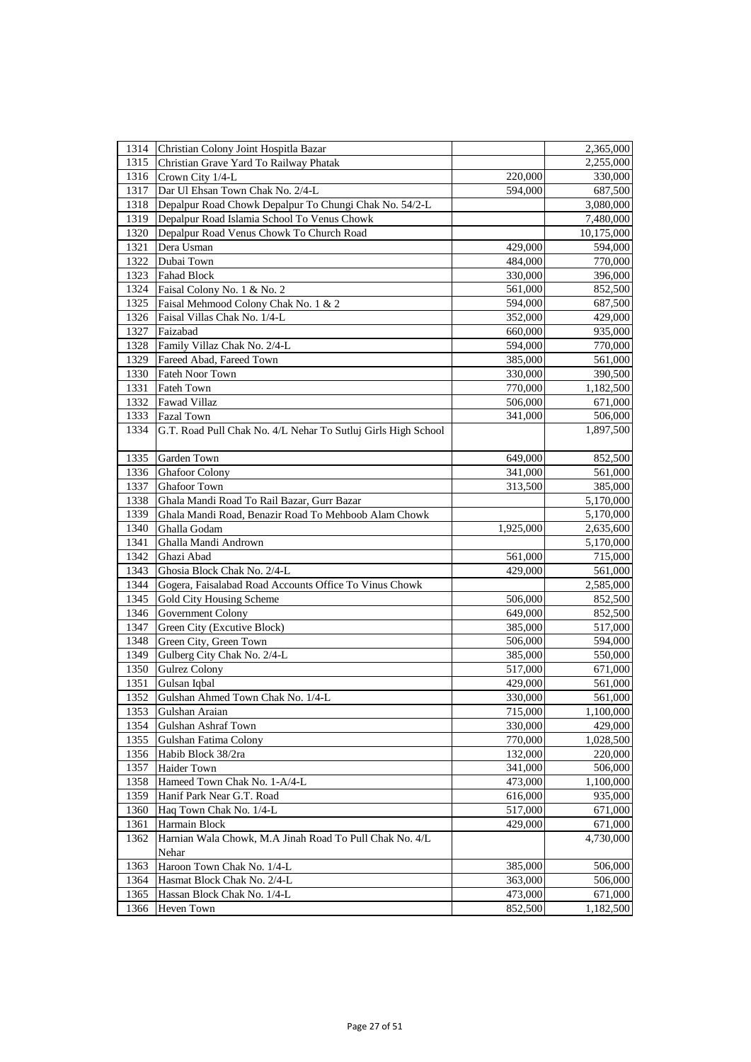| 1315<br>Christian Grave Yard To Railway Phatak<br>2,255,000<br>1316<br>Crown City 1/4-L<br>220,000<br>330,000<br>1317<br>Dar Ul Ehsan Town Chak No. 2/4-L<br>594,000<br>687,500<br>1318<br>3,080,000<br>Depalpur Road Chowk Depalpur To Chungi Chak No. 54/2-L<br>Depalpur Road Islamia School To Venus Chowk<br>1319<br>7,480,000<br>1320<br>Depalpur Road Venus Chowk To Church Road<br>10,175,000<br>1321<br>Dera Usman<br>429,000<br>594,000<br>1322<br>484,000<br>770,000<br>Dubai Town<br>1323<br><b>Fahad Block</b><br>330,000<br>396,000<br>1324<br>Faisal Colony No. 1 & No. 2<br>561,000<br>852,500<br>1325<br>Faisal Mehmood Colony Chak No. 1 & 2<br>594,000<br>687,500<br>1326<br>429,000<br>Faisal Villas Chak No. 1/4-L<br>352,000<br>1327<br>Faizabad<br>935,000<br>660,000<br>Family Villaz Chak No. 2/4-L<br>1328<br>594,000<br>770,000<br>1329<br>Fareed Abad, Fareed Town<br>385,000<br>561,000<br>1330<br>Fateh Noor Town<br>330,000<br>390,500<br>1331<br>770,000<br>1,182,500<br><b>Fateh Town</b><br>Fawad Villaz<br>1332<br>506,000<br>671,000<br><b>Fazal Town</b><br>1333<br>341,000<br>506,000<br>1334<br>G.T. Road Pull Chak No. 4/L Nehar To Sutluj Girls High School<br>1,897,500<br>Garden Town<br>1335<br>649,000<br>852,500<br>1336<br><b>Ghafoor Colony</b><br>341,000<br>561,000<br>1337<br>313,500<br>385,000<br>Ghafoor Town<br>Ghala Mandi Road To Rail Bazar, Gurr Bazar<br>1338<br>5,170,000<br>1339<br>Ghala Mandi Road, Benazir Road To Mehboob Alam Chowk<br>5,170,000<br>1340<br>Ghalla Godam<br>1,925,000<br>2,635,600<br>1341<br>Ghalla Mandi Andrown<br>5,170,000<br>1342<br>561,000<br>Ghazi Abad<br>715,000<br>1343<br>Ghosia Block Chak No. 2/4-L<br>429,000<br>561,000<br>1344<br>Gogera, Faisalabad Road Accounts Office To Vinus Chowk<br>2,585,000<br>1345<br>Gold City Housing Scheme<br>506,000<br>852,500<br>1346<br>Government Colony<br>649,000<br>852,500<br>1347<br>Green City (Excutive Block)<br>385,000<br>517,000<br>1348<br>Green City, Green Town<br>506,000<br>594,000<br>1349<br>Gulberg City Chak No. 2/4-L<br>385,000<br>550,000<br>1350<br><b>Gulrez Colony</b><br>517,000<br>671,000<br>1351<br>429,000<br>561,000<br>Gulsan Iqbal<br>1352<br>Gulshan Ahmed Town Chak No. 1/4-L<br>330,000<br>561,000<br>1353<br>Gulshan Araian<br>715,000<br>1,100,000<br>1354<br>Gulshan Ashraf Town<br>330,000<br>429,000<br>1355<br>Gulshan Fatima Colony<br>770,000<br>1,028,500<br>Habib Block 38/2ra<br>1356<br>132,000<br>220,000<br>1357<br>Haider Town<br>341,000<br>506,000<br>1358<br>Hameed Town Chak No. 1-A/4-L<br>473,000<br>1,100,000<br>1359<br>Hanif Park Near G.T. Road<br>616,000<br>935,000<br>517,000<br>1360<br>Haq Town Chak No. 1/4-L<br>671,000<br>Harmain Block<br>429,000<br>1361<br>671,000<br>Harnian Wala Chowk, M.A Jinah Road To Pull Chak No. 4/L<br>1362<br>4,730,000<br>Nehar<br>Haroon Town Chak No. 1/4-L<br>1363<br>385,000<br>506,000<br>Hasmat Block Chak No. 2/4-L<br>1364<br>363,000<br>506,000<br>1365<br>Hassan Block Chak No. 1/4-L<br>473,000<br>671,000<br>1366<br>852,500<br>1,182,500<br>Heven Town |      |                                       |           |
|------------------------------------------------------------------------------------------------------------------------------------------------------------------------------------------------------------------------------------------------------------------------------------------------------------------------------------------------------------------------------------------------------------------------------------------------------------------------------------------------------------------------------------------------------------------------------------------------------------------------------------------------------------------------------------------------------------------------------------------------------------------------------------------------------------------------------------------------------------------------------------------------------------------------------------------------------------------------------------------------------------------------------------------------------------------------------------------------------------------------------------------------------------------------------------------------------------------------------------------------------------------------------------------------------------------------------------------------------------------------------------------------------------------------------------------------------------------------------------------------------------------------------------------------------------------------------------------------------------------------------------------------------------------------------------------------------------------------------------------------------------------------------------------------------------------------------------------------------------------------------------------------------------------------------------------------------------------------------------------------------------------------------------------------------------------------------------------------------------------------------------------------------------------------------------------------------------------------------------------------------------------------------------------------------------------------------------------------------------------------------------------------------------------------------------------------------------------------------------------------------------------------------------------------------------------------------------------------------------------------------------------------------------------------------------------------------------------------------------------------------------------------------------------------------------------------------------------------------------------------------------------------------------------------------------------------------------------------------------------------------------------------------------------------------------------------------------------------------------------|------|---------------------------------------|-----------|
|                                                                                                                                                                                                                                                                                                                                                                                                                                                                                                                                                                                                                                                                                                                                                                                                                                                                                                                                                                                                                                                                                                                                                                                                                                                                                                                                                                                                                                                                                                                                                                                                                                                                                                                                                                                                                                                                                                                                                                                                                                                                                                                                                                                                                                                                                                                                                                                                                                                                                                                                                                                                                                                                                                                                                                                                                                                                                                                                                                                                                                                                                                                  | 1314 | Christian Colony Joint Hospitla Bazar | 2,365,000 |
|                                                                                                                                                                                                                                                                                                                                                                                                                                                                                                                                                                                                                                                                                                                                                                                                                                                                                                                                                                                                                                                                                                                                                                                                                                                                                                                                                                                                                                                                                                                                                                                                                                                                                                                                                                                                                                                                                                                                                                                                                                                                                                                                                                                                                                                                                                                                                                                                                                                                                                                                                                                                                                                                                                                                                                                                                                                                                                                                                                                                                                                                                                                  |      |                                       |           |
|                                                                                                                                                                                                                                                                                                                                                                                                                                                                                                                                                                                                                                                                                                                                                                                                                                                                                                                                                                                                                                                                                                                                                                                                                                                                                                                                                                                                                                                                                                                                                                                                                                                                                                                                                                                                                                                                                                                                                                                                                                                                                                                                                                                                                                                                                                                                                                                                                                                                                                                                                                                                                                                                                                                                                                                                                                                                                                                                                                                                                                                                                                                  |      |                                       |           |
|                                                                                                                                                                                                                                                                                                                                                                                                                                                                                                                                                                                                                                                                                                                                                                                                                                                                                                                                                                                                                                                                                                                                                                                                                                                                                                                                                                                                                                                                                                                                                                                                                                                                                                                                                                                                                                                                                                                                                                                                                                                                                                                                                                                                                                                                                                                                                                                                                                                                                                                                                                                                                                                                                                                                                                                                                                                                                                                                                                                                                                                                                                                  |      |                                       |           |
|                                                                                                                                                                                                                                                                                                                                                                                                                                                                                                                                                                                                                                                                                                                                                                                                                                                                                                                                                                                                                                                                                                                                                                                                                                                                                                                                                                                                                                                                                                                                                                                                                                                                                                                                                                                                                                                                                                                                                                                                                                                                                                                                                                                                                                                                                                                                                                                                                                                                                                                                                                                                                                                                                                                                                                                                                                                                                                                                                                                                                                                                                                                  |      |                                       |           |
|                                                                                                                                                                                                                                                                                                                                                                                                                                                                                                                                                                                                                                                                                                                                                                                                                                                                                                                                                                                                                                                                                                                                                                                                                                                                                                                                                                                                                                                                                                                                                                                                                                                                                                                                                                                                                                                                                                                                                                                                                                                                                                                                                                                                                                                                                                                                                                                                                                                                                                                                                                                                                                                                                                                                                                                                                                                                                                                                                                                                                                                                                                                  |      |                                       |           |
|                                                                                                                                                                                                                                                                                                                                                                                                                                                                                                                                                                                                                                                                                                                                                                                                                                                                                                                                                                                                                                                                                                                                                                                                                                                                                                                                                                                                                                                                                                                                                                                                                                                                                                                                                                                                                                                                                                                                                                                                                                                                                                                                                                                                                                                                                                                                                                                                                                                                                                                                                                                                                                                                                                                                                                                                                                                                                                                                                                                                                                                                                                                  |      |                                       |           |
|                                                                                                                                                                                                                                                                                                                                                                                                                                                                                                                                                                                                                                                                                                                                                                                                                                                                                                                                                                                                                                                                                                                                                                                                                                                                                                                                                                                                                                                                                                                                                                                                                                                                                                                                                                                                                                                                                                                                                                                                                                                                                                                                                                                                                                                                                                                                                                                                                                                                                                                                                                                                                                                                                                                                                                                                                                                                                                                                                                                                                                                                                                                  |      |                                       |           |
|                                                                                                                                                                                                                                                                                                                                                                                                                                                                                                                                                                                                                                                                                                                                                                                                                                                                                                                                                                                                                                                                                                                                                                                                                                                                                                                                                                                                                                                                                                                                                                                                                                                                                                                                                                                                                                                                                                                                                                                                                                                                                                                                                                                                                                                                                                                                                                                                                                                                                                                                                                                                                                                                                                                                                                                                                                                                                                                                                                                                                                                                                                                  |      |                                       |           |
|                                                                                                                                                                                                                                                                                                                                                                                                                                                                                                                                                                                                                                                                                                                                                                                                                                                                                                                                                                                                                                                                                                                                                                                                                                                                                                                                                                                                                                                                                                                                                                                                                                                                                                                                                                                                                                                                                                                                                                                                                                                                                                                                                                                                                                                                                                                                                                                                                                                                                                                                                                                                                                                                                                                                                                                                                                                                                                                                                                                                                                                                                                                  |      |                                       |           |
|                                                                                                                                                                                                                                                                                                                                                                                                                                                                                                                                                                                                                                                                                                                                                                                                                                                                                                                                                                                                                                                                                                                                                                                                                                                                                                                                                                                                                                                                                                                                                                                                                                                                                                                                                                                                                                                                                                                                                                                                                                                                                                                                                                                                                                                                                                                                                                                                                                                                                                                                                                                                                                                                                                                                                                                                                                                                                                                                                                                                                                                                                                                  |      |                                       |           |
|                                                                                                                                                                                                                                                                                                                                                                                                                                                                                                                                                                                                                                                                                                                                                                                                                                                                                                                                                                                                                                                                                                                                                                                                                                                                                                                                                                                                                                                                                                                                                                                                                                                                                                                                                                                                                                                                                                                                                                                                                                                                                                                                                                                                                                                                                                                                                                                                                                                                                                                                                                                                                                                                                                                                                                                                                                                                                                                                                                                                                                                                                                                  |      |                                       |           |
|                                                                                                                                                                                                                                                                                                                                                                                                                                                                                                                                                                                                                                                                                                                                                                                                                                                                                                                                                                                                                                                                                                                                                                                                                                                                                                                                                                                                                                                                                                                                                                                                                                                                                                                                                                                                                                                                                                                                                                                                                                                                                                                                                                                                                                                                                                                                                                                                                                                                                                                                                                                                                                                                                                                                                                                                                                                                                                                                                                                                                                                                                                                  |      |                                       |           |
|                                                                                                                                                                                                                                                                                                                                                                                                                                                                                                                                                                                                                                                                                                                                                                                                                                                                                                                                                                                                                                                                                                                                                                                                                                                                                                                                                                                                                                                                                                                                                                                                                                                                                                                                                                                                                                                                                                                                                                                                                                                                                                                                                                                                                                                                                                                                                                                                                                                                                                                                                                                                                                                                                                                                                                                                                                                                                                                                                                                                                                                                                                                  |      |                                       |           |
|                                                                                                                                                                                                                                                                                                                                                                                                                                                                                                                                                                                                                                                                                                                                                                                                                                                                                                                                                                                                                                                                                                                                                                                                                                                                                                                                                                                                                                                                                                                                                                                                                                                                                                                                                                                                                                                                                                                                                                                                                                                                                                                                                                                                                                                                                                                                                                                                                                                                                                                                                                                                                                                                                                                                                                                                                                                                                                                                                                                                                                                                                                                  |      |                                       |           |
|                                                                                                                                                                                                                                                                                                                                                                                                                                                                                                                                                                                                                                                                                                                                                                                                                                                                                                                                                                                                                                                                                                                                                                                                                                                                                                                                                                                                                                                                                                                                                                                                                                                                                                                                                                                                                                                                                                                                                                                                                                                                                                                                                                                                                                                                                                                                                                                                                                                                                                                                                                                                                                                                                                                                                                                                                                                                                                                                                                                                                                                                                                                  |      |                                       |           |
|                                                                                                                                                                                                                                                                                                                                                                                                                                                                                                                                                                                                                                                                                                                                                                                                                                                                                                                                                                                                                                                                                                                                                                                                                                                                                                                                                                                                                                                                                                                                                                                                                                                                                                                                                                                                                                                                                                                                                                                                                                                                                                                                                                                                                                                                                                                                                                                                                                                                                                                                                                                                                                                                                                                                                                                                                                                                                                                                                                                                                                                                                                                  |      |                                       |           |
|                                                                                                                                                                                                                                                                                                                                                                                                                                                                                                                                                                                                                                                                                                                                                                                                                                                                                                                                                                                                                                                                                                                                                                                                                                                                                                                                                                                                                                                                                                                                                                                                                                                                                                                                                                                                                                                                                                                                                                                                                                                                                                                                                                                                                                                                                                                                                                                                                                                                                                                                                                                                                                                                                                                                                                                                                                                                                                                                                                                                                                                                                                                  |      |                                       |           |
|                                                                                                                                                                                                                                                                                                                                                                                                                                                                                                                                                                                                                                                                                                                                                                                                                                                                                                                                                                                                                                                                                                                                                                                                                                                                                                                                                                                                                                                                                                                                                                                                                                                                                                                                                                                                                                                                                                                                                                                                                                                                                                                                                                                                                                                                                                                                                                                                                                                                                                                                                                                                                                                                                                                                                                                                                                                                                                                                                                                                                                                                                                                  |      |                                       |           |
|                                                                                                                                                                                                                                                                                                                                                                                                                                                                                                                                                                                                                                                                                                                                                                                                                                                                                                                                                                                                                                                                                                                                                                                                                                                                                                                                                                                                                                                                                                                                                                                                                                                                                                                                                                                                                                                                                                                                                                                                                                                                                                                                                                                                                                                                                                                                                                                                                                                                                                                                                                                                                                                                                                                                                                                                                                                                                                                                                                                                                                                                                                                  |      |                                       |           |
|                                                                                                                                                                                                                                                                                                                                                                                                                                                                                                                                                                                                                                                                                                                                                                                                                                                                                                                                                                                                                                                                                                                                                                                                                                                                                                                                                                                                                                                                                                                                                                                                                                                                                                                                                                                                                                                                                                                                                                                                                                                                                                                                                                                                                                                                                                                                                                                                                                                                                                                                                                                                                                                                                                                                                                                                                                                                                                                                                                                                                                                                                                                  |      |                                       |           |
|                                                                                                                                                                                                                                                                                                                                                                                                                                                                                                                                                                                                                                                                                                                                                                                                                                                                                                                                                                                                                                                                                                                                                                                                                                                                                                                                                                                                                                                                                                                                                                                                                                                                                                                                                                                                                                                                                                                                                                                                                                                                                                                                                                                                                                                                                                                                                                                                                                                                                                                                                                                                                                                                                                                                                                                                                                                                                                                                                                                                                                                                                                                  |      |                                       |           |
|                                                                                                                                                                                                                                                                                                                                                                                                                                                                                                                                                                                                                                                                                                                                                                                                                                                                                                                                                                                                                                                                                                                                                                                                                                                                                                                                                                                                                                                                                                                                                                                                                                                                                                                                                                                                                                                                                                                                                                                                                                                                                                                                                                                                                                                                                                                                                                                                                                                                                                                                                                                                                                                                                                                                                                                                                                                                                                                                                                                                                                                                                                                  |      |                                       |           |
|                                                                                                                                                                                                                                                                                                                                                                                                                                                                                                                                                                                                                                                                                                                                                                                                                                                                                                                                                                                                                                                                                                                                                                                                                                                                                                                                                                                                                                                                                                                                                                                                                                                                                                                                                                                                                                                                                                                                                                                                                                                                                                                                                                                                                                                                                                                                                                                                                                                                                                                                                                                                                                                                                                                                                                                                                                                                                                                                                                                                                                                                                                                  |      |                                       |           |
|                                                                                                                                                                                                                                                                                                                                                                                                                                                                                                                                                                                                                                                                                                                                                                                                                                                                                                                                                                                                                                                                                                                                                                                                                                                                                                                                                                                                                                                                                                                                                                                                                                                                                                                                                                                                                                                                                                                                                                                                                                                                                                                                                                                                                                                                                                                                                                                                                                                                                                                                                                                                                                                                                                                                                                                                                                                                                                                                                                                                                                                                                                                  |      |                                       |           |
|                                                                                                                                                                                                                                                                                                                                                                                                                                                                                                                                                                                                                                                                                                                                                                                                                                                                                                                                                                                                                                                                                                                                                                                                                                                                                                                                                                                                                                                                                                                                                                                                                                                                                                                                                                                                                                                                                                                                                                                                                                                                                                                                                                                                                                                                                                                                                                                                                                                                                                                                                                                                                                                                                                                                                                                                                                                                                                                                                                                                                                                                                                                  |      |                                       |           |
|                                                                                                                                                                                                                                                                                                                                                                                                                                                                                                                                                                                                                                                                                                                                                                                                                                                                                                                                                                                                                                                                                                                                                                                                                                                                                                                                                                                                                                                                                                                                                                                                                                                                                                                                                                                                                                                                                                                                                                                                                                                                                                                                                                                                                                                                                                                                                                                                                                                                                                                                                                                                                                                                                                                                                                                                                                                                                                                                                                                                                                                                                                                  |      |                                       |           |
|                                                                                                                                                                                                                                                                                                                                                                                                                                                                                                                                                                                                                                                                                                                                                                                                                                                                                                                                                                                                                                                                                                                                                                                                                                                                                                                                                                                                                                                                                                                                                                                                                                                                                                                                                                                                                                                                                                                                                                                                                                                                                                                                                                                                                                                                                                                                                                                                                                                                                                                                                                                                                                                                                                                                                                                                                                                                                                                                                                                                                                                                                                                  |      |                                       |           |
|                                                                                                                                                                                                                                                                                                                                                                                                                                                                                                                                                                                                                                                                                                                                                                                                                                                                                                                                                                                                                                                                                                                                                                                                                                                                                                                                                                                                                                                                                                                                                                                                                                                                                                                                                                                                                                                                                                                                                                                                                                                                                                                                                                                                                                                                                                                                                                                                                                                                                                                                                                                                                                                                                                                                                                                                                                                                                                                                                                                                                                                                                                                  |      |                                       |           |
|                                                                                                                                                                                                                                                                                                                                                                                                                                                                                                                                                                                                                                                                                                                                                                                                                                                                                                                                                                                                                                                                                                                                                                                                                                                                                                                                                                                                                                                                                                                                                                                                                                                                                                                                                                                                                                                                                                                                                                                                                                                                                                                                                                                                                                                                                                                                                                                                                                                                                                                                                                                                                                                                                                                                                                                                                                                                                                                                                                                                                                                                                                                  |      |                                       |           |
|                                                                                                                                                                                                                                                                                                                                                                                                                                                                                                                                                                                                                                                                                                                                                                                                                                                                                                                                                                                                                                                                                                                                                                                                                                                                                                                                                                                                                                                                                                                                                                                                                                                                                                                                                                                                                                                                                                                                                                                                                                                                                                                                                                                                                                                                                                                                                                                                                                                                                                                                                                                                                                                                                                                                                                                                                                                                                                                                                                                                                                                                                                                  |      |                                       |           |
|                                                                                                                                                                                                                                                                                                                                                                                                                                                                                                                                                                                                                                                                                                                                                                                                                                                                                                                                                                                                                                                                                                                                                                                                                                                                                                                                                                                                                                                                                                                                                                                                                                                                                                                                                                                                                                                                                                                                                                                                                                                                                                                                                                                                                                                                                                                                                                                                                                                                                                                                                                                                                                                                                                                                                                                                                                                                                                                                                                                                                                                                                                                  |      |                                       |           |
|                                                                                                                                                                                                                                                                                                                                                                                                                                                                                                                                                                                                                                                                                                                                                                                                                                                                                                                                                                                                                                                                                                                                                                                                                                                                                                                                                                                                                                                                                                                                                                                                                                                                                                                                                                                                                                                                                                                                                                                                                                                                                                                                                                                                                                                                                                                                                                                                                                                                                                                                                                                                                                                                                                                                                                                                                                                                                                                                                                                                                                                                                                                  |      |                                       |           |
|                                                                                                                                                                                                                                                                                                                                                                                                                                                                                                                                                                                                                                                                                                                                                                                                                                                                                                                                                                                                                                                                                                                                                                                                                                                                                                                                                                                                                                                                                                                                                                                                                                                                                                                                                                                                                                                                                                                                                                                                                                                                                                                                                                                                                                                                                                                                                                                                                                                                                                                                                                                                                                                                                                                                                                                                                                                                                                                                                                                                                                                                                                                  |      |                                       |           |
|                                                                                                                                                                                                                                                                                                                                                                                                                                                                                                                                                                                                                                                                                                                                                                                                                                                                                                                                                                                                                                                                                                                                                                                                                                                                                                                                                                                                                                                                                                                                                                                                                                                                                                                                                                                                                                                                                                                                                                                                                                                                                                                                                                                                                                                                                                                                                                                                                                                                                                                                                                                                                                                                                                                                                                                                                                                                                                                                                                                                                                                                                                                  |      |                                       |           |
|                                                                                                                                                                                                                                                                                                                                                                                                                                                                                                                                                                                                                                                                                                                                                                                                                                                                                                                                                                                                                                                                                                                                                                                                                                                                                                                                                                                                                                                                                                                                                                                                                                                                                                                                                                                                                                                                                                                                                                                                                                                                                                                                                                                                                                                                                                                                                                                                                                                                                                                                                                                                                                                                                                                                                                                                                                                                                                                                                                                                                                                                                                                  |      |                                       |           |
|                                                                                                                                                                                                                                                                                                                                                                                                                                                                                                                                                                                                                                                                                                                                                                                                                                                                                                                                                                                                                                                                                                                                                                                                                                                                                                                                                                                                                                                                                                                                                                                                                                                                                                                                                                                                                                                                                                                                                                                                                                                                                                                                                                                                                                                                                                                                                                                                                                                                                                                                                                                                                                                                                                                                                                                                                                                                                                                                                                                                                                                                                                                  |      |                                       |           |
|                                                                                                                                                                                                                                                                                                                                                                                                                                                                                                                                                                                                                                                                                                                                                                                                                                                                                                                                                                                                                                                                                                                                                                                                                                                                                                                                                                                                                                                                                                                                                                                                                                                                                                                                                                                                                                                                                                                                                                                                                                                                                                                                                                                                                                                                                                                                                                                                                                                                                                                                                                                                                                                                                                                                                                                                                                                                                                                                                                                                                                                                                                                  |      |                                       |           |
|                                                                                                                                                                                                                                                                                                                                                                                                                                                                                                                                                                                                                                                                                                                                                                                                                                                                                                                                                                                                                                                                                                                                                                                                                                                                                                                                                                                                                                                                                                                                                                                                                                                                                                                                                                                                                                                                                                                                                                                                                                                                                                                                                                                                                                                                                                                                                                                                                                                                                                                                                                                                                                                                                                                                                                                                                                                                                                                                                                                                                                                                                                                  |      |                                       |           |
|                                                                                                                                                                                                                                                                                                                                                                                                                                                                                                                                                                                                                                                                                                                                                                                                                                                                                                                                                                                                                                                                                                                                                                                                                                                                                                                                                                                                                                                                                                                                                                                                                                                                                                                                                                                                                                                                                                                                                                                                                                                                                                                                                                                                                                                                                                                                                                                                                                                                                                                                                                                                                                                                                                                                                                                                                                                                                                                                                                                                                                                                                                                  |      |                                       |           |
|                                                                                                                                                                                                                                                                                                                                                                                                                                                                                                                                                                                                                                                                                                                                                                                                                                                                                                                                                                                                                                                                                                                                                                                                                                                                                                                                                                                                                                                                                                                                                                                                                                                                                                                                                                                                                                                                                                                                                                                                                                                                                                                                                                                                                                                                                                                                                                                                                                                                                                                                                                                                                                                                                                                                                                                                                                                                                                                                                                                                                                                                                                                  |      |                                       |           |
|                                                                                                                                                                                                                                                                                                                                                                                                                                                                                                                                                                                                                                                                                                                                                                                                                                                                                                                                                                                                                                                                                                                                                                                                                                                                                                                                                                                                                                                                                                                                                                                                                                                                                                                                                                                                                                                                                                                                                                                                                                                                                                                                                                                                                                                                                                                                                                                                                                                                                                                                                                                                                                                                                                                                                                                                                                                                                                                                                                                                                                                                                                                  |      |                                       |           |
|                                                                                                                                                                                                                                                                                                                                                                                                                                                                                                                                                                                                                                                                                                                                                                                                                                                                                                                                                                                                                                                                                                                                                                                                                                                                                                                                                                                                                                                                                                                                                                                                                                                                                                                                                                                                                                                                                                                                                                                                                                                                                                                                                                                                                                                                                                                                                                                                                                                                                                                                                                                                                                                                                                                                                                                                                                                                                                                                                                                                                                                                                                                  |      |                                       |           |
|                                                                                                                                                                                                                                                                                                                                                                                                                                                                                                                                                                                                                                                                                                                                                                                                                                                                                                                                                                                                                                                                                                                                                                                                                                                                                                                                                                                                                                                                                                                                                                                                                                                                                                                                                                                                                                                                                                                                                                                                                                                                                                                                                                                                                                                                                                                                                                                                                                                                                                                                                                                                                                                                                                                                                                                                                                                                                                                                                                                                                                                                                                                  |      |                                       |           |
|                                                                                                                                                                                                                                                                                                                                                                                                                                                                                                                                                                                                                                                                                                                                                                                                                                                                                                                                                                                                                                                                                                                                                                                                                                                                                                                                                                                                                                                                                                                                                                                                                                                                                                                                                                                                                                                                                                                                                                                                                                                                                                                                                                                                                                                                                                                                                                                                                                                                                                                                                                                                                                                                                                                                                                                                                                                                                                                                                                                                                                                                                                                  |      |                                       |           |
|                                                                                                                                                                                                                                                                                                                                                                                                                                                                                                                                                                                                                                                                                                                                                                                                                                                                                                                                                                                                                                                                                                                                                                                                                                                                                                                                                                                                                                                                                                                                                                                                                                                                                                                                                                                                                                                                                                                                                                                                                                                                                                                                                                                                                                                                                                                                                                                                                                                                                                                                                                                                                                                                                                                                                                                                                                                                                                                                                                                                                                                                                                                  |      |                                       |           |
|                                                                                                                                                                                                                                                                                                                                                                                                                                                                                                                                                                                                                                                                                                                                                                                                                                                                                                                                                                                                                                                                                                                                                                                                                                                                                                                                                                                                                                                                                                                                                                                                                                                                                                                                                                                                                                                                                                                                                                                                                                                                                                                                                                                                                                                                                                                                                                                                                                                                                                                                                                                                                                                                                                                                                                                                                                                                                                                                                                                                                                                                                                                  |      |                                       |           |
|                                                                                                                                                                                                                                                                                                                                                                                                                                                                                                                                                                                                                                                                                                                                                                                                                                                                                                                                                                                                                                                                                                                                                                                                                                                                                                                                                                                                                                                                                                                                                                                                                                                                                                                                                                                                                                                                                                                                                                                                                                                                                                                                                                                                                                                                                                                                                                                                                                                                                                                                                                                                                                                                                                                                                                                                                                                                                                                                                                                                                                                                                                                  |      |                                       |           |
|                                                                                                                                                                                                                                                                                                                                                                                                                                                                                                                                                                                                                                                                                                                                                                                                                                                                                                                                                                                                                                                                                                                                                                                                                                                                                                                                                                                                                                                                                                                                                                                                                                                                                                                                                                                                                                                                                                                                                                                                                                                                                                                                                                                                                                                                                                                                                                                                                                                                                                                                                                                                                                                                                                                                                                                                                                                                                                                                                                                                                                                                                                                  |      |                                       |           |
|                                                                                                                                                                                                                                                                                                                                                                                                                                                                                                                                                                                                                                                                                                                                                                                                                                                                                                                                                                                                                                                                                                                                                                                                                                                                                                                                                                                                                                                                                                                                                                                                                                                                                                                                                                                                                                                                                                                                                                                                                                                                                                                                                                                                                                                                                                                                                                                                                                                                                                                                                                                                                                                                                                                                                                                                                                                                                                                                                                                                                                                                                                                  |      |                                       |           |
|                                                                                                                                                                                                                                                                                                                                                                                                                                                                                                                                                                                                                                                                                                                                                                                                                                                                                                                                                                                                                                                                                                                                                                                                                                                                                                                                                                                                                                                                                                                                                                                                                                                                                                                                                                                                                                                                                                                                                                                                                                                                                                                                                                                                                                                                                                                                                                                                                                                                                                                                                                                                                                                                                                                                                                                                                                                                                                                                                                                                                                                                                                                  |      |                                       |           |
|                                                                                                                                                                                                                                                                                                                                                                                                                                                                                                                                                                                                                                                                                                                                                                                                                                                                                                                                                                                                                                                                                                                                                                                                                                                                                                                                                                                                                                                                                                                                                                                                                                                                                                                                                                                                                                                                                                                                                                                                                                                                                                                                                                                                                                                                                                                                                                                                                                                                                                                                                                                                                                                                                                                                                                                                                                                                                                                                                                                                                                                                                                                  |      |                                       |           |
|                                                                                                                                                                                                                                                                                                                                                                                                                                                                                                                                                                                                                                                                                                                                                                                                                                                                                                                                                                                                                                                                                                                                                                                                                                                                                                                                                                                                                                                                                                                                                                                                                                                                                                                                                                                                                                                                                                                                                                                                                                                                                                                                                                                                                                                                                                                                                                                                                                                                                                                                                                                                                                                                                                                                                                                                                                                                                                                                                                                                                                                                                                                  |      |                                       |           |
|                                                                                                                                                                                                                                                                                                                                                                                                                                                                                                                                                                                                                                                                                                                                                                                                                                                                                                                                                                                                                                                                                                                                                                                                                                                                                                                                                                                                                                                                                                                                                                                                                                                                                                                                                                                                                                                                                                                                                                                                                                                                                                                                                                                                                                                                                                                                                                                                                                                                                                                                                                                                                                                                                                                                                                                                                                                                                                                                                                                                                                                                                                                  |      |                                       |           |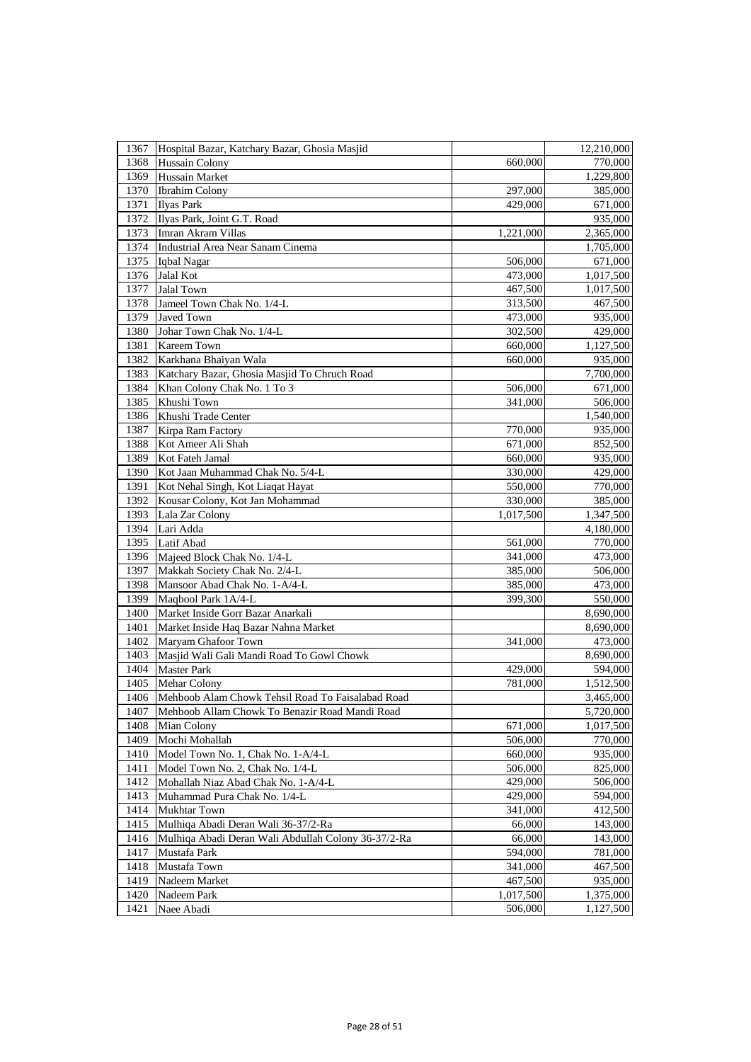| 1367 | Hospital Bazar, Katchary Bazar, Ghosia Masjid       |           | 12,210,000 |
|------|-----------------------------------------------------|-----------|------------|
| 1368 | Hussain Colony                                      | 660,000   | 770,000    |
| 1369 | Hussain Market                                      |           | 1,229,800  |
| 1370 | <b>Ibrahim Colony</b>                               | 297,000   | 385,000    |
| 1371 | <b>Ilyas Park</b>                                   | 429,000   | 671,000    |
| 1372 | Ilyas Park, Joint G.T. Road                         |           | 935,000    |
| 1373 | Imran Akram Villas                                  | 1,221,000 | 2,365,000  |
| 1374 | Industrial Area Near Sanam Cinema                   |           | 1,705,000  |
| 1375 | Iqbal Nagar                                         | 506,000   | 671,000    |
| 1376 | Jalal Kot                                           | 473,000   | 1,017,500  |
| 1377 | Jalal Town                                          | 467,500   | 1,017,500  |
| 1378 | Jameel Town Chak No. 1/4-L                          | 313,500   | 467,500    |
| 1379 | <b>Javed Town</b>                                   | 473,000   | 935,000    |
| 1380 | Johar Town Chak No. 1/4-L                           | 302,500   | 429,000    |
| 1381 | Kareem Town                                         | 660,000   | 1,127,500  |
| 1382 | Karkhana Bhaiyan Wala                               | 660,000   | 935,000    |
| 1383 | Katchary Bazar, Ghosia Masjid To Chruch Road        |           | 7,700,000  |
| 1384 | Khan Colony Chak No. 1 To 3                         | 506,000   | 671,000    |
| 1385 | Khushi Town                                         | 341,000   | 506,000    |
| 1386 | Khushi Trade Center                                 |           | 1,540,000  |
| 1387 | Kirpa Ram Factory                                   | 770,000   | 935,000    |
| 1388 | Kot Ameer Ali Shah                                  | 671,000   | 852,500    |
| 1389 | Kot Fateh Jamal                                     | 660,000   | 935,000    |
| 1390 | Kot Jaan Muhammad Chak No. 5/4-L                    | 330,000   | 429,000    |
| 1391 | Kot Nehal Singh, Kot Liaqat Hayat                   | 550,000   | 770,000    |
| 1392 | Kousar Colony, Kot Jan Mohammad                     | 330,000   | 385,000    |
| 1393 | Lala Zar Colony                                     | 1,017,500 | 1,347,500  |
| 1394 | Lari Adda                                           |           | 4,180,000  |
| 1395 | Latif Abad                                          | 561,000   | 770,000    |
| 1396 | Majeed Block Chak No. 1/4-L                         | 341,000   | 473,000    |
| 1397 | Makkah Society Chak No. 2/4-L                       | 385,000   | 506,000    |
| 1398 | Mansoor Abad Chak No. 1-A/4-L                       | 385,000   | 473,000    |
| 1399 | Maqbool Park 1A/4-L                                 | 399,300   | 550,000    |
| 1400 | Market Inside Gorr Bazar Anarkali                   |           | 8,690,000  |
| 1401 | Market Inside Haq Bazar Nahna Market                |           | 8,690,000  |
| 1402 | Maryam Ghafoor Town                                 | 341,000   | 473,000    |
| 1403 | Masjid Wali Gali Mandi Road To Gowl Chowk           |           | 8,690,000  |
| 1404 | <b>Master Park</b>                                  | 429,000   | 594,000    |
| 1405 | Mehar Colony                                        | 781,000   | 1,512,500  |
| 1406 | Mehboob Alam Chowk Tehsil Road To Faisalabad Road   |           | 3,465,000  |
| 1407 | Mehboob Allam Chowk To Benazir Road Mandi Road      |           | 5,720,000  |
| 1408 | Mian Colony                                         | 671,000   | 1,017,500  |
| 1409 | Mochi Mohallah                                      | 506,000   | 770,000    |
| 1410 | Model Town No. 1, Chak No. 1-A/4-L                  | 660,000   | 935,000    |
| 1411 | Model Town No. 2, Chak No. 1/4-L                    | 506,000   | 825,000    |
| 1412 | Mohallah Niaz Abad Chak No. 1-A/4-L                 | 429,000   | 506,000    |
| 1413 | Muhammad Pura Chak No. 1/4-L                        | 429,000   | 594,000    |
| 1414 | Mukhtar Town                                        | 341,000   | 412,500    |
| 1415 | Mulhiqa Abadi Deran Wali 36-37/2-Ra                 | 66,000    | 143,000    |
| 1416 | Mulhiqa Abadi Deran Wali Abdullah Colony 36-37/2-Ra | 66,000    | 143,000    |
| 1417 | Mustafa Park                                        | 594,000   | 781,000    |
| 1418 | Mustafa Town                                        | 341,000   | 467,500    |
| 1419 | Nadeem Market                                       | 467,500   | 935,000    |
| 1420 | Nadeem Park                                         | 1,017,500 | 1,375,000  |
| 1421 | Naee Abadi                                          | 506,000   | 1,127,500  |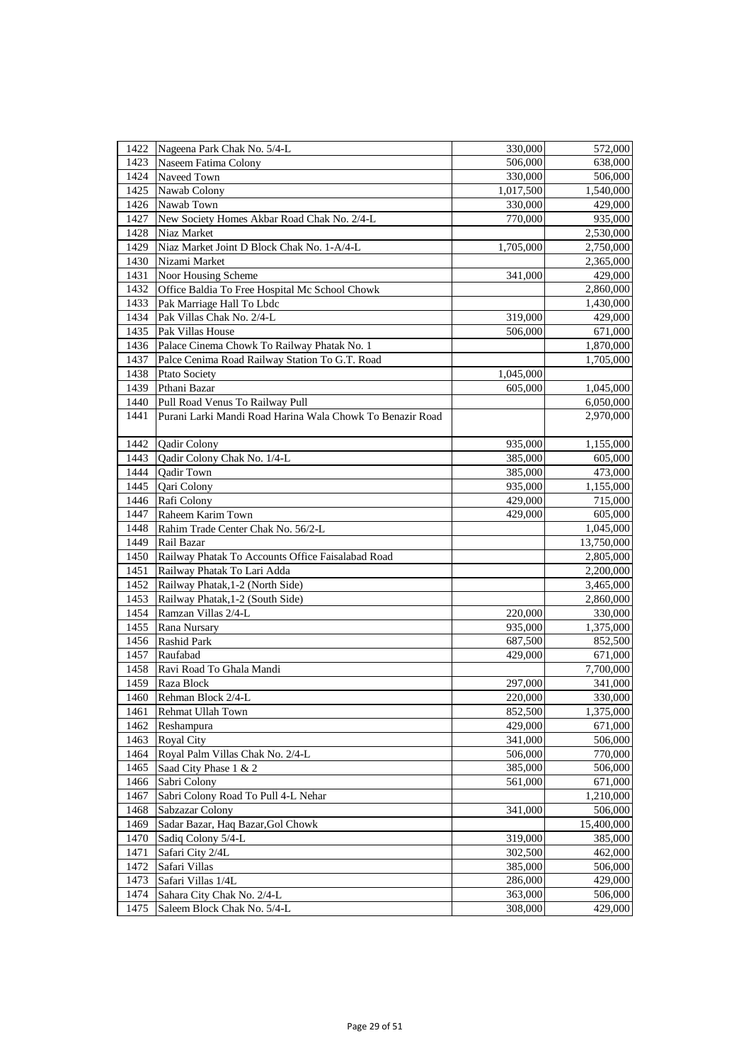| 1422 | Nageena Park Chak No. 5/4-L                               | 330,000   | 572,000    |
|------|-----------------------------------------------------------|-----------|------------|
| 1423 | Naseem Fatima Colony                                      | 506,000   | 638,000    |
| 1424 | Naveed Town                                               | 330,000   | 506,000    |
| 1425 | Nawab Colony                                              | 1,017,500 | 1,540,000  |
| 1426 | Nawab Town                                                | 330,000   | 429,000    |
| 1427 | New Society Homes Akbar Road Chak No. 2/4-L               | 770,000   | 935,000    |
| 1428 | Niaz Market                                               |           | 2,530,000  |
| 1429 | Niaz Market Joint D Block Chak No. 1-A/4-L                | 1,705,000 | 2,750,000  |
| 1430 | Nizami Market                                             |           | 2,365,000  |
| 1431 | Noor Housing Scheme                                       | 341,000   | 429,000    |
| 1432 | Office Baldia To Free Hospital Mc School Chowk            |           | 2,860,000  |
| 1433 | Pak Marriage Hall To Lbdc                                 |           | 1,430,000  |
| 1434 | Pak Villas Chak No. 2/4-L                                 | 319,000   | 429,000    |
| 1435 | Pak Villas House                                          | 506,000   | 671,000    |
| 1436 | Palace Cinema Chowk To Railway Phatak No. 1               |           | 1,870,000  |
| 1437 | Palce Cenima Road Railway Station To G.T. Road            |           | 1,705,000  |
| 1438 | <b>Ptato Society</b>                                      | 1,045,000 |            |
| 1439 | Pthani Bazar                                              | 605,000   | 1,045,000  |
| 1440 | Pull Road Venus To Railway Pull                           |           | 6,050,000  |
| 1441 | Purani Larki Mandi Road Harina Wala Chowk To Benazir Road |           | 2,970,000  |
|      |                                                           |           |            |
| 1442 | Qadir Colony                                              | 935,000   | 1,155,000  |
| 1443 | Qadir Colony Chak No. 1/4-L                               | 385,000   | 605,000    |
| 1444 | Qadir Town                                                | 385,000   | 473,000    |
| 1445 | Qari Colony                                               | 935,000   | 1,155,000  |
| 1446 | Rafi Colony                                               | 429,000   | 715,000    |
| 1447 | Raheem Karim Town                                         | 429,000   | 605,000    |
| 1448 | Rahim Trade Center Chak No. 56/2-L                        |           | 1,045,000  |
| 1449 | Rail Bazar                                                |           | 13,750,000 |
| 1450 | Railway Phatak To Accounts Office Faisalabad Road         |           | 2,805,000  |
| 1451 | Railway Phatak To Lari Adda                               |           | 2,200,000  |
| 1452 | Railway Phatak, 1-2 (North Side)                          |           | 3,465,000  |
| 1453 | Railway Phatak, 1-2 (South Side)                          |           | 2,860,000  |
| 1454 | Ramzan Villas 2/4-L                                       | 220,000   | 330,000    |
| 1455 | Rana Nursary                                              | 935,000   | 1,375,000  |
| 1456 | <b>Rashid Park</b>                                        | 687,500   | 852,500    |
| 1457 | Raufabad                                                  | 429,000   | 671,000    |
| 1458 | Ravi Road To Ghala Mandi                                  |           | 7,700,000  |
| 1459 | Raza Block                                                | 297,000   | 341,000    |
| 1460 | Rehman Block 2/4-L                                        | 220,000   | 330,000    |
| 1461 | Rehmat Ullah Town                                         | 852,500   | 1,375,000  |
| 1462 | Reshampura                                                | 429,000   | 671,000    |
| 1463 | <b>Royal City</b>                                         | 341,000   | 506,000    |
| 1464 | Royal Palm Villas Chak No. 2/4-L                          | 506,000   | 770,000    |
| 1465 | Saad City Phase 1 & 2                                     | 385,000   | 506,000    |
| 1466 | Sabri Colony                                              | 561,000   | 671,000    |
| 1467 | Sabri Colony Road To Pull 4-L Nehar                       |           | 1,210,000  |
| 1468 | Sabzazar Colony                                           | 341,000   | 506,000    |
| 1469 | Sadar Bazar, Haq Bazar, Gol Chowk                         |           | 15,400,000 |
| 1470 | Sadiq Colony 5/4-L                                        | 319,000   | 385,000    |
| 1471 | Safari City 2/4L                                          | 302,500   | 462,000    |
| 1472 | Safari Villas                                             | 385,000   | 506,000    |
| 1473 | Safari Villas 1/4L                                        | 286,000   | 429,000    |
| 1474 | Sahara City Chak No. 2/4-L                                | 363,000   | 506,000    |
| 1475 | Saleem Block Chak No. 5/4-L                               | 308,000   | 429,000    |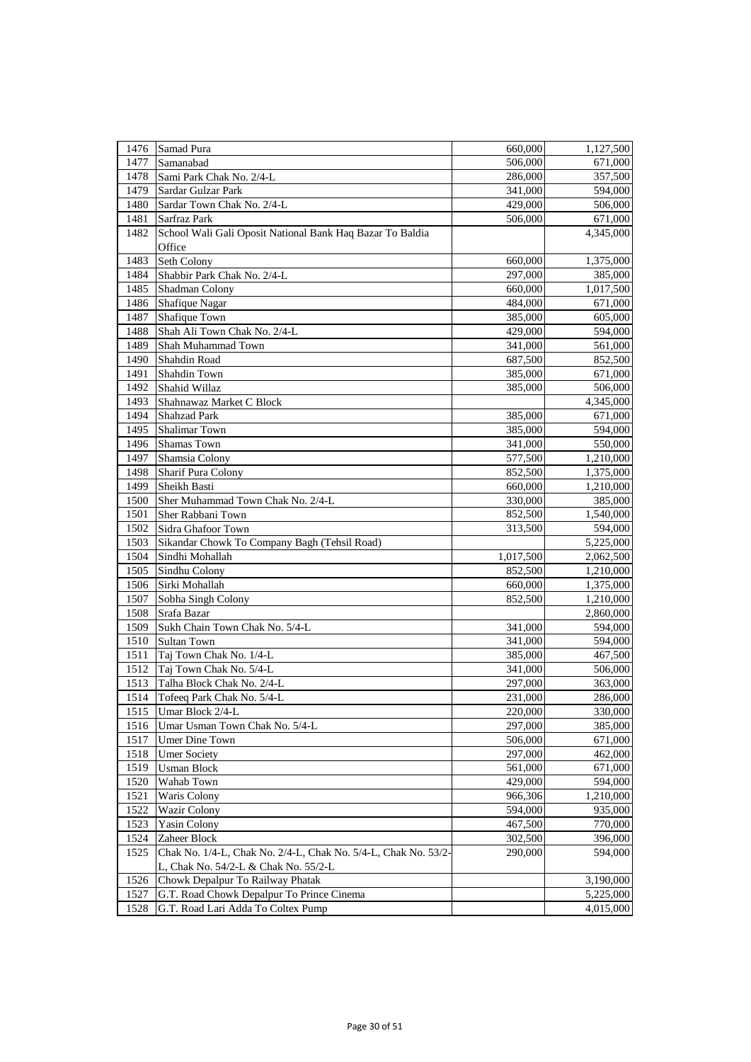| 1476 | Samad Pura                                                     | 660,000            | 1,127,500          |
|------|----------------------------------------------------------------|--------------------|--------------------|
| 1477 | Samanabad                                                      | 506,000            | 671,000            |
| 1478 | Sami Park Chak No. 2/4-L                                       | 286,000            | 357,500            |
| 1479 | Sardar Gulzar Park                                             | 341,000            | 594,000            |
| 1480 | Sardar Town Chak No. 2/4-L                                     | 429,000            | 506,000            |
| 1481 | Sarfraz Park                                                   | 506,000            | 671,000            |
| 1482 | School Wali Gali Oposit National Bank Haq Bazar To Baldia      |                    | 4,345,000          |
|      | Office                                                         |                    |                    |
| 1483 | Seth Colony                                                    | 660,000            | 1,375,000          |
| 1484 | Shabbir Park Chak No. 2/4-L                                    | 297,000            | 385,000            |
| 1485 | Shadman Colony                                                 | 660,000            | 1,017,500          |
| 1486 | Shafique Nagar                                                 | 484,000            | 671,000            |
| 1487 | Shafique Town                                                  | 385,000            | 605,000            |
| 1488 | Shah Ali Town Chak No. 2/4-L                                   | 429,000            | 594,000            |
| 1489 | Shah Muhammad Town                                             | 341,000            | 561,000            |
| 1490 | Shahdin Road                                                   | 687,500            | 852,500            |
| 1491 | Shahdin Town                                                   | 385,000            | 671,000            |
| 1492 | Shahid Willaz                                                  | 385,000            | 506,000            |
| 1493 | Shahnawaz Market C Block                                       |                    | 4,345,000          |
| 1494 | <b>Shahzad Park</b>                                            | 385,000            | 671,000            |
| 1495 | <b>Shalimar Town</b>                                           | 385,000            | 594,000            |
| 1496 | Shamas Town                                                    | 341,000            | 550,000            |
| 1497 | Shamsia Colony                                                 | 577,500            | 1,210,000          |
| 1498 | <b>Sharif Pura Colony</b>                                      | 852,500            | 1,375,000          |
| 1499 | Sheikh Basti                                                   | 660,000            | 1,210,000          |
| 1500 | Sher Muhammad Town Chak No. 2/4-L                              | 330,000            | 385,000            |
| 1501 | Sher Rabbani Town                                              | 852,500            | 1,540,000          |
| 1502 | Sidra Ghafoor Town                                             | 313,500            | 594,000            |
| 1503 | Sikandar Chowk To Company Bagh (Tehsil Road)                   |                    | 5,225,000          |
| 1504 | Sindhi Mohallah                                                | 1,017,500          | 2,062,500          |
| 1505 | Sindhu Colony                                                  | 852,500            | 1,210,000          |
| 1506 | Sirki Mohallah                                                 | 660,000            | 1,375,000          |
| 1507 | Sobha Singh Colony                                             | 852,500            | 1,210,000          |
| 1508 | Srafa Bazar                                                    |                    | 2,860,000          |
| 1509 | Sukh Chain Town Chak No. 5/4-L                                 | 341,000            | 594,000            |
| 1510 | <b>Sultan Town</b>                                             | 341,000            | 594,000            |
| 1511 | Taj Town Chak No. 1/4-L                                        | 385,000            | 467,500            |
| 1512 | Taj Town Chak No. 5/4-L                                        | 341,000            | 506,000            |
| 1513 | Talha Block Chak No. 2/4-L                                     | 297,000            | 363,000            |
| 1514 | Tofeeq Park Chak No. 5/4-L                                     |                    |                    |
| 1515 | Umar Block 2/4-L                                               | 231,000<br>220,000 | 286,000<br>330,000 |
| 1516 | Umar Usman Town Chak No. 5/4-L                                 | 297,000            | 385,000            |
| 1517 | Umer Dine Town                                                 | 506,000            | 671,000            |
| 1518 | <b>Umer Society</b>                                            | 297,000            | 462,000            |
| 1519 | <b>Usman Block</b>                                             | 561,000            | 671,000            |
| 1520 | Wahab Town                                                     | 429,000            | 594,000            |
| 1521 | Waris Colony                                                   | 966,306            | 1,210,000          |
| 1522 | <b>Wazir Colony</b>                                            | 594,000            | 935,000            |
| 1523 | <b>Yasin Colony</b>                                            | 467,500            | 770,000            |
| 1524 | Zaheer Block                                                   | 302,500            | 396,000            |
| 1525 | Chak No. 1/4-L, Chak No. 2/4-L, Chak No. 5/4-L, Chak No. 53/2- | 290,000            | 594,000            |
|      | L, Chak No. 54/2-L & Chak No. 55/2-L                           |                    |                    |
| 1526 | Chowk Depalpur To Railway Phatak                               |                    | 3,190,000          |
| 1527 | G.T. Road Chowk Depalpur To Prince Cinema                      |                    | 5,225,000          |
| 1528 | G.T. Road Lari Adda To Coltex Pump                             |                    | 4,015,000          |
|      |                                                                |                    |                    |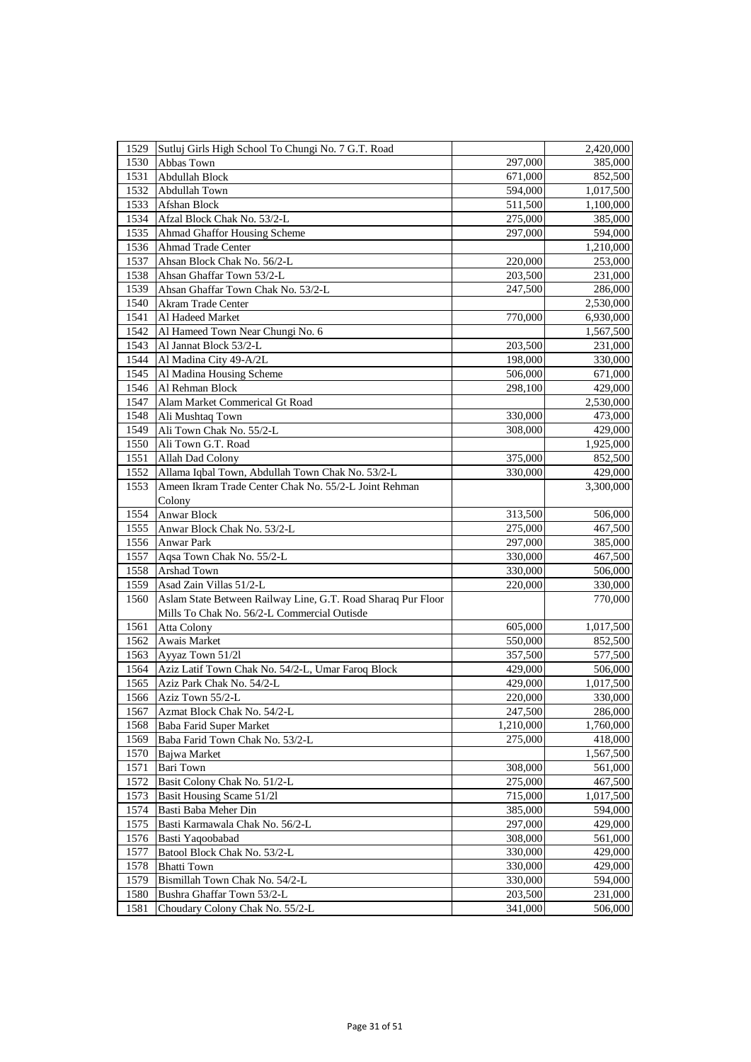| 1529 | Sutluj Girls High School To Chungi No. 7 G.T. Road           |           | 2,420,000 |
|------|--------------------------------------------------------------|-----------|-----------|
| 1530 | Abbas Town                                                   | 297,000   | 385,000   |
| 1531 | Abdullah Block                                               | 671,000   | 852,500   |
| 1532 | Abdullah Town                                                | 594,000   | 1,017,500 |
| 1533 | Afshan Block                                                 | 511,500   | 1,100,000 |
| 1534 | Afzal Block Chak No. 53/2-L                                  | 275,000   | 385,000   |
| 1535 | Ahmad Ghaffor Housing Scheme                                 | 297,000   | 594,000   |
| 1536 | <b>Ahmad Trade Center</b>                                    |           | 1,210,000 |
| 1537 | Ahsan Block Chak No. 56/2-L                                  | 220,000   | 253,000   |
| 1538 | Ahsan Ghaffar Town 53/2-L                                    | 203,500   | 231,000   |
| 1539 | Ahsan Ghaffar Town Chak No. 53/2-L                           | 247,500   | 286,000   |
| 1540 | <b>Akram Trade Center</b>                                    |           | 2,530,000 |
| 1541 | Al Hadeed Market                                             | 770,000   | 6,930,000 |
| 1542 | Al Hameed Town Near Chungi No. 6                             |           | 1,567,500 |
| 1543 | Al Jannat Block 53/2-L                                       | 203,500   | 231,000   |
| 1544 | Al Madina City 49-A/2L                                       | 198,000   | 330,000   |
| 1545 | Al Madina Housing Scheme                                     | 506,000   | 671,000   |
| 1546 | Al Rehman Block                                              | 298,100   | 429,000   |
| 1547 | Alam Market Commerical Gt Road                               |           | 2,530,000 |
| 1548 | Ali Mushtaq Town                                             | 330,000   | 473,000   |
| 1549 | Ali Town Chak No. 55/2-L                                     | 308,000   | 429,000   |
| 1550 | Ali Town G.T. Road                                           |           | 1,925,000 |
| 1551 | Allah Dad Colony                                             | 375,000   | 852,500   |
| 1552 | Allama Iqbal Town, Abdullah Town Chak No. 53/2-L             | 330,000   | 429,000   |
| 1553 | Ameen Ikram Trade Center Chak No. 55/2-L Joint Rehman        |           | 3,300,000 |
|      | Colony                                                       |           |           |
| 1554 | <b>Anwar Block</b>                                           | 313,500   | 506,000   |
| 1555 | Anwar Block Chak No. 53/2-L                                  | 275,000   | 467,500   |
| 1556 | <b>Anwar Park</b>                                            | 297,000   | 385,000   |
| 1557 | Aqsa Town Chak No. 55/2-L                                    | 330,000   | 467,500   |
| 1558 | Arshad Town                                                  | 330,000   | 506,000   |
| 1559 | Asad Zain Villas 51/2-L                                      | 220,000   | 330,000   |
| 1560 | Aslam State Between Railway Line, G.T. Road Sharaq Pur Floor |           | 770,000   |
|      | Mills To Chak No. 56/2-L Commercial Outisde                  |           |           |
| 1561 | <b>Atta Colony</b>                                           | 605,000   | 1,017,500 |
| 1562 | Awais Market                                                 | 550,000   | 852,500   |
| 1563 | Ayyaz Town 51/21                                             | 357,500   | 577,500   |
| 1564 | Aziz Latif Town Chak No. 54/2-L, Umar Faroq Block            | 429,000   | 506,000   |
| 1565 | Aziz Park Chak No. 54/2-L                                    | 429,000   | 1,017,500 |
| 1566 | Aziz Town 55/2-L                                             | 220,000   | 330,000   |
| 1567 | Azmat Block Chak No. 54/2-L                                  | 247,500   | 286,000   |
| 1568 | Baba Farid Super Market                                      | 1,210,000 | 1,760,000 |
| 1569 | Baba Farid Town Chak No. 53/2-L                              | 275,000   | 418,000   |
| 1570 | Bajwa Market                                                 |           | 1,567,500 |
| 1571 | Bari Town                                                    | 308,000   | 561,000   |
| 1572 | Basit Colony Chak No. 51/2-L                                 | 275,000   | 467,500   |
| 1573 | Basit Housing Scame 51/21                                    | 715,000   | 1,017,500 |
| 1574 | Basti Baba Meher Din                                         | 385,000   | 594,000   |
| 1575 | Basti Karmawala Chak No. 56/2-L                              | 297,000   | 429,000   |
| 1576 | Basti Yaqoobabad                                             | 308,000   | 561,000   |
| 1577 | Batool Block Chak No. 53/2-L                                 | 330,000   | 429,000   |
| 1578 | <b>Bhatti Town</b>                                           | 330,000   | 429,000   |
| 1579 | Bismillah Town Chak No. 54/2-L                               | 330,000   | 594,000   |
| 1580 | Bushra Ghaffar Town 53/2-L                                   | 203,500   | 231,000   |
| 1581 | Choudary Colony Chak No. 55/2-L                              | 341,000   | 506,000   |
|      |                                                              |           |           |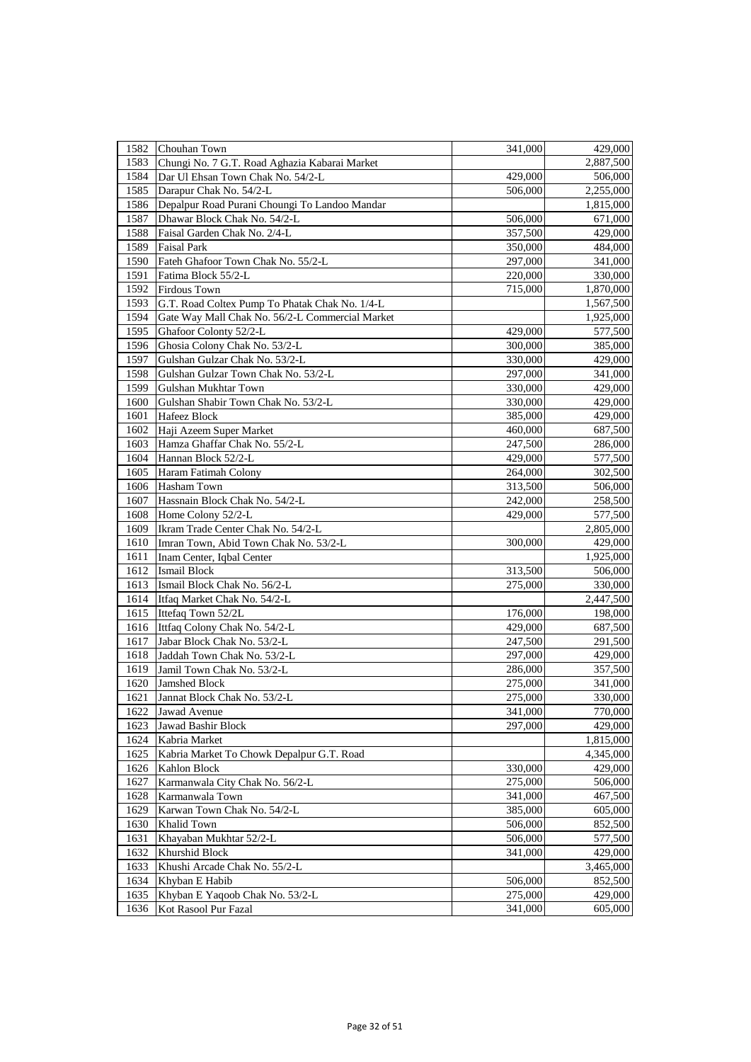| 1582 | Chouhan Town                                    | 341,000 | 429,000   |
|------|-------------------------------------------------|---------|-----------|
| 1583 | Chungi No. 7 G.T. Road Aghazia Kabarai Market   |         | 2,887,500 |
| 1584 | Dar Ul Ehsan Town Chak No. 54/2-L               | 429,000 | 506,000   |
| 1585 | Darapur Chak No. 54/2-L                         | 506,000 | 2,255,000 |
| 1586 | Depalpur Road Purani Choungi To Landoo Mandar   |         | 1,815,000 |
| 1587 | Dhawar Block Chak No. 54/2-L                    | 506,000 | 671,000   |
| 1588 | Faisal Garden Chak No. 2/4-L                    | 357,500 | 429,000   |
| 1589 | <b>Faisal Park</b>                              | 350,000 | 484,000   |
| 1590 | Fateh Ghafoor Town Chak No. 55/2-L              | 297,000 | 341,000   |
| 1591 | Fatima Block 55/2-L                             | 220,000 | 330,000   |
| 1592 | <b>Firdous Town</b>                             | 715,000 | 1,870,000 |
| 1593 | G.T. Road Coltex Pump To Phatak Chak No. 1/4-L  |         | 1,567,500 |
| 1594 | Gate Way Mall Chak No. 56/2-L Commercial Market |         | 1,925,000 |
| 1595 | Ghafoor Colonty 52/2-L                          | 429,000 | 577,500   |
| 1596 | Ghosia Colony Chak No. 53/2-L                   | 300,000 | 385,000   |
| 1597 | Gulshan Gulzar Chak No. 53/2-L                  | 330,000 | 429,000   |
| 1598 | Gulshan Gulzar Town Chak No. 53/2-L             | 297,000 | 341,000   |
| 1599 | Gulshan Mukhtar Town                            | 330,000 | 429,000   |
| 1600 | Gulshan Shabir Town Chak No. 53/2-L             | 330,000 | 429,000   |
| 1601 | Hafeez Block                                    | 385,000 | 429,000   |
| 1602 | Haji Azeem Super Market                         | 460,000 | 687,500   |
| 1603 | Hamza Ghaffar Chak No. 55/2-L                   | 247,500 | 286,000   |
| 1604 | Hannan Block 52/2-L                             | 429,000 | 577,500   |
| 1605 | Haram Fatimah Colony                            | 264,000 | 302,500   |
| 1606 | <b>Hasham Town</b>                              | 313,500 | 506,000   |
| 1607 | Hassnain Block Chak No. 54/2-L                  | 242,000 | 258,500   |
| 1608 | Home Colony 52/2-L                              | 429,000 | 577,500   |
| 1609 | Ikram Trade Center Chak No. 54/2-L              |         | 2,805,000 |
| 1610 | Imran Town, Abid Town Chak No. 53/2-L           | 300,000 | 429,000   |
| 1611 | Inam Center, Iqbal Center                       |         | 1,925,000 |
| 1612 | <b>Ismail Block</b>                             | 313,500 | 506,000   |
| 1613 | Ismail Block Chak No. 56/2-L                    | 275,000 | 330,000   |
| 1614 | Itfaq Market Chak No. 54/2-L                    |         | 2,447,500 |
| 1615 | Ittefaq Town 52/2L                              | 176,000 | 198,000   |
| 1616 | Ittfaq Colony Chak No. 54/2-L                   | 429,000 | 687,500   |
| 1617 | Jabar Block Chak No. 53/2-L                     | 247,500 | 291,500   |
| 1618 | Jaddah Town Chak No. 53/2-L                     | 297,000 | 429,000   |
| 1619 | Jamil Town Chak No. 53/2-L                      | 286,000 | 357,500   |
| 1620 | <b>Jamshed Block</b>                            | 275,000 | 341,000   |
| 1621 | Jannat Block Chak No. 53/2-L                    | 275,000 | 330,000   |
| 1622 | Jawad Avenue                                    | 341,000 | 770,000   |
| 1623 | Jawad Bashir Block                              | 297,000 | 429,000   |
| 1624 | Kabria Market                                   |         | 1,815,000 |
| 1625 | Kabria Market To Chowk Depalpur G.T. Road       |         | 4,345,000 |
| 1626 | Kahlon Block                                    | 330,000 | 429,000   |
| 1627 | Karmanwala City Chak No. 56/2-L                 | 275,000 | 506,000   |
| 1628 | Karmanwala Town                                 | 341,000 | 467,500   |
| 1629 | Karwan Town Chak No. 54/2-L                     | 385,000 | 605,000   |
| 1630 | Khalid Town                                     | 506,000 | 852,500   |
| 1631 | Khayaban Mukhtar 52/2-L                         | 506,000 | 577,500   |
| 1632 | Khurshid Block                                  | 341,000 | 429,000   |
| 1633 | Khushi Arcade Chak No. 55/2-L                   |         | 3,465,000 |
| 1634 | Khyban E Habib                                  | 506,000 | 852,500   |
| 1635 | Khyban E Yaqoob Chak No. 53/2-L                 | 275,000 | 429,000   |
| 1636 | Kot Rasool Pur Fazal                            | 341,000 | 605,000   |
|      |                                                 |         |           |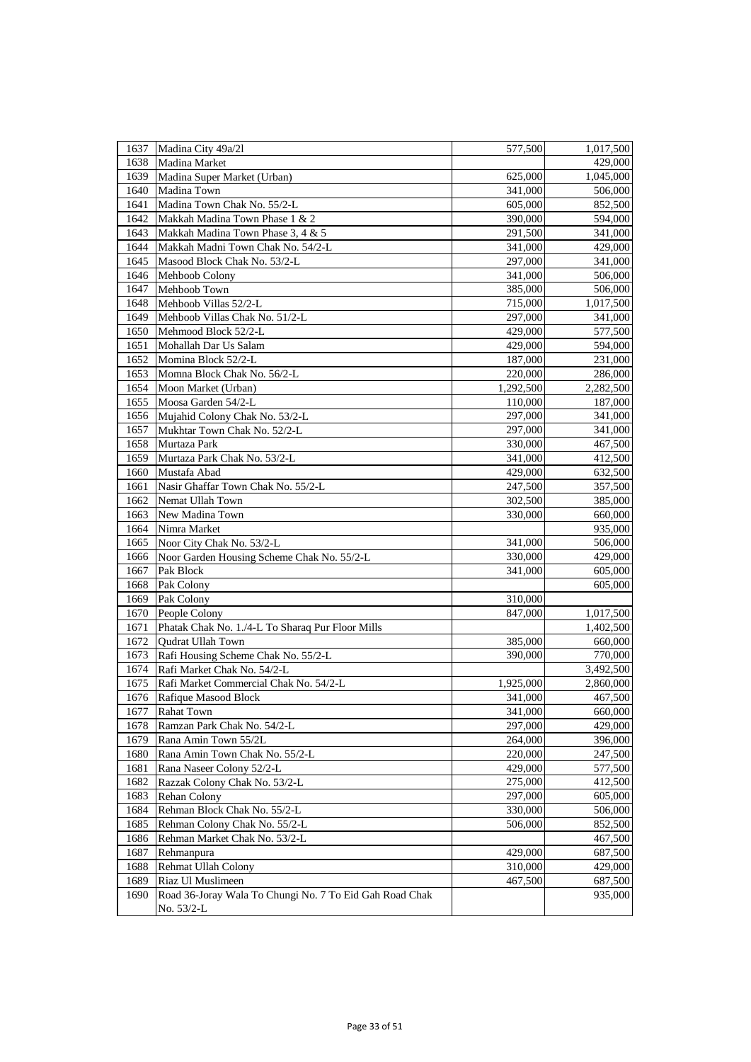| 1637<br>Madina City 49a/21<br>1,017,500<br>577,500<br>Madina Market<br>429,000<br>1638<br>Madina Super Market (Urban)<br>1639<br>625,000<br>1,045,000<br>1640<br>Madina Town<br>341,000<br>506,000<br>1641<br>Madina Town Chak No. 55/2-L<br>852,500<br>605,000<br>Makkah Madina Town Phase 1 & 2<br>1642<br>390,000<br>594,000<br>Makkah Madina Town Phase 3, 4 & 5<br>1643<br>291,500<br>341,000<br>Makkah Madni Town Chak No. 54/2-L<br>1644<br>429,000<br>341,000<br>1645<br>Masood Block Chak No. 53/2-L<br>297,000<br>Mehboob Colony<br>1646<br>341,000<br>1647<br>Mehboob Town<br>385,000<br>Mehboob Villas 52/2-L<br>1648<br>715,000<br>1649<br>Mehboob Villas Chak No. 51/2-L<br>297,000<br>1650<br>Mehmood Block 52/2-L<br>429,000<br>1651<br>Mohallah Dar Us Salam<br>429,000<br>1652<br>Momina Block 52/2-L<br>187,000<br>Momna Block Chak No. 56/2-L<br>1653<br>220,000<br>1654<br>1,292,500<br>Moon Market (Urban)<br>1655<br>Moosa Garden 54/2-L<br>110,000<br>1656<br>Mujahid Colony Chak No. 53/2-L<br>297,000<br>Mukhtar Town Chak No. 52/2-L<br>1657<br>297,000<br>1658<br>Murtaza Park<br>330,000<br>Murtaza Park Chak No. 53/2-L<br>1659<br>341,000<br>Mustafa Abad<br>429,000<br>1660<br>Nasir Ghaffar Town Chak No. 55/2-L<br>1661<br>247,500<br>Nemat Ullah Town<br>302,500<br>1662<br>1663<br>New Madina Town<br>330,000<br>Nimra Market<br>1664<br>Noor City Chak No. 53/2-L<br>1665<br>341,000<br>Noor Garden Housing Scheme Chak No. 55/2-L<br>1666<br>330,000<br>1667<br>341,000<br>Pak Block<br>1668<br>Pak Colony<br>1669<br>Pak Colony<br>310,000<br>1670<br>People Colony<br>847,000<br>1671<br>Phatak Chak No. 1./4-L To Sharaq Pur Floor Mills<br>1672<br>Qudrat Ullah Town<br>385,000<br>1673<br>Rafi Housing Scheme Chak No. 55/2-L<br>390,000<br>1674<br>Rafi Market Chak No. 54/2-L<br>Rafi Market Commercial Chak No. 54/2-L<br>1675<br>1,925,000<br>1676<br>341,000<br>Rafique Masood Block<br>1677<br><b>Rahat Town</b><br>341,000<br>Ramzan Park Chak No. 54/2-L<br>297,000<br>1678<br>Rana Amin Town 55/2L<br>1679<br>264,000<br>1680<br>Rana Amin Town Chak No. 55/2-L<br>220,000<br>Rana Naseer Colony 52/2-L<br>1681<br>429,000<br>Razzak Colony Chak No. 53/2-L<br>1682<br>275,000<br>1683<br>Rehan Colony<br>297,000<br>Rehman Block Chak No. 55/2-L<br>1684<br>330,000<br>1685<br>Rehman Colony Chak No. 55/2-L<br>506,000<br>Rehman Market Chak No. 53/2-L<br>1686<br>1687<br>Rehmanpura<br>429,000<br>Rehmat Ullah Colony<br>1688<br>310,000<br>467,500<br>1689<br>Riaz Ul Muslimeen<br>1690<br>Road 36-Joray Wala To Chungi No. 7 To Eid Gah Road Chak<br>No. 53/2-L |  |  |
|---------------------------------------------------------------------------------------------------------------------------------------------------------------------------------------------------------------------------------------------------------------------------------------------------------------------------------------------------------------------------------------------------------------------------------------------------------------------------------------------------------------------------------------------------------------------------------------------------------------------------------------------------------------------------------------------------------------------------------------------------------------------------------------------------------------------------------------------------------------------------------------------------------------------------------------------------------------------------------------------------------------------------------------------------------------------------------------------------------------------------------------------------------------------------------------------------------------------------------------------------------------------------------------------------------------------------------------------------------------------------------------------------------------------------------------------------------------------------------------------------------------------------------------------------------------------------------------------------------------------------------------------------------------------------------------------------------------------------------------------------------------------------------------------------------------------------------------------------------------------------------------------------------------------------------------------------------------------------------------------------------------------------------------------------------------------------------------------------------------------------------------------------------------------------------------------------------------------------------------------------------------------------------------------------------------------------------------------------------------------------------------------------------------------------------------------------------------------------------------------------------------------------------------------------------------------------------------------------------------------------|--|--|
|                                                                                                                                                                                                                                                                                                                                                                                                                                                                                                                                                                                                                                                                                                                                                                                                                                                                                                                                                                                                                                                                                                                                                                                                                                                                                                                                                                                                                                                                                                                                                                                                                                                                                                                                                                                                                                                                                                                                                                                                                                                                                                                                                                                                                                                                                                                                                                                                                                                                                                                                                                                                                           |  |  |
|                                                                                                                                                                                                                                                                                                                                                                                                                                                                                                                                                                                                                                                                                                                                                                                                                                                                                                                                                                                                                                                                                                                                                                                                                                                                                                                                                                                                                                                                                                                                                                                                                                                                                                                                                                                                                                                                                                                                                                                                                                                                                                                                                                                                                                                                                                                                                                                                                                                                                                                                                                                                                           |  |  |
|                                                                                                                                                                                                                                                                                                                                                                                                                                                                                                                                                                                                                                                                                                                                                                                                                                                                                                                                                                                                                                                                                                                                                                                                                                                                                                                                                                                                                                                                                                                                                                                                                                                                                                                                                                                                                                                                                                                                                                                                                                                                                                                                                                                                                                                                                                                                                                                                                                                                                                                                                                                                                           |  |  |
|                                                                                                                                                                                                                                                                                                                                                                                                                                                                                                                                                                                                                                                                                                                                                                                                                                                                                                                                                                                                                                                                                                                                                                                                                                                                                                                                                                                                                                                                                                                                                                                                                                                                                                                                                                                                                                                                                                                                                                                                                                                                                                                                                                                                                                                                                                                                                                                                                                                                                                                                                                                                                           |  |  |
|                                                                                                                                                                                                                                                                                                                                                                                                                                                                                                                                                                                                                                                                                                                                                                                                                                                                                                                                                                                                                                                                                                                                                                                                                                                                                                                                                                                                                                                                                                                                                                                                                                                                                                                                                                                                                                                                                                                                                                                                                                                                                                                                                                                                                                                                                                                                                                                                                                                                                                                                                                                                                           |  |  |
|                                                                                                                                                                                                                                                                                                                                                                                                                                                                                                                                                                                                                                                                                                                                                                                                                                                                                                                                                                                                                                                                                                                                                                                                                                                                                                                                                                                                                                                                                                                                                                                                                                                                                                                                                                                                                                                                                                                                                                                                                                                                                                                                                                                                                                                                                                                                                                                                                                                                                                                                                                                                                           |  |  |
| 341,000<br>506,000<br>506,000<br>1,017,500<br>341,000<br>577,500<br>594,000<br>231,000<br>286,000<br>2,282,500<br>187,000<br>341,000<br>341,000<br>467,500<br>412,500<br>632,500<br>357,500<br>385,000<br>660,000<br>935,000<br>506,000<br>429,000<br>605,000<br>605,000<br>1,017,500<br>1,402,500<br>660,000<br>770,000<br>3,492,500<br>2,860,000<br>467,500<br>660,000<br>429,000<br>396,000<br>247,500<br>577,500<br>412,500<br>605,000<br>506,000<br>852,500<br>467,500<br>687,500<br>429,000<br>687,500<br>935,000                                                                                                                                                                                                                                                                                                                                                                                                                                                                                                                                                                                                                                                                                                                                                                                                                                                                                                                                                                                                                                                                                                                                                                                                                                                                                                                                                                                                                                                                                                                                                                                                                                                                                                                                                                                                                                                                                                                                                                                                                                                                                                   |  |  |
|                                                                                                                                                                                                                                                                                                                                                                                                                                                                                                                                                                                                                                                                                                                                                                                                                                                                                                                                                                                                                                                                                                                                                                                                                                                                                                                                                                                                                                                                                                                                                                                                                                                                                                                                                                                                                                                                                                                                                                                                                                                                                                                                                                                                                                                                                                                                                                                                                                                                                                                                                                                                                           |  |  |
|                                                                                                                                                                                                                                                                                                                                                                                                                                                                                                                                                                                                                                                                                                                                                                                                                                                                                                                                                                                                                                                                                                                                                                                                                                                                                                                                                                                                                                                                                                                                                                                                                                                                                                                                                                                                                                                                                                                                                                                                                                                                                                                                                                                                                                                                                                                                                                                                                                                                                                                                                                                                                           |  |  |
|                                                                                                                                                                                                                                                                                                                                                                                                                                                                                                                                                                                                                                                                                                                                                                                                                                                                                                                                                                                                                                                                                                                                                                                                                                                                                                                                                                                                                                                                                                                                                                                                                                                                                                                                                                                                                                                                                                                                                                                                                                                                                                                                                                                                                                                                                                                                                                                                                                                                                                                                                                                                                           |  |  |
|                                                                                                                                                                                                                                                                                                                                                                                                                                                                                                                                                                                                                                                                                                                                                                                                                                                                                                                                                                                                                                                                                                                                                                                                                                                                                                                                                                                                                                                                                                                                                                                                                                                                                                                                                                                                                                                                                                                                                                                                                                                                                                                                                                                                                                                                                                                                                                                                                                                                                                                                                                                                                           |  |  |
|                                                                                                                                                                                                                                                                                                                                                                                                                                                                                                                                                                                                                                                                                                                                                                                                                                                                                                                                                                                                                                                                                                                                                                                                                                                                                                                                                                                                                                                                                                                                                                                                                                                                                                                                                                                                                                                                                                                                                                                                                                                                                                                                                                                                                                                                                                                                                                                                                                                                                                                                                                                                                           |  |  |
|                                                                                                                                                                                                                                                                                                                                                                                                                                                                                                                                                                                                                                                                                                                                                                                                                                                                                                                                                                                                                                                                                                                                                                                                                                                                                                                                                                                                                                                                                                                                                                                                                                                                                                                                                                                                                                                                                                                                                                                                                                                                                                                                                                                                                                                                                                                                                                                                                                                                                                                                                                                                                           |  |  |
|                                                                                                                                                                                                                                                                                                                                                                                                                                                                                                                                                                                                                                                                                                                                                                                                                                                                                                                                                                                                                                                                                                                                                                                                                                                                                                                                                                                                                                                                                                                                                                                                                                                                                                                                                                                                                                                                                                                                                                                                                                                                                                                                                                                                                                                                                                                                                                                                                                                                                                                                                                                                                           |  |  |
|                                                                                                                                                                                                                                                                                                                                                                                                                                                                                                                                                                                                                                                                                                                                                                                                                                                                                                                                                                                                                                                                                                                                                                                                                                                                                                                                                                                                                                                                                                                                                                                                                                                                                                                                                                                                                                                                                                                                                                                                                                                                                                                                                                                                                                                                                                                                                                                                                                                                                                                                                                                                                           |  |  |
|                                                                                                                                                                                                                                                                                                                                                                                                                                                                                                                                                                                                                                                                                                                                                                                                                                                                                                                                                                                                                                                                                                                                                                                                                                                                                                                                                                                                                                                                                                                                                                                                                                                                                                                                                                                                                                                                                                                                                                                                                                                                                                                                                                                                                                                                                                                                                                                                                                                                                                                                                                                                                           |  |  |
|                                                                                                                                                                                                                                                                                                                                                                                                                                                                                                                                                                                                                                                                                                                                                                                                                                                                                                                                                                                                                                                                                                                                                                                                                                                                                                                                                                                                                                                                                                                                                                                                                                                                                                                                                                                                                                                                                                                                                                                                                                                                                                                                                                                                                                                                                                                                                                                                                                                                                                                                                                                                                           |  |  |
|                                                                                                                                                                                                                                                                                                                                                                                                                                                                                                                                                                                                                                                                                                                                                                                                                                                                                                                                                                                                                                                                                                                                                                                                                                                                                                                                                                                                                                                                                                                                                                                                                                                                                                                                                                                                                                                                                                                                                                                                                                                                                                                                                                                                                                                                                                                                                                                                                                                                                                                                                                                                                           |  |  |
|                                                                                                                                                                                                                                                                                                                                                                                                                                                                                                                                                                                                                                                                                                                                                                                                                                                                                                                                                                                                                                                                                                                                                                                                                                                                                                                                                                                                                                                                                                                                                                                                                                                                                                                                                                                                                                                                                                                                                                                                                                                                                                                                                                                                                                                                                                                                                                                                                                                                                                                                                                                                                           |  |  |
|                                                                                                                                                                                                                                                                                                                                                                                                                                                                                                                                                                                                                                                                                                                                                                                                                                                                                                                                                                                                                                                                                                                                                                                                                                                                                                                                                                                                                                                                                                                                                                                                                                                                                                                                                                                                                                                                                                                                                                                                                                                                                                                                                                                                                                                                                                                                                                                                                                                                                                                                                                                                                           |  |  |
|                                                                                                                                                                                                                                                                                                                                                                                                                                                                                                                                                                                                                                                                                                                                                                                                                                                                                                                                                                                                                                                                                                                                                                                                                                                                                                                                                                                                                                                                                                                                                                                                                                                                                                                                                                                                                                                                                                                                                                                                                                                                                                                                                                                                                                                                                                                                                                                                                                                                                                                                                                                                                           |  |  |
|                                                                                                                                                                                                                                                                                                                                                                                                                                                                                                                                                                                                                                                                                                                                                                                                                                                                                                                                                                                                                                                                                                                                                                                                                                                                                                                                                                                                                                                                                                                                                                                                                                                                                                                                                                                                                                                                                                                                                                                                                                                                                                                                                                                                                                                                                                                                                                                                                                                                                                                                                                                                                           |  |  |
|                                                                                                                                                                                                                                                                                                                                                                                                                                                                                                                                                                                                                                                                                                                                                                                                                                                                                                                                                                                                                                                                                                                                                                                                                                                                                                                                                                                                                                                                                                                                                                                                                                                                                                                                                                                                                                                                                                                                                                                                                                                                                                                                                                                                                                                                                                                                                                                                                                                                                                                                                                                                                           |  |  |
|                                                                                                                                                                                                                                                                                                                                                                                                                                                                                                                                                                                                                                                                                                                                                                                                                                                                                                                                                                                                                                                                                                                                                                                                                                                                                                                                                                                                                                                                                                                                                                                                                                                                                                                                                                                                                                                                                                                                                                                                                                                                                                                                                                                                                                                                                                                                                                                                                                                                                                                                                                                                                           |  |  |
|                                                                                                                                                                                                                                                                                                                                                                                                                                                                                                                                                                                                                                                                                                                                                                                                                                                                                                                                                                                                                                                                                                                                                                                                                                                                                                                                                                                                                                                                                                                                                                                                                                                                                                                                                                                                                                                                                                                                                                                                                                                                                                                                                                                                                                                                                                                                                                                                                                                                                                                                                                                                                           |  |  |
|                                                                                                                                                                                                                                                                                                                                                                                                                                                                                                                                                                                                                                                                                                                                                                                                                                                                                                                                                                                                                                                                                                                                                                                                                                                                                                                                                                                                                                                                                                                                                                                                                                                                                                                                                                                                                                                                                                                                                                                                                                                                                                                                                                                                                                                                                                                                                                                                                                                                                                                                                                                                                           |  |  |
|                                                                                                                                                                                                                                                                                                                                                                                                                                                                                                                                                                                                                                                                                                                                                                                                                                                                                                                                                                                                                                                                                                                                                                                                                                                                                                                                                                                                                                                                                                                                                                                                                                                                                                                                                                                                                                                                                                                                                                                                                                                                                                                                                                                                                                                                                                                                                                                                                                                                                                                                                                                                                           |  |  |
|                                                                                                                                                                                                                                                                                                                                                                                                                                                                                                                                                                                                                                                                                                                                                                                                                                                                                                                                                                                                                                                                                                                                                                                                                                                                                                                                                                                                                                                                                                                                                                                                                                                                                                                                                                                                                                                                                                                                                                                                                                                                                                                                                                                                                                                                                                                                                                                                                                                                                                                                                                                                                           |  |  |
|                                                                                                                                                                                                                                                                                                                                                                                                                                                                                                                                                                                                                                                                                                                                                                                                                                                                                                                                                                                                                                                                                                                                                                                                                                                                                                                                                                                                                                                                                                                                                                                                                                                                                                                                                                                                                                                                                                                                                                                                                                                                                                                                                                                                                                                                                                                                                                                                                                                                                                                                                                                                                           |  |  |
|                                                                                                                                                                                                                                                                                                                                                                                                                                                                                                                                                                                                                                                                                                                                                                                                                                                                                                                                                                                                                                                                                                                                                                                                                                                                                                                                                                                                                                                                                                                                                                                                                                                                                                                                                                                                                                                                                                                                                                                                                                                                                                                                                                                                                                                                                                                                                                                                                                                                                                                                                                                                                           |  |  |
|                                                                                                                                                                                                                                                                                                                                                                                                                                                                                                                                                                                                                                                                                                                                                                                                                                                                                                                                                                                                                                                                                                                                                                                                                                                                                                                                                                                                                                                                                                                                                                                                                                                                                                                                                                                                                                                                                                                                                                                                                                                                                                                                                                                                                                                                                                                                                                                                                                                                                                                                                                                                                           |  |  |
|                                                                                                                                                                                                                                                                                                                                                                                                                                                                                                                                                                                                                                                                                                                                                                                                                                                                                                                                                                                                                                                                                                                                                                                                                                                                                                                                                                                                                                                                                                                                                                                                                                                                                                                                                                                                                                                                                                                                                                                                                                                                                                                                                                                                                                                                                                                                                                                                                                                                                                                                                                                                                           |  |  |
|                                                                                                                                                                                                                                                                                                                                                                                                                                                                                                                                                                                                                                                                                                                                                                                                                                                                                                                                                                                                                                                                                                                                                                                                                                                                                                                                                                                                                                                                                                                                                                                                                                                                                                                                                                                                                                                                                                                                                                                                                                                                                                                                                                                                                                                                                                                                                                                                                                                                                                                                                                                                                           |  |  |
|                                                                                                                                                                                                                                                                                                                                                                                                                                                                                                                                                                                                                                                                                                                                                                                                                                                                                                                                                                                                                                                                                                                                                                                                                                                                                                                                                                                                                                                                                                                                                                                                                                                                                                                                                                                                                                                                                                                                                                                                                                                                                                                                                                                                                                                                                                                                                                                                                                                                                                                                                                                                                           |  |  |
|                                                                                                                                                                                                                                                                                                                                                                                                                                                                                                                                                                                                                                                                                                                                                                                                                                                                                                                                                                                                                                                                                                                                                                                                                                                                                                                                                                                                                                                                                                                                                                                                                                                                                                                                                                                                                                                                                                                                                                                                                                                                                                                                                                                                                                                                                                                                                                                                                                                                                                                                                                                                                           |  |  |
|                                                                                                                                                                                                                                                                                                                                                                                                                                                                                                                                                                                                                                                                                                                                                                                                                                                                                                                                                                                                                                                                                                                                                                                                                                                                                                                                                                                                                                                                                                                                                                                                                                                                                                                                                                                                                                                                                                                                                                                                                                                                                                                                                                                                                                                                                                                                                                                                                                                                                                                                                                                                                           |  |  |
|                                                                                                                                                                                                                                                                                                                                                                                                                                                                                                                                                                                                                                                                                                                                                                                                                                                                                                                                                                                                                                                                                                                                                                                                                                                                                                                                                                                                                                                                                                                                                                                                                                                                                                                                                                                                                                                                                                                                                                                                                                                                                                                                                                                                                                                                                                                                                                                                                                                                                                                                                                                                                           |  |  |
|                                                                                                                                                                                                                                                                                                                                                                                                                                                                                                                                                                                                                                                                                                                                                                                                                                                                                                                                                                                                                                                                                                                                                                                                                                                                                                                                                                                                                                                                                                                                                                                                                                                                                                                                                                                                                                                                                                                                                                                                                                                                                                                                                                                                                                                                                                                                                                                                                                                                                                                                                                                                                           |  |  |
|                                                                                                                                                                                                                                                                                                                                                                                                                                                                                                                                                                                                                                                                                                                                                                                                                                                                                                                                                                                                                                                                                                                                                                                                                                                                                                                                                                                                                                                                                                                                                                                                                                                                                                                                                                                                                                                                                                                                                                                                                                                                                                                                                                                                                                                                                                                                                                                                                                                                                                                                                                                                                           |  |  |
|                                                                                                                                                                                                                                                                                                                                                                                                                                                                                                                                                                                                                                                                                                                                                                                                                                                                                                                                                                                                                                                                                                                                                                                                                                                                                                                                                                                                                                                                                                                                                                                                                                                                                                                                                                                                                                                                                                                                                                                                                                                                                                                                                                                                                                                                                                                                                                                                                                                                                                                                                                                                                           |  |  |
|                                                                                                                                                                                                                                                                                                                                                                                                                                                                                                                                                                                                                                                                                                                                                                                                                                                                                                                                                                                                                                                                                                                                                                                                                                                                                                                                                                                                                                                                                                                                                                                                                                                                                                                                                                                                                                                                                                                                                                                                                                                                                                                                                                                                                                                                                                                                                                                                                                                                                                                                                                                                                           |  |  |
|                                                                                                                                                                                                                                                                                                                                                                                                                                                                                                                                                                                                                                                                                                                                                                                                                                                                                                                                                                                                                                                                                                                                                                                                                                                                                                                                                                                                                                                                                                                                                                                                                                                                                                                                                                                                                                                                                                                                                                                                                                                                                                                                                                                                                                                                                                                                                                                                                                                                                                                                                                                                                           |  |  |
|                                                                                                                                                                                                                                                                                                                                                                                                                                                                                                                                                                                                                                                                                                                                                                                                                                                                                                                                                                                                                                                                                                                                                                                                                                                                                                                                                                                                                                                                                                                                                                                                                                                                                                                                                                                                                                                                                                                                                                                                                                                                                                                                                                                                                                                                                                                                                                                                                                                                                                                                                                                                                           |  |  |
|                                                                                                                                                                                                                                                                                                                                                                                                                                                                                                                                                                                                                                                                                                                                                                                                                                                                                                                                                                                                                                                                                                                                                                                                                                                                                                                                                                                                                                                                                                                                                                                                                                                                                                                                                                                                                                                                                                                                                                                                                                                                                                                                                                                                                                                                                                                                                                                                                                                                                                                                                                                                                           |  |  |
|                                                                                                                                                                                                                                                                                                                                                                                                                                                                                                                                                                                                                                                                                                                                                                                                                                                                                                                                                                                                                                                                                                                                                                                                                                                                                                                                                                                                                                                                                                                                                                                                                                                                                                                                                                                                                                                                                                                                                                                                                                                                                                                                                                                                                                                                                                                                                                                                                                                                                                                                                                                                                           |  |  |
|                                                                                                                                                                                                                                                                                                                                                                                                                                                                                                                                                                                                                                                                                                                                                                                                                                                                                                                                                                                                                                                                                                                                                                                                                                                                                                                                                                                                                                                                                                                                                                                                                                                                                                                                                                                                                                                                                                                                                                                                                                                                                                                                                                                                                                                                                                                                                                                                                                                                                                                                                                                                                           |  |  |
|                                                                                                                                                                                                                                                                                                                                                                                                                                                                                                                                                                                                                                                                                                                                                                                                                                                                                                                                                                                                                                                                                                                                                                                                                                                                                                                                                                                                                                                                                                                                                                                                                                                                                                                                                                                                                                                                                                                                                                                                                                                                                                                                                                                                                                                                                                                                                                                                                                                                                                                                                                                                                           |  |  |
|                                                                                                                                                                                                                                                                                                                                                                                                                                                                                                                                                                                                                                                                                                                                                                                                                                                                                                                                                                                                                                                                                                                                                                                                                                                                                                                                                                                                                                                                                                                                                                                                                                                                                                                                                                                                                                                                                                                                                                                                                                                                                                                                                                                                                                                                                                                                                                                                                                                                                                                                                                                                                           |  |  |
|                                                                                                                                                                                                                                                                                                                                                                                                                                                                                                                                                                                                                                                                                                                                                                                                                                                                                                                                                                                                                                                                                                                                                                                                                                                                                                                                                                                                                                                                                                                                                                                                                                                                                                                                                                                                                                                                                                                                                                                                                                                                                                                                                                                                                                                                                                                                                                                                                                                                                                                                                                                                                           |  |  |
|                                                                                                                                                                                                                                                                                                                                                                                                                                                                                                                                                                                                                                                                                                                                                                                                                                                                                                                                                                                                                                                                                                                                                                                                                                                                                                                                                                                                                                                                                                                                                                                                                                                                                                                                                                                                                                                                                                                                                                                                                                                                                                                                                                                                                                                                                                                                                                                                                                                                                                                                                                                                                           |  |  |
|                                                                                                                                                                                                                                                                                                                                                                                                                                                                                                                                                                                                                                                                                                                                                                                                                                                                                                                                                                                                                                                                                                                                                                                                                                                                                                                                                                                                                                                                                                                                                                                                                                                                                                                                                                                                                                                                                                                                                                                                                                                                                                                                                                                                                                                                                                                                                                                                                                                                                                                                                                                                                           |  |  |
|                                                                                                                                                                                                                                                                                                                                                                                                                                                                                                                                                                                                                                                                                                                                                                                                                                                                                                                                                                                                                                                                                                                                                                                                                                                                                                                                                                                                                                                                                                                                                                                                                                                                                                                                                                                                                                                                                                                                                                                                                                                                                                                                                                                                                                                                                                                                                                                                                                                                                                                                                                                                                           |  |  |
|                                                                                                                                                                                                                                                                                                                                                                                                                                                                                                                                                                                                                                                                                                                                                                                                                                                                                                                                                                                                                                                                                                                                                                                                                                                                                                                                                                                                                                                                                                                                                                                                                                                                                                                                                                                                                                                                                                                                                                                                                                                                                                                                                                                                                                                                                                                                                                                                                                                                                                                                                                                                                           |  |  |
|                                                                                                                                                                                                                                                                                                                                                                                                                                                                                                                                                                                                                                                                                                                                                                                                                                                                                                                                                                                                                                                                                                                                                                                                                                                                                                                                                                                                                                                                                                                                                                                                                                                                                                                                                                                                                                                                                                                                                                                                                                                                                                                                                                                                                                                                                                                                                                                                                                                                                                                                                                                                                           |  |  |
|                                                                                                                                                                                                                                                                                                                                                                                                                                                                                                                                                                                                                                                                                                                                                                                                                                                                                                                                                                                                                                                                                                                                                                                                                                                                                                                                                                                                                                                                                                                                                                                                                                                                                                                                                                                                                                                                                                                                                                                                                                                                                                                                                                                                                                                                                                                                                                                                                                                                                                                                                                                                                           |  |  |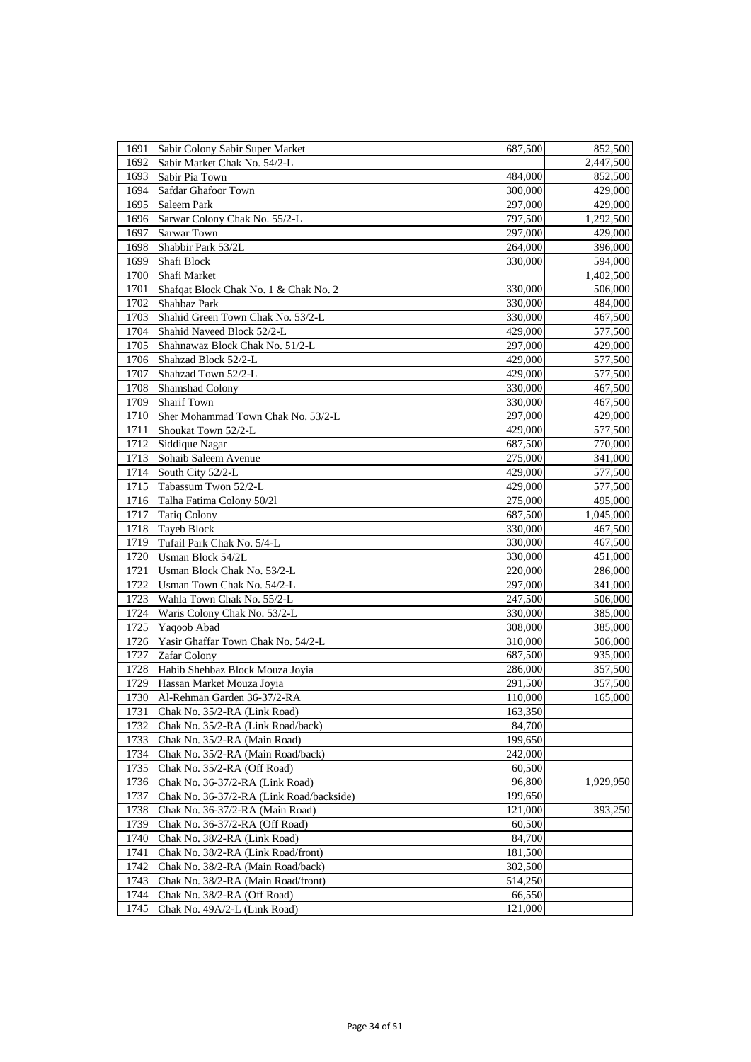| 1691 | Sabir Colony Sabir Super Market          | 687,500 | 852,500   |
|------|------------------------------------------|---------|-----------|
| 1692 | Sabir Market Chak No. 54/2-L             |         | 2,447,500 |
| 1693 | Sabir Pia Town                           | 484,000 | 852,500   |
| 1694 | Safdar Ghafoor Town                      | 300,000 | 429,000   |
| 1695 | Saleem Park                              | 297,000 | 429,000   |
| 1696 | Sarwar Colony Chak No. 55/2-L            | 797,500 | 1,292,500 |
| 1697 | <b>Sarwar Town</b>                       | 297,000 | 429,000   |
| 1698 | Shabbir Park 53/2L                       | 264,000 | 396,000   |
| 1699 | Shafi Block                              | 330,000 | 594,000   |
| 1700 | Shafi Market                             |         | 1,402,500 |
| 1701 | Shafqat Block Chak No. 1 & Chak No. 2    | 330,000 | 506,000   |
| 1702 | Shahbaz Park                             | 330,000 | 484,000   |
| 1703 | Shahid Green Town Chak No. 53/2-L        | 330,000 | 467,500   |
| 1704 | Shahid Naveed Block 52/2-L               | 429,000 | 577,500   |
| 1705 | Shahnawaz Block Chak No. 51/2-L          | 297,000 | 429,000   |
| 1706 | Shahzad Block 52/2-L                     | 429,000 | 577,500   |
| 1707 | Shahzad Town 52/2-L                      | 429,000 | 577,500   |
| 1708 | Shamshad Colony                          | 330,000 | 467,500   |
| 1709 | <b>Sharif Town</b>                       | 330,000 | 467,500   |
| 1710 | Sher Mohammad Town Chak No. 53/2-L       | 297,000 | 429,000   |
| 1711 | Shoukat Town 52/2-L                      | 429,000 | 577,500   |
| 1712 | Siddique Nagar                           | 687,500 | 770,000   |
| 1713 | Sohaib Saleem Avenue                     | 275,000 | 341,000   |
| 1714 | South City 52/2-L                        | 429,000 | 577,500   |
| 1715 | Tabassum Twon 52/2-L                     | 429,000 | 577,500   |
| 1716 | Talha Fatima Colony 50/21                | 275,000 | 495,000   |
| 1717 | <b>Tariq Colony</b>                      | 687,500 | 1,045,000 |
| 1718 | Tayeb Block                              | 330,000 | 467,500   |
| 1719 | Tufail Park Chak No. 5/4-L               | 330,000 | 467,500   |
| 1720 | Usman Block 54/2L                        | 330,000 | 451,000   |
| 1721 | Usman Block Chak No. 53/2-L              | 220,000 | 286,000   |
| 1722 | Usman Town Chak No. 54/2-L               | 297,000 | 341,000   |
| 1723 | Wahla Town Chak No. 55/2-L               | 247,500 | 506,000   |
| 1724 | Waris Colony Chak No. 53/2-L             | 330,000 | 385,000   |
| 1725 | Yaqoob Abad                              | 308,000 | 385,000   |
| 1726 | Yasir Ghaffar Town Chak No. 54/2-L       | 310,000 | 506,000   |
| 1727 | <b>Zafar Colony</b>                      | 687,500 | 935,000   |
| 1728 | Habib Shehbaz Block Mouza Joyia          | 286,000 | 357,500   |
| 1729 | Hassan Market Mouza Joyia                | 291,500 | 357,500   |
| 1730 | Al-Rehman Garden 36-37/2-RA              | 110,000 | 165,000   |
| 1731 | Chak No. 35/2-RA (Link Road)             | 163,350 |           |
| 1732 | Chak No. 35/2-RA (Link Road/back)        | 84,700  |           |
| 1733 | Chak No. 35/2-RA (Main Road)             | 199,650 |           |
| 1734 | Chak No. 35/2-RA (Main Road/back)        | 242,000 |           |
| 1735 | Chak No. 35/2-RA (Off Road)              | 60,500  |           |
| 1736 | Chak No. 36-37/2-RA (Link Road)          | 96,800  | 1,929,950 |
| 1737 | Chak No. 36-37/2-RA (Link Road/backside) | 199,650 |           |
| 1738 | Chak No. 36-37/2-RA (Main Road)          | 121,000 | 393,250   |
| 1739 | Chak No. 36-37/2-RA (Off Road)           | 60,500  |           |
| 1740 | Chak No. 38/2-RA (Link Road)             | 84,700  |           |
| 1741 | Chak No. 38/2-RA (Link Road/front)       | 181,500 |           |
| 1742 | Chak No. 38/2-RA (Main Road/back)        | 302,500 |           |
| 1743 | Chak No. 38/2-RA (Main Road/front)       | 514,250 |           |
| 1744 | Chak No. 38/2-RA (Off Road)              | 66,550  |           |
| 1745 | Chak No. 49A/2-L (Link Road)             | 121,000 |           |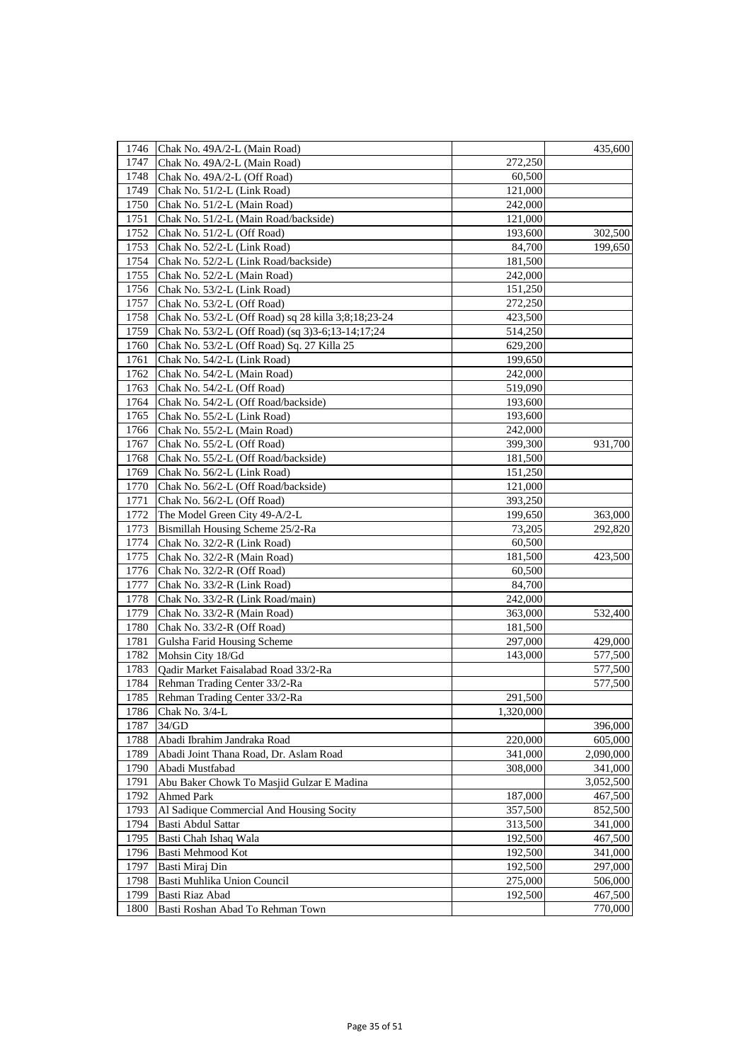| 1746 | Chak No. 49A/2-L (Main Road)                        |           | 435,600   |
|------|-----------------------------------------------------|-----------|-----------|
| 1747 | Chak No. 49A/2-L (Main Road)                        | 272,250   |           |
| 1748 | Chak No. 49A/2-L (Off Road)                         | 60,500    |           |
| 1749 | Chak No. 51/2-L (Link Road)                         | 121,000   |           |
| 1750 | Chak No. 51/2-L (Main Road)                         | 242,000   |           |
| 1751 | Chak No. 51/2-L (Main Road/backside)                | 121,000   |           |
| 1752 | Chak No. 51/2-L (Off Road)                          | 193,600   | 302,500   |
| 1753 | Chak No. 52/2-L (Link Road)                         | 84,700    | 199,650   |
| 1754 | Chak No. 52/2-L (Link Road/backside)                | 181,500   |           |
| 1755 | Chak No. 52/2-L (Main Road)                         | 242,000   |           |
| 1756 | Chak No. 53/2-L (Link Road)                         | 151,250   |           |
| 1757 | Chak No. 53/2-L (Off Road)                          | 272,250   |           |
| 1758 | Chak No. 53/2-L (Off Road) sq 28 killa 3;8;18;23-24 | 423,500   |           |
| 1759 | Chak No. 53/2-L (Off Road) (sq 3)3-6;13-14;17;24    | 514,250   |           |
| 1760 | Chak No. 53/2-L (Off Road) Sq. 27 Killa 25          | 629,200   |           |
| 1761 | Chak No. 54/2-L (Link Road)                         | 199,650   |           |
| 1762 | Chak No. 54/2-L (Main Road)                         | 242,000   |           |
| 1763 | Chak No. 54/2-L (Off Road)                          | 519,090   |           |
| 1764 | Chak No. 54/2-L (Off Road/backside)                 | 193,600   |           |
| 1765 | Chak No. 55/2-L (Link Road)                         | 193,600   |           |
| 1766 | Chak No. 55/2-L (Main Road)                         | 242,000   |           |
| 1767 | Chak No. 55/2-L (Off Road)                          | 399,300   | 931,700   |
| 1768 | Chak No. 55/2-L (Off Road/backside)                 | 181,500   |           |
| 1769 | Chak No. 56/2-L (Link Road)                         | 151,250   |           |
| 1770 | Chak No. 56/2-L (Off Road/backside)                 | 121,000   |           |
| 1771 | Chak No. 56/2-L (Off Road)                          | 393,250   |           |
| 1772 | The Model Green City 49-A/2-L                       | 199,650   | 363,000   |
| 1773 | Bismillah Housing Scheme 25/2-Ra                    | 73,205    | 292,820   |
| 1774 | Chak No. 32/2-R (Link Road)                         | 60,500    |           |
| 1775 | Chak No. 32/2-R (Main Road)                         | 181,500   | 423,500   |
| 1776 | Chak No. 32/2-R (Off Road)                          | 60,500    |           |
| 1777 | Chak No. 33/2-R (Link Road)                         | 84,700    |           |
| 1778 | Chak No. 33/2-R (Link Road/main)                    | 242,000   |           |
| 1779 | Chak No. 33/2-R (Main Road)                         | 363,000   | 532,400   |
| 1780 | Chak No. 33/2-R (Off Road)                          | 181,500   |           |
| 1781 | Gulsha Farid Housing Scheme                         | 297,000   | 429,000   |
| 1782 | Mohsin City 18/Gd                                   | 143,000   | 577,500   |
| 1783 | Qadir Market Faisalabad Road 33/2-Ra                |           | 577,500   |
| 1784 | Rehman Trading Center 33/2-Ra                       |           | 577,500   |
| 1785 | Rehman Trading Center 33/2-Ra                       | 291,500   |           |
| 1786 | Chak No. 3/4-L                                      | 1,320,000 |           |
| 1787 | 34/GD                                               |           | 396,000   |
| 1788 | Abadi Ibrahim Jandraka Road                         | 220,000   | 605,000   |
| 1789 | Abadi Joint Thana Road, Dr. Aslam Road              | 341,000   | 2,090,000 |
| 1790 | Abadi Mustfabad                                     | 308,000   | 341,000   |
| 1791 | Abu Baker Chowk To Masjid Gulzar E Madina           |           | 3,052,500 |
| 1792 | <b>Ahmed Park</b>                                   | 187,000   | 467,500   |
| 1793 | Al Sadique Commercial And Housing Socity            | 357,500   | 852,500   |
| 1794 | Basti Abdul Sattar                                  | 313,500   | 341,000   |
| 1795 | Basti Chah Ishaq Wala                               | 192,500   | 467,500   |
| 1796 | Basti Mehmood Kot                                   | 192,500   | 341,000   |
| 1797 | Basti Miraj Din                                     | 192,500   | 297,000   |
| 1798 | Basti Muhlika Union Council                         | 275,000   | 506,000   |
| 1799 | Basti Riaz Abad                                     | 192,500   | 467,500   |
| 1800 | Basti Roshan Abad To Rehman Town                    |           | 770,000   |
|      |                                                     |           |           |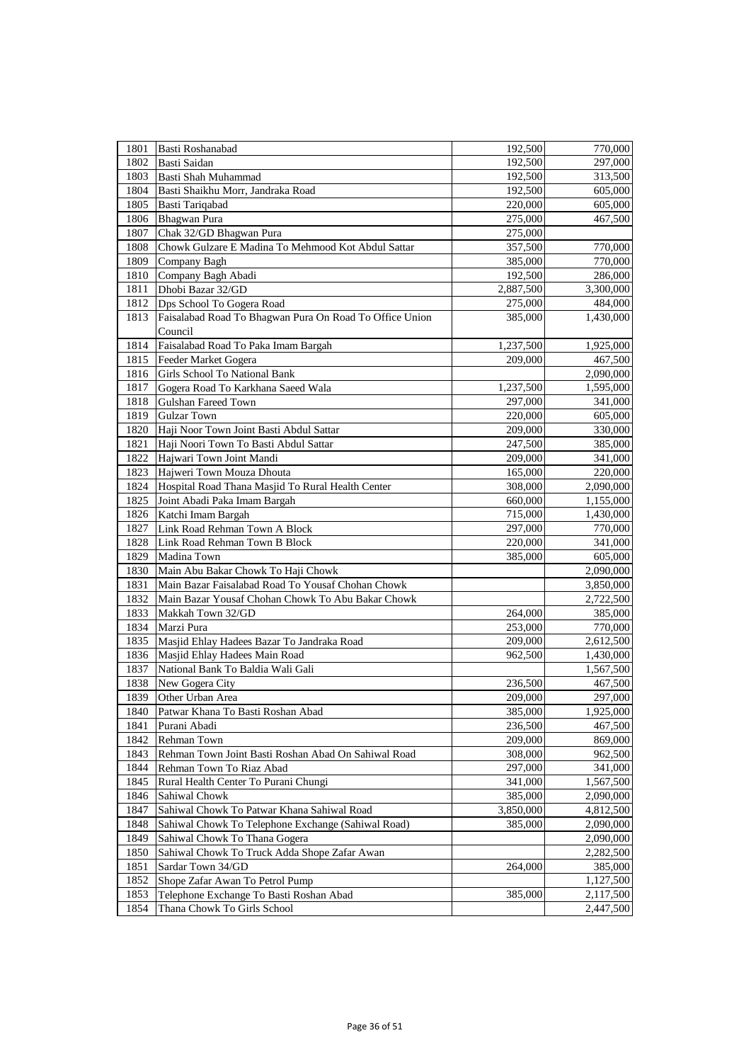| 1801 | Basti Roshanabad                                        | 192,500   | 770,000   |
|------|---------------------------------------------------------|-----------|-----------|
| 1802 | Basti Saidan                                            | 192,500   | 297,000   |
| 1803 | Basti Shah Muhammad                                     | 192,500   | 313,500   |
| 1804 | Basti Shaikhu Morr, Jandraka Road                       | 192,500   | 605,000   |
| 1805 | Basti Tariqabad                                         | 220,000   | 605,000   |
| 1806 | Bhagwan Pura                                            | 275,000   | 467,500   |
| 1807 | Chak 32/GD Bhagwan Pura                                 | 275,000   |           |
| 1808 | Chowk Gulzare E Madina To Mehmood Kot Abdul Sattar      | 357,500   | 770,000   |
| 1809 | Company Bagh                                            | 385,000   | 770,000   |
| 1810 | Company Bagh Abadi                                      | 192,500   | 286,000   |
| 1811 | Dhobi Bazar 32/GD                                       | 2,887,500 | 3,300,000 |
| 1812 | Dps School To Gogera Road                               | 275,000   | 484,000   |
| 1813 | Faisalabad Road To Bhagwan Pura On Road To Office Union | 385,000   | 1,430,000 |
|      | Council                                                 |           |           |
| 1814 | Faisalabad Road To Paka Imam Bargah                     | 1,237,500 | 1,925,000 |
| 1815 | Feeder Market Gogera                                    | 209,000   | 467,500   |
| 1816 | Girls School To National Bank                           |           | 2,090,000 |
| 1817 | Gogera Road To Karkhana Saeed Wala                      | 1,237,500 | 1,595,000 |
| 1818 | Gulshan Fareed Town                                     | 297,000   | 341,000   |
| 1819 | <b>Gulzar Town</b>                                      | 220,000   | 605,000   |
| 1820 | Haji Noor Town Joint Basti Abdul Sattar                 | 209,000   | 330,000   |
| 1821 | Haji Noori Town To Basti Abdul Sattar                   | 247,500   | 385,000   |
| 1822 | Hajwari Town Joint Mandi                                | 209,000   | 341,000   |
| 1823 | Hajweri Town Mouza Dhouta                               | 165,000   | 220,000   |
| 1824 | Hospital Road Thana Masjid To Rural Health Center       | 308,000   | 2,090,000 |
| 1825 | Joint Abadi Paka Imam Bargah                            | 660,000   | 1,155,000 |
| 1826 | Katchi Imam Bargah                                      | 715,000   | 1,430,000 |
| 1827 | Link Road Rehman Town A Block                           | 297,000   | 770,000   |
| 1828 | Link Road Rehman Town B Block                           | 220,000   | 341,000   |
| 1829 | Madina Town                                             | 385,000   | 605,000   |
| 1830 | Main Abu Bakar Chowk To Haji Chowk                      |           | 2,090,000 |
| 1831 | Main Bazar Faisalabad Road To Yousaf Chohan Chowk       |           | 3,850,000 |
| 1832 | Main Bazar Yousaf Chohan Chowk To Abu Bakar Chowk       |           | 2,722,500 |
| 1833 | Makkah Town 32/GD                                       | 264,000   | 385,000   |
| 1834 | Marzi Pura                                              | 253,000   | 770,000   |
| 1835 | Masjid Ehlay Hadees Bazar To Jandraka Road              | 209,000   | 2,612,500 |
| 1836 | Masjid Ehlay Hadees Main Road                           | 962,500   | 1,430,000 |
| 1837 | National Bank To Baldia Wali Gali                       |           | 1,567,500 |
| 1838 | New Gogera City                                         | 236,500   | 467,500   |
| 1839 | Other Urban Area                                        | 209,000   | 297,000   |
| 1840 | Patwar Khana To Basti Roshan Abad                       | 385,000   | 1,925,000 |
| 1841 | Purani Abadi                                            | 236,500   | 467,500   |
| 1842 | Rehman Town                                             | 209,000   | 869,000   |
| 1843 | Rehman Town Joint Basti Roshan Abad On Sahiwal Road     | 308,000   | 962,500   |
| 1844 | Rehman Town To Riaz Abad                                | 297,000   | 341,000   |
| 1845 | Rural Health Center To Purani Chungi                    | 341,000   | 1,567,500 |
| 1846 | Sahiwal Chowk                                           | 385,000   | 2,090,000 |
| 1847 | Sahiwal Chowk To Patwar Khana Sahiwal Road              | 3,850,000 | 4,812,500 |
| 1848 | Sahiwal Chowk To Telephone Exchange (Sahiwal Road)      | 385,000   | 2,090,000 |
| 1849 | Sahiwal Chowk To Thana Gogera                           |           | 2,090,000 |
| 1850 | Sahiwal Chowk To Truck Adda Shope Zafar Awan            |           | 2,282,500 |
| 1851 | Sardar Town 34/GD                                       | 264,000   | 385,000   |
| 1852 | Shope Zafar Awan To Petrol Pump                         |           | 1,127,500 |
| 1853 | Telephone Exchange To Basti Roshan Abad                 | 385,000   | 2,117,500 |
| 1854 | Thana Chowk To Girls School                             |           | 2,447,500 |
|      |                                                         |           |           |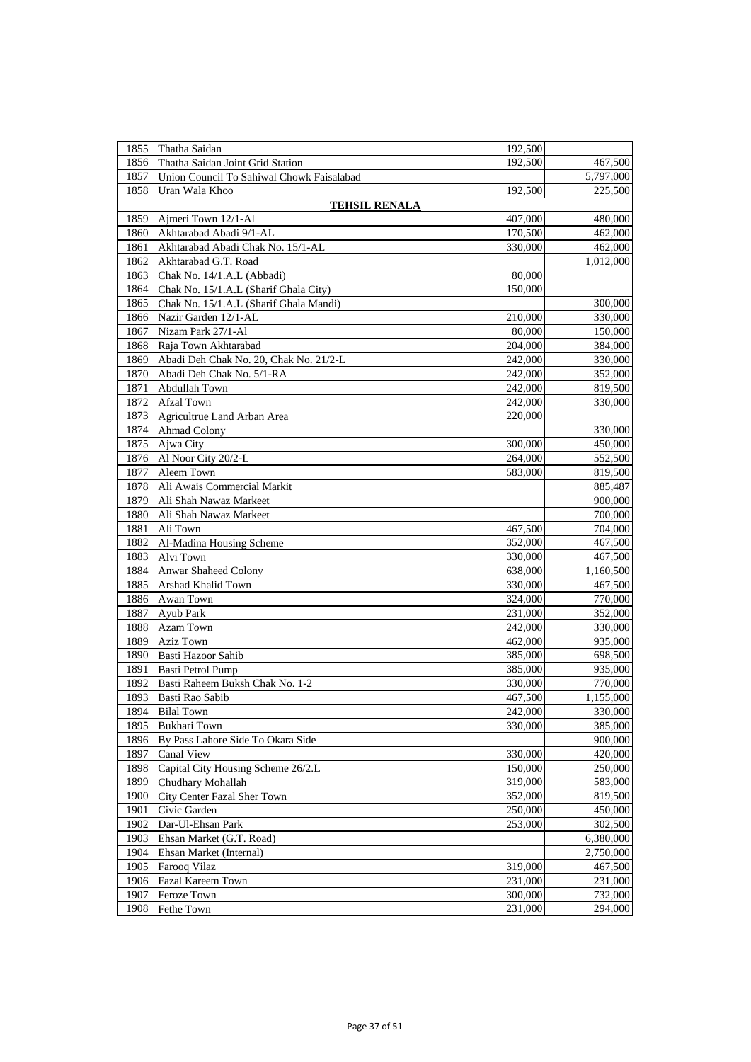| 1855 | Thatha Saidan                             | 192,500 |           |
|------|-------------------------------------------|---------|-----------|
| 1856 | Thatha Saidan Joint Grid Station          | 192,500 | 467,500   |
| 1857 | Union Council To Sahiwal Chowk Faisalabad |         | 5,797,000 |
| 1858 | Uran Wala Khoo                            | 192,500 | 225,500   |
|      | <b>TEHSIL RENALA</b>                      |         |           |
| 1859 | Ajmeri Town 12/1-Al                       | 407,000 | 480,000   |
| 1860 | Akhtarabad Abadi 9/1-AL                   | 170,500 | 462,000   |
| 1861 | Akhtarabad Abadi Chak No. 15/1-AL         | 330,000 | 462,000   |
| 1862 | Akhtarabad G.T. Road                      |         | 1,012,000 |
| 1863 | Chak No. 14/1.A.L (Abbadi)                | 80,000  |           |
| 1864 | Chak No. 15/1.A.L (Sharif Ghala City)     | 150,000 |           |
| 1865 | Chak No. 15/1.A.L (Sharif Ghala Mandi)    |         | 300,000   |
| 1866 | Nazir Garden 12/1-AL                      | 210,000 | 330,000   |
| 1867 | Nizam Park 27/1-Al                        | 80,000  | 150,000   |
| 1868 | Raja Town Akhtarabad                      | 204,000 | 384,000   |
| 1869 | Abadi Deh Chak No. 20, Chak No. 21/2-L    | 242,000 | 330,000   |
| 1870 | Abadi Deh Chak No. 5/1-RA                 | 242,000 | 352,000   |
| 1871 | Abdullah Town                             | 242,000 | 819,500   |
| 1872 | <b>Afzal Town</b>                         | 242,000 | 330,000   |
| 1873 | Agricultrue Land Arban Area               | 220,000 |           |
| 1874 | Ahmad Colony                              |         | 330,000   |
| 1875 | Ajwa City                                 | 300,000 | 450,000   |
| 1876 | Al Noor City 20/2-L                       | 264,000 | 552,500   |
| 1877 | Aleem Town                                | 583,000 | 819,500   |
| 1878 | Ali Awais Commercial Markit               |         | 885,487   |
| 1879 | Ali Shah Nawaz Markeet                    |         | 900,000   |
| 1880 | Ali Shah Nawaz Markeet                    |         | 700,000   |
| 1881 | Ali Town                                  | 467,500 | 704,000   |
| 1882 | Al-Madina Housing Scheme                  | 352,000 | 467,500   |
| 1883 | Alvi Town                                 | 330,000 | 467,500   |
| 1884 | <b>Anwar Shaheed Colony</b>               | 638,000 | 1,160,500 |
| 1885 | Arshad Khalid Town                        | 330,000 | 467,500   |
| 1886 | Awan Town                                 | 324,000 | 770,000   |
| 1887 | Ayub Park                                 | 231,000 | 352,000   |
| 1888 | Azam Town                                 | 242,000 | 330,000   |
| 1889 | <b>Aziz Town</b>                          | 462,000 | 935,000   |
| 1890 | Basti Hazoor Sahib                        | 385,000 | 698,500   |
| 1891 | Basti Petrol Pump                         | 385,000 | 935,000   |
| 1892 | Basti Raheem Buksh Chak No. 1-2           | 330,000 | 770,000   |
| 1893 | Basti Rao Sabib                           | 467,500 | 1,155,000 |
| 1894 | <b>Bilal Town</b>                         | 242,000 | 330,000   |
| 1895 | <b>Bukhari Town</b>                       | 330,000 | 385,000   |
| 1896 | By Pass Lahore Side To Okara Side         |         | 900,000   |
| 1897 | Canal View                                | 330,000 | 420,000   |
| 1898 | Capital City Housing Scheme 26/2.L        | 150,000 | 250,000   |
| 1899 | Chudhary Mohallah                         | 319,000 | 583,000   |
| 1900 | City Center Fazal Sher Town               | 352,000 | 819,500   |
| 1901 | Civic Garden                              | 250,000 | 450,000   |
| 1902 | Dar-Ul-Ehsan Park                         | 253,000 | 302,500   |
| 1903 | Ehsan Market (G.T. Road)                  |         | 6,380,000 |
| 1904 | Ehsan Market (Internal)                   |         | 2,750,000 |
| 1905 | Farooq Vilaz                              | 319,000 | 467,500   |
| 1906 | Fazal Kareem Town                         | 231,000 | 231,000   |
| 1907 | Feroze Town                               | 300,000 | 732,000   |
| 1908 | Fethe Town                                | 231,000 | 294,000   |
|      |                                           |         |           |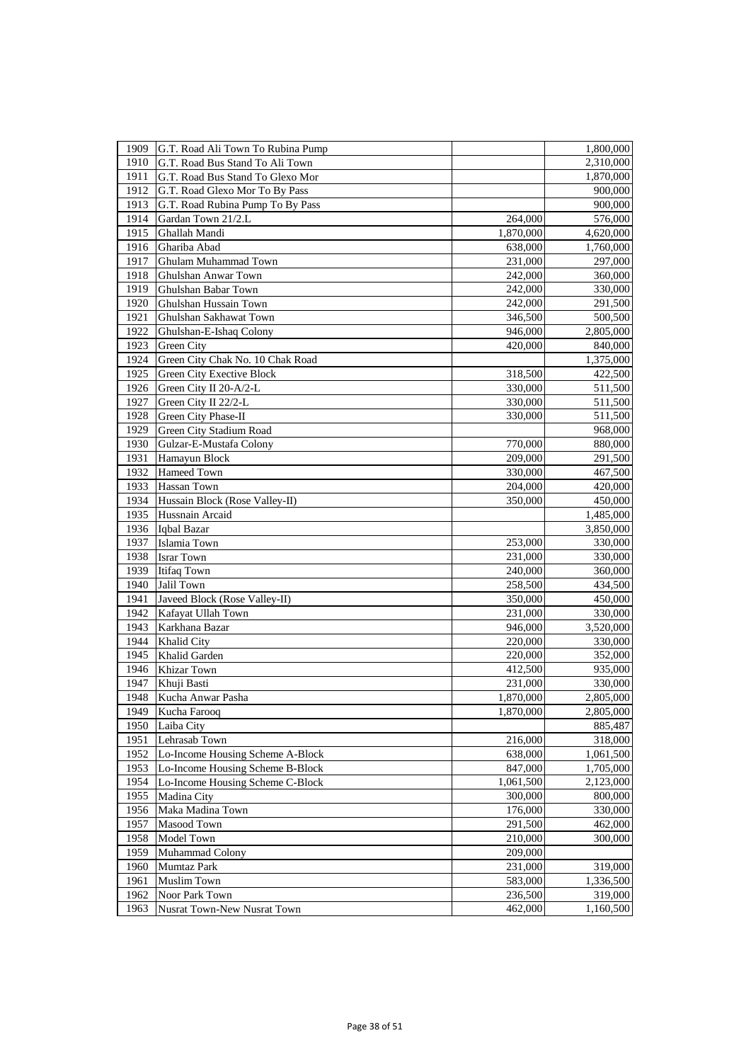| 1909 | G.T. Road Ali Town To Rubina Pump |           | 1,800,000 |
|------|-----------------------------------|-----------|-----------|
| 1910 | G.T. Road Bus Stand To Ali Town   |           | 2,310,000 |
| 1911 | G.T. Road Bus Stand To Glexo Mor  |           | 1,870,000 |
| 1912 | G.T. Road Glexo Mor To By Pass    |           | 900,000   |
| 1913 | G.T. Road Rubina Pump To By Pass  |           | 900,000   |
| 1914 | Gardan Town 21/2.L                | 264,000   | 576,000   |
| 1915 | Ghallah Mandi                     | 1,870,000 | 4,620,000 |
| 1916 | Ghariba Abad                      | 638,000   | 1,760,000 |
| 1917 | Ghulam Muhammad Town              | 231,000   | 297,000   |
| 1918 | Ghulshan Anwar Town               | 242,000   | 360,000   |
| 1919 | Ghulshan Babar Town               | 242,000   | 330,000   |
| 1920 | Ghulshan Hussain Town             | 242,000   | 291,500   |
| 1921 | Ghulshan Sakhawat Town            | 346,500   | 500,500   |
| 1922 | Ghulshan-E-Ishaq Colony           | 946,000   | 2,805,000 |
| 1923 | Green City                        | 420,000   | 840,000   |
| 1924 | Green City Chak No. 10 Chak Road  |           | 1,375,000 |
| 1925 | Green City Exective Block         | 318,500   | 422,500   |
| 1926 | Green City II 20-A/2-L            | 330,000   | 511,500   |
| 1927 | Green City II 22/2-L              | 330,000   | 511,500   |
| 1928 | Green City Phase-II               | 330,000   | 511,500   |
| 1929 | Green City Stadium Road           |           | 968,000   |
| 1930 | Gulzar-E-Mustafa Colony           | 770,000   | 880,000   |
| 1931 | Hamayun Block                     | 209,000   | 291,500   |
| 1932 | Hameed Town                       | 330,000   | 467,500   |
| 1933 | Hassan Town                       | 204,000   | 420,000   |
| 1934 | Hussain Block (Rose Valley-II)    | 350,000   | 450,000   |
| 1935 | Hussnain Arcaid                   |           | 1,485,000 |
| 1936 | Iqbal Bazar                       |           | 3,850,000 |
| 1937 | Islamia Town                      | 253,000   | 330,000   |
| 1938 | <b>Israr Town</b>                 | 231,000   | 330,000   |
| 1939 | <b>Itifaq Town</b>                | 240,000   | 360,000   |
| 1940 | Jalil Town                        | 258,500   | 434,500   |
| 1941 | Javeed Block (Rose Valley-II)     | 350,000   | 450,000   |
| 1942 | Kafayat Ullah Town                | 231,000   | 330,000   |
| 1943 | Karkhana Bazar                    | 946,000   | 3,520,000 |
| 1944 | <b>Khalid City</b>                | 220,000   | 330,000   |
| 1945 | Khalid Garden                     | 220,000   | 352,000   |
| 1946 | Khizar Town                       | 412,500   | 935,000   |
| 1947 | Khuji Basti                       | 231,000   | 330,000   |
| 1948 | Kucha Anwar Pasha                 | 1,870,000 | 2,805,000 |
| 1949 | Kucha Farooq                      | 1,870,000 | 2,805,000 |
| 1950 | Laiba City                        |           | 885,487   |
| 1951 | Lehrasab Town                     | 216,000   | 318,000   |
| 1952 | Lo-Income Housing Scheme A-Block  | 638,000   | 1,061,500 |
| 1953 | Lo-Income Housing Scheme B-Block  | 847,000   | 1,705,000 |
| 1954 | Lo-Income Housing Scheme C-Block  | 1,061,500 | 2,123,000 |
| 1955 | Madina City                       | 300,000   | 800,000   |
| 1956 | Maka Madina Town                  | 176,000   | 330,000   |
| 1957 | Masood Town                       | 291,500   | 462,000   |
| 1958 | Model Town                        | 210,000   | 300,000   |
| 1959 | Muhammad Colony                   | 209,000   |           |
| 1960 | Mumtaz Park                       | 231,000   | 319,000   |
| 1961 | <b>Muslim Town</b>                | 583,000   | 1,336,500 |
| 1962 | Noor Park Town                    | 236,500   | 319,000   |
| 1963 | Nusrat Town-New Nusrat Town       | 462,000   | 1,160,500 |
|      |                                   |           |           |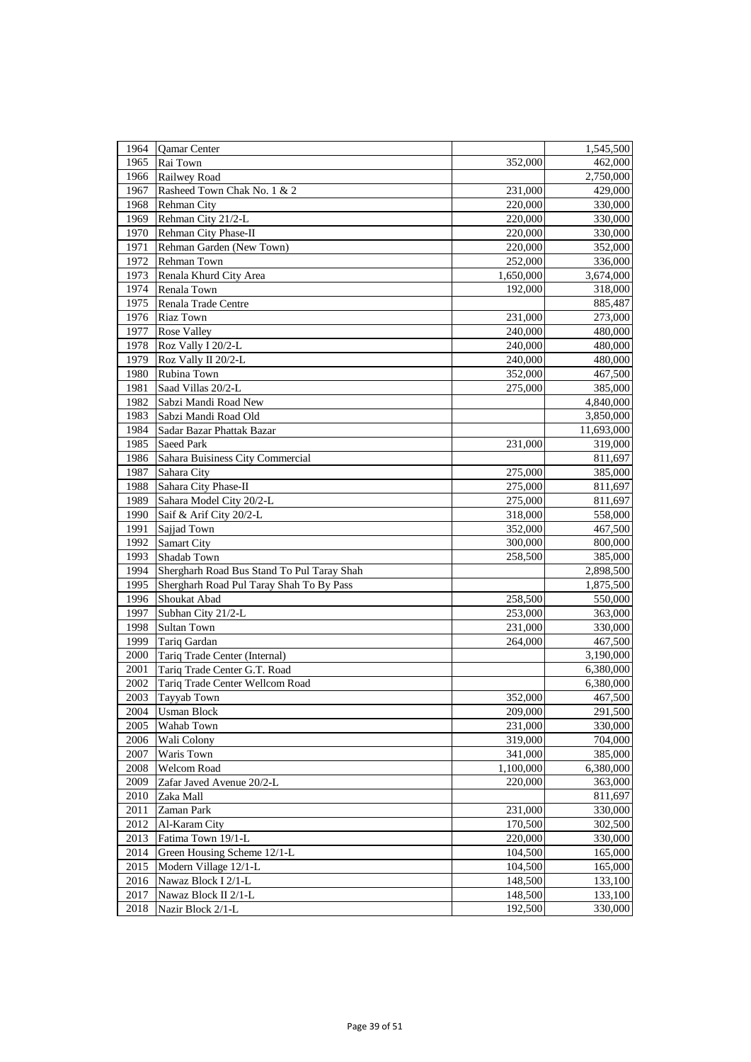| 1964 | Qamar Center                                         |                    | 1,545,500          |
|------|------------------------------------------------------|--------------------|--------------------|
| 1965 | Rai Town                                             | 352,000            | 462,000            |
| 1966 | Railwey Road                                         |                    | 2,750,000          |
| 1967 | Rasheed Town Chak No. 1 & 2                          | 231,000            | 429,000            |
| 1968 | <b>Rehman City</b>                                   | 220,000            | 330,000            |
| 1969 | Rehman City 21/2-L                                   | 220,000            | 330,000            |
| 1970 | Rehman City Phase-II                                 | 220,000            | 330,000            |
| 1971 | Rehman Garden (New Town)                             | 220,000            | 352,000            |
| 1972 | Rehman Town                                          | 252,000            | 336,000            |
| 1973 | Renala Khurd City Area                               | 1,650,000          | 3,674,000          |
| 1974 | Renala Town                                          | 192,000            | 318,000            |
| 1975 | Renala Trade Centre                                  |                    | 885,487            |
| 1976 | <b>Riaz Town</b>                                     | 231,000            | 273,000            |
| 1977 | <b>Rose Valley</b>                                   | 240,000            | 480,000            |
| 1978 | Roz Vally I 20/2-L                                   | 240,000            | 480,000            |
| 1979 | Roz Vally II 20/2-L                                  | 240,000            | 480,000            |
| 1980 | Rubina Town                                          | 352,000            | 467,500            |
| 1981 | Saad Villas 20/2-L                                   | 275,000            | 385,000            |
| 1982 | Sabzi Mandi Road New                                 |                    | 4,840,000          |
| 1983 | Sabzi Mandi Road Old                                 |                    | 3,850,000          |
| 1984 | Sadar Bazar Phattak Bazar                            |                    | 11,693,000         |
| 1985 | <b>Saeed Park</b>                                    | 231,000            | 319,000            |
| 1986 | Sahara Buisiness City Commercial                     |                    | 811,697            |
| 1987 | Sahara City                                          | 275,000            | 385,000            |
| 1988 | Sahara City Phase-II                                 | 275,000            | 811,697            |
| 1989 | Sahara Model City 20/2-L                             | 275,000            | 811,697            |
| 1990 | Saif & Arif City 20/2-L                              | 318,000            | 558,000            |
| 1991 | Sajjad Town                                          | 352,000            | 467,500            |
| 1992 | <b>Samart City</b>                                   | 300,000            | 800,000            |
| 1993 | Shadab Town                                          | 258,500            | 385,000            |
| 1994 | Shergharh Road Bus Stand To Pul Taray Shah           |                    | 2,898,500          |
| 1995 | Shergharh Road Pul Taray Shah To By Pass             |                    | 1,875,500          |
| 1996 | Shoukat Abad                                         | 258,500            | 550,000            |
| 1997 | Subhan City 21/2-L                                   | 253,000            | 363,000            |
| 1998 | Sultan Town                                          | 231,000            | 330,000            |
| 1999 | Tariq Gardan                                         | 264,000            | 467,500            |
| 2000 | Tariq Trade Center (Internal)                        |                    | 3,190,000          |
| 2001 | Tariq Trade Center G.T. Road                         |                    | 6,380,000          |
| 2002 | Tariq Trade Center Wellcom Road                      |                    | 6,380,000          |
| 2003 | Tayyab Town                                          | 352,000            | 467,500            |
| 2004 | <b>Usman Block</b>                                   | 209,000            | 291,500            |
| 2005 | Wahab Town                                           | 231,000            | 330,000            |
| 2006 | Wali Colony                                          | 319,000            | 704,000            |
| 2007 | Waris Town                                           | 341,000            | 385,000            |
| 2008 | Welcom Road                                          | 1,100,000          | 6,380,000          |
| 2009 | Zafar Javed Avenue 20/2-L                            | 220,000            | 363,000            |
| 2010 | Zaka Mall                                            |                    | 811,697            |
| 2011 | Zaman Park                                           | 231,000            | 330,000            |
| 2012 | Al-Karam City                                        | 170,500            | 302,500            |
| 2013 | Fatima Town 19/1-L                                   | 220,000            | 330,000            |
| 2014 |                                                      | 104,500            |                    |
| 2015 | Green Housing Scheme 12/1-L<br>Modern Village 12/1-L |                    | 165,000<br>165,000 |
|      |                                                      | 104,500            |                    |
| 2016 | Nawaz Block I 2/1-L                                  | 148,500<br>148,500 | 133,100            |
| 2017 | Nawaz Block II 2/1-L                                 |                    | 133,100            |
| 2018 | Nazir Block 2/1-L                                    | 192,500            | 330,000            |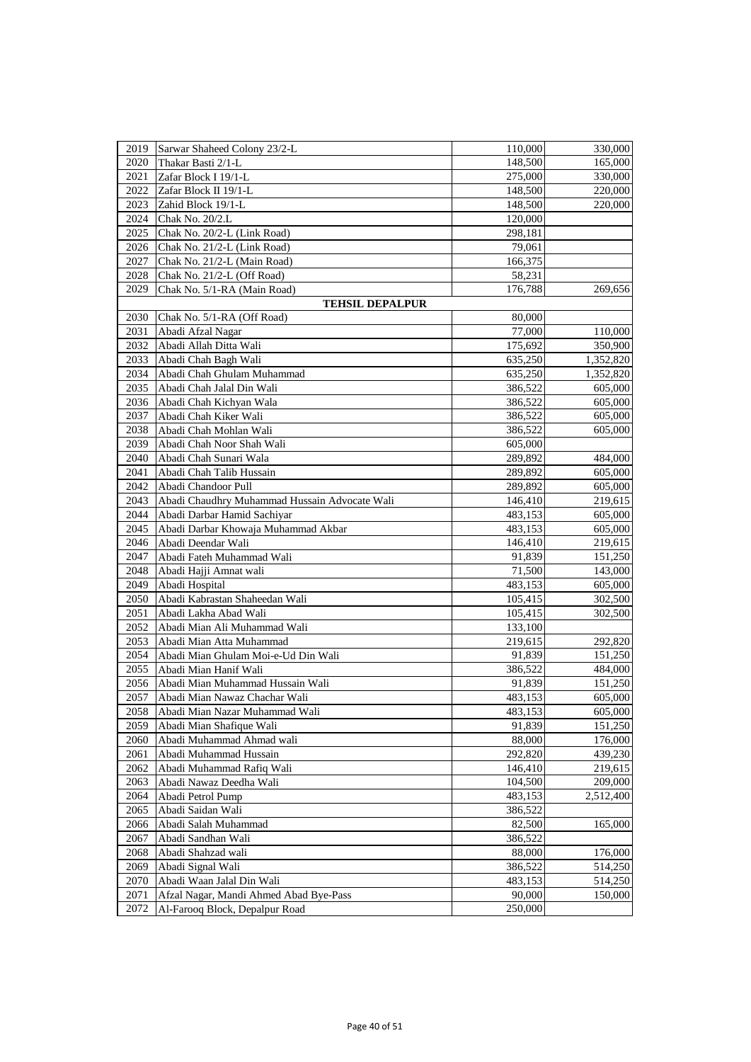| 2020<br>Thakar Basti 2/1-L<br>148,500<br>165,000<br>2021<br>Zafar Block I 19/1-L<br>275,000<br>330,000<br>2022<br>Zafar Block II 19/1-L<br>148,500<br>2023<br>148,500<br>Zahid Block 19/1-L<br>2024<br>Chak No. 20/2.L<br>120,000<br>2025<br>Chak No. 20/2-L (Link Road)<br>298,181<br>2026<br>Chak No. 21/2-L (Link Road)<br>79,061<br>166,375<br>2027<br>Chak No. 21/2-L (Main Road)<br>2028<br>Chak No. 21/2-L (Off Road)<br>58,231<br>2029<br>Chak No. 5/1-RA (Main Road)<br>176,788<br>269,656<br><b>TEHSIL DEPALPUR</b><br>2030<br>Chak No. 5/1-RA (Off Road)<br>80,000<br>2031<br>Abadi Afzal Nagar<br>77,000<br>110,000<br>2032<br>Abadi Allah Ditta Wali<br>175,692<br>350,900<br>2033<br>Abadi Chah Bagh Wali<br>635,250<br>1,352,820<br>2034<br>Abadi Chah Ghulam Muhammad<br>635,250<br>1,352,820<br>2035<br>Abadi Chah Jalal Din Wali<br>386,522<br>605,000<br>2036<br>Abadi Chah Kichyan Wala<br>386,522<br>605,000<br>2037<br>Abadi Chah Kiker Wali<br>605,000<br>386,522<br>2038<br>Abadi Chah Mohlan Wali<br>386,522<br>605,000<br>2039<br>Abadi Chah Noor Shah Wali<br>605,000<br>2040<br>Abadi Chah Sunari Wala<br>289,892<br>484,000<br>2041<br>Abadi Chah Talib Hussain<br>605,000<br>289,892<br>2042<br>Abadi Chandoor Pull<br>289,892<br>605,000<br>2043<br>Abadi Chaudhry Muhammad Hussain Advocate Wali<br>219,615<br>146,410<br>2044<br>Abadi Darbar Hamid Sachiyar<br>483,153<br>605,000<br>2045<br>Abadi Darbar Khowaja Muhammad Akbar<br>483,153<br>605,000<br>2046<br>Abadi Deendar Wali<br>219,615<br>146,410<br>2047<br>Abadi Fateh Muhammad Wali<br>91,839<br>151,250<br>2048<br>Abadi Hajji Amnat wali<br>71,500<br>143,000<br>2049<br>Abadi Hospital<br>483,153<br>605,000<br>Abadi Kabrastan Shaheedan Wali<br>2050<br>105,415<br>302,500<br>2051<br>Abadi Lakha Abad Wali<br>105,415<br>302,500<br>2052<br>Abadi Mian Ali Muhammad Wali<br>133,100<br>2053<br>Abadi Mian Atta Muhammad<br>219,615<br>292,820<br>2054<br>Abadi Mian Ghulam Moi-e-Ud Din Wali<br>91,839<br>151,250<br>2055<br>Abadi Mian Hanif Wali<br>386,522<br>484,000<br>2056<br>Abadi Mian Muhammad Hussain Wali<br>91,839<br>151,250<br>2057<br>483,153<br>Abadi Mian Nawaz Chachar Wali<br>605,000<br>Abadi Mian Nazar Muhammad Wali<br>483,153<br>605,000<br>2058<br>2059<br>Abadi Mian Shafique Wali<br>151,250<br>91,839<br>2060<br>Abadi Muhammad Ahmad wali<br>88,000<br>176,000<br>2061<br>292,820<br>439,230<br>Abadi Muhammad Hussain<br>2062<br>Abadi Muhammad Rafiq Wali<br>146,410<br>219,615<br>Abadi Nawaz Deedha Wali<br>104,500<br>2063<br>209,000<br>2064<br>Abadi Petrol Pump<br>483,153<br>2,512,400<br>Abadi Saidan Wali<br>2065<br>386,522<br>2066<br>Abadi Salah Muhammad<br>82,500<br>165,000<br>2067<br>Abadi Sandhan Wali<br>386,522<br>2068<br>Abadi Shahzad wali<br>88,000<br>176,000<br>2069<br>Abadi Signal Wali<br>386,522<br>514,250<br>2070<br>Abadi Waan Jalal Din Wali<br>483,153<br>514,250<br>2071<br>Afzal Nagar, Mandi Ahmed Abad Bye-Pass<br>90,000<br>150,000<br>2072<br>250,000<br>Al-Farooq Block, Depalpur Road | 2019 | Sarwar Shaheed Colony 23/2-L | 110,000 | 330,000 |
|---------------------------------------------------------------------------------------------------------------------------------------------------------------------------------------------------------------------------------------------------------------------------------------------------------------------------------------------------------------------------------------------------------------------------------------------------------------------------------------------------------------------------------------------------------------------------------------------------------------------------------------------------------------------------------------------------------------------------------------------------------------------------------------------------------------------------------------------------------------------------------------------------------------------------------------------------------------------------------------------------------------------------------------------------------------------------------------------------------------------------------------------------------------------------------------------------------------------------------------------------------------------------------------------------------------------------------------------------------------------------------------------------------------------------------------------------------------------------------------------------------------------------------------------------------------------------------------------------------------------------------------------------------------------------------------------------------------------------------------------------------------------------------------------------------------------------------------------------------------------------------------------------------------------------------------------------------------------------------------------------------------------------------------------------------------------------------------------------------------------------------------------------------------------------------------------------------------------------------------------------------------------------------------------------------------------------------------------------------------------------------------------------------------------------------------------------------------------------------------------------------------------------------------------------------------------------------------------------------------------------------------------------------------------------------------------------------------------------------------------------------------------------------------------------------------------------------------------------------------------------------------------------------------------------------------------------------------------------------------------------------------------------------------------------------------------|------|------------------------------|---------|---------|
|                                                                                                                                                                                                                                                                                                                                                                                                                                                                                                                                                                                                                                                                                                                                                                                                                                                                                                                                                                                                                                                                                                                                                                                                                                                                                                                                                                                                                                                                                                                                                                                                                                                                                                                                                                                                                                                                                                                                                                                                                                                                                                                                                                                                                                                                                                                                                                                                                                                                                                                                                                                                                                                                                                                                                                                                                                                                                                                                                                                                                                                                     |      |                              |         |         |
|                                                                                                                                                                                                                                                                                                                                                                                                                                                                                                                                                                                                                                                                                                                                                                                                                                                                                                                                                                                                                                                                                                                                                                                                                                                                                                                                                                                                                                                                                                                                                                                                                                                                                                                                                                                                                                                                                                                                                                                                                                                                                                                                                                                                                                                                                                                                                                                                                                                                                                                                                                                                                                                                                                                                                                                                                                                                                                                                                                                                                                                                     |      |                              |         |         |
|                                                                                                                                                                                                                                                                                                                                                                                                                                                                                                                                                                                                                                                                                                                                                                                                                                                                                                                                                                                                                                                                                                                                                                                                                                                                                                                                                                                                                                                                                                                                                                                                                                                                                                                                                                                                                                                                                                                                                                                                                                                                                                                                                                                                                                                                                                                                                                                                                                                                                                                                                                                                                                                                                                                                                                                                                                                                                                                                                                                                                                                                     |      |                              |         | 220,000 |
|                                                                                                                                                                                                                                                                                                                                                                                                                                                                                                                                                                                                                                                                                                                                                                                                                                                                                                                                                                                                                                                                                                                                                                                                                                                                                                                                                                                                                                                                                                                                                                                                                                                                                                                                                                                                                                                                                                                                                                                                                                                                                                                                                                                                                                                                                                                                                                                                                                                                                                                                                                                                                                                                                                                                                                                                                                                                                                                                                                                                                                                                     |      |                              |         | 220,000 |
|                                                                                                                                                                                                                                                                                                                                                                                                                                                                                                                                                                                                                                                                                                                                                                                                                                                                                                                                                                                                                                                                                                                                                                                                                                                                                                                                                                                                                                                                                                                                                                                                                                                                                                                                                                                                                                                                                                                                                                                                                                                                                                                                                                                                                                                                                                                                                                                                                                                                                                                                                                                                                                                                                                                                                                                                                                                                                                                                                                                                                                                                     |      |                              |         |         |
|                                                                                                                                                                                                                                                                                                                                                                                                                                                                                                                                                                                                                                                                                                                                                                                                                                                                                                                                                                                                                                                                                                                                                                                                                                                                                                                                                                                                                                                                                                                                                                                                                                                                                                                                                                                                                                                                                                                                                                                                                                                                                                                                                                                                                                                                                                                                                                                                                                                                                                                                                                                                                                                                                                                                                                                                                                                                                                                                                                                                                                                                     |      |                              |         |         |
|                                                                                                                                                                                                                                                                                                                                                                                                                                                                                                                                                                                                                                                                                                                                                                                                                                                                                                                                                                                                                                                                                                                                                                                                                                                                                                                                                                                                                                                                                                                                                                                                                                                                                                                                                                                                                                                                                                                                                                                                                                                                                                                                                                                                                                                                                                                                                                                                                                                                                                                                                                                                                                                                                                                                                                                                                                                                                                                                                                                                                                                                     |      |                              |         |         |
|                                                                                                                                                                                                                                                                                                                                                                                                                                                                                                                                                                                                                                                                                                                                                                                                                                                                                                                                                                                                                                                                                                                                                                                                                                                                                                                                                                                                                                                                                                                                                                                                                                                                                                                                                                                                                                                                                                                                                                                                                                                                                                                                                                                                                                                                                                                                                                                                                                                                                                                                                                                                                                                                                                                                                                                                                                                                                                                                                                                                                                                                     |      |                              |         |         |
|                                                                                                                                                                                                                                                                                                                                                                                                                                                                                                                                                                                                                                                                                                                                                                                                                                                                                                                                                                                                                                                                                                                                                                                                                                                                                                                                                                                                                                                                                                                                                                                                                                                                                                                                                                                                                                                                                                                                                                                                                                                                                                                                                                                                                                                                                                                                                                                                                                                                                                                                                                                                                                                                                                                                                                                                                                                                                                                                                                                                                                                                     |      |                              |         |         |
|                                                                                                                                                                                                                                                                                                                                                                                                                                                                                                                                                                                                                                                                                                                                                                                                                                                                                                                                                                                                                                                                                                                                                                                                                                                                                                                                                                                                                                                                                                                                                                                                                                                                                                                                                                                                                                                                                                                                                                                                                                                                                                                                                                                                                                                                                                                                                                                                                                                                                                                                                                                                                                                                                                                                                                                                                                                                                                                                                                                                                                                                     |      |                              |         |         |
|                                                                                                                                                                                                                                                                                                                                                                                                                                                                                                                                                                                                                                                                                                                                                                                                                                                                                                                                                                                                                                                                                                                                                                                                                                                                                                                                                                                                                                                                                                                                                                                                                                                                                                                                                                                                                                                                                                                                                                                                                                                                                                                                                                                                                                                                                                                                                                                                                                                                                                                                                                                                                                                                                                                                                                                                                                                                                                                                                                                                                                                                     |      |                              |         |         |
|                                                                                                                                                                                                                                                                                                                                                                                                                                                                                                                                                                                                                                                                                                                                                                                                                                                                                                                                                                                                                                                                                                                                                                                                                                                                                                                                                                                                                                                                                                                                                                                                                                                                                                                                                                                                                                                                                                                                                                                                                                                                                                                                                                                                                                                                                                                                                                                                                                                                                                                                                                                                                                                                                                                                                                                                                                                                                                                                                                                                                                                                     |      |                              |         |         |
|                                                                                                                                                                                                                                                                                                                                                                                                                                                                                                                                                                                                                                                                                                                                                                                                                                                                                                                                                                                                                                                                                                                                                                                                                                                                                                                                                                                                                                                                                                                                                                                                                                                                                                                                                                                                                                                                                                                                                                                                                                                                                                                                                                                                                                                                                                                                                                                                                                                                                                                                                                                                                                                                                                                                                                                                                                                                                                                                                                                                                                                                     |      |                              |         |         |
|                                                                                                                                                                                                                                                                                                                                                                                                                                                                                                                                                                                                                                                                                                                                                                                                                                                                                                                                                                                                                                                                                                                                                                                                                                                                                                                                                                                                                                                                                                                                                                                                                                                                                                                                                                                                                                                                                                                                                                                                                                                                                                                                                                                                                                                                                                                                                                                                                                                                                                                                                                                                                                                                                                                                                                                                                                                                                                                                                                                                                                                                     |      |                              |         |         |
|                                                                                                                                                                                                                                                                                                                                                                                                                                                                                                                                                                                                                                                                                                                                                                                                                                                                                                                                                                                                                                                                                                                                                                                                                                                                                                                                                                                                                                                                                                                                                                                                                                                                                                                                                                                                                                                                                                                                                                                                                                                                                                                                                                                                                                                                                                                                                                                                                                                                                                                                                                                                                                                                                                                                                                                                                                                                                                                                                                                                                                                                     |      |                              |         |         |
|                                                                                                                                                                                                                                                                                                                                                                                                                                                                                                                                                                                                                                                                                                                                                                                                                                                                                                                                                                                                                                                                                                                                                                                                                                                                                                                                                                                                                                                                                                                                                                                                                                                                                                                                                                                                                                                                                                                                                                                                                                                                                                                                                                                                                                                                                                                                                                                                                                                                                                                                                                                                                                                                                                                                                                                                                                                                                                                                                                                                                                                                     |      |                              |         |         |
|                                                                                                                                                                                                                                                                                                                                                                                                                                                                                                                                                                                                                                                                                                                                                                                                                                                                                                                                                                                                                                                                                                                                                                                                                                                                                                                                                                                                                                                                                                                                                                                                                                                                                                                                                                                                                                                                                                                                                                                                                                                                                                                                                                                                                                                                                                                                                                                                                                                                                                                                                                                                                                                                                                                                                                                                                                                                                                                                                                                                                                                                     |      |                              |         |         |
|                                                                                                                                                                                                                                                                                                                                                                                                                                                                                                                                                                                                                                                                                                                                                                                                                                                                                                                                                                                                                                                                                                                                                                                                                                                                                                                                                                                                                                                                                                                                                                                                                                                                                                                                                                                                                                                                                                                                                                                                                                                                                                                                                                                                                                                                                                                                                                                                                                                                                                                                                                                                                                                                                                                                                                                                                                                                                                                                                                                                                                                                     |      |                              |         |         |
|                                                                                                                                                                                                                                                                                                                                                                                                                                                                                                                                                                                                                                                                                                                                                                                                                                                                                                                                                                                                                                                                                                                                                                                                                                                                                                                                                                                                                                                                                                                                                                                                                                                                                                                                                                                                                                                                                                                                                                                                                                                                                                                                                                                                                                                                                                                                                                                                                                                                                                                                                                                                                                                                                                                                                                                                                                                                                                                                                                                                                                                                     |      |                              |         |         |
|                                                                                                                                                                                                                                                                                                                                                                                                                                                                                                                                                                                                                                                                                                                                                                                                                                                                                                                                                                                                                                                                                                                                                                                                                                                                                                                                                                                                                                                                                                                                                                                                                                                                                                                                                                                                                                                                                                                                                                                                                                                                                                                                                                                                                                                                                                                                                                                                                                                                                                                                                                                                                                                                                                                                                                                                                                                                                                                                                                                                                                                                     |      |                              |         |         |
|                                                                                                                                                                                                                                                                                                                                                                                                                                                                                                                                                                                                                                                                                                                                                                                                                                                                                                                                                                                                                                                                                                                                                                                                                                                                                                                                                                                                                                                                                                                                                                                                                                                                                                                                                                                                                                                                                                                                                                                                                                                                                                                                                                                                                                                                                                                                                                                                                                                                                                                                                                                                                                                                                                                                                                                                                                                                                                                                                                                                                                                                     |      |                              |         |         |
|                                                                                                                                                                                                                                                                                                                                                                                                                                                                                                                                                                                                                                                                                                                                                                                                                                                                                                                                                                                                                                                                                                                                                                                                                                                                                                                                                                                                                                                                                                                                                                                                                                                                                                                                                                                                                                                                                                                                                                                                                                                                                                                                                                                                                                                                                                                                                                                                                                                                                                                                                                                                                                                                                                                                                                                                                                                                                                                                                                                                                                                                     |      |                              |         |         |
|                                                                                                                                                                                                                                                                                                                                                                                                                                                                                                                                                                                                                                                                                                                                                                                                                                                                                                                                                                                                                                                                                                                                                                                                                                                                                                                                                                                                                                                                                                                                                                                                                                                                                                                                                                                                                                                                                                                                                                                                                                                                                                                                                                                                                                                                                                                                                                                                                                                                                                                                                                                                                                                                                                                                                                                                                                                                                                                                                                                                                                                                     |      |                              |         |         |
|                                                                                                                                                                                                                                                                                                                                                                                                                                                                                                                                                                                                                                                                                                                                                                                                                                                                                                                                                                                                                                                                                                                                                                                                                                                                                                                                                                                                                                                                                                                                                                                                                                                                                                                                                                                                                                                                                                                                                                                                                                                                                                                                                                                                                                                                                                                                                                                                                                                                                                                                                                                                                                                                                                                                                                                                                                                                                                                                                                                                                                                                     |      |                              |         |         |
|                                                                                                                                                                                                                                                                                                                                                                                                                                                                                                                                                                                                                                                                                                                                                                                                                                                                                                                                                                                                                                                                                                                                                                                                                                                                                                                                                                                                                                                                                                                                                                                                                                                                                                                                                                                                                                                                                                                                                                                                                                                                                                                                                                                                                                                                                                                                                                                                                                                                                                                                                                                                                                                                                                                                                                                                                                                                                                                                                                                                                                                                     |      |                              |         |         |
|                                                                                                                                                                                                                                                                                                                                                                                                                                                                                                                                                                                                                                                                                                                                                                                                                                                                                                                                                                                                                                                                                                                                                                                                                                                                                                                                                                                                                                                                                                                                                                                                                                                                                                                                                                                                                                                                                                                                                                                                                                                                                                                                                                                                                                                                                                                                                                                                                                                                                                                                                                                                                                                                                                                                                                                                                                                                                                                                                                                                                                                                     |      |                              |         |         |
|                                                                                                                                                                                                                                                                                                                                                                                                                                                                                                                                                                                                                                                                                                                                                                                                                                                                                                                                                                                                                                                                                                                                                                                                                                                                                                                                                                                                                                                                                                                                                                                                                                                                                                                                                                                                                                                                                                                                                                                                                                                                                                                                                                                                                                                                                                                                                                                                                                                                                                                                                                                                                                                                                                                                                                                                                                                                                                                                                                                                                                                                     |      |                              |         |         |
|                                                                                                                                                                                                                                                                                                                                                                                                                                                                                                                                                                                                                                                                                                                                                                                                                                                                                                                                                                                                                                                                                                                                                                                                                                                                                                                                                                                                                                                                                                                                                                                                                                                                                                                                                                                                                                                                                                                                                                                                                                                                                                                                                                                                                                                                                                                                                                                                                                                                                                                                                                                                                                                                                                                                                                                                                                                                                                                                                                                                                                                                     |      |                              |         |         |
|                                                                                                                                                                                                                                                                                                                                                                                                                                                                                                                                                                                                                                                                                                                                                                                                                                                                                                                                                                                                                                                                                                                                                                                                                                                                                                                                                                                                                                                                                                                                                                                                                                                                                                                                                                                                                                                                                                                                                                                                                                                                                                                                                                                                                                                                                                                                                                                                                                                                                                                                                                                                                                                                                                                                                                                                                                                                                                                                                                                                                                                                     |      |                              |         |         |
|                                                                                                                                                                                                                                                                                                                                                                                                                                                                                                                                                                                                                                                                                                                                                                                                                                                                                                                                                                                                                                                                                                                                                                                                                                                                                                                                                                                                                                                                                                                                                                                                                                                                                                                                                                                                                                                                                                                                                                                                                                                                                                                                                                                                                                                                                                                                                                                                                                                                                                                                                                                                                                                                                                                                                                                                                                                                                                                                                                                                                                                                     |      |                              |         |         |
|                                                                                                                                                                                                                                                                                                                                                                                                                                                                                                                                                                                                                                                                                                                                                                                                                                                                                                                                                                                                                                                                                                                                                                                                                                                                                                                                                                                                                                                                                                                                                                                                                                                                                                                                                                                                                                                                                                                                                                                                                                                                                                                                                                                                                                                                                                                                                                                                                                                                                                                                                                                                                                                                                                                                                                                                                                                                                                                                                                                                                                                                     |      |                              |         |         |
|                                                                                                                                                                                                                                                                                                                                                                                                                                                                                                                                                                                                                                                                                                                                                                                                                                                                                                                                                                                                                                                                                                                                                                                                                                                                                                                                                                                                                                                                                                                                                                                                                                                                                                                                                                                                                                                                                                                                                                                                                                                                                                                                                                                                                                                                                                                                                                                                                                                                                                                                                                                                                                                                                                                                                                                                                                                                                                                                                                                                                                                                     |      |                              |         |         |
|                                                                                                                                                                                                                                                                                                                                                                                                                                                                                                                                                                                                                                                                                                                                                                                                                                                                                                                                                                                                                                                                                                                                                                                                                                                                                                                                                                                                                                                                                                                                                                                                                                                                                                                                                                                                                                                                                                                                                                                                                                                                                                                                                                                                                                                                                                                                                                                                                                                                                                                                                                                                                                                                                                                                                                                                                                                                                                                                                                                                                                                                     |      |                              |         |         |
|                                                                                                                                                                                                                                                                                                                                                                                                                                                                                                                                                                                                                                                                                                                                                                                                                                                                                                                                                                                                                                                                                                                                                                                                                                                                                                                                                                                                                                                                                                                                                                                                                                                                                                                                                                                                                                                                                                                                                                                                                                                                                                                                                                                                                                                                                                                                                                                                                                                                                                                                                                                                                                                                                                                                                                                                                                                                                                                                                                                                                                                                     |      |                              |         |         |
|                                                                                                                                                                                                                                                                                                                                                                                                                                                                                                                                                                                                                                                                                                                                                                                                                                                                                                                                                                                                                                                                                                                                                                                                                                                                                                                                                                                                                                                                                                                                                                                                                                                                                                                                                                                                                                                                                                                                                                                                                                                                                                                                                                                                                                                                                                                                                                                                                                                                                                                                                                                                                                                                                                                                                                                                                                                                                                                                                                                                                                                                     |      |                              |         |         |
|                                                                                                                                                                                                                                                                                                                                                                                                                                                                                                                                                                                                                                                                                                                                                                                                                                                                                                                                                                                                                                                                                                                                                                                                                                                                                                                                                                                                                                                                                                                                                                                                                                                                                                                                                                                                                                                                                                                                                                                                                                                                                                                                                                                                                                                                                                                                                                                                                                                                                                                                                                                                                                                                                                                                                                                                                                                                                                                                                                                                                                                                     |      |                              |         |         |
|                                                                                                                                                                                                                                                                                                                                                                                                                                                                                                                                                                                                                                                                                                                                                                                                                                                                                                                                                                                                                                                                                                                                                                                                                                                                                                                                                                                                                                                                                                                                                                                                                                                                                                                                                                                                                                                                                                                                                                                                                                                                                                                                                                                                                                                                                                                                                                                                                                                                                                                                                                                                                                                                                                                                                                                                                                                                                                                                                                                                                                                                     |      |                              |         |         |
|                                                                                                                                                                                                                                                                                                                                                                                                                                                                                                                                                                                                                                                                                                                                                                                                                                                                                                                                                                                                                                                                                                                                                                                                                                                                                                                                                                                                                                                                                                                                                                                                                                                                                                                                                                                                                                                                                                                                                                                                                                                                                                                                                                                                                                                                                                                                                                                                                                                                                                                                                                                                                                                                                                                                                                                                                                                                                                                                                                                                                                                                     |      |                              |         |         |
|                                                                                                                                                                                                                                                                                                                                                                                                                                                                                                                                                                                                                                                                                                                                                                                                                                                                                                                                                                                                                                                                                                                                                                                                                                                                                                                                                                                                                                                                                                                                                                                                                                                                                                                                                                                                                                                                                                                                                                                                                                                                                                                                                                                                                                                                                                                                                                                                                                                                                                                                                                                                                                                                                                                                                                                                                                                                                                                                                                                                                                                                     |      |                              |         |         |
|                                                                                                                                                                                                                                                                                                                                                                                                                                                                                                                                                                                                                                                                                                                                                                                                                                                                                                                                                                                                                                                                                                                                                                                                                                                                                                                                                                                                                                                                                                                                                                                                                                                                                                                                                                                                                                                                                                                                                                                                                                                                                                                                                                                                                                                                                                                                                                                                                                                                                                                                                                                                                                                                                                                                                                                                                                                                                                                                                                                                                                                                     |      |                              |         |         |
|                                                                                                                                                                                                                                                                                                                                                                                                                                                                                                                                                                                                                                                                                                                                                                                                                                                                                                                                                                                                                                                                                                                                                                                                                                                                                                                                                                                                                                                                                                                                                                                                                                                                                                                                                                                                                                                                                                                                                                                                                                                                                                                                                                                                                                                                                                                                                                                                                                                                                                                                                                                                                                                                                                                                                                                                                                                                                                                                                                                                                                                                     |      |                              |         |         |
|                                                                                                                                                                                                                                                                                                                                                                                                                                                                                                                                                                                                                                                                                                                                                                                                                                                                                                                                                                                                                                                                                                                                                                                                                                                                                                                                                                                                                                                                                                                                                                                                                                                                                                                                                                                                                                                                                                                                                                                                                                                                                                                                                                                                                                                                                                                                                                                                                                                                                                                                                                                                                                                                                                                                                                                                                                                                                                                                                                                                                                                                     |      |                              |         |         |
|                                                                                                                                                                                                                                                                                                                                                                                                                                                                                                                                                                                                                                                                                                                                                                                                                                                                                                                                                                                                                                                                                                                                                                                                                                                                                                                                                                                                                                                                                                                                                                                                                                                                                                                                                                                                                                                                                                                                                                                                                                                                                                                                                                                                                                                                                                                                                                                                                                                                                                                                                                                                                                                                                                                                                                                                                                                                                                                                                                                                                                                                     |      |                              |         |         |
|                                                                                                                                                                                                                                                                                                                                                                                                                                                                                                                                                                                                                                                                                                                                                                                                                                                                                                                                                                                                                                                                                                                                                                                                                                                                                                                                                                                                                                                                                                                                                                                                                                                                                                                                                                                                                                                                                                                                                                                                                                                                                                                                                                                                                                                                                                                                                                                                                                                                                                                                                                                                                                                                                                                                                                                                                                                                                                                                                                                                                                                                     |      |                              |         |         |
|                                                                                                                                                                                                                                                                                                                                                                                                                                                                                                                                                                                                                                                                                                                                                                                                                                                                                                                                                                                                                                                                                                                                                                                                                                                                                                                                                                                                                                                                                                                                                                                                                                                                                                                                                                                                                                                                                                                                                                                                                                                                                                                                                                                                                                                                                                                                                                                                                                                                                                                                                                                                                                                                                                                                                                                                                                                                                                                                                                                                                                                                     |      |                              |         |         |
|                                                                                                                                                                                                                                                                                                                                                                                                                                                                                                                                                                                                                                                                                                                                                                                                                                                                                                                                                                                                                                                                                                                                                                                                                                                                                                                                                                                                                                                                                                                                                                                                                                                                                                                                                                                                                                                                                                                                                                                                                                                                                                                                                                                                                                                                                                                                                                                                                                                                                                                                                                                                                                                                                                                                                                                                                                                                                                                                                                                                                                                                     |      |                              |         |         |
|                                                                                                                                                                                                                                                                                                                                                                                                                                                                                                                                                                                                                                                                                                                                                                                                                                                                                                                                                                                                                                                                                                                                                                                                                                                                                                                                                                                                                                                                                                                                                                                                                                                                                                                                                                                                                                                                                                                                                                                                                                                                                                                                                                                                                                                                                                                                                                                                                                                                                                                                                                                                                                                                                                                                                                                                                                                                                                                                                                                                                                                                     |      |                              |         |         |
|                                                                                                                                                                                                                                                                                                                                                                                                                                                                                                                                                                                                                                                                                                                                                                                                                                                                                                                                                                                                                                                                                                                                                                                                                                                                                                                                                                                                                                                                                                                                                                                                                                                                                                                                                                                                                                                                                                                                                                                                                                                                                                                                                                                                                                                                                                                                                                                                                                                                                                                                                                                                                                                                                                                                                                                                                                                                                                                                                                                                                                                                     |      |                              |         |         |
|                                                                                                                                                                                                                                                                                                                                                                                                                                                                                                                                                                                                                                                                                                                                                                                                                                                                                                                                                                                                                                                                                                                                                                                                                                                                                                                                                                                                                                                                                                                                                                                                                                                                                                                                                                                                                                                                                                                                                                                                                                                                                                                                                                                                                                                                                                                                                                                                                                                                                                                                                                                                                                                                                                                                                                                                                                                                                                                                                                                                                                                                     |      |                              |         |         |
|                                                                                                                                                                                                                                                                                                                                                                                                                                                                                                                                                                                                                                                                                                                                                                                                                                                                                                                                                                                                                                                                                                                                                                                                                                                                                                                                                                                                                                                                                                                                                                                                                                                                                                                                                                                                                                                                                                                                                                                                                                                                                                                                                                                                                                                                                                                                                                                                                                                                                                                                                                                                                                                                                                                                                                                                                                                                                                                                                                                                                                                                     |      |                              |         |         |
|                                                                                                                                                                                                                                                                                                                                                                                                                                                                                                                                                                                                                                                                                                                                                                                                                                                                                                                                                                                                                                                                                                                                                                                                                                                                                                                                                                                                                                                                                                                                                                                                                                                                                                                                                                                                                                                                                                                                                                                                                                                                                                                                                                                                                                                                                                                                                                                                                                                                                                                                                                                                                                                                                                                                                                                                                                                                                                                                                                                                                                                                     |      |                              |         |         |
|                                                                                                                                                                                                                                                                                                                                                                                                                                                                                                                                                                                                                                                                                                                                                                                                                                                                                                                                                                                                                                                                                                                                                                                                                                                                                                                                                                                                                                                                                                                                                                                                                                                                                                                                                                                                                                                                                                                                                                                                                                                                                                                                                                                                                                                                                                                                                                                                                                                                                                                                                                                                                                                                                                                                                                                                                                                                                                                                                                                                                                                                     |      |                              |         |         |
|                                                                                                                                                                                                                                                                                                                                                                                                                                                                                                                                                                                                                                                                                                                                                                                                                                                                                                                                                                                                                                                                                                                                                                                                                                                                                                                                                                                                                                                                                                                                                                                                                                                                                                                                                                                                                                                                                                                                                                                                                                                                                                                                                                                                                                                                                                                                                                                                                                                                                                                                                                                                                                                                                                                                                                                                                                                                                                                                                                                                                                                                     |      |                              |         |         |
|                                                                                                                                                                                                                                                                                                                                                                                                                                                                                                                                                                                                                                                                                                                                                                                                                                                                                                                                                                                                                                                                                                                                                                                                                                                                                                                                                                                                                                                                                                                                                                                                                                                                                                                                                                                                                                                                                                                                                                                                                                                                                                                                                                                                                                                                                                                                                                                                                                                                                                                                                                                                                                                                                                                                                                                                                                                                                                                                                                                                                                                                     |      |                              |         |         |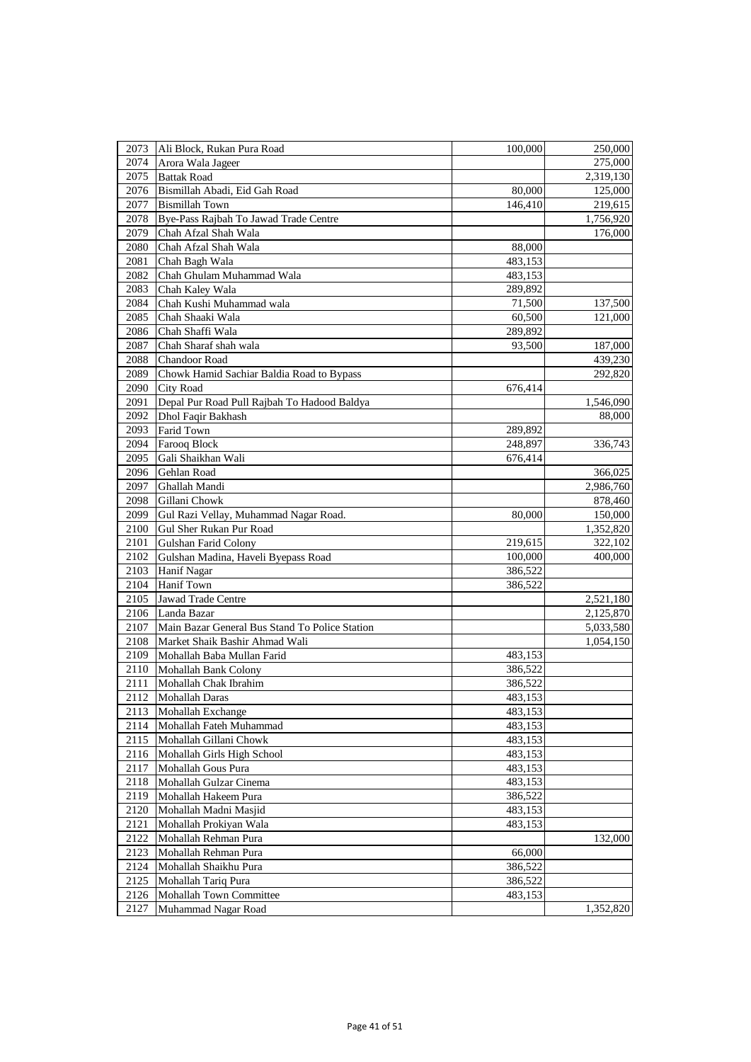| 2073 | Ali Block, Rukan Pura Road                     | 100,000 | 250,000   |
|------|------------------------------------------------|---------|-----------|
| 2074 | Arora Wala Jageer                              |         | 275,000   |
| 2075 | <b>Battak Road</b>                             |         | 2,319,130 |
| 2076 | Bismillah Abadi, Eid Gah Road                  | 80,000  | 125,000   |
| 2077 | <b>Bismillah Town</b>                          | 146,410 | 219,615   |
| 2078 | Bye-Pass Rajbah To Jawad Trade Centre          |         | 1,756,920 |
| 2079 | Chah Afzal Shah Wala                           |         | 176,000   |
| 2080 | Chah Afzal Shah Wala                           | 88,000  |           |
| 2081 | Chah Bagh Wala                                 | 483,153 |           |
| 2082 | Chah Ghulam Muhammad Wala                      | 483,153 |           |
| 2083 | Chah Kaley Wala                                | 289,892 |           |
| 2084 | Chah Kushi Muhammad wala                       | 71,500  | 137,500   |
| 2085 | Chah Shaaki Wala                               | 60,500  | 121,000   |
| 2086 | Chah Shaffi Wala                               | 289,892 |           |
| 2087 | Chah Sharaf shah wala                          | 93,500  | 187,000   |
| 2088 | Chandoor Road                                  |         | 439,230   |
| 2089 | Chowk Hamid Sachiar Baldia Road to Bypass      |         | 292,820   |
| 2090 | <b>City Road</b>                               | 676,414 |           |
| 2091 | Depal Pur Road Pull Rajbah To Hadood Baldya    |         | 1,546,090 |
| 2092 |                                                |         | 88,000    |
| 2093 | Dhol Faqir Bakhash<br>Farid Town               |         |           |
| 2094 |                                                | 289,892 |           |
|      | Farooq Block                                   | 248,897 | 336,743   |
| 2095 | Gali Shaikhan Wali                             | 676,414 |           |
| 2096 | Gehlan Road                                    |         | 366,025   |
| 2097 | Ghallah Mandi                                  |         | 2,986,760 |
| 2098 | Gillani Chowk                                  |         | 878,460   |
| 2099 | Gul Razi Vellay, Muhammad Nagar Road.          | 80,000  | 150,000   |
| 2100 | Gul Sher Rukan Pur Road                        |         | 1,352,820 |
| 2101 | Gulshan Farid Colony                           | 219,615 | 322,102   |
| 2102 | Gulshan Madina, Haveli Byepass Road            | 100,000 | 400,000   |
| 2103 | Hanif Nagar                                    | 386,522 |           |
| 2104 | <b>Hanif Town</b>                              | 386,522 |           |
| 2105 | Jawad Trade Centre                             |         | 2,521,180 |
| 2106 | Landa Bazar                                    |         | 2,125,870 |
| 2107 | Main Bazar General Bus Stand To Police Station |         | 5,033,580 |
| 2108 | Market Shaik Bashir Ahmad Wali                 |         | 1,054,150 |
| 2109 | Mohallah Baba Mullan Farid                     | 483,153 |           |
| 2110 | Mohallah Bank Colony                           | 386,522 |           |
| 2111 | Mohallah Chak Ibrahim                          | 386,522 |           |
| 2112 | Mohallah Daras                                 | 483,153 |           |
| 2113 | Mohallah Exchange                              | 483,153 |           |
| 2114 | Mohallah Fateh Muhammad                        | 483,153 |           |
| 2115 | Mohallah Gillani Chowk                         | 483,153 |           |
| 2116 | Mohallah Girls High School                     | 483,153 |           |
| 2117 | Mohallah Gous Pura                             | 483,153 |           |
| 2118 | Mohallah Gulzar Cinema                         | 483,153 |           |
| 2119 | Mohallah Hakeem Pura                           | 386,522 |           |
| 2120 | Mohallah Madni Masjid                          | 483,153 |           |
| 2121 | Mohallah Prokiyan Wala                         | 483,153 |           |
| 2122 | Mohallah Rehman Pura                           |         | 132,000   |
| 2123 | Mohallah Rehman Pura                           | 66,000  |           |
| 2124 | Mohallah Shaikhu Pura                          | 386,522 |           |
| 2125 | Mohallah Tariq Pura                            | 386,522 |           |
| 2126 | Mohallah Town Committee                        | 483,153 |           |
| 2127 | Muhammad Nagar Road                            |         | 1,352,820 |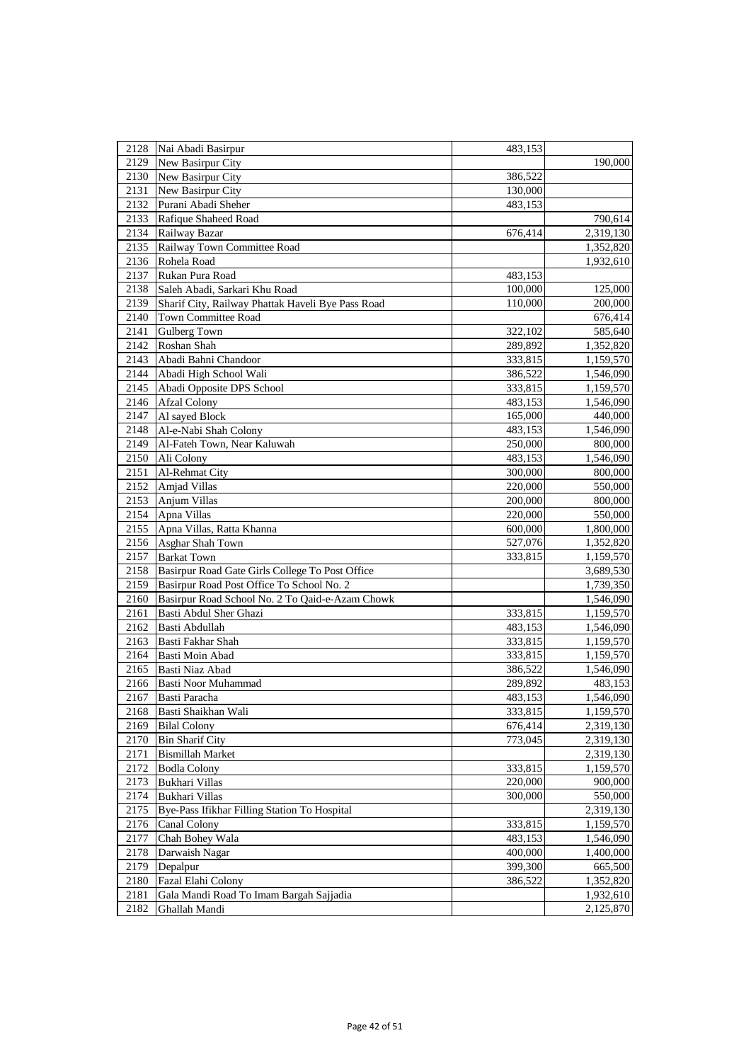| 2128 | Nai Abadi Basirpur                                | 483,153 |                        |
|------|---------------------------------------------------|---------|------------------------|
| 2129 | New Basirpur City                                 |         | 190,000                |
| 2130 | New Basirpur City                                 | 386,522 |                        |
| 2131 | New Basirpur City                                 | 130,000 |                        |
| 2132 | Purani Abadi Sheher                               | 483,153 |                        |
| 2133 | Rafique Shaheed Road                              |         | 790,614                |
| 2134 | Railway Bazar                                     | 676,414 | 2,319,130              |
| 2135 | Railway Town Committee Road                       |         | 1,352,820              |
| 2136 | Rohela Road                                       |         | 1,932,610              |
| 2137 | Rukan Pura Road                                   | 483,153 |                        |
| 2138 | Saleh Abadi, Sarkari Khu Road                     | 100,000 | 125,000                |
| 2139 | Sharif City, Railway Phattak Haveli Bye Pass Road | 110,000 | 200,000                |
| 2140 | <b>Town Committee Road</b>                        |         | 676,414                |
| 2141 | Gulberg Town                                      | 322,102 | 585,640                |
| 2142 | Roshan Shah                                       | 289,892 | 1,352,820              |
| 2143 | Abadi Bahni Chandoor                              | 333,815 | 1,159,570              |
| 2144 | Abadi High School Wali                            |         |                        |
| 2145 | Abadi Opposite DPS School                         | 386,522 | 1,546,090<br>1,159,570 |
| 2146 |                                                   | 333,815 |                        |
|      | <b>Afzal Colony</b>                               | 483,153 | 1,546,090              |
| 2147 | Al sayed Block                                    | 165,000 | 440,000                |
| 2148 | Al-e-Nabi Shah Colony                             | 483,153 | 1,546,090              |
| 2149 | Al-Fateh Town, Near Kaluwah                       | 250,000 | 800,000                |
| 2150 | Ali Colony                                        | 483,153 | 1,546,090              |
| 2151 | Al-Rehmat City                                    | 300,000 | 800,000                |
| 2152 | Amjad Villas                                      | 220,000 | 550,000                |
| 2153 | Anjum Villas                                      | 200,000 | 800,000                |
| 2154 | Apna Villas                                       | 220,000 | 550,000                |
| 2155 | Apna Villas, Ratta Khanna                         | 600,000 | 1,800,000              |
| 2156 | Asghar Shah Town                                  | 527,076 | 1,352,820              |
| 2157 | <b>Barkat Town</b>                                | 333,815 | 1,159,570              |
| 2158 | Basirpur Road Gate Girls College To Post Office   |         | 3,689,530              |
| 2159 | Basirpur Road Post Office To School No. 2         |         | 1,739,350              |
| 2160 | Basirpur Road School No. 2 To Qaid-e-Azam Chowk   |         | 1,546,090              |
| 2161 | Basti Abdul Sher Ghazi                            | 333,815 | 1,159,570              |
| 2162 | Basti Abdullah                                    | 483,153 | 1,546,090              |
| 2163 | Basti Fakhar Shah                                 | 333,815 | 1,159,570              |
| 2164 | Basti Moin Abad                                   | 333,815 | 1,159,570              |
| 2165 | Basti Niaz Abad                                   | 386,522 | 1,546,090              |
| 2166 | Basti Noor Muhammad                               | 289,892 | 483,153                |
| 2167 | Basti Paracha                                     | 483,153 | 1,546,090              |
| 2168 | Basti Shaikhan Wali                               | 333,815 | 1,159,570              |
| 2169 | <b>Bilal Colony</b>                               | 676,414 | 2,319,130              |
| 2170 | <b>Bin Sharif City</b>                            | 773,045 | 2,319,130              |
| 2171 | <b>Bismillah Market</b>                           |         | 2,319,130              |
| 2172 | <b>Bodla Colony</b>                               | 333,815 | 1,159,570              |
| 2173 | Bukhari Villas                                    | 220,000 | 900,000                |
| 2174 | Bukhari Villas                                    | 300,000 | 550,000                |
| 2175 | Bye-Pass Ifikhar Filling Station To Hospital      |         | 2,319,130              |
| 2176 | Canal Colony                                      | 333,815 | 1,159,570              |
| 2177 | Chah Bohey Wala                                   | 483,153 | 1,546,090              |
| 2178 | Darwaish Nagar                                    | 400,000 | 1,400,000              |
| 2179 | Depalpur                                          | 399,300 | 665,500                |
| 2180 | Fazal Elahi Colony                                | 386,522 | 1,352,820              |
| 2181 | Gala Mandi Road To Imam Bargah Sajjadia           |         | 1,932,610              |
| 2182 | Ghallah Mandi                                     |         | 2,125,870              |
|      |                                                   |         |                        |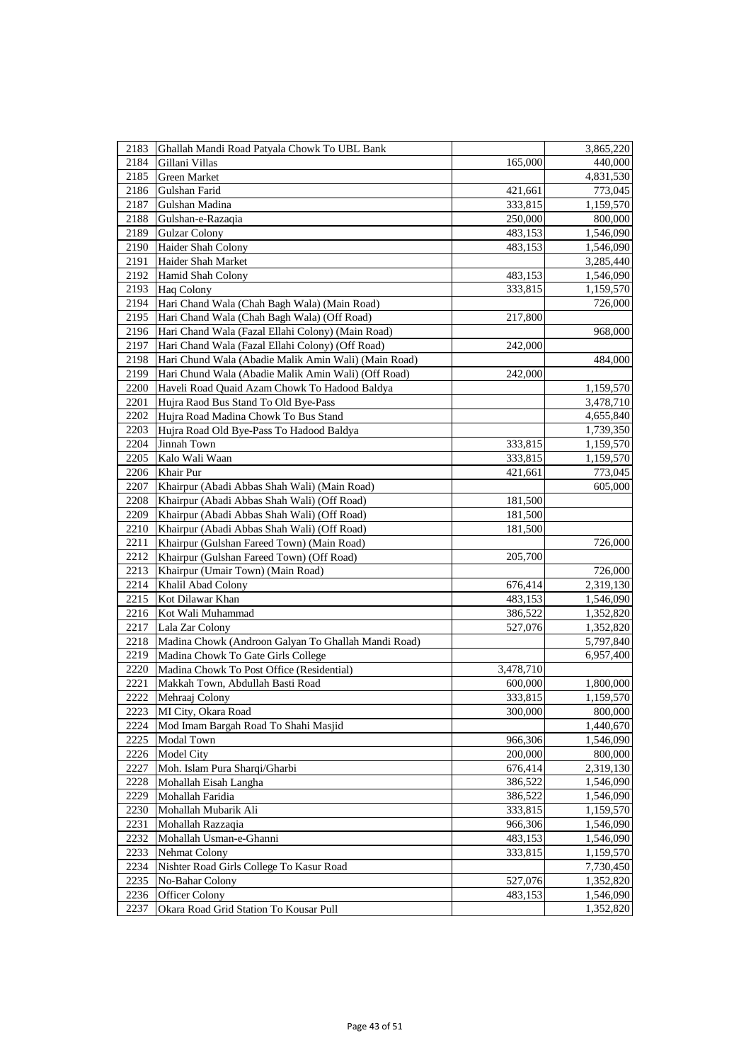| 2183 | Ghallah Mandi Road Patyala Chowk To UBL Bank         |           | 3,865,220 |
|------|------------------------------------------------------|-----------|-----------|
| 2184 | Gillani Villas                                       | 165,000   | 440,000   |
| 2185 | Green Market                                         |           | 4,831,530 |
| 2186 | Gulshan Farid                                        | 421,661   | 773,045   |
| 2187 | Gulshan Madina                                       | 333,815   | 1,159,570 |
| 2188 | Gulshan-e-Razaqia                                    | 250,000   | 800,000   |
| 2189 | <b>Gulzar Colony</b>                                 | 483,153   | 1,546,090 |
| 2190 | Haider Shah Colony                                   | 483,153   | 1,546,090 |
| 2191 | Haider Shah Market                                   |           | 3,285,440 |
| 2192 | Hamid Shah Colony                                    | 483,153   | 1,546,090 |
| 2193 | <b>Haq Colony</b>                                    | 333,815   | 1,159,570 |
| 2194 | Hari Chand Wala (Chah Bagh Wala) (Main Road)         |           | 726,000   |
| 2195 | Hari Chand Wala (Chah Bagh Wala) (Off Road)          | 217,800   |           |
| 2196 | Hari Chand Wala (Fazal Ellahi Colony) (Main Road)    |           | 968,000   |
| 2197 | Hari Chand Wala (Fazal Ellahi Colony) (Off Road)     | 242,000   |           |
| 2198 | Hari Chund Wala (Abadie Malik Amin Wali) (Main Road) |           | 484,000   |
| 2199 | Hari Chund Wala (Abadie Malik Amin Wali) (Off Road)  | 242,000   |           |
| 2200 | Haveli Road Quaid Azam Chowk To Hadood Baldya        |           | 1,159,570 |
| 2201 | Hujra Raod Bus Stand To Old Bye-Pass                 |           | 3,478,710 |
| 2202 | Hujra Road Madina Chowk To Bus Stand                 |           | 4,655,840 |
| 2203 | Hujra Road Old Bye-Pass To Hadood Baldya             |           | 1,739,350 |
| 2204 | Jinnah Town                                          | 333,815   | 1,159,570 |
| 2205 | Kalo Wali Waan                                       | 333,815   | 1,159,570 |
| 2206 | Khair Pur                                            | 421,661   | 773,045   |
| 2207 | Khairpur (Abadi Abbas Shah Wali) (Main Road)         |           | 605,000   |
| 2208 | Khairpur (Abadi Abbas Shah Wali) (Off Road)          | 181,500   |           |
| 2209 | Khairpur (Abadi Abbas Shah Wali) (Off Road)          | 181,500   |           |
| 2210 | Khairpur (Abadi Abbas Shah Wali) (Off Road)          | 181,500   |           |
| 2211 | Khairpur (Gulshan Fareed Town) (Main Road)           |           | 726,000   |
| 2212 | Khairpur (Gulshan Fareed Town) (Off Road)            | 205,700   |           |
| 2213 | Khairpur (Umair Town) (Main Road)                    |           | 726,000   |
| 2214 | Khalil Abad Colony                                   | 676,414   | 2,319,130 |
| 2215 | Kot Dilawar Khan                                     | 483,153   | 1,546,090 |
| 2216 | Kot Wali Muhammad                                    | 386,522   | 1,352,820 |
| 2217 | Lala Zar Colony                                      | 527,076   | 1,352,820 |
| 2218 | Madina Chowk (Androon Galyan To Ghallah Mandi Road)  |           | 5,797,840 |
| 2219 | Madina Chowk To Gate Girls College                   |           | 6,957,400 |
| 2220 | Madina Chowk To Post Office (Residential)            | 3,478,710 |           |
| 2221 | Makkah Town, Abdullah Basti Road                     | 600,000   | 1,800,000 |
| 2222 | Mehraaj Colony                                       | 333,815   | 1,159,570 |
| 2223 | MI City, Okara Road                                  | 300,000   | 800,000   |
| 2224 | Mod Imam Bargah Road To Shahi Masjid                 |           | 1,440,670 |
| 2225 | Modal Town                                           | 966,306   | 1,546,090 |
| 2226 | <b>Model City</b>                                    | 200,000   | 800,000   |
| 2227 | Moh. Islam Pura Sharqi/Gharbi                        | 676,414   | 2,319,130 |
| 2228 | Mohallah Eisah Langha                                | 386,522   | 1,546,090 |
| 2229 | Mohallah Faridia                                     | 386,522   | 1,546,090 |
| 2230 | Mohallah Mubarik Ali                                 | 333,815   | 1,159,570 |
| 2231 | Mohallah Razzaqia                                    | 966,306   | 1,546,090 |
| 2232 | Mohallah Usman-e-Ghanni                              | 483,153   | 1,546,090 |
| 2233 | Nehmat Colony                                        | 333,815   | 1,159,570 |
| 2234 | Nishter Road Girls College To Kasur Road             |           | 7,730,450 |
| 2235 | No-Bahar Colony                                      | 527,076   | 1,352,820 |
| 2236 | Officer Colony                                       | 483,153   | 1,546,090 |
| 2237 | Okara Road Grid Station To Kousar Pull               |           | 1,352,820 |
|      |                                                      |           |           |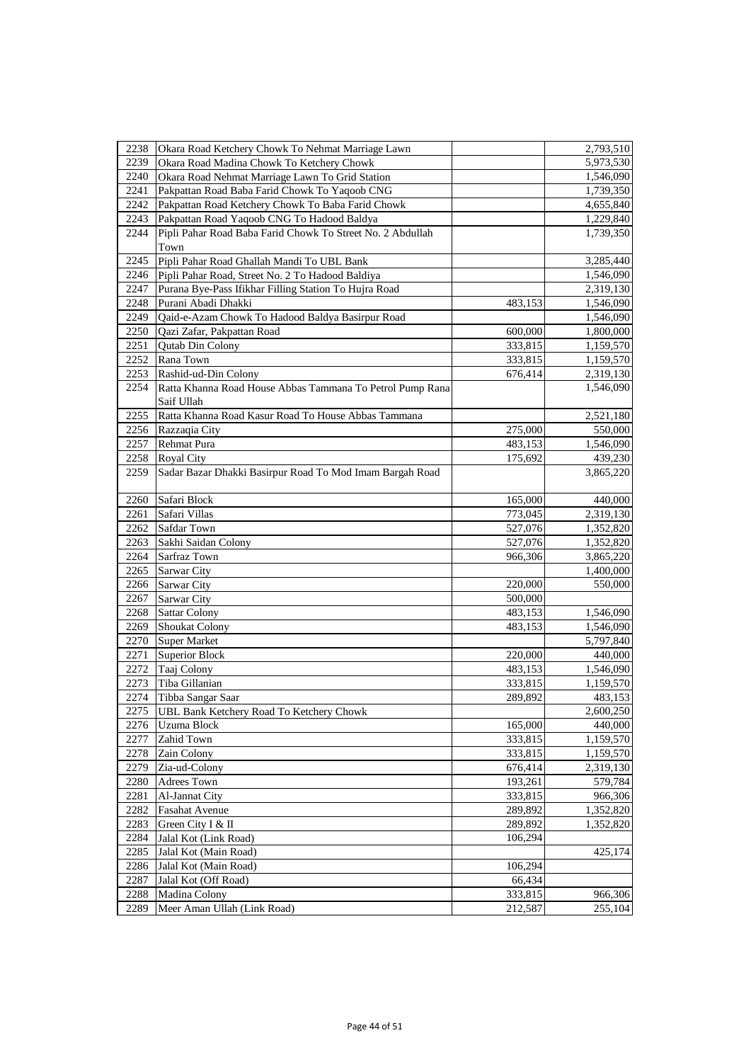| 2238 | Okara Road Ketchery Chowk To Nehmat Marriage Lawn          |         | 2,793,510 |
|------|------------------------------------------------------------|---------|-----------|
| 2239 | Okara Road Madina Chowk To Ketchery Chowk                  |         | 5,973,530 |
| 2240 | Okara Road Nehmat Marriage Lawn To Grid Station            |         | 1,546,090 |
| 2241 | Pakpattan Road Baba Farid Chowk To Yaqoob CNG              |         | 1,739,350 |
| 2242 | Pakpattan Road Ketchery Chowk To Baba Farid Chowk          |         | 4,655,840 |
| 2243 | Pakpattan Road Yaqoob CNG To Hadood Baldya                 |         | 1,229,840 |
| 2244 | Pipli Pahar Road Baba Farid Chowk To Street No. 2 Abdullah |         | 1,739,350 |
|      | Town                                                       |         |           |
| 2245 | Pipli Pahar Road Ghallah Mandi To UBL Bank                 |         | 3,285,440 |
| 2246 | Pipli Pahar Road, Street No. 2 To Hadood Baldiya           |         | 1,546,090 |
| 2247 | Purana Bye-Pass Ifikhar Filling Station To Hujra Road      |         | 2,319,130 |
| 2248 | Purani Abadi Dhakki                                        | 483,153 | 1,546,090 |
| 2249 | Qaid-e-Azam Chowk To Hadood Baldya Basirpur Road           |         | 1,546,090 |
| 2250 | Qazi Zafar, Pakpattan Road                                 | 600,000 | 1,800,000 |
| 2251 | Qutab Din Colony                                           | 333,815 | 1,159,570 |
| 2252 | Rana Town                                                  | 333,815 | 1,159,570 |
| 2253 | Rashid-ud-Din Colony                                       | 676,414 | 2,319,130 |
| 2254 | Ratta Khanna Road House Abbas Tammana To Petrol Pump Rana  |         | 1,546,090 |
|      | Saif Ullah                                                 |         |           |
| 2255 | Ratta Khanna Road Kasur Road To House Abbas Tammana        |         | 2,521,180 |
| 2256 | Razzaqia City                                              | 275,000 | 550,000   |
| 2257 | <b>Rehmat Pura</b>                                         | 483,153 | 1,546,090 |
| 2258 | Royal City                                                 | 175,692 | 439,230   |
| 2259 | Sadar Bazar Dhakki Basirpur Road To Mod Imam Bargah Road   |         | 3,865,220 |
|      |                                                            |         |           |
| 2260 | Safari Block                                               | 165,000 | 440,000   |
| 2261 | Safari Villas                                              | 773,045 | 2,319,130 |
| 2262 | <b>Safdar Town</b>                                         | 527,076 | 1,352,820 |
| 2263 | Sakhi Saidan Colony                                        | 527,076 | 1,352,820 |
| 2264 | Sarfraz Town                                               | 966,306 | 3,865,220 |
| 2265 | Sarwar City                                                |         | 1,400,000 |
| 2266 | Sarwar City                                                | 220,000 | 550,000   |
| 2267 | <b>Sarwar City</b>                                         | 500,000 |           |
| 2268 | <b>Sattar Colony</b>                                       | 483,153 | 1,546,090 |
| 2269 | <b>Shoukat Colony</b>                                      | 483,153 | 1,546,090 |
| 2270 | <b>Super Market</b>                                        |         | 5,797,840 |
| 2271 | <b>Superior Block</b>                                      | 220,000 | 440,000   |
| 2272 | Taaj Colony                                                | 483,153 | 1,546,090 |
| 2273 | Tiba Gillanian                                             | 333,815 | 1,159,570 |
| 2274 | Tibba Sangar Saar                                          | 289,892 | 483,153   |
| 2275 | <b>UBL Bank Ketchery Road To Ketchery Chowk</b>            |         | 2,600,250 |
| 2276 | Uzuma Block                                                | 165,000 | 440,000   |
| 2277 | Zahid Town                                                 | 333,815 | 1,159,570 |
| 2278 | Zain Colony                                                | 333,815 | 1,159,570 |
| 2279 | Zia-ud-Colony                                              | 676,414 | 2,319,130 |
| 2280 | Adrees Town                                                | 193,261 | 579,784   |
| 2281 | Al-Jannat City                                             | 333,815 | 966,306   |
| 2282 | <b>Fasahat Avenue</b>                                      | 289,892 | 1,352,820 |
| 2283 | Green City I & II                                          | 289,892 | 1,352,820 |
| 2284 | Jalal Kot (Link Road)                                      | 106,294 |           |
| 2285 | Jalal Kot (Main Road)                                      |         | 425,174   |
| 2286 | Jalal Kot (Main Road)                                      | 106,294 |           |
| 2287 | Jalal Kot (Off Road)                                       | 66,434  |           |
| 2288 | Madina Colony                                              | 333,815 | 966,306   |
| 2289 | Meer Aman Ullah (Link Road)                                | 212,587 | 255,104   |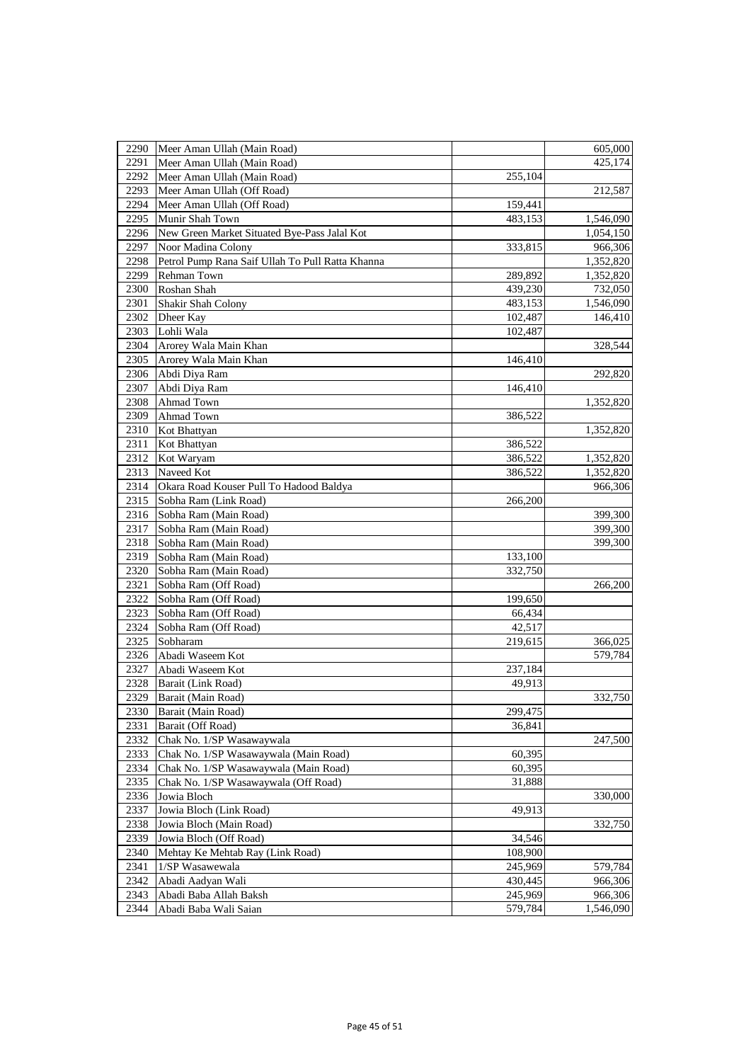| 2290         | Meer Aman Ullah (Main Road)                      |                    | 605,000   |
|--------------|--------------------------------------------------|--------------------|-----------|
| 2291         | Meer Aman Ullah (Main Road)                      |                    | 425,174   |
|              |                                                  |                    |           |
| 2292<br>2293 | Meer Aman Ullah (Main Road)                      | 255,104            |           |
|              | Meer Aman Ullah (Off Road)                       |                    | 212,587   |
| 2294         | Meer Aman Ullah (Off Road)                       | 159,441<br>483,153 |           |
| 2295<br>2296 | Munir Shah Town                                  |                    | 1,546,090 |
|              | New Green Market Situated Bye-Pass Jalal Kot     |                    | 1,054,150 |
| 2297         | Noor Madina Colony                               | 333,815            | 966,306   |
| 2298         | Petrol Pump Rana Saif Ullah To Pull Ratta Khanna |                    | 1,352,820 |
| 2299         | Rehman Town                                      | 289,892            | 1,352,820 |
| 2300         | Roshan Shah                                      | 439,230            | 732,050   |
| 2301         | Shakir Shah Colony                               | 483,153            | 1,546,090 |
| 2302         | Dheer Kay                                        | 102,487            | 146,410   |
| 2303         | Lohli Wala                                       | 102,487            |           |
| 2304         | Arorey Wala Main Khan                            |                    | 328,544   |
| 2305         | Arorey Wala Main Khan                            | 146,410            |           |
| 2306         | Abdi Diya Ram                                    |                    | 292,820   |
| 2307         | Abdi Diya Ram                                    | 146,410            |           |
| 2308         | Ahmad Town                                       |                    | 1,352,820 |
| 2309         | Ahmad Town                                       | 386,522            |           |
| 2310         | Kot Bhattyan                                     |                    | 1,352,820 |
| 2311         | Kot Bhattyan                                     | 386,522            |           |
| 2312         | Kot Waryam                                       | 386,522            | 1,352,820 |
| 2313         | Naveed Kot                                       | 386,522            | 1,352,820 |
| 2314         | Okara Road Kouser Pull To Hadood Baldya          |                    | 966,306   |
| 2315         | Sobha Ram (Link Road)                            | 266,200            |           |
| 2316         | Sobha Ram (Main Road)                            |                    | 399,300   |
| 2317         | Sobha Ram (Main Road)                            |                    | 399,300   |
| 2318         | Sobha Ram (Main Road)                            |                    | 399,300   |
| 2319         | Sobha Ram (Main Road)                            | 133,100            |           |
| 2320         | Sobha Ram (Main Road)                            | 332,750            |           |
| 2321         | Sobha Ram (Off Road)                             |                    | 266,200   |
| 2322         | Sobha Ram (Off Road)                             | 199,650            |           |
| 2323         | Sobha Ram (Off Road)                             | 66,434             |           |
| 2324         | Sobha Ram (Off Road)                             | 42,517             |           |
| 2325         | Sobharam                                         | 219,615            | 366,025   |
| 2326         | Abadi Waseem Kot                                 |                    | 579,784   |
| 2327         | Abadi Waseem Kot                                 | 237,184            |           |
| 2328         | Barait (Link Road)                               | 49,913             |           |
| 2329         | Barait (Main Road)                               |                    | 332,750   |
| 2330         | Barait (Main Road)                               | 299,475            |           |
| 2331         | Barait (Off Road)                                | 36,841             |           |
| 2332         | Chak No. 1/SP Wasawaywala                        |                    | 247,500   |
| 2333         | Chak No. 1/SP Wasawaywala (Main Road)            | 60,395             |           |
| 2334         | Chak No. 1/SP Wasawaywala (Main Road)            | 60,395             |           |
| 2335         | Chak No. 1/SP Wasawaywala (Off Road)             | 31,888             |           |
| 2336         | Jowia Bloch                                      |                    | 330,000   |
| 2337         | Jowia Bloch (Link Road)                          | 49,913             |           |
| 2338         | Jowia Bloch (Main Road)                          |                    | 332,750   |
| 2339         | Jowia Bloch (Off Road)                           | 34,546             |           |
| 2340         | Mehtay Ke Mehtab Ray (Link Road)                 | 108,900            |           |
| 2341         | 1/SP Wasawewala                                  | 245,969            | 579,784   |
| 2342         | Abadi Aadyan Wali                                | 430,445            | 966,306   |
| 2343         | Abadi Baba Allah Baksh                           | 245,969            | 966,306   |
| 2344         | Abadi Baba Wali Saian                            | 579,784            | 1,546,090 |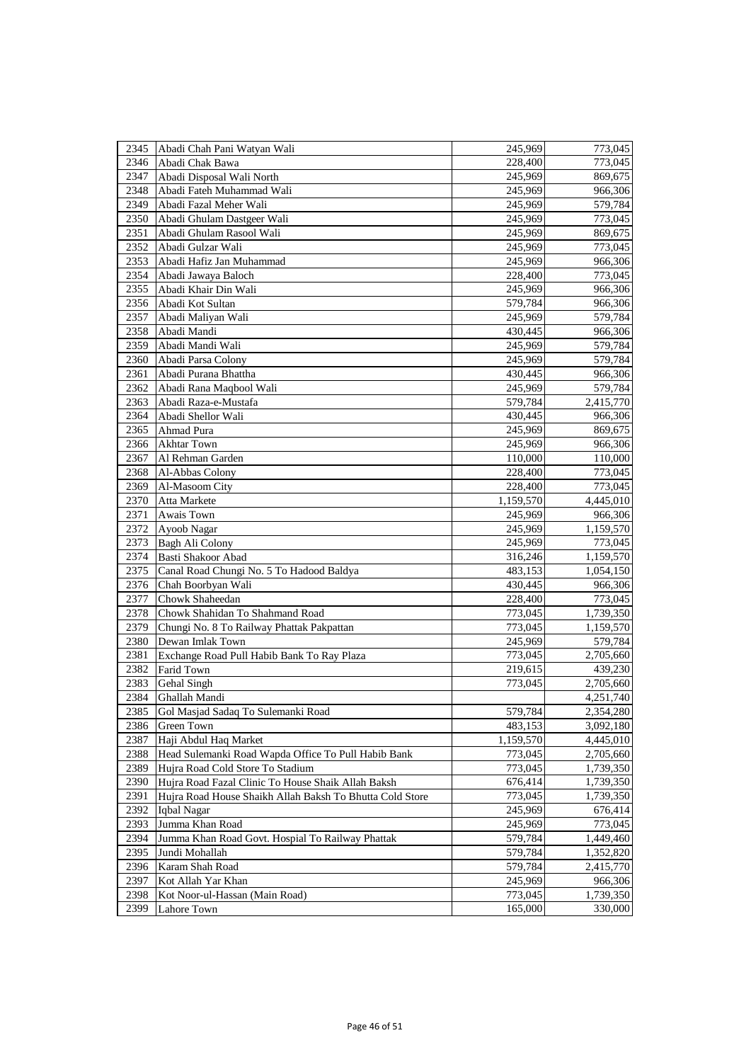| 2345 | Abadi Chah Pani Watyan Wali                              | 245,969   | 773,045   |
|------|----------------------------------------------------------|-----------|-----------|
| 2346 | Abadi Chak Bawa                                          | 228,400   | 773,045   |
| 2347 | Abadi Disposal Wali North                                | 245,969   | 869,675   |
| 2348 | Abadi Fateh Muhammad Wali                                | 245,969   | 966,306   |
| 2349 | Abadi Fazal Meher Wali                                   | 245,969   | 579,784   |
| 2350 | Abadi Ghulam Dastgeer Wali                               | 245,969   | 773,045   |
| 2351 | Abadi Ghulam Rasool Wali                                 | 245,969   | 869,675   |
| 2352 | Abadi Gulzar Wali                                        | 245,969   | 773,045   |
| 2353 | Abadi Hafiz Jan Muhammad                                 | 245,969   | 966,306   |
| 2354 | Abadi Jawaya Baloch                                      | 228,400   | 773,045   |
| 2355 | Abadi Khair Din Wali                                     | 245,969   | 966,306   |
| 2356 | Abadi Kot Sultan                                         | 579,784   | 966,306   |
| 2357 | Abadi Maliyan Wali                                       | 245,969   | 579,784   |
| 2358 | Abadi Mandi                                              | 430,445   | 966,306   |
| 2359 | Abadi Mandi Wali                                         | 245,969   | 579,784   |
| 2360 | Abadi Parsa Colony                                       | 245,969   | 579,784   |
| 2361 | Abadi Purana Bhattha                                     | 430,445   | 966,306   |
| 2362 | Abadi Rana Maqbool Wali                                  | 245,969   | 579,784   |
| 2363 | Abadi Raza-e-Mustafa                                     | 579,784   | 2,415,770 |
| 2364 | Abadi Shellor Wali                                       | 430,445   | 966,306   |
| 2365 | Ahmad Pura                                               | 245,969   | 869,675   |
| 2366 | <b>Akhtar Town</b>                                       | 245,969   | 966,306   |
| 2367 | Al Rehman Garden                                         | 110,000   | 110,000   |
| 2368 | Al-Abbas Colony                                          | 228,400   | 773,045   |
| 2369 | Al-Masoom City                                           | 228,400   | 773,045   |
| 2370 | Atta Markete                                             | 1,159,570 | 4,445,010 |
| 2371 | Awais Town                                               | 245,969   | 966,306   |
| 2372 | Ayoob Nagar                                              | 245,969   | 1,159,570 |
| 2373 | Bagh Ali Colony                                          | 245,969   | 773,045   |
| 2374 | Basti Shakoor Abad                                       | 316,246   | 1,159,570 |
| 2375 | Canal Road Chungi No. 5 To Hadood Baldya                 | 483,153   | 1,054,150 |
| 2376 | Chah Boorbyan Wali                                       | 430,445   | 966,306   |
| 2377 | Chowk Shaheedan                                          | 228,400   | 773,045   |
| 2378 | Chowk Shahidan To Shahmand Road                          | 773,045   | 1,739,350 |
| 2379 | Chungi No. 8 To Railway Phattak Pakpattan                | 773,045   | 1,159,570 |
| 2380 | Dewan Imlak Town                                         | 245,969   | 579,784   |
| 2381 | Exchange Road Pull Habib Bank To Ray Plaza               | 773,045   | 2,705,660 |
| 2382 | Farid Town                                               | 219,615   | 439,230   |
| 2383 | Gehal Singh                                              | 773,045   | 2,705,660 |
| 2384 | Ghallah Mandi                                            |           | 4,251,740 |
| 2385 | Gol Masjad Sadaq To Sulemanki Road                       | 579,784   | 2,354,280 |
| 2386 | Green Town                                               | 483,153   | 3,092,180 |
| 2387 | Haji Abdul Haq Market                                    | 1,159,570 | 4,445,010 |
| 2388 | Head Sulemanki Road Wapda Office To Pull Habib Bank      | 773,045   | 2,705,660 |
| 2389 | Hujra Road Cold Store To Stadium                         | 773,045   | 1,739,350 |
| 2390 | Hujra Road Fazal Clinic To House Shaik Allah Baksh       | 676,414   | 1,739,350 |
| 2391 | Hujra Road House Shaikh Allah Baksh To Bhutta Cold Store | 773,045   | 1,739,350 |
| 2392 | Iqbal Nagar                                              | 245,969   | 676,414   |
| 2393 | Jumma Khan Road                                          | 245,969   | 773,045   |
| 2394 | Jumma Khan Road Govt. Hospial To Railway Phattak         | 579,784   | 1,449,460 |
| 2395 | Jundi Mohallah                                           | 579,784   | 1,352,820 |
| 2396 | Karam Shah Road                                          | 579,784   | 2,415,770 |
| 2397 | Kot Allah Yar Khan                                       | 245,969   | 966,306   |
| 2398 | Kot Noor-ul-Hassan (Main Road)                           | 773,045   | 1,739,350 |
| 2399 | Lahore Town                                              | 165,000   | 330,000   |
|      |                                                          |           |           |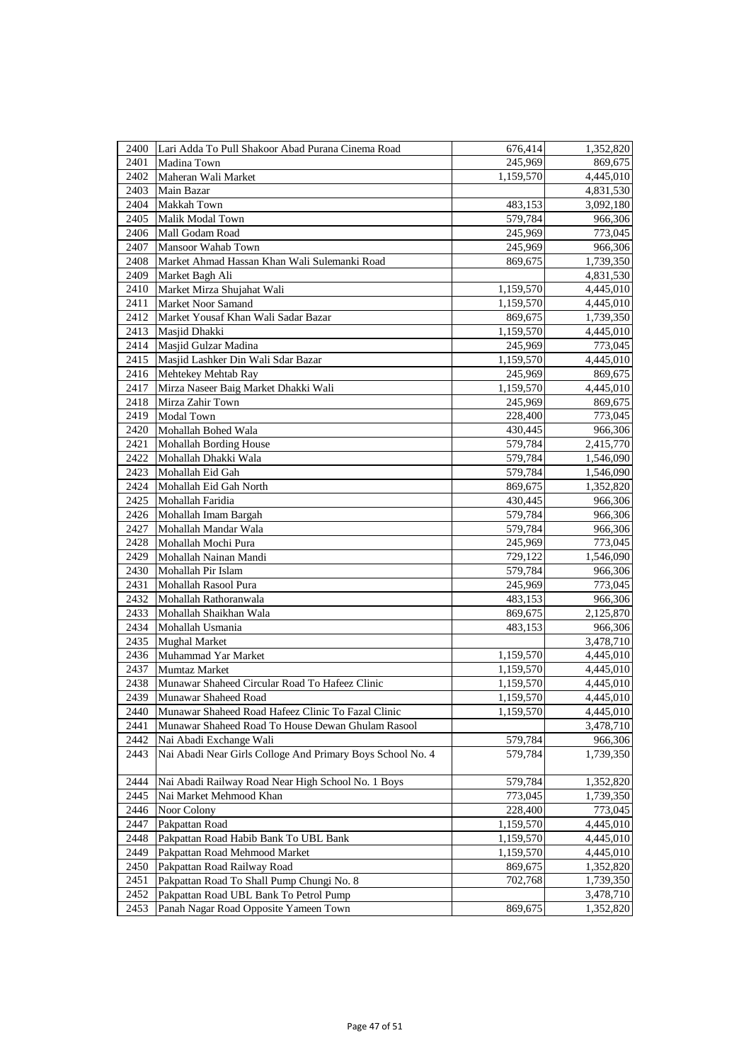| 2400 | Lari Adda To Pull Shakoor Abad Purana Cinema Road          | 676,414   | 1,352,820 |
|------|------------------------------------------------------------|-----------|-----------|
| 2401 | Madina Town                                                | 245,969   | 869,675   |
| 2402 | Maheran Wali Market                                        | 1,159,570 | 4,445,010 |
| 2403 | Main Bazar                                                 |           | 4,831,530 |
| 2404 | Makkah Town                                                | 483,153   | 3,092,180 |
| 2405 | Malik Modal Town                                           | 579,784   | 966,306   |
| 2406 | Mall Godam Road                                            | 245,969   | 773,045   |
| 2407 | Mansoor Wahab Town                                         | 245,969   | 966,306   |
| 2408 | Market Ahmad Hassan Khan Wali Sulemanki Road               | 869,675   | 1,739,350 |
| 2409 | Market Bagh Ali                                            |           | 4,831,530 |
| 2410 | Market Mirza Shujahat Wali                                 | 1,159,570 | 4,445,010 |
| 2411 | Market Noor Samand                                         | 1,159,570 | 4,445,010 |
| 2412 | Market Yousaf Khan Wali Sadar Bazar                        | 869,675   | 1,739,350 |
| 2413 | Masjid Dhakki                                              | 1,159,570 | 4,445,010 |
| 2414 | Masjid Gulzar Madina                                       | 245,969   | 773,045   |
| 2415 | Masjid Lashker Din Wali Sdar Bazar                         | 1,159,570 | 4,445,010 |
| 2416 | Mehtekey Mehtab Ray                                        | 245,969   | 869,675   |
| 2417 | Mirza Naseer Baig Market Dhakki Wali                       | 1,159,570 | 4,445,010 |
| 2418 | Mirza Zahir Town                                           | 245,969   | 869,675   |
| 2419 | Modal Town                                                 | 228,400   | 773,045   |
| 2420 | Mohallah Bohed Wala                                        | 430,445   | 966,306   |
| 2421 | Mohallah Bording House                                     | 579,784   | 2,415,770 |
| 2422 | Mohallah Dhakki Wala                                       | 579,784   | 1,546,090 |
| 2423 | Mohallah Eid Gah                                           | 579,784   | 1,546,090 |
| 2424 | Mohallah Eid Gah North                                     | 869,675   | 1,352,820 |
| 2425 | Mohallah Faridia                                           | 430,445   | 966,306   |
| 2426 | Mohallah Imam Bargah                                       | 579,784   | 966,306   |
| 2427 | Mohallah Mandar Wala                                       | 579,784   | 966,306   |
| 2428 | Mohallah Mochi Pura                                        | 245,969   | 773,045   |
| 2429 | Mohallah Nainan Mandi                                      | 729,122   | 1,546,090 |
| 2430 | Mohallah Pir Islam                                         | 579,784   | 966,306   |
| 2431 | Mohallah Rasool Pura                                       | 245,969   | 773,045   |
| 2432 | Mohallah Rathoranwala                                      | 483,153   | 966,306   |
| 2433 | Mohallah Shaikhan Wala                                     | 869,675   | 2,125,870 |
| 2434 | Mohallah Usmania                                           | 483,153   | 966,306   |
| 2435 | Mughal Market                                              |           | 3,478,710 |
| 2436 | Muhammad Yar Market                                        | 1,159,570 | 4,445,010 |
| 2437 | Mumtaz Market                                              | 1,159,570 | 4,445,010 |
| 2438 | Munawar Shaheed Circular Road To Hafeez Clinic             | 1,159,570 | 4,445,010 |
| 2439 | Munawar Shaheed Road                                       | 1,159,570 | 4,445,010 |
| 2440 | Munawar Shaheed Road Hafeez Clinic To Fazal Clinic         | 1,159,570 | 4,445,010 |
| 2441 | Munawar Shaheed Road To House Dewan Ghulam Rasool          |           | 3,478,710 |
| 2442 | Nai Abadi Exchange Wali                                    | 579,784   | 966,306   |
| 2443 | Nai Abadi Near Girls Colloge And Primary Boys School No. 4 | 579,784   | 1,739,350 |
| 2444 | Nai Abadi Railway Road Near High School No. 1 Boys         | 579,784   | 1,352,820 |
| 2445 | Nai Market Mehmood Khan                                    | 773,045   | 1,739,350 |
| 2446 | Noor Colony                                                | 228,400   | 773,045   |
| 2447 | Pakpattan Road                                             | 1,159,570 | 4,445,010 |
| 2448 | Pakpattan Road Habib Bank To UBL Bank                      | 1,159,570 | 4,445,010 |
| 2449 | Pakpattan Road Mehmood Market                              | 1,159,570 | 4,445,010 |
| 2450 | Pakpattan Road Railway Road                                | 869,675   | 1,352,820 |
| 2451 | Pakpattan Road To Shall Pump Chungi No. 8                  | 702,768   | 1,739,350 |
| 2452 | Pakpattan Road UBL Bank To Petrol Pump                     |           | 3,478,710 |
| 2453 | Panah Nagar Road Opposite Yameen Town                      | 869,675   | 1,352,820 |
|      |                                                            |           |           |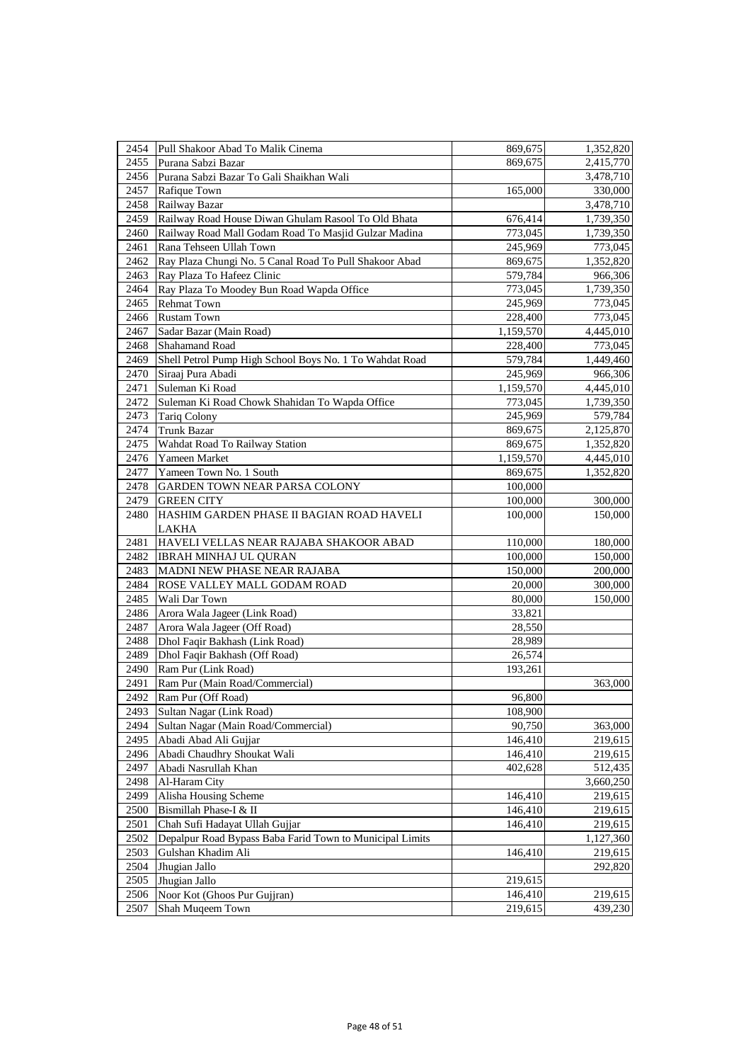| 2454 | Pull Shakoor Abad To Malik Cinema                        | 869,675   | 1,352,820 |
|------|----------------------------------------------------------|-----------|-----------|
| 2455 | Purana Sabzi Bazar                                       | 869,675   | 2,415,770 |
| 2456 | Purana Sabzi Bazar To Gali Shaikhan Wali                 |           | 3,478,710 |
| 2457 | Rafique Town                                             | 165,000   | 330,000   |
| 2458 | Railway Bazar                                            |           | 3,478,710 |
| 2459 | Railway Road House Diwan Ghulam Rasool To Old Bhata      | 676,414   | 1,739,350 |
| 2460 | Railway Road Mall Godam Road To Masjid Gulzar Madina     | 773,045   | 1,739,350 |
| 2461 | Rana Tehseen Ullah Town                                  | 245,969   | 773,045   |
| 2462 | Ray Plaza Chungi No. 5 Canal Road To Pull Shakoor Abad   | 869,675   | 1,352,820 |
| 2463 | Ray Plaza To Hafeez Clinic                               | 579,784   | 966,306   |
| 2464 | Ray Plaza To Moodey Bun Road Wapda Office                | 773,045   | 1,739,350 |
| 2465 | <b>Rehmat Town</b>                                       | 245,969   | 773,045   |
| 2466 | <b>Rustam Town</b>                                       | 228,400   | 773,045   |
| 2467 | Sadar Bazar (Main Road)                                  | 1,159,570 | 4,445,010 |
| 2468 | Shahamand Road                                           | 228,400   | 773,045   |
| 2469 | Shell Petrol Pump High School Boys No. 1 To Wahdat Road  | 579,784   | 1,449,460 |
| 2470 | Siraaj Pura Abadi                                        | 245,969   | 966,306   |
| 2471 | Suleman Ki Road                                          | 1,159,570 | 4,445,010 |
| 2472 | Suleman Ki Road Chowk Shahidan To Wapda Office           | 773,045   | 1,739,350 |
| 2473 | <b>Tariq Colony</b>                                      | 245,969   | 579,784   |
| 2474 | <b>Trunk Bazar</b>                                       | 869,675   | 2,125,870 |
| 2475 | Wahdat Road To Railway Station                           | 869,675   | 1,352,820 |
| 2476 | Yameen Market                                            | 1,159,570 | 4,445,010 |
| 2477 | Yameen Town No. 1 South                                  | 869,675   | 1,352,820 |
| 2478 | GARDEN TOWN NEAR PARSA COLONY                            | 100,000   |           |
| 2479 | <b>GREEN CITY</b>                                        | 100,000   | 300,000   |
| 2480 | HASHIM GARDEN PHASE II BAGIAN ROAD HAVELI                | 100,000   | 150,000   |
|      | <b>LAKHA</b>                                             |           |           |
| 2481 | HAVELI VELLAS NEAR RAJABA SHAKOOR ABAD                   | 110,000   | 180,000   |
| 2482 | <b>IBRAH MINHAJ UL QURAN</b>                             | 100,000   | 150,000   |
| 2483 | MADNI NEW PHASE NEAR RAJABA                              | 150,000   | 200,000   |
| 2484 | ROSE VALLEY MALL GODAM ROAD                              | 20,000    | 300,000   |
| 2485 | Wali Dar Town                                            | 80,000    | 150,000   |
| 2486 | Arora Wala Jageer (Link Road)                            | 33,821    |           |
| 2487 | Arora Wala Jageer (Off Road)                             | 28,550    |           |
| 2488 | Dhol Faqir Bakhash (Link Road)                           | 28,989    |           |
| 2489 | Dhol Faqir Bakhash (Off Road)                            | 26,574    |           |
| 2490 | Ram Pur (Link Road)                                      | 193,261   |           |
| 2491 | Ram Pur (Main Road/Commercial)                           |           | 363,000   |
| 2492 | Ram Pur (Off Road)                                       | 96,800    |           |
| 2493 | Sultan Nagar (Link Road)                                 | 108,900   |           |
| 2494 | Sultan Nagar (Main Road/Commercial)                      | 90,750    | 363,000   |
| 2495 | Abadi Abad Ali Gujjar                                    | 146,410   | 219,615   |
| 2496 | Abadi Chaudhry Shoukat Wali                              | 146,410   | 219,615   |
| 2497 | Abadi Nasrullah Khan                                     | 402,628   | 512,435   |
| 2498 | Al-Haram City                                            |           | 3,660,250 |
| 2499 | Alisha Housing Scheme                                    | 146,410   | 219,615   |
| 2500 | Bismillah Phase-I & II                                   | 146,410   | 219,615   |
| 2501 | Chah Sufi Hadayat Ullah Gujjar                           | 146,410   | 219,615   |
| 2502 | Depalpur Road Bypass Baba Farid Town to Municipal Limits |           | 1,127,360 |
| 2503 | Gulshan Khadim Ali                                       | 146,410   | 219,615   |
| 2504 | Jhugian Jallo                                            |           | 292,820   |
| 2505 | Jhugian Jallo                                            | 219,615   |           |
| 2506 | Noor Kot (Ghoos Pur Gujjran)                             | 146,410   | 219,615   |
| 2507 | Shah Muqeem Town                                         | 219,615   | 439,230   |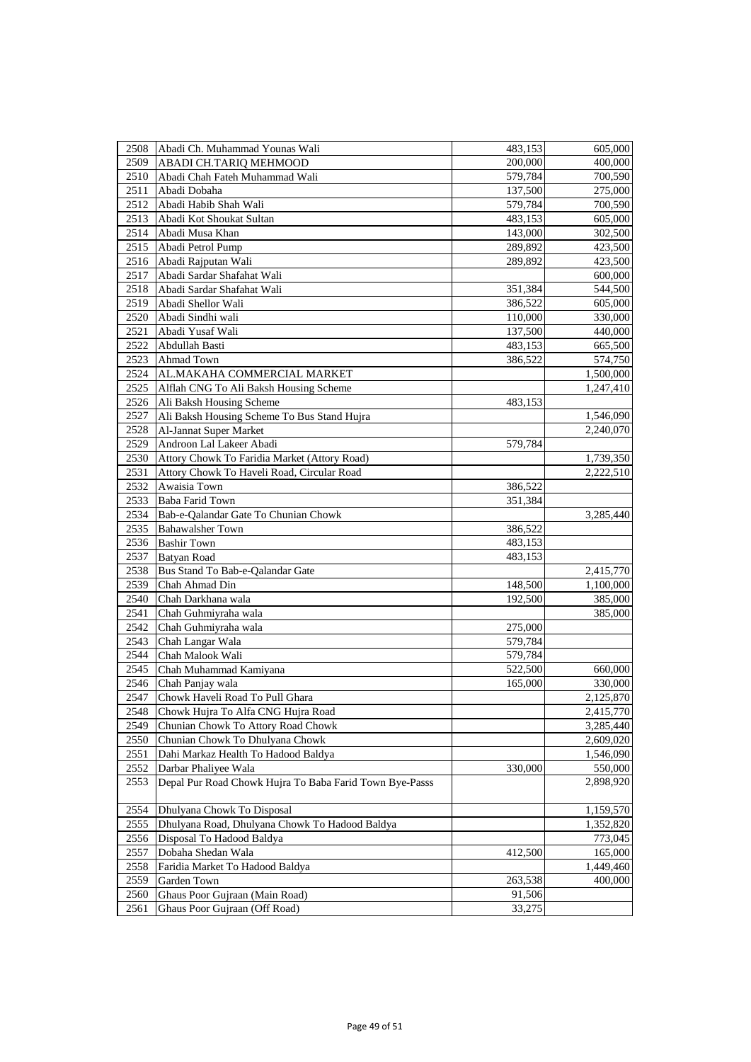| 2508 | Abadi Ch. Muhammad Younas Wali                          | 483,153 | 605,000   |
|------|---------------------------------------------------------|---------|-----------|
| 2509 | ABADI CH.TARIQ MEHMOOD                                  | 200,000 | 400,000   |
| 2510 | Abadi Chah Fateh Muhammad Wali                          | 579,784 | 700,590   |
| 2511 | Abadi Dobaha                                            | 137,500 | 275,000   |
| 2512 | Abadi Habib Shah Wali                                   | 579,784 | 700,590   |
| 2513 | Abadi Kot Shoukat Sultan                                | 483,153 | 605,000   |
| 2514 | Abadi Musa Khan                                         | 143,000 | 302,500   |
| 2515 | Abadi Petrol Pump                                       | 289,892 | 423,500   |
| 2516 | Abadi Rajputan Wali                                     | 289,892 | 423,500   |
| 2517 | Abadi Sardar Shafahat Wali                              |         | 600,000   |
| 2518 | Abadi Sardar Shafahat Wali                              | 351,384 | 544,500   |
| 2519 | Abadi Shellor Wali                                      | 386,522 | 605,000   |
| 2520 | Abadi Sindhi wali                                       | 110,000 | 330,000   |
| 2521 | Abadi Yusaf Wali                                        | 137,500 | 440,000   |
| 2522 | Abdullah Basti                                          | 483,153 | 665,500   |
| 2523 | Ahmad Town                                              | 386,522 | 574,750   |
| 2524 | AL.MAKAHA COMMERCIAL MARKET                             |         | 1,500,000 |
| 2525 | Alflah CNG To Ali Baksh Housing Scheme                  |         | 1,247,410 |
| 2526 | Ali Baksh Housing Scheme                                | 483,153 |           |
| 2527 | Ali Baksh Housing Scheme To Bus Stand Hujra             |         | 1,546,090 |
| 2528 | Al-Jannat Super Market                                  |         | 2,240,070 |
| 2529 | Androon Lal Lakeer Abadi                                | 579,784 |           |
| 2530 | Attory Chowk To Faridia Market (Attory Road)            |         | 1,739,350 |
| 2531 | Attory Chowk To Haveli Road, Circular Road              |         | 2,222,510 |
| 2532 | Awaisia Town                                            | 386,522 |           |
| 2533 | <b>Baba Farid Town</b>                                  | 351,384 |           |
| 2534 | Bab-e-Qalandar Gate To Chunian Chowk                    |         | 3,285,440 |
| 2535 | <b>Bahawalsher Town</b>                                 | 386,522 |           |
| 2536 | <b>Bashir Town</b>                                      | 483,153 |           |
| 2537 | Batyan Road                                             | 483,153 |           |
| 2538 | Bus Stand To Bab-e-Qalandar Gate                        |         | 2,415,770 |
| 2539 | Chah Ahmad Din                                          | 148,500 | 1,100,000 |
| 2540 | Chah Darkhana wala                                      | 192,500 | 385,000   |
| 2541 | Chah Guhmiyraha wala                                    |         | 385,000   |
| 2542 | Chah Guhmiyraha wala                                    | 275,000 |           |
| 2543 | Chah Langar Wala                                        | 579,784 |           |
| 2544 | Chah Malook Wali                                        | 579,784 |           |
| 2545 | Chah Muhammad Kamiyana                                  | 522,500 | 660,000   |
| 2546 | Chah Panjay wala                                        | 165,000 | 330,000   |
| 2547 | Chowk Haveli Road To Pull Ghara                         |         | 2,125,870 |
| 2548 | Chowk Hujra To Alfa CNG Hujra Road                      |         | 2,415,770 |
| 2549 | Chunian Chowk To Attory Road Chowk                      |         | 3,285,440 |
| 2550 | Chunian Chowk To Dhulyana Chowk                         |         | 2,609,020 |
| 2551 | Dahi Markaz Health To Hadood Baldya                     |         | 1,546,090 |
| 2552 | Darbar Phaliyee Wala                                    | 330,000 | 550,000   |
| 2553 | Depal Pur Road Chowk Hujra To Baba Farid Town Bye-Passs |         | 2,898,920 |
| 2554 | Dhulyana Chowk To Disposal                              |         | 1,159,570 |
| 2555 | Dhulyana Road, Dhulyana Chowk To Hadood Baldya          |         | 1,352,820 |
| 2556 | Disposal To Hadood Baldya                               |         | 773,045   |
| 2557 | Dobaha Shedan Wala                                      | 412,500 | 165,000   |
| 2558 | Faridia Market To Hadood Baldya                         |         | 1,449,460 |
| 2559 | Garden Town                                             | 263,538 | 400,000   |
| 2560 | Ghaus Poor Gujraan (Main Road)                          | 91,506  |           |
| 2561 | Ghaus Poor Gujraan (Off Road)                           | 33,275  |           |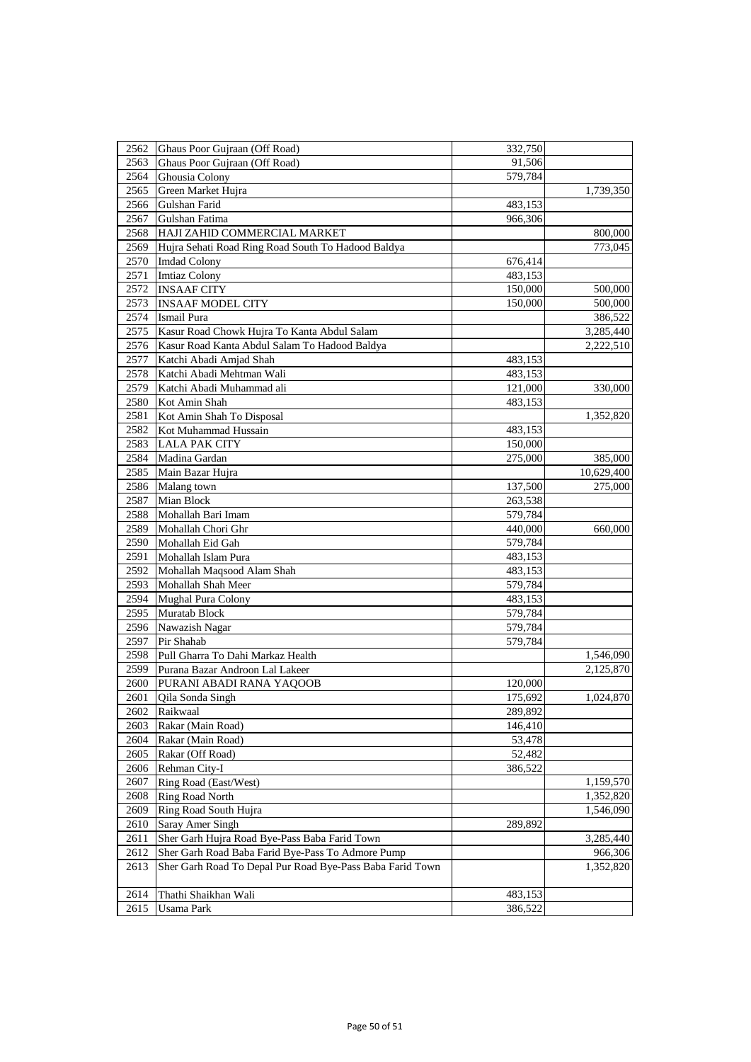| 2562         | Ghaus Poor Gujraan (Off Road)                             | 332,750            |            |
|--------------|-----------------------------------------------------------|--------------------|------------|
| 2563         | Ghaus Poor Gujraan (Off Road)                             | 91,506             |            |
| 2564         | Ghousia Colony                                            | 579,784            |            |
| 2565         | Green Market Hujra                                        |                    | 1,739,350  |
| 2566         | Gulshan Farid                                             | 483,153            |            |
| 2567         | Gulshan Fatima                                            | 966,306            |            |
| 2568         | HAJI ZAHID COMMERCIAL MARKET                              |                    | 800,000    |
| 2569         | Hujra Sehati Road Ring Road South To Hadood Baldya        |                    | 773,045    |
| 2570         | <b>Imdad Colony</b>                                       | 676,414            |            |
| 2571         | <b>Imtiaz Colony</b>                                      | 483,153            |            |
| 2572         | <b>INSAAF CITY</b>                                        | 150,000            | 500,000    |
| 2573         | <b>INSAAF MODEL CITY</b>                                  | 150,000            | 500,000    |
| 2574         | Ismail Pura                                               |                    | 386,522    |
| 2575         | Kasur Road Chowk Hujra To Kanta Abdul Salam               |                    | 3,285,440  |
| 2576         | Kasur Road Kanta Abdul Salam To Hadood Baldya             |                    | 2,222,510  |
| 2577         | Katchi Abadi Amjad Shah                                   | 483,153            |            |
| 2578         | Katchi Abadi Mehtman Wali                                 | 483,153            |            |
| 2579         | Katchi Abadi Muhammad ali                                 | 121,000            | 330,000    |
| 2580         | Kot Amin Shah                                             | 483,153            |            |
| 2581         | Kot Amin Shah To Disposal                                 |                    | 1,352,820  |
| 2582         | Kot Muhammad Hussain                                      | 483,153            |            |
| 2583         | <b>LALA PAK CITY</b>                                      | 150,000            |            |
| 2584         | Madina Gardan                                             | 275,000            | 385,000    |
| 2585         | Main Bazar Hujra                                          |                    | 10,629,400 |
| 2586         | Malang town                                               | 137,500            | 275,000    |
| 2587         | Mian Block                                                | 263,538            |            |
| 2588         | Mohallah Bari Imam                                        | 579,784            |            |
| 2589         | Mohallah Chori Ghr                                        | 440,000            | 660,000    |
| 2590         | Mohallah Eid Gah                                          | 579,784            |            |
| 2591         | Mohallah Islam Pura                                       |                    |            |
| 2592         | Mohallah Maqsood Alam Shah                                | 483,153<br>483,153 |            |
| 2593         | Mohallah Shah Meer                                        | 579,784            |            |
| 2594         | <b>Mughal Pura Colony</b>                                 | 483,153            |            |
| 2595         | Muratab Block                                             | 579,784            |            |
| 2596         | Nawazish Nagar                                            | 579,784            |            |
| 2597         | Pir Shahab                                                | 579,784            |            |
| 2598         | Pull Gharra To Dahi Markaz Health                         |                    |            |
|              |                                                           |                    | 1,546,090  |
| 2599         | Purana Bazar Androon Lal Lakeer                           |                    | 2,125,870  |
| 2600<br>2601 | PURANI ABADI RANA YAQOOB                                  | 120,000<br>175,692 |            |
| 2602         | Qila Sonda Singh<br>Raikwaal                              |                    | 1,024,870  |
| 2603         | Rakar (Main Road)                                         | 289,892<br>146,410 |            |
|              |                                                           |                    |            |
| 2604         | Rakar (Main Road)                                         | 53,478             |            |
| 2605         | Rakar (Off Road)                                          | 52,482<br>386,522  |            |
| 2606<br>2607 | Rehman City-I<br>Ring Road (East/West)                    |                    |            |
|              |                                                           |                    | 1,159,570  |
| 2608         | <b>Ring Road North</b>                                    |                    | 1,352,820  |
| 2609         | Ring Road South Hujra                                     |                    | 1,546,090  |
| 2610         | Saray Amer Singh                                          | 289,892            |            |
| 2611         | Sher Garh Hujra Road Bye-Pass Baba Farid Town             |                    | 3,285,440  |
| 2612         | Sher Garh Road Baba Farid Bye-Pass To Admore Pump         |                    | 966,306    |
| 2613         | Sher Garh Road To Depal Pur Road Bye-Pass Baba Farid Town |                    | 1,352,820  |
| 2614         | Thathi Shaikhan Wali                                      | 483,153            |            |
| 2615         | Usama Park                                                | 386,522            |            |